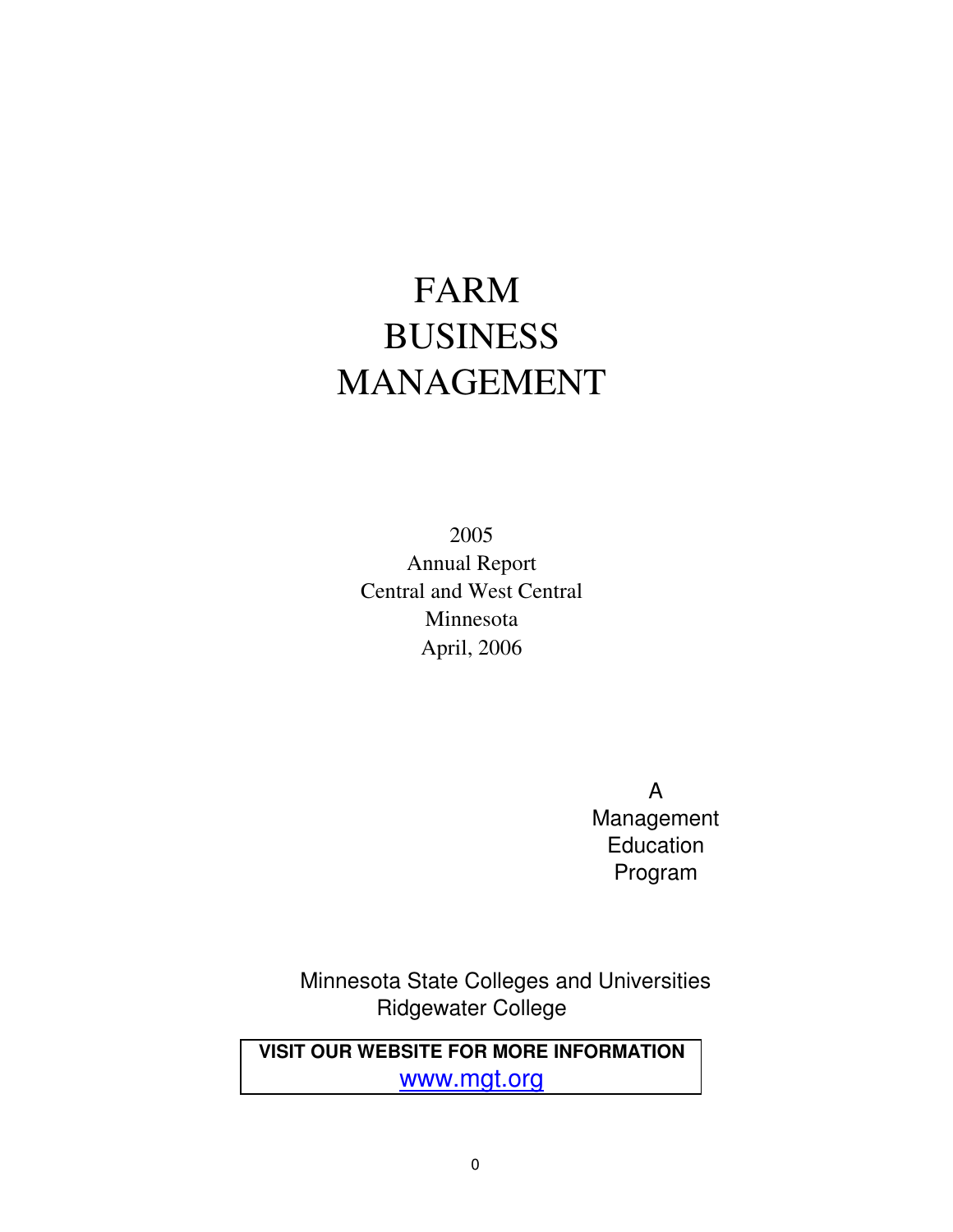# FARM BUSINESS MANAGEMENT

2005 Annual Report Central and West Central Minnesota April, 2006

> A Management Education Program

 Minnesota State Colleges and Universities Ridgewater College

**VISIT OUR WEBSITE FOR MORE INFORMATION** www.mgt.org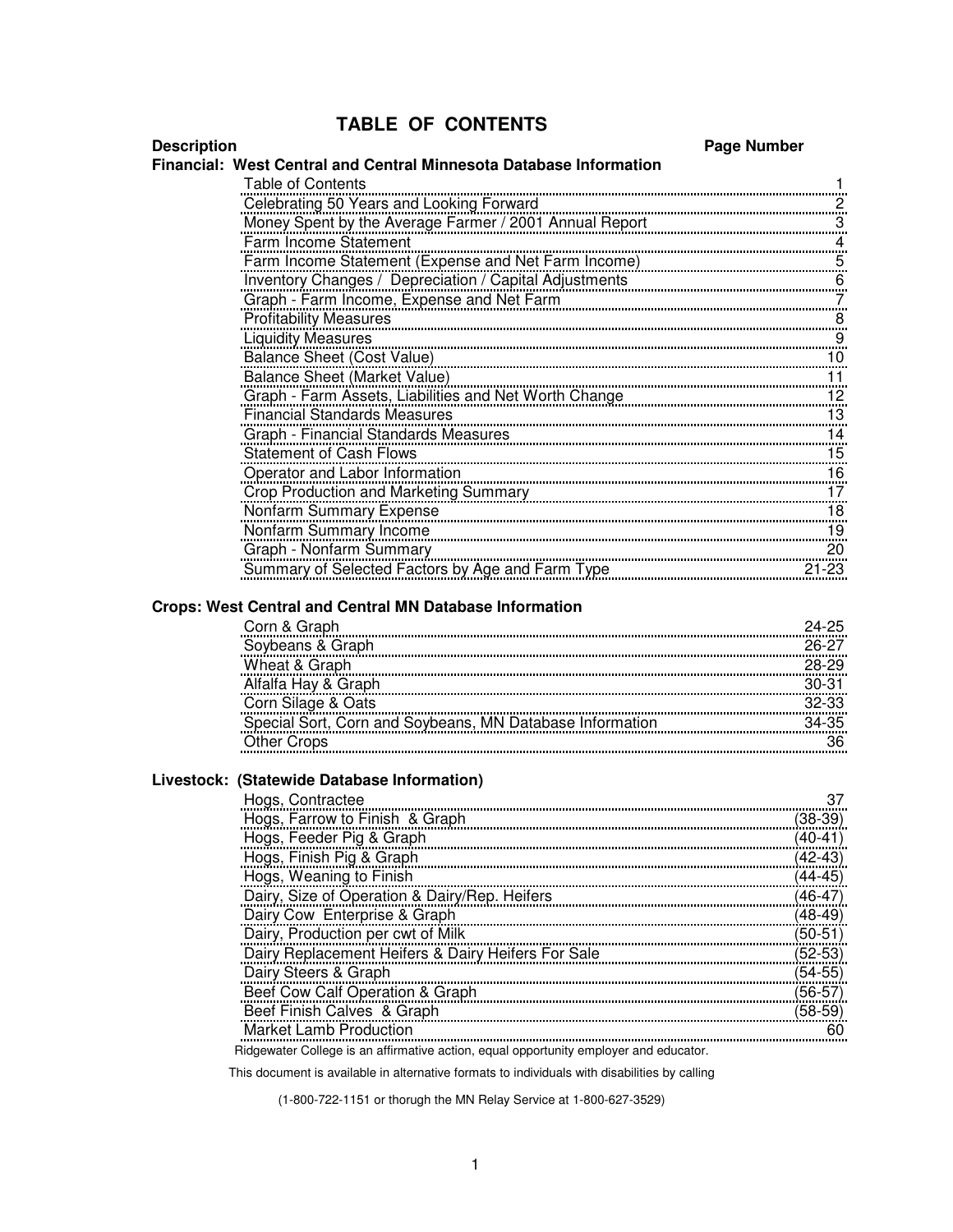## **TABLE OF CONTENTS**

#### **Description Page Number**

#### **Financial: West Central and Central Minnesota Database Information**

| <b>Table of Contents</b>                               |           |
|--------------------------------------------------------|-----------|
| Celebrating 50 Years and Looking Forward               |           |
| Money Spent by the Average Farmer / 2001 Annual Report | 3         |
| Farm Income Statement                                  | 4         |
| Farm Income Statement (Expense and Net Farm Income)    | 5         |
| Inventory Changes / Depreciation / Capital Adjustments | 6         |
| Graph - Farm Income, Expense and Net Farm              | 7         |
| <b>Profitability Measures</b>                          | 8         |
| <b>Liquidity Measures</b>                              | 9         |
| Balance Sheet (Cost Value)                             | 10        |
| Balance Sheet (Market Value)                           | 11        |
| Graph - Farm Assets, Liabilities and Net Worth Change  | 12        |
| <b>Financial Standards Measures</b>                    | 13        |
| Graph - Financial Standards Measures                   | 14        |
| <b>Statement of Cash Flows</b>                         | 15        |
| Operator and Labor Information                         | 16        |
| <b>Crop Production and Marketing Summary</b>           | 17        |
| Nonfarm Summary Expense                                | 18        |
| Nonfarm Summary Income                                 | 19        |
| Graph - Nonfarm Summary                                | 20        |
| Summary of Selected Factors by Age and Farm Type       | $21 - 23$ |

#### **Crops: West Central and Central MN Database Information**

| Corn & Graph                                             | $24 - 25$ |
|----------------------------------------------------------|-----------|
| Soybeans & Graph                                         | 26-27     |
| Wheat & Graph                                            | 28-29     |
| Alfalfa Hay & Graph                                      | $30-31$   |
| Corn Silage & Oats                                       | 32-33     |
| Special Sort, Corn and Soybeans, MN Database Information | $34-35$   |
| <b>Other Crops</b>                                       |           |
|                                                          |           |

#### **Livestock: (Statewide Database Information)**

| Hogs, Contractee                                                                      |         |
|---------------------------------------------------------------------------------------|---------|
| Hogs, Farrow to Finish & Graph                                                        | (38-39) |
| Hogs, Feeder Pig & Graph                                                              | (40-41) |
| Hogs, Finish Pig & Graph                                                              | (42-43) |
| Hogs, Weaning to Finish                                                               | (44-45) |
| Dairy, Size of Operation & Dairy/Rep. Heifers                                         | (46-47) |
| Dairy Cow Enterprise & Graph                                                          | (48-49) |
| Dairy, Production per cwt of Milk                                                     | (50-51) |
| Dairy Replacement Heifers & Dairy Heifers For Sale                                    | (52-53) |
| Dairy Steers & Graph                                                                  | (54-55) |
| Beef Cow Calf Operation & Graph                                                       | (56-57) |
| Beef Finish Calves & Graph                                                            | (58-59) |
| <b>Market Lamb Production</b>                                                         |         |
| Ridgewater College is an affirmative action, equal opportunity employer and educator. |         |

This document is available in alternative formats to individuals with disabilities by calling

(1-800-722-1151 or thorugh the MN Relay Service at 1-800-627-3529)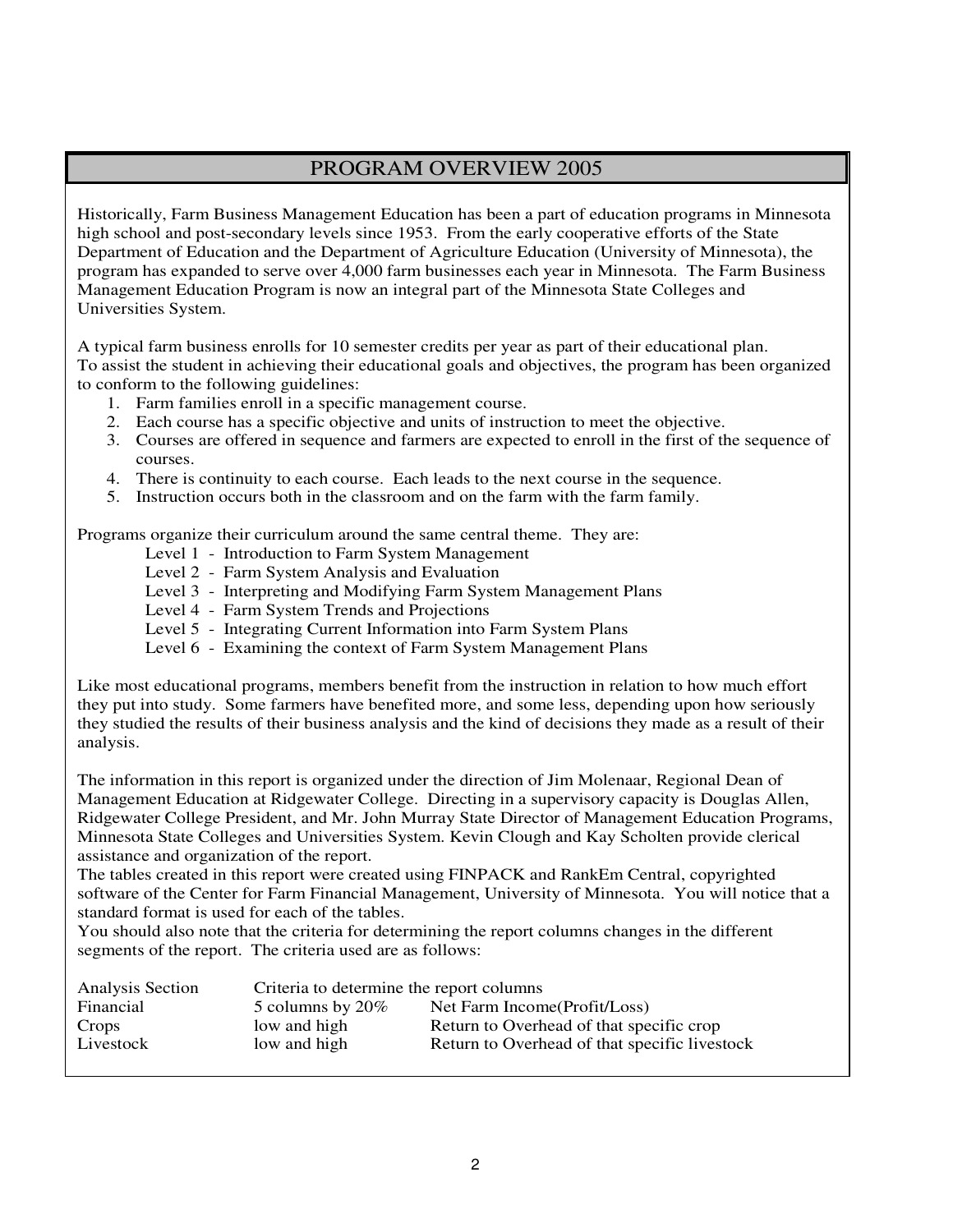### PROGRAM OVERVIEW 2005

Historically, Farm Business Management Education has been a part of education programs in Minnesota high school and post-secondary levels since 1953. From the early cooperative efforts of the State Department of Education and the Department of Agriculture Education (University of Minnesota), the program has expanded to serve over 4,000 farm businesses each year in Minnesota. The Farm Business Management Education Program is now an integral part of the Minnesota State Colleges and Universities System.

A typical farm business enrolls for 10 semester credits per year as part of their educational plan. To assist the student in achieving their educational goals and objectives, the program has been organized to conform to the following guidelines:

- 1. Farm families enroll in a specific management course.
- 2. Each course has a specific objective and units of instruction to meet the objective.
- 3. Courses are offered in sequence and farmers are expected to enroll in the first of the sequence of courses.
- 4. There is continuity to each course. Each leads to the next course in the sequence.
- 5. Instruction occurs both in the classroom and on the farm with the farm family.

Programs organize their curriculum around the same central theme. They are:

- Level 1 Introduction to Farm System Management
- Level 2 Farm System Analysis and Evaluation
- Level 3 Interpreting and Modifying Farm System Management Plans
- Level 4 Farm System Trends and Projections
- Level 5 Integrating Current Information into Farm System Plans
- Level 6 Examining the context of Farm System Management Plans

Like most educational programs, members benefit from the instruction in relation to how much effort they put into study. Some farmers have benefited more, and some less, depending upon how seriously they studied the results of their business analysis and the kind of decisions they made as a result of their analysis.

The information in this report is organized under the direction of Jim Molenaar, Regional Dean of Management Education at Ridgewater College. Directing in a supervisory capacity is Douglas Allen, Ridgewater College President, and Mr. John Murray State Director of Management Education Programs, Minnesota State Colleges and Universities System. Kevin Clough and Kay Scholten provide clerical assistance and organization of the report.

The tables created in this report were created using FINPACK and RankEm Central, copyrighted software of the Center for Farm Financial Management, University of Minnesota. You will notice that a standard format is used for each of the tables.

You should also note that the criteria for determining the report columns changes in the different segments of the report. The criteria used are as follows:

| Analysis Section | Criteria to determine the report columns |                                               |  |  |  |
|------------------|------------------------------------------|-----------------------------------------------|--|--|--|
| Financial        | 5 columns by $20\%$                      | Net Farm Income (Profit/Loss)                 |  |  |  |
| Crops            | low and high                             | Return to Overhead of that specific crop      |  |  |  |
| Livestock        | low and high                             | Return to Overhead of that specific livestock |  |  |  |
|                  |                                          |                                               |  |  |  |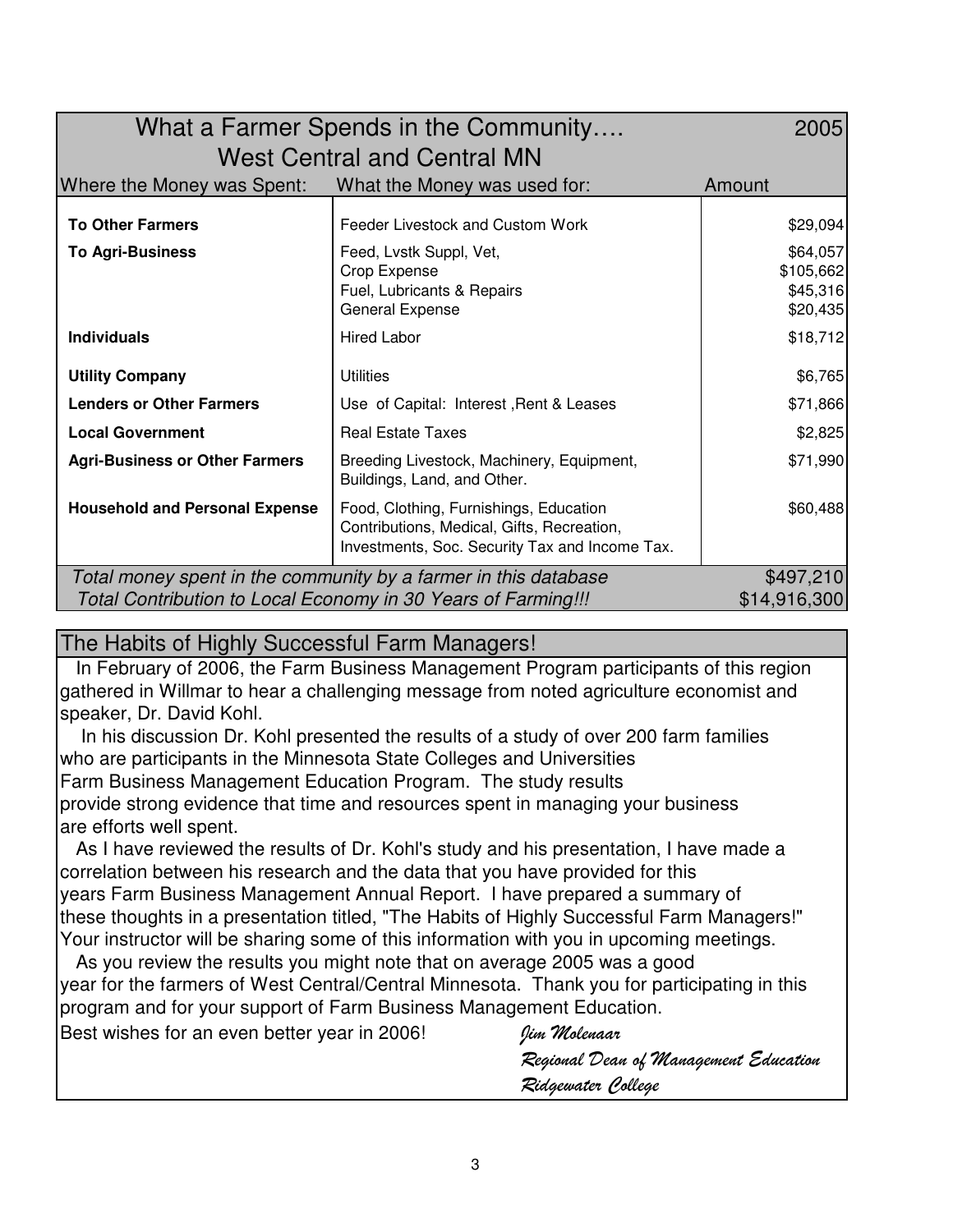| What a Farmer Spends in the Community                                         |                                                                                                                                        |                                               |  |  |  |  |
|-------------------------------------------------------------------------------|----------------------------------------------------------------------------------------------------------------------------------------|-----------------------------------------------|--|--|--|--|
| <b>West Central and Central MN</b>                                            |                                                                                                                                        |                                               |  |  |  |  |
| Where the Money was Spent:                                                    | What the Money was used for:                                                                                                           | Amount                                        |  |  |  |  |
| <b>To Other Farmers</b>                                                       | Feeder Livestock and Custom Work                                                                                                       | \$29,094                                      |  |  |  |  |
| <b>To Agri-Business</b>                                                       | Feed, Lvstk Suppl, Vet,<br>Crop Expense<br>Fuel, Lubricants & Repairs<br>General Expense                                               | \$64,057<br>\$105,662<br>\$45,316<br>\$20,435 |  |  |  |  |
| <b>Individuals</b>                                                            | <b>Hired Labor</b>                                                                                                                     | \$18,712                                      |  |  |  |  |
| <b>Utility Company</b>                                                        | Utilities                                                                                                                              | \$6,765                                       |  |  |  |  |
| <b>Lenders or Other Farmers</b>                                               | Use of Capital: Interest, Rent & Leases                                                                                                | \$71,866                                      |  |  |  |  |
| <b>Local Government</b>                                                       | <b>Real Estate Taxes</b>                                                                                                               | \$2,825                                       |  |  |  |  |
| <b>Agri-Business or Other Farmers</b>                                         | Breeding Livestock, Machinery, Equipment,<br>Buildings, Land, and Other.                                                               | \$71,990                                      |  |  |  |  |
| <b>Household and Personal Expense</b>                                         | Food, Clothing, Furnishings, Education<br>Contributions, Medical, Gifts, Recreation,<br>Investments, Soc. Security Tax and Income Tax. | \$60,488                                      |  |  |  |  |
| Total money spent in the community by a farmer in this database               | \$497,210                                                                                                                              |                                               |  |  |  |  |
| \$14,916,300<br>Total Contribution to Local Economy in 30 Years of Farming!!! |                                                                                                                                        |                                               |  |  |  |  |

## The Habits of Highly Successful Farm Managers!

 In February of 2006, the Farm Business Management Program participants of this region gathered in Willmar to hear a challenging message from noted agriculture economist and speaker, Dr. David Kohl.

 In his discussion Dr. Kohl presented the results of a study of over 200 farm families who are participants in the Minnesota State Colleges and Universities Farm Business Management Education Program. The study results provide strong evidence that time and resources spent in managing your business are efforts well spent.

 As I have reviewed the results of Dr. Kohl's study and his presentation, I have made a correlation between his research and the data that you have provided for this years Farm Business Management Annual Report. I have prepared a summary of these thoughts in a presentation titled, "The Habits of Highly Successful Farm Managers!" Your instructor will be sharing some of this information with you in upcoming meetings.

 As you review the results you might note that on average 2005 was a good year for the farmers of West Central/Central Minnesota. Thank you for participating in this program and for your support of Farm Business Management Education.

Best wishes for an even better year in 2006! Jim *Molenaar* Regional Dean of Management Education Ridgewater College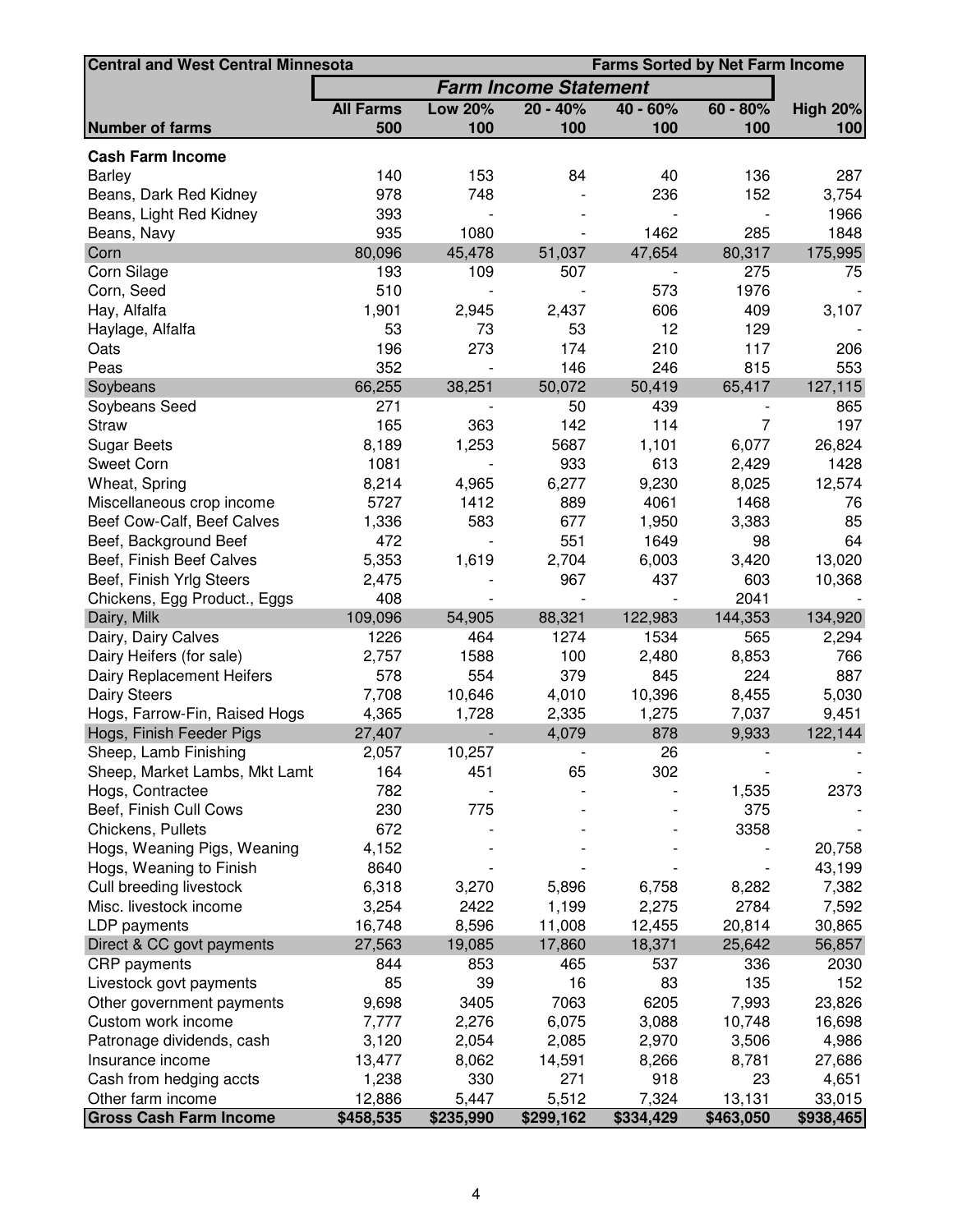| <b>Central and West Central Minnesota</b><br><b>Farms Sorted by Net Farm Income</b> |                  |                |                              |            |                |                 |
|-------------------------------------------------------------------------------------|------------------|----------------|------------------------------|------------|----------------|-----------------|
|                                                                                     |                  |                | <b>Farm Income Statement</b> |            |                |                 |
|                                                                                     | <b>All Farms</b> | <b>Low 20%</b> | $20 - 40%$                   | $40 - 60%$ | $60 - 80%$     | <b>High 20%</b> |
| <b>Number of farms</b>                                                              | 500              | 100            | 100                          | 100        | 100            | 100             |
| <b>Cash Farm Income</b>                                                             |                  |                |                              |            |                |                 |
| <b>Barley</b>                                                                       | 140              | 153            | 84                           | 40         | 136            | 287             |
| Beans, Dark Red Kidney                                                              | 978              | 748            |                              | 236        | 152            | 3,754           |
| Beans, Light Red Kidney                                                             | 393              |                |                              |            |                | 1966            |
| Beans, Navy                                                                         | 935              | 1080           |                              | 1462       | 285            | 1848            |
| Corn                                                                                | 80,096           | 45,478         | 51,037                       | 47,654     | 80,317         | 175,995         |
| Corn Silage                                                                         | 193              | 109            | 507                          |            | 275            | 75              |
| Corn, Seed                                                                          | 510              |                |                              | 573        | 1976           |                 |
| Hay, Alfalfa                                                                        | 1,901            | 2,945          | 2,437                        | 606        | 409            | 3,107           |
| Haylage, Alfalfa                                                                    | 53               | 73             | 53                           | 12         | 129            |                 |
| Oats                                                                                | 196              | 273            | 174                          | 210        | 117            | 206             |
| Peas                                                                                | 352              |                | 146                          | 246        | 815            | 553             |
| Soybeans                                                                            | 66,255           | 38,251         | 50,072                       | 50,419     | 65,417         | 127,115         |
| Soybeans Seed                                                                       | 271              |                | 50                           | 439        |                | 865             |
| <b>Straw</b>                                                                        | 165              | 363            | 142                          | 114        | $\overline{7}$ | 197             |
| <b>Sugar Beets</b>                                                                  | 8,189            | 1,253          | 5687                         | 1,101      | 6,077          | 26,824          |
| Sweet Corn                                                                          | 1081             |                | 933                          | 613        | 2,429          | 1428            |
| Wheat, Spring                                                                       | 8,214            | 4,965          | 6,277                        | 9,230      | 8,025          | 12,574          |
| Miscellaneous crop income                                                           | 5727             | 1412           | 889                          | 4061       | 1468           | 76              |
| Beef Cow-Calf, Beef Calves                                                          | 1,336            | 583            | 677                          | 1,950      | 3,383          | 85              |
| Beef, Background Beef                                                               | 472              |                | 551                          | 1649       | 98             | 64              |
| Beef, Finish Beef Calves                                                            | 5,353            | 1,619          | 2,704                        | 6,003      | 3,420          | 13,020          |
| Beef, Finish Yrlg Steers                                                            | 2,475            |                | 967                          | 437        | 603            | 10,368          |
| Chickens, Egg Product., Eggs                                                        | 408              |                |                              |            | 2041           |                 |
| Dairy, Milk                                                                         | 109,096          | 54,905         | 88,321                       | 122,983    | 144,353        | 134,920         |
| Dairy, Dairy Calves                                                                 | 1226             | 464            | 1274                         | 1534       | 565            | 2,294           |
| Dairy Heifers (for sale)                                                            | 2,757            | 1588           | 100                          | 2,480      | 8,853          | 766             |
| Dairy Replacement Heifers                                                           | 578              | 554            | 379                          | 845        | 224            | 887             |
| Dairy Steers                                                                        | 7,708            | 10,646         | 4,010                        | 10,396     | 8,455          | 5,030           |
| Hogs, Farrow-Fin, Raised Hogs                                                       | 4,365            | 1,728          | 2,335                        | 1,275      | 7,037          | 9,451           |
| Hogs, Finish Feeder Pigs                                                            | 27,407           |                | 4,079                        | 878        | 9,933          | 122,144         |
| Sheep, Lamb Finishing                                                               | 2,057            | 10,257         |                              | 26         |                |                 |
| Sheep, Market Lambs, Mkt Lamt                                                       | 164              | 451            | 65                           | 302        |                |                 |
| Hogs, Contractee                                                                    | 782              |                |                              |            | 1,535          | 2373            |
| Beef, Finish Cull Cows                                                              | 230              | 775            |                              |            | 375            |                 |
| Chickens, Pullets                                                                   | 672              |                |                              |            | 3358           |                 |
|                                                                                     |                  |                |                              |            |                |                 |
| Hogs, Weaning Pigs, Weaning                                                         | 4,152<br>8640    |                |                              |            |                | 20,758          |
| Hogs, Weaning to Finish                                                             |                  |                |                              |            |                | 43,199          |
| Cull breeding livestock                                                             | 6,318            | 3,270<br>2422  | 5,896                        | 6,758      | 8,282<br>2784  | 7,382           |
| Misc. livestock income                                                              | 3,254            | 8,596          | 1,199                        | 2,275      |                | 7,592           |
| LDP payments                                                                        | 16,748           |                | 11,008                       | 12,455     | 20,814         | 30,865          |
| Direct & CC govt payments                                                           | 27,563           | 19,085         | 17,860                       | 18,371     | 25,642         | 56,857          |
| <b>CRP</b> payments                                                                 | 844              | 853            | 465                          | 537        | 336            | 2030            |
| Livestock govt payments                                                             | 85               | 39             | 16                           | 83         | 135            | 152             |
| Other government payments                                                           | 9,698            | 3405           | 7063                         | 6205       | 7,993          | 23,826          |
| Custom work income                                                                  | 7,777            | 2,276          | 6,075                        | 3,088      | 10,748         | 16,698          |
| Patronage dividends, cash                                                           | 3,120            | 2,054          | 2,085                        | 2,970      | 3,506          | 4,986           |
| Insurance income                                                                    | 13,477           | 8,062          | 14,591                       | 8,266      | 8,781          | 27,686          |
| Cash from hedging accts                                                             | 1,238            | 330            | 271                          | 918        | 23             | 4,651           |
| Other farm income                                                                   | 12,886           | 5,447          | 5,512                        | 7,324      | 13,131         | 33,015          |
| <b>Gross Cash Farm Income</b>                                                       | \$458,535        | \$235,990      | \$299,162                    | \$334,429  | \$463,050      | \$938,465       |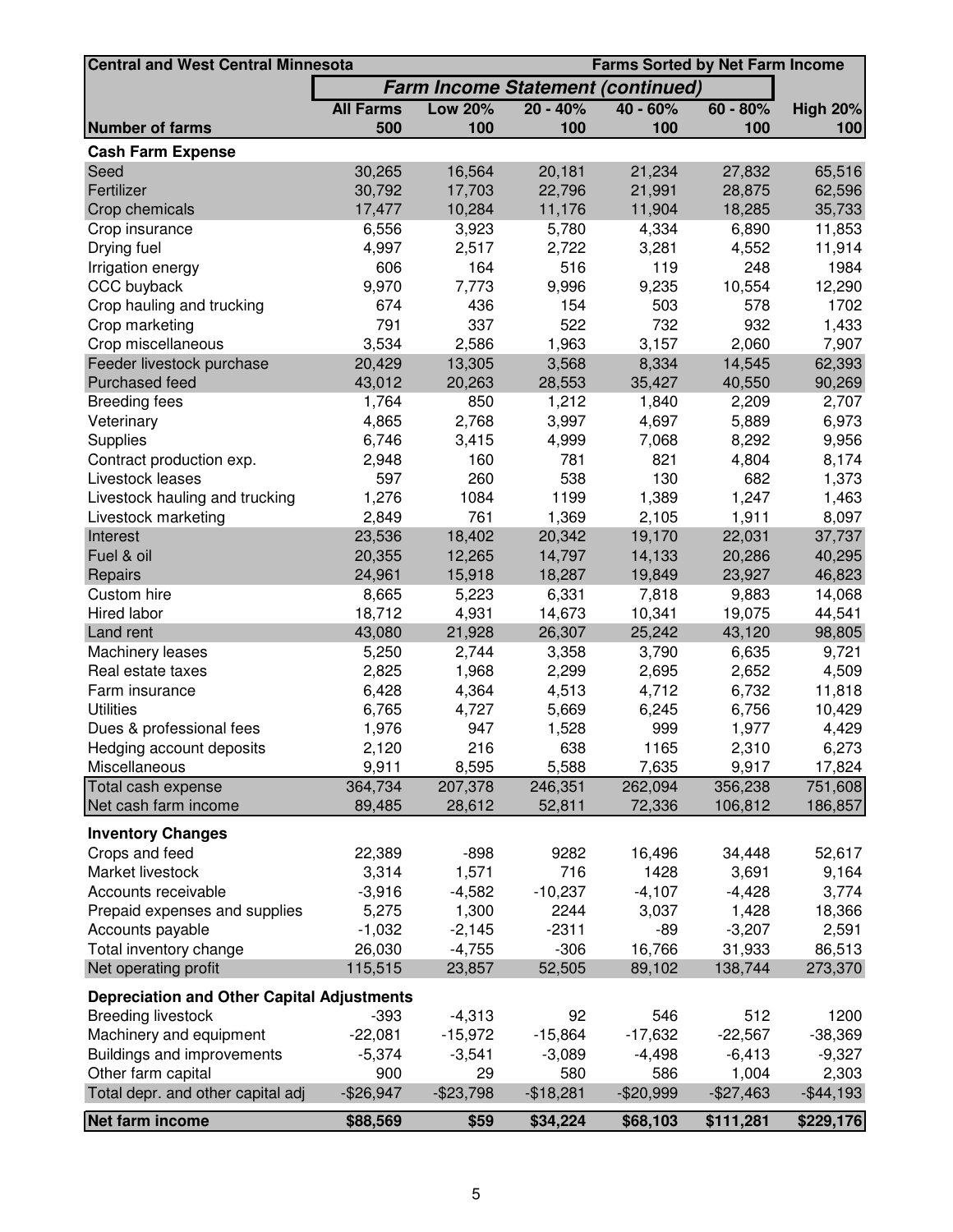| <b>Central and West Central Minnesota</b><br><b>Farms Sorted by Net Farm Income</b> |                  |                |              |                                          |                |                 |
|-------------------------------------------------------------------------------------|------------------|----------------|--------------|------------------------------------------|----------------|-----------------|
|                                                                                     |                  |                |              | <b>Farm Income Statement (continued)</b> |                |                 |
|                                                                                     | <b>All Farms</b> | <b>Low 20%</b> | $20 - 40%$   | $40 - 60%$                               | $60 - 80%$     | <b>High 20%</b> |
| <b>Number of farms</b>                                                              | 500              | 100            | 100          | 100                                      | 100            | 100             |
| <b>Cash Farm Expense</b>                                                            |                  |                |              |                                          |                |                 |
| Seed                                                                                | 30,265           | 16,564         | 20,181       | 21,234                                   | 27,832         | 65,516          |
| Fertilizer                                                                          | 30,792           | 17,703         | 22,796       | 21,991                                   | 28,875         | 62,596          |
| Crop chemicals                                                                      | 17,477           | 10,284         | 11,176       | 11,904                                   | 18,285         | 35,733          |
| Crop insurance                                                                      | 6,556            | 3,923          | 5,780        | 4,334                                    | 6,890          | 11,853          |
| Drying fuel                                                                         | 4,997            | 2,517          | 2,722        | 3,281                                    | 4,552          | 11,914          |
| Irrigation energy                                                                   | 606              | 164            | 516          | 119                                      | 248            | 1984            |
| CCC buyback                                                                         | 9,970            | 7,773          | 9,996        | 9,235                                    | 10,554         | 12,290          |
| Crop hauling and trucking                                                           | 674              | 436            | 154          | 503                                      | 578            | 1702            |
| Crop marketing                                                                      | 791              | 337            | 522          | 732                                      | 932            | 1,433           |
| Crop miscellaneous                                                                  | 3,534            | 2,586          | 1,963        | 3,157                                    | 2,060          | 7,907           |
| Feeder livestock purchase                                                           | 20,429           | 13,305         | 3,568        | 8,334                                    | 14,545         | 62,393          |
| Purchased feed                                                                      | 43,012           | 20,263         | 28,553       | 35,427                                   | 40,550         | 90,269          |
| <b>Breeding fees</b>                                                                | 1,764            | 850            | 1,212        | 1,840                                    | 2,209          | 2,707           |
| Veterinary                                                                          | 4,865            | 2,768          | 3,997        | 4,697                                    | 5,889          | 6,973           |
| <b>Supplies</b>                                                                     | 6,746            | 3,415          | 4,999        | 7,068                                    | 8,292          | 9,956           |
| Contract production exp.                                                            | 2,948            | 160            | 781          | 821                                      | 4,804          | 8,174           |
| Livestock leases                                                                    | 597              | 260            | 538          | 130                                      | 682            | 1,373           |
| Livestock hauling and trucking                                                      | 1,276            | 1084           | 1199         | 1,389                                    | 1,247          | 1,463           |
| Livestock marketing                                                                 | 2,849            | 761            | 1,369        | 2,105                                    | 1,911          | 8,097           |
| Interest                                                                            | 23,536           | 18,402         | 20,342       | 19,170                                   | 22,031         | 37,737          |
| Fuel & oil                                                                          | 20,355           | 12,265         | 14,797       | 14,133                                   | 20,286         | 40,295          |
| Repairs                                                                             | 24,961           | 15,918         | 18,287       | 19,849                                   | 23,927         | 46,823          |
| Custom hire                                                                         | 8,665            | 5,223          | 6,331        | 7,818                                    | 9,883          | 14,068          |
| Hired labor                                                                         | 18,712           | 4,931          | 14,673       | 10,341                                   | 19,075         | 44,541          |
| Land rent                                                                           | 43,080           | 21,928         | 26,307       | 25,242                                   | 43,120         | 98,805          |
| Machinery leases                                                                    | 5,250            | 2,744          | 3,358        | 3,790                                    | 6,635          | 9,721           |
| Real estate taxes                                                                   | 2,825            | 1,968          | 2,299        | 2,695                                    | 2,652          | 4,509           |
| Farm insurance                                                                      | 6,428            | 4,364          | 4,513        | 4,712                                    | 6,732          | 11,818          |
| <b>Utilities</b>                                                                    | 6,765            | 4,727          | 5,669        | 6,245                                    | 6,756          | 10,429          |
| Dues & professional fees                                                            | 1,976            | 947<br>216     | 1,528<br>638 | 999                                      | 1,977          | 4,429           |
| Hedging account deposits<br>Miscellaneous                                           | 2,120<br>9,911   | 8,595          | 5,588        | 1165<br>7,635                            | 2,310<br>9,917 | 6,273<br>17,824 |
| Total cash expense                                                                  | 364,734          | 207,378        | 246,351      | 262,094                                  | 356,238        | 751,608         |
| Net cash farm income                                                                | 89,485           | 28,612         | 52,811       | 72,336                                   | 106,812        | 186,857         |
|                                                                                     |                  |                |              |                                          |                |                 |
| <b>Inventory Changes</b>                                                            |                  |                |              |                                          |                |                 |
| Crops and feed                                                                      | 22,389           | $-898$         | 9282         | 16,496                                   | 34,448         | 52,617          |
| Market livestock                                                                    | 3,314            | 1,571          | 716          | 1428                                     | 3,691          | 9,164           |
| Accounts receivable                                                                 | $-3,916$         | $-4,582$       | $-10,237$    | $-4,107$                                 | $-4,428$       | 3,774           |
| Prepaid expenses and supplies                                                       | 5,275            | 1,300          | 2244         | 3,037                                    | 1,428          | 18,366          |
| Accounts payable                                                                    | $-1,032$         | $-2,145$       | $-2311$      | $-89$                                    | $-3,207$       | 2,591           |
| Total inventory change                                                              | 26,030           | $-4,755$       | $-306$       | 16,766                                   | 31,933         | 86,513          |
| Net operating profit                                                                | 115,515          | 23,857         | 52,505       | 89,102                                   | 138,744        | 273,370         |
| <b>Depreciation and Other Capital Adjustments</b>                                   |                  |                |              |                                          |                |                 |
| <b>Breeding livestock</b>                                                           | $-393$           | $-4,313$       | 92           | 546                                      | 512            | 1200            |
| Machinery and equipment                                                             | $-22,081$        | $-15,972$      | $-15,864$    | $-17,632$                                | $-22,567$      | $-38,369$       |
| Buildings and improvements                                                          | $-5,374$         | $-3,541$       | $-3,089$     | $-4,498$                                 | $-6,413$       | $-9,327$        |
| Other farm capital                                                                  | 900              | 29             | 580          | 586                                      | 1,004          | 2,303           |
| Total depr. and other capital adj                                                   | $-$26,947$       | $-$23,798$     | $-$18,281$   | $-$20,999$                               | $-$27,463$     | $-$ \$44,193    |
| Net farm income                                                                     | \$88,569         | \$59           | \$34,224     | \$68,103                                 | \$111,281      | \$229,176       |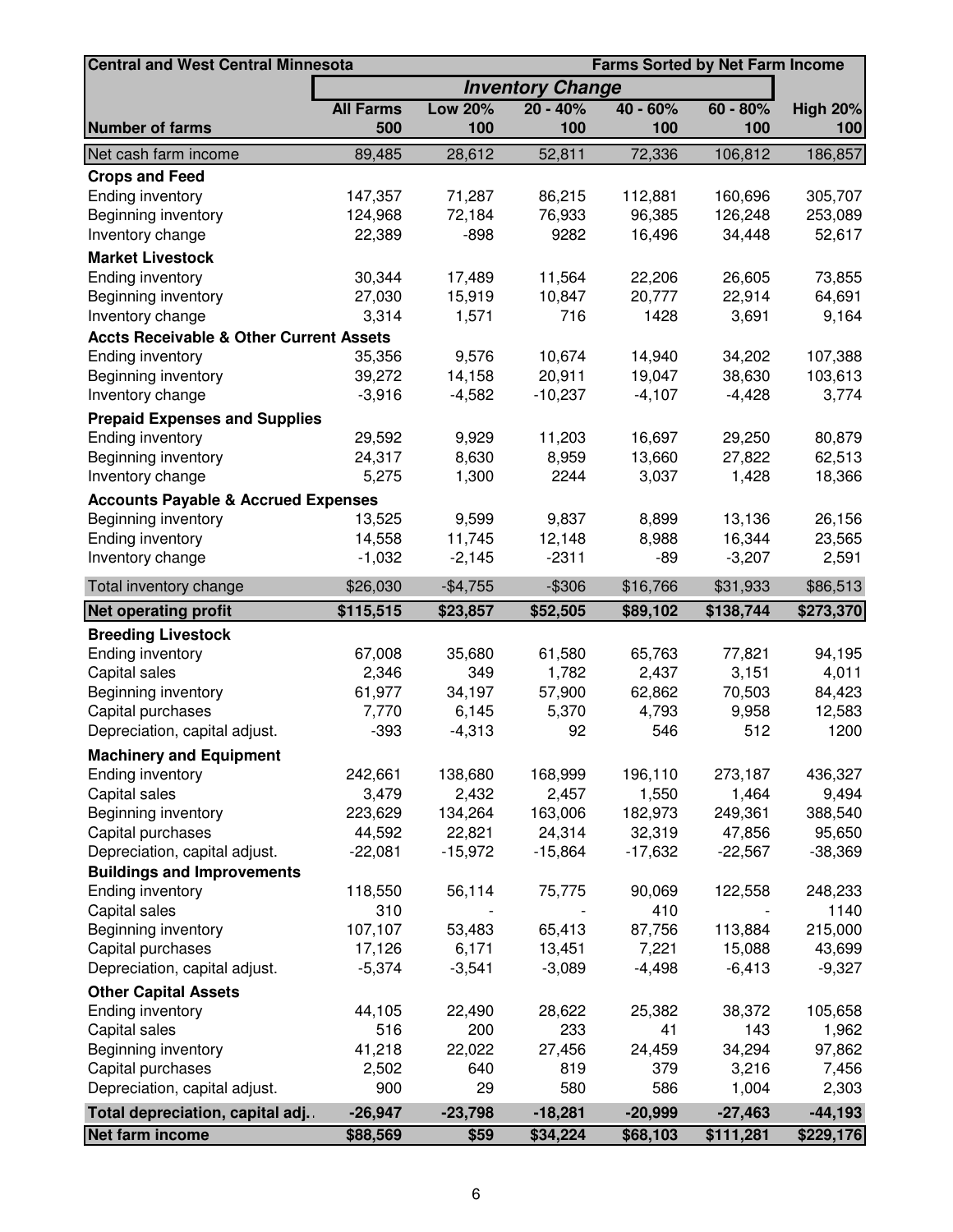| <b>Farms Sorted by Net Farm Income</b><br><b>Central and West Central Minnesota</b> |                  |                |                         |            |            |                 |
|-------------------------------------------------------------------------------------|------------------|----------------|-------------------------|------------|------------|-----------------|
|                                                                                     |                  |                | <b>Inventory Change</b> |            |            |                 |
|                                                                                     | <b>All Farms</b> | <b>Low 20%</b> | $20 - 40%$              | $40 - 60%$ | $60 - 80%$ | <b>High 20%</b> |
| <b>Number of farms</b>                                                              | 500              | 100            | 100                     | 100        | 100        | 100             |
| Net cash farm income                                                                | 89,485           | 28,612         | 52,811                  | 72,336     | 106,812    | 186,857         |
| <b>Crops and Feed</b>                                                               |                  |                |                         |            |            |                 |
| Ending inventory                                                                    | 147,357          | 71,287         | 86,215                  | 112,881    | 160,696    | 305,707         |
| Beginning inventory                                                                 | 124,968          | 72,184         | 76,933                  | 96,385     | 126,248    | 253,089         |
| Inventory change                                                                    | 22,389           | $-898$         | 9282                    | 16,496     | 34,448     | 52,617          |
| <b>Market Livestock</b>                                                             |                  |                |                         |            |            |                 |
| <b>Ending inventory</b>                                                             | 30,344           | 17,489         | 11,564                  | 22,206     | 26,605     | 73,855          |
| Beginning inventory                                                                 | 27,030           | 15,919         | 10,847                  | 20,777     | 22,914     | 64,691          |
| Inventory change                                                                    | 3,314            | 1,571          | 716                     | 1428       | 3,691      | 9,164           |
| <b>Accts Receivable &amp; Other Current Assets</b>                                  |                  |                |                         |            |            |                 |
| <b>Ending inventory</b>                                                             | 35,356           | 9,576          | 10,674                  | 14,940     | 34,202     | 107,388         |
| Beginning inventory                                                                 | 39,272           | 14,158         | 20,911                  | 19,047     | 38,630     | 103,613         |
| Inventory change                                                                    | $-3,916$         | $-4,582$       | $-10,237$               | $-4,107$   | $-4,428$   | 3,774           |
| <b>Prepaid Expenses and Supplies</b>                                                |                  |                |                         |            |            |                 |
| Ending inventory                                                                    | 29,592           | 9,929          | 11,203                  | 16,697     | 29,250     | 80,879          |
| Beginning inventory                                                                 | 24,317           | 8,630          | 8,959                   | 13,660     | 27,822     | 62,513          |
| Inventory change                                                                    | 5,275            | 1,300          | 2244                    | 3,037      | 1,428      | 18,366          |
| <b>Accounts Payable &amp; Accrued Expenses</b>                                      |                  |                |                         |            |            |                 |
| Beginning inventory                                                                 | 13,525           | 9,599          | 9,837                   | 8,899      | 13,136     | 26,156          |
| Ending inventory                                                                    | 14,558           | 11,745         | 12,148                  | 8,988      | 16,344     | 23,565          |
| Inventory change                                                                    | $-1,032$         | $-2,145$       | $-2311$                 | $-89$      | $-3,207$   | 2,591           |
| Total inventory change                                                              | \$26,030         | $-$4,755$      | $-$ \$306               | \$16,766   | \$31,933   | \$86,513        |
| <b>Net operating profit</b>                                                         | \$115,515        | \$23,857       | \$52,505                | \$89,102   | \$138,744  | \$273,370       |
|                                                                                     |                  |                |                         |            |            |                 |
| <b>Breeding Livestock</b><br>Ending inventory                                       | 67,008           | 35,680         | 61,580                  | 65,763     | 77,821     | 94,195          |
| Capital sales                                                                       | 2,346            | 349            | 1,782                   | 2,437      | 3,151      | 4,011           |
| Beginning inventory                                                                 | 61,977           | 34,197         | 57,900                  | 62,862     | 70,503     | 84,423          |
| Capital purchases                                                                   | 7,770            | 6,145          | 5,370                   | 4,793      | 9,958      | 12,583          |
| Depreciation, capital adjust.                                                       | $-393$           | $-4,313$       | 92                      | 546        | 512        | 1200            |
| <b>Machinery and Equipment</b>                                                      |                  |                |                         |            |            |                 |
| <b>Ending inventory</b>                                                             | 242,661          | 138,680        | 168,999                 | 196,110    | 273,187    | 436,327         |
| Capital sales                                                                       | 3,479            | 2,432          | 2,457                   | 1,550      | 1,464      | 9,494           |
| Beginning inventory                                                                 | 223,629          | 134,264        | 163,006                 | 182,973    | 249,361    | 388,540         |
| Capital purchases                                                                   | 44,592           | 22,821         | 24,314                  | 32,319     | 47,856     | 95,650          |
| Depreciation, capital adjust.                                                       | $-22,081$        | $-15,972$      | $-15,864$               | $-17,632$  | $-22,567$  | $-38,369$       |
| <b>Buildings and Improvements</b>                                                   |                  |                |                         |            |            |                 |
| Ending inventory                                                                    | 118,550          | 56,114         | 75,775                  | 90,069     | 122,558    | 248,233         |
| Capital sales                                                                       | 310              |                |                         | 410        |            | 1140            |
| Beginning inventory                                                                 | 107,107          | 53,483         | 65,413                  | 87,756     | 113,884    | 215,000         |
| Capital purchases                                                                   | 17,126           | 6,171          | 13,451                  | 7,221      | 15,088     | 43,699          |
| Depreciation, capital adjust.                                                       | $-5,374$         | $-3,541$       | $-3,089$                | $-4,498$   | $-6,413$   | $-9,327$        |
| <b>Other Capital Assets</b>                                                         |                  |                |                         |            |            |                 |
| <b>Ending inventory</b>                                                             | 44,105           | 22,490         | 28,622                  | 25,382     | 38,372     | 105,658         |
| Capital sales                                                                       | 516              | 200            | 233                     | 41         | 143        | 1,962           |
| Beginning inventory                                                                 | 41,218           | 22,022         | 27,456                  | 24,459     | 34,294     | 97,862          |
| Capital purchases                                                                   | 2,502            | 640            | 819                     | 379        | 3,216      | 7,456           |
| Depreciation, capital adjust.                                                       | 900              | 29             | 580                     | 586        | 1,004      | 2,303           |
| Total depreciation, capital adj                                                     | $-26,947$        | $-23,798$      | $-18,281$               | $-20,999$  | $-27,463$  | $-44,193$       |
| Net farm income                                                                     | \$88,569         | \$59           | \$34,224                | \$68,103   | \$111,281  | \$229,176       |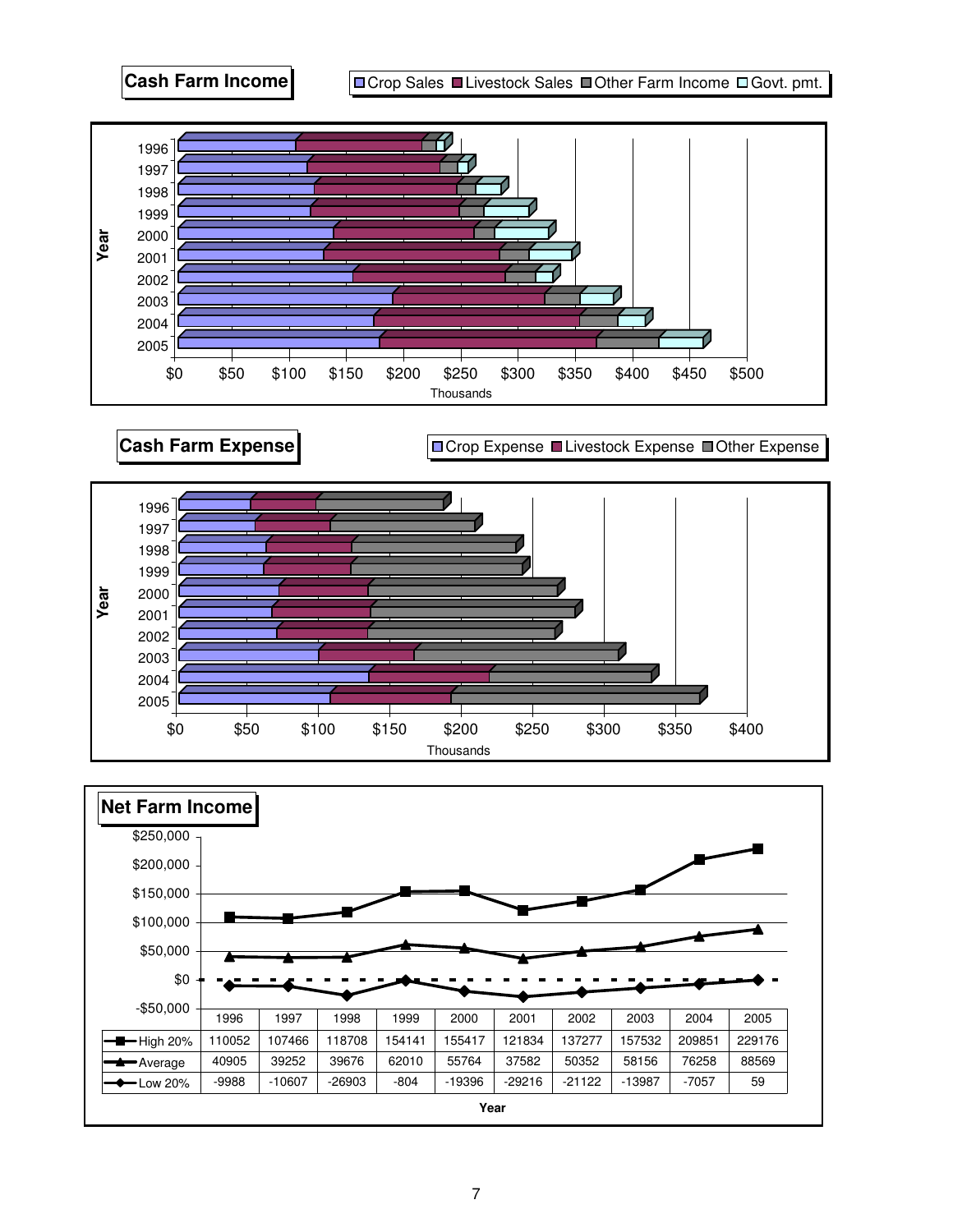

**Cash Farm Expense Cash Farm Expense** 



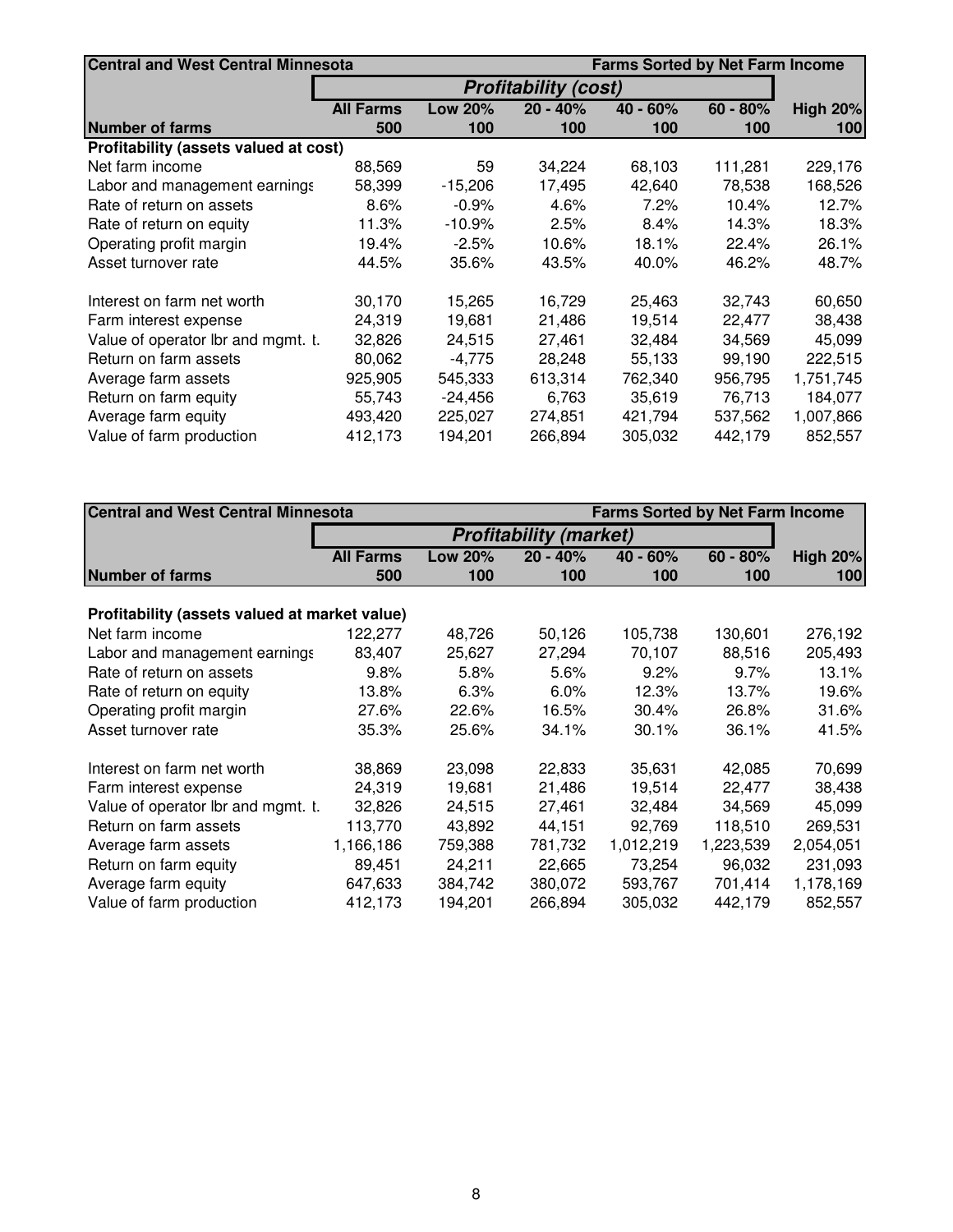| <b>Central and West Central Minnesota</b> |                  |                | <b>Farms Sorted by Net Farm Income</b> |            |            |                 |
|-------------------------------------------|------------------|----------------|----------------------------------------|------------|------------|-----------------|
|                                           |                  |                | <b>Profitability (cost)</b>            |            |            |                 |
|                                           | <b>All Farms</b> | <b>Low 20%</b> | $20 - 40%$                             | $40 - 60%$ | $60 - 80%$ | <b>High 20%</b> |
| <b>Number of farms</b>                    | 500              | 100            | 100                                    | 100        | 100        | 100             |
| Profitability (assets valued at cost)     |                  |                |                                        |            |            |                 |
| Net farm income                           | 88,569           | 59             | 34,224                                 | 68,103     | 111,281    | 229,176         |
| Labor and management earnings             | 58,399           | $-15,206$      | 17,495                                 | 42,640     | 78,538     | 168,526         |
| Rate of return on assets                  | 8.6%             | $-0.9%$        | 4.6%                                   | 7.2%       | 10.4%      | 12.7%           |
| Rate of return on equity                  | 11.3%            | $-10.9%$       | 2.5%                                   | 8.4%       | 14.3%      | 18.3%           |
| Operating profit margin                   | 19.4%            | $-2.5%$        | 10.6%                                  | 18.1%      | 22.4%      | 26.1%           |
| Asset turnover rate                       | 44.5%            | 35.6%          | 43.5%                                  | 40.0%      | 46.2%      | 48.7%           |
| Interest on farm net worth                | 30,170           | 15,265         | 16,729                                 | 25,463     | 32,743     | 60,650          |
| Farm interest expense                     | 24,319           | 19,681         | 21,486                                 | 19,514     | 22,477     | 38,438          |
| Value of operator lbr and mgmt. t.        | 32,826           | 24,515         | 27,461                                 | 32,484     | 34,569     | 45,099          |
| Return on farm assets                     | 80,062           | $-4,775$       | 28,248                                 | 55,133     | 99,190     | 222,515         |
| Average farm assets                       | 925,905          | 545,333        | 613,314                                | 762,340    | 956,795    | 1,751,745       |
| Return on farm equity                     | 55,743           | $-24,456$      | 6,763                                  | 35,619     | 76,713     | 184,077         |
| Average farm equity                       | 493,420          | 225,027        | 274,851                                | 421,794    | 537,562    | 1,007,866       |
| Value of farm production                  | 412,173          | 194,201        | 266,894                                | 305,032    | 442,179    | 852,557         |

| <b>Central and West Central Minnesota</b>     |                  |                               |            | <b>Farms Sorted by Net Farm Income</b> |            |                 |  |
|-----------------------------------------------|------------------|-------------------------------|------------|----------------------------------------|------------|-----------------|--|
|                                               |                  | <b>Profitability (market)</b> |            |                                        |            |                 |  |
|                                               | <b>All Farms</b> | <b>Low 20%</b>                | $20 - 40%$ | $40 - 60%$                             | $60 - 80%$ | <b>High 20%</b> |  |
| <b>Number of farms</b>                        | 500              | 100                           | 100        | 100                                    | 100        | 100             |  |
| Profitability (assets valued at market value) |                  |                               |            |                                        |            |                 |  |
| Net farm income                               | 122,277          | 48,726                        | 50,126     | 105,738                                | 130,601    | 276,192         |  |
| Labor and management earnings                 | 83,407           | 25,627                        | 27,294     | 70,107                                 | 88,516     | 205,493         |  |
| Rate of return on assets                      | 9.8%             | 5.8%                          | 5.6%       | 9.2%                                   | 9.7%       | 13.1%           |  |
| Rate of return on equity                      | 13.8%            | 6.3%                          | 6.0%       | 12.3%                                  | 13.7%      | 19.6%           |  |
| Operating profit margin                       | 27.6%            | 22.6%                         | 16.5%      | 30.4%                                  | 26.8%      | 31.6%           |  |
| Asset turnover rate                           | 35.3%            | 25.6%                         | 34.1%      | 30.1%                                  | 36.1%      | 41.5%           |  |
| Interest on farm net worth                    | 38,869           | 23,098                        | 22,833     | 35,631                                 | 42,085     | 70,699          |  |
| Farm interest expense                         | 24,319           | 19,681                        | 21,486     | 19,514                                 | 22,477     | 38,438          |  |
| Value of operator Ibr and mgmt. t.            | 32,826           | 24,515                        | 27,461     | 32,484                                 | 34,569     | 45,099          |  |
| Return on farm assets                         | 113.770          | 43,892                        | 44,151     | 92,769                                 | 118,510    | 269,531         |  |
| Average farm assets                           | 1,166,186        | 759,388                       | 781,732    | 1,012,219                              | 1,223,539  | 2,054,051       |  |
| Return on farm equity                         | 89,451           | 24,211                        | 22,665     | 73,254                                 | 96,032     | 231,093         |  |
| Average farm equity                           | 647,633          | 384,742                       | 380,072    | 593,767                                | 701,414    | 1,178,169       |  |
| Value of farm production                      | 412,173          | 194,201                       | 266,894    | 305,032                                | 442,179    | 852,557         |  |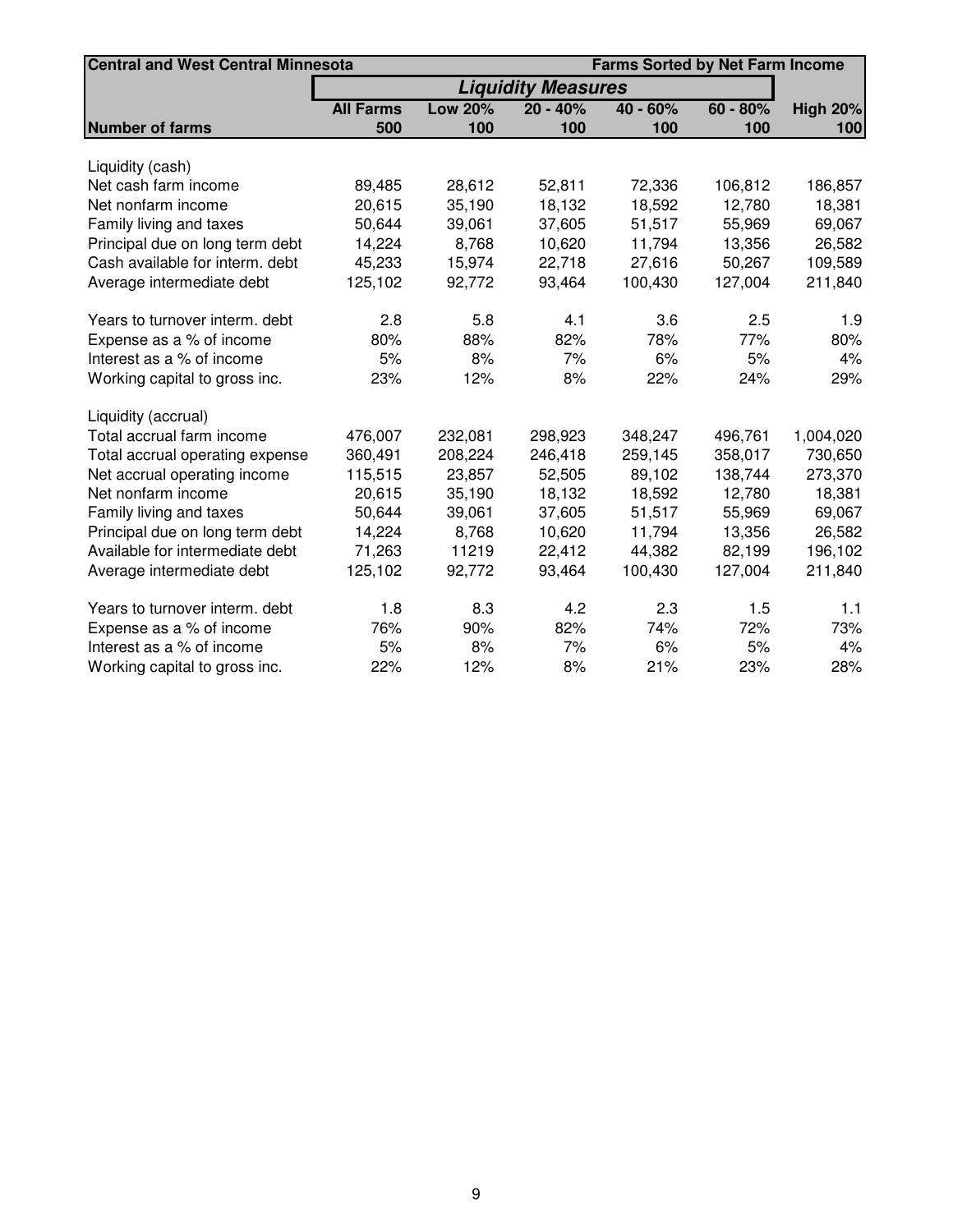| <b>Central and West Central Minnesota</b> |                  | <b>Farms Sorted by Net Farm Income</b> |            |            |            |                 |  |
|-------------------------------------------|------------------|----------------------------------------|------------|------------|------------|-----------------|--|
|                                           |                  | <b>Liquidity Measures</b>              |            |            |            |                 |  |
|                                           | <b>All Farms</b> | <b>Low 20%</b>                         | $20 - 40%$ | $40 - 60%$ | $60 - 80%$ | <b>High 20%</b> |  |
| <b>Number of farms</b>                    | 500              | 100                                    | 100        | 100        | 100        | 100             |  |
|                                           |                  |                                        |            |            |            |                 |  |
| Liquidity (cash)                          |                  |                                        |            |            |            |                 |  |
| Net cash farm income                      | 89,485           | 28,612                                 | 52,811     | 72,336     | 106,812    | 186,857         |  |
| Net nonfarm income                        | 20,615           | 35,190                                 | 18,132     | 18,592     | 12,780     | 18,381          |  |
| Family living and taxes                   | 50,644           | 39,061                                 | 37,605     | 51,517     | 55,969     | 69,067          |  |
| Principal due on long term debt           | 14,224           | 8,768                                  | 10,620     | 11,794     | 13,356     | 26,582          |  |
| Cash available for interm. debt           | 45,233           | 15,974                                 | 22,718     | 27,616     | 50,267     | 109,589         |  |
| Average intermediate debt                 | 125,102          | 92,772                                 | 93,464     | 100,430    | 127,004    | 211,840         |  |
| Years to turnover interm. debt            | 2.8              | 5.8                                    | 4.1        | 3.6        | 2.5        | 1.9             |  |
| Expense as a % of income                  | 80%              | 88%                                    | 82%        | 78%        | 77%        | 80%             |  |
| Interest as a % of income                 | 5%               | 8%                                     | 7%         | 6%         | 5%         | 4%              |  |
| Working capital to gross inc.             | 23%              | 12%                                    | 8%         | 22%        | 24%        | 29%             |  |
| Liquidity (accrual)                       |                  |                                        |            |            |            |                 |  |
| Total accrual farm income                 | 476,007          | 232,081                                | 298,923    | 348,247    | 496,761    | 1,004,020       |  |
| Total accrual operating expense           | 360,491          | 208,224                                | 246,418    | 259,145    | 358,017    | 730,650         |  |
| Net accrual operating income              | 115,515          | 23,857                                 | 52,505     | 89,102     | 138,744    | 273,370         |  |
| Net nonfarm income                        | 20,615           | 35,190                                 | 18,132     | 18,592     | 12,780     | 18,381          |  |
| Family living and taxes                   | 50,644           | 39,061                                 | 37,605     | 51,517     | 55,969     | 69,067          |  |
| Principal due on long term debt           | 14,224           | 8,768                                  | 10,620     | 11,794     | 13,356     | 26,582          |  |
| Available for intermediate debt           | 71,263           | 11219                                  | 22,412     | 44,382     | 82,199     | 196,102         |  |
| Average intermediate debt                 | 125,102          | 92,772                                 | 93,464     | 100,430    | 127,004    | 211,840         |  |
| Years to turnover interm. debt            | 1.8              | 8.3                                    | 4.2        | 2.3        | 1.5        | 1.1             |  |
| Expense as a % of income                  | 76%              | 90%                                    | 82%        | 74%        | 72%        | 73%             |  |
| Interest as a % of income                 | 5%               | 8%                                     | 7%         | 6%         | 5%         | 4%              |  |
| Working capital to gross inc.             | 22%              | 12%                                    | 8%         | 21%        | 23%        | 28%             |  |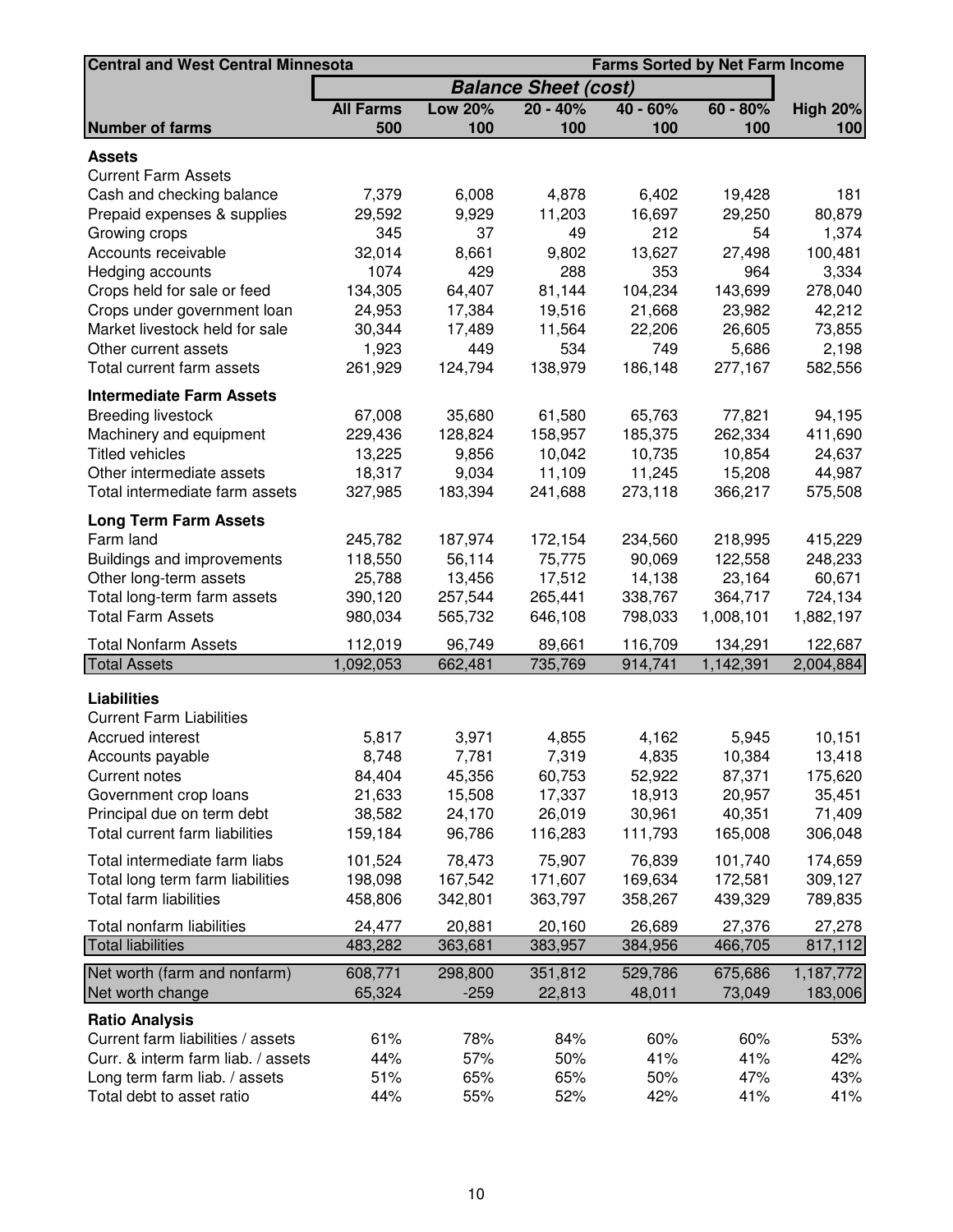| <b>Central and West Central Minnesota</b> |                  |                 |                             |                  | <b>Farms Sorted by Net Farm Income</b> |                   |
|-------------------------------------------|------------------|-----------------|-----------------------------|------------------|----------------------------------------|-------------------|
|                                           |                  |                 | <b>Balance Sheet (cost)</b> |                  |                                        |                   |
|                                           | <b>All Farms</b> | <b>Low 20%</b>  | $20 - 40%$                  | $40 - 60%$       | $60 - 80%$                             | <b>High 20%</b>   |
| <b>Number of farms</b>                    | 500              | 100             | 100                         | 100              | 100                                    | 100               |
| <b>Assets</b>                             |                  |                 |                             |                  |                                        |                   |
| <b>Current Farm Assets</b>                |                  |                 |                             |                  |                                        |                   |
| Cash and checking balance                 | 7,379            | 6,008           | 4,878                       | 6,402            | 19,428                                 | 181               |
| Prepaid expenses & supplies               | 29,592           | 9,929           | 11,203                      | 16,697           | 29,250                                 | 80,879            |
| Growing crops                             | 345              | 37              | 49                          | 212              | 54                                     | 1,374             |
| Accounts receivable                       | 32,014           | 8,661           | 9,802                       | 13,627           | 27,498                                 | 100,481           |
| Hedging accounts                          | 1074             | 429             | 288                         | 353              | 964                                    | 3,334             |
| Crops held for sale or feed               | 134,305          | 64,407          | 81,144                      | 104,234          | 143,699                                | 278,040           |
| Crops under government loan               | 24,953           | 17,384          | 19,516                      | 21,668           | 23,982                                 | 42,212            |
| Market livestock held for sale            | 30,344           | 17,489          | 11,564                      | 22,206           | 26,605                                 | 73,855            |
| Other current assets                      | 1,923            | 449             | 534                         | 749              | 5,686                                  | 2,198             |
| Total current farm assets                 | 261,929          | 124,794         | 138,979                     | 186,148          | 277,167                                | 582,556           |
| <b>Intermediate Farm Assets</b>           |                  |                 |                             |                  |                                        |                   |
| <b>Breeding livestock</b>                 | 67,008           | 35,680          | 61,580                      | 65,763           | 77,821                                 | 94,195            |
| Machinery and equipment                   | 229,436          | 128,824         | 158,957                     | 185,375          | 262,334                                | 411,690           |
| <b>Titled vehicles</b>                    | 13,225           | 9,856           | 10,042                      | 10,735           | 10,854                                 | 24,637            |
| Other intermediate assets                 | 18,317           | 9,034           | 11,109                      | 11,245           | 15,208                                 | 44,987            |
| Total intermediate farm assets            | 327,985          | 183,394         | 241,688                     | 273,118          | 366,217                                | 575,508           |
| <b>Long Term Farm Assets</b>              |                  |                 |                             |                  |                                        |                   |
| Farm land                                 | 245,782          | 187,974         | 172,154                     | 234,560          | 218,995                                | 415,229           |
| Buildings and improvements                | 118,550          | 56,114          | 75,775                      | 90,069           | 122,558                                | 248,233           |
| Other long-term assets                    | 25,788           | 13,456          | 17,512                      | 14,138           | 23,164                                 | 60,671            |
| Total long-term farm assets               | 390,120          | 257,544         | 265,441                     | 338,767          | 364,717                                | 724,134           |
| <b>Total Farm Assets</b>                  | 980,034          | 565,732         | 646,108                     | 798,033          | 1,008,101                              | 1,882,197         |
| <b>Total Nonfarm Assets</b>               | 112,019          | 96,749          | 89,661                      | 116,709          | 134,291                                | 122,687           |
| <b>Total Assets</b>                       | 1,092,053        | 662,481         | 735,769                     | 914,741          | 1,142,391                              | 2,004,884         |
|                                           |                  |                 |                             |                  |                                        |                   |
| <b>Liabilities</b>                        |                  |                 |                             |                  |                                        |                   |
| <b>Current Farm Liabilities</b>           |                  |                 |                             |                  |                                        |                   |
| Accrued interest                          | 5,817            | 3,971           | 4,855                       | 4,162            | 5,945                                  | 10,151            |
| Accounts payable<br><b>Current notes</b>  | 8,748            | 7,781<br>45,356 | 7,319<br>60,753             | 4,835            | 10,384<br>87,371                       | 13,418<br>175,620 |
| Government crop loans                     | 84,404<br>21,633 | 15,508          | 17,337                      | 52,922<br>18,913 | 20,957                                 | 35,451            |
| Principal due on term debt                | 38,582           | 24,170          | 26,019                      | 30,961           | 40,351                                 | 71,409            |
| Total current farm liabilities            | 159,184          | 96,786          | 116,283                     | 111,793          | 165,008                                | 306,048           |
|                                           |                  |                 |                             |                  |                                        |                   |
| Total intermediate farm liabs             | 101,524          | 78,473          | 75,907                      | 76,839           | 101,740                                | 174,659           |
| Total long term farm liabilities          | 198,098          | 167,542         | 171,607                     | 169,634          | 172,581                                | 309,127           |
| Total farm liabilities                    | 458,806          | 342,801         | 363,797                     | 358,267          | 439,329                                | 789,835           |
| Total nonfarm liabilities                 | 24,477           | 20,881          | 20,160                      | 26,689           | 27,376                                 | 27,278            |
| <b>Total liabilities</b>                  | 483,282          | 363,681         | 383,957                     | 384,956          | 466,705                                | 817,112           |
| Net worth (farm and nonfarm)              | 608,771          | 298,800         | 351,812                     | 529,786          | 675,686                                | 1,187,772         |
| Net worth change                          | 65,324           | $-259$          | 22,813                      | 48,011           | 73,049                                 | 183,006           |
| <b>Ratio Analysis</b>                     |                  |                 |                             |                  |                                        |                   |
| Current farm liabilities / assets         | 61%              | 78%             | 84%                         | 60%              | 60%                                    | 53%               |
| Curr. & interm farm liab. / assets        | 44%              | 57%             | 50%                         | 41%              | 41%                                    | 42%               |
| Long term farm liab. / assets             | 51%              | 65%             | 65%                         | 50%              | 47%                                    | 43%               |
| Total debt to asset ratio                 | 44%              | 55%             | 52%                         | 42%              | 41%                                    | 41%               |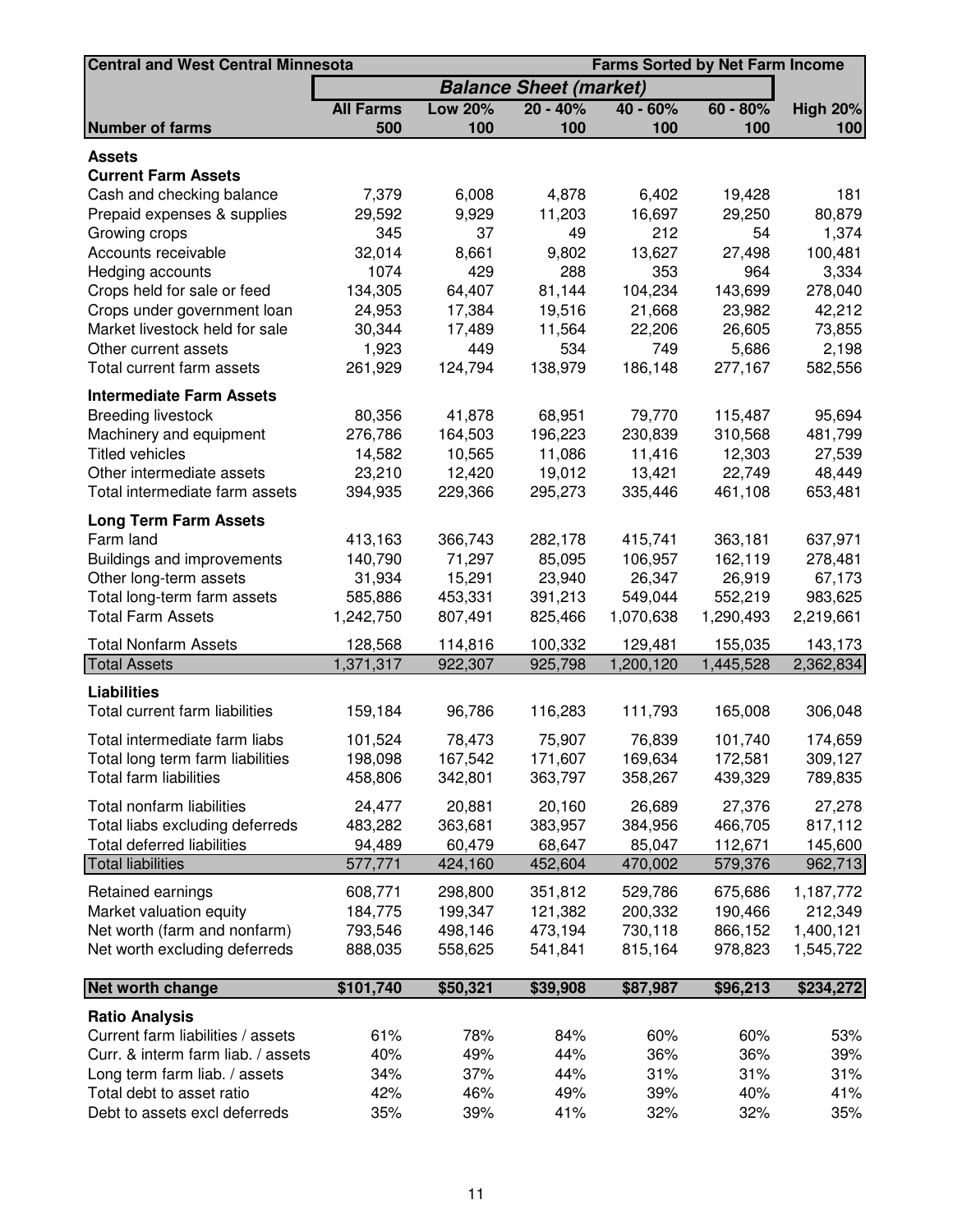| <b>Central and West Central Minnesota</b> |                  |                |                               |            | <b>Farms Sorted by Net Farm Income</b> |                 |
|-------------------------------------------|------------------|----------------|-------------------------------|------------|----------------------------------------|-----------------|
|                                           |                  |                | <b>Balance Sheet (market)</b> |            |                                        |                 |
|                                           | <b>All Farms</b> | <b>Low 20%</b> | $20 - 40%$                    | $40 - 60%$ | $60 - 80%$                             | <b>High 20%</b> |
| <b>Number of farms</b>                    | 500              | 100            | 100                           | 100        | 100                                    | 100             |
| <b>Assets</b>                             |                  |                |                               |            |                                        |                 |
| <b>Current Farm Assets</b>                |                  |                |                               |            |                                        |                 |
| Cash and checking balance                 | 7,379            | 6,008          | 4,878                         | 6,402      | 19,428                                 | 181             |
| Prepaid expenses & supplies               | 29,592           | 9,929          | 11,203                        | 16,697     | 29,250                                 | 80,879          |
| Growing crops                             | 345              | 37             | 49                            | 212        | 54                                     | 1,374           |
| Accounts receivable                       | 32,014           | 8,661          | 9,802                         | 13,627     | 27,498                                 | 100,481         |
| Hedging accounts                          | 1074             | 429            | 288                           | 353        | 964                                    | 3,334           |
| Crops held for sale or feed               | 134,305          | 64,407         | 81,144                        | 104,234    | 143,699                                | 278,040         |
| Crops under government loan               | 24,953           | 17,384         | 19,516                        | 21,668     | 23,982                                 | 42,212          |
| Market livestock held for sale            | 30,344           | 17,489         | 11,564                        | 22,206     | 26,605                                 | 73,855          |
| Other current assets                      | 1,923            | 449            | 534                           | 749        | 5,686                                  | 2,198           |
| Total current farm assets                 | 261,929          | 124,794        | 138,979                       | 186,148    | 277,167                                | 582,556         |
| <b>Intermediate Farm Assets</b>           |                  |                |                               |            |                                        |                 |
| <b>Breeding livestock</b>                 | 80,356           | 41,878         | 68,951                        | 79,770     | 115,487                                | 95,694          |
| Machinery and equipment                   | 276,786          | 164,503        | 196,223                       | 230,839    | 310,568                                | 481,799         |
| <b>Titled vehicles</b>                    | 14,582           | 10,565         | 11,086                        | 11,416     | 12,303                                 | 27,539          |
| Other intermediate assets                 | 23,210           | 12,420         | 19,012                        | 13,421     | 22,749                                 | 48,449          |
| Total intermediate farm assets            | 394,935          | 229,366        | 295,273                       | 335,446    | 461,108                                | 653,481         |
| <b>Long Term Farm Assets</b>              |                  |                |                               |            |                                        |                 |
| Farm land                                 | 413,163          | 366,743        | 282,178                       | 415,741    | 363,181                                | 637,971         |
| Buildings and improvements                | 140,790          | 71,297         | 85,095                        | 106,957    | 162,119                                | 278,481         |
| Other long-term assets                    | 31,934           | 15,291         | 23,940                        | 26,347     | 26,919                                 | 67,173          |
| Total long-term farm assets               | 585,886          | 453,331        | 391,213                       | 549,044    | 552,219                                | 983,625         |
| <b>Total Farm Assets</b>                  | 1,242,750        | 807,491        | 825,466                       | 1,070,638  | 1,290,493                              | 2,219,661       |
| <b>Total Nonfarm Assets</b>               | 128,568          | 114,816        | 100,332                       | 129,481    | 155,035                                | 143,173         |
| <b>Total Assets</b>                       | 1,371,317        | 922,307        | 925,798                       | 1,200,120  | 1,445,528                              | 2,362,834       |
| <b>Liabilities</b>                        |                  |                |                               |            |                                        |                 |
| Total current farm liabilities            | 159,184          | 96,786         | 116,283                       | 111,793    | 165,008                                | 306,048         |
|                                           |                  |                |                               |            |                                        |                 |
| Total intermediate farm liabs             | 101,524          | 78,473         | 75,907                        | 76,839     | 101,740                                | 174,659         |
| Total long term farm liabilities          | 198,098          | 167,542        | 171,607                       | 169,634    | 172,581                                | 309,127         |
| <b>Total farm liabilities</b>             | 458,806          | 342,801        | 363,797                       | 358,267    | 439,329                                | 789,835         |
| Total nonfarm liabilities                 | 24,477           | 20,881         | 20,160                        | 26,689     | 27,376                                 | 27,278          |
| Total liabs excluding deferreds           | 483,282          | 363,681        | 383,957                       | 384,956    | 466,705                                | 817,112         |
| <b>Total deferred liabilities</b>         | 94,489           | 60,479         | 68,647                        | 85,047     | 112,671                                | 145,600         |
| <b>Total liabilities</b>                  | 577,771          | 424,160        | 452,604                       | 470,002    | 579,376                                | 962,713         |
| Retained earnings                         | 608,771          | 298,800        | 351,812                       | 529,786    | 675,686                                | 1,187,772       |
| Market valuation equity                   | 184,775          | 199,347        | 121,382                       | 200,332    | 190,466                                | 212,349         |
| Net worth (farm and nonfarm)              | 793,546          | 498,146        | 473,194                       | 730,118    | 866,152                                | 1,400,121       |
| Net worth excluding deferreds             | 888,035          | 558,625        | 541,841                       | 815,164    | 978,823                                | 1,545,722       |
|                                           |                  |                |                               |            |                                        |                 |
| Net worth change                          | \$101,740        | \$50,321       | \$39,908                      | \$87,987   | \$96,213                               | \$234,272       |
| <b>Ratio Analysis</b>                     |                  |                |                               |            |                                        |                 |
| Current farm liabilities / assets         | 61%              | 78%            | 84%                           | 60%        | 60%                                    | 53%             |
| Curr. & interm farm liab. / assets        | 40%              | 49%            | 44%                           | 36%        | 36%                                    | 39%             |
| Long term farm liab. / assets             | 34%              | 37%            | 44%                           | 31%        | 31%                                    | 31%             |
| Total debt to asset ratio                 | 42%              | 46%            | 49%                           | 39%        | 40%                                    | 41%             |
| Debt to assets excl deferreds             | 35%              | 39%            | 41%                           | 32%        | 32%                                    | 35%             |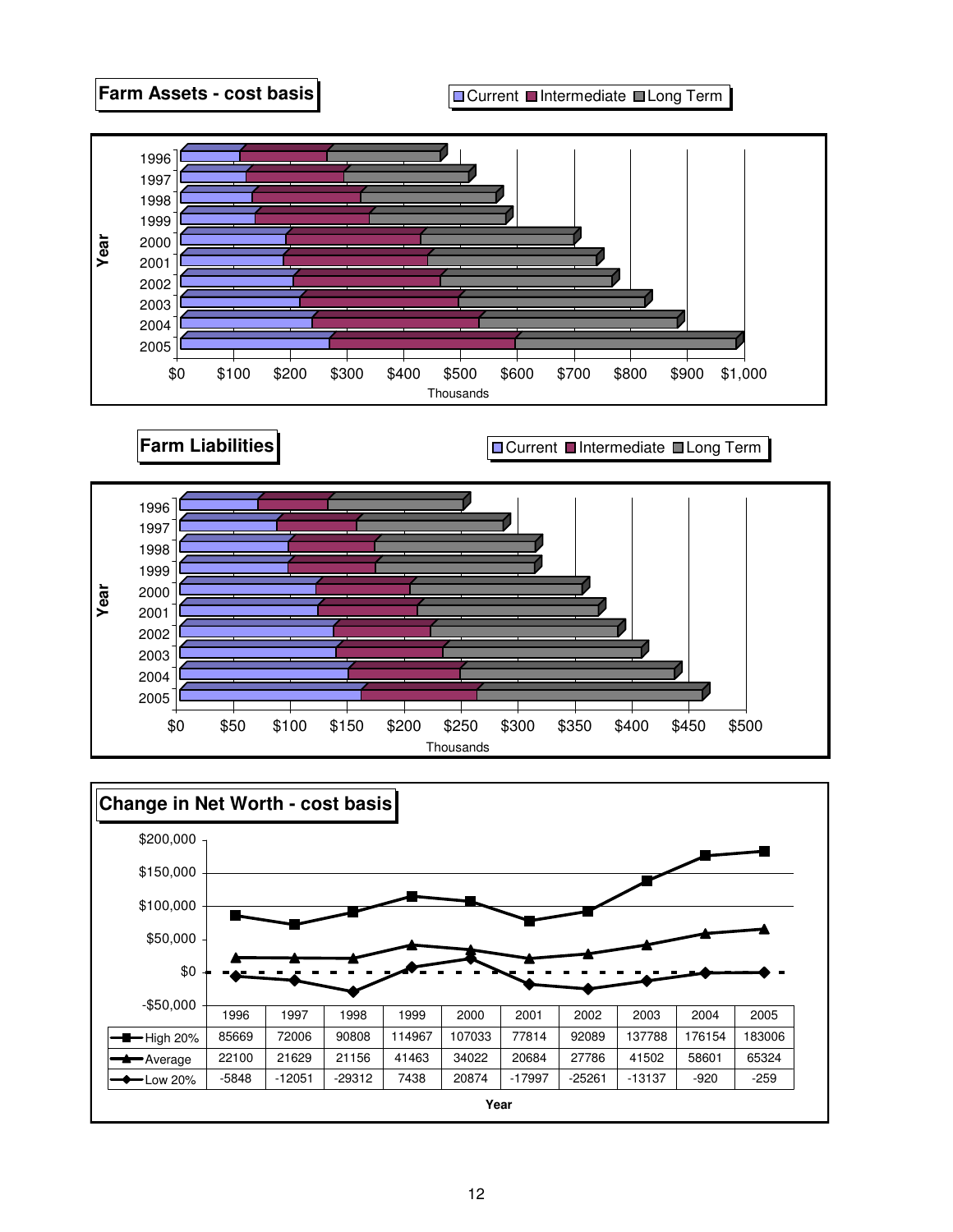



\$0 \$50 \$100 \$150 \$200 \$250 \$300 \$350 \$400 \$450 \$500 Thousands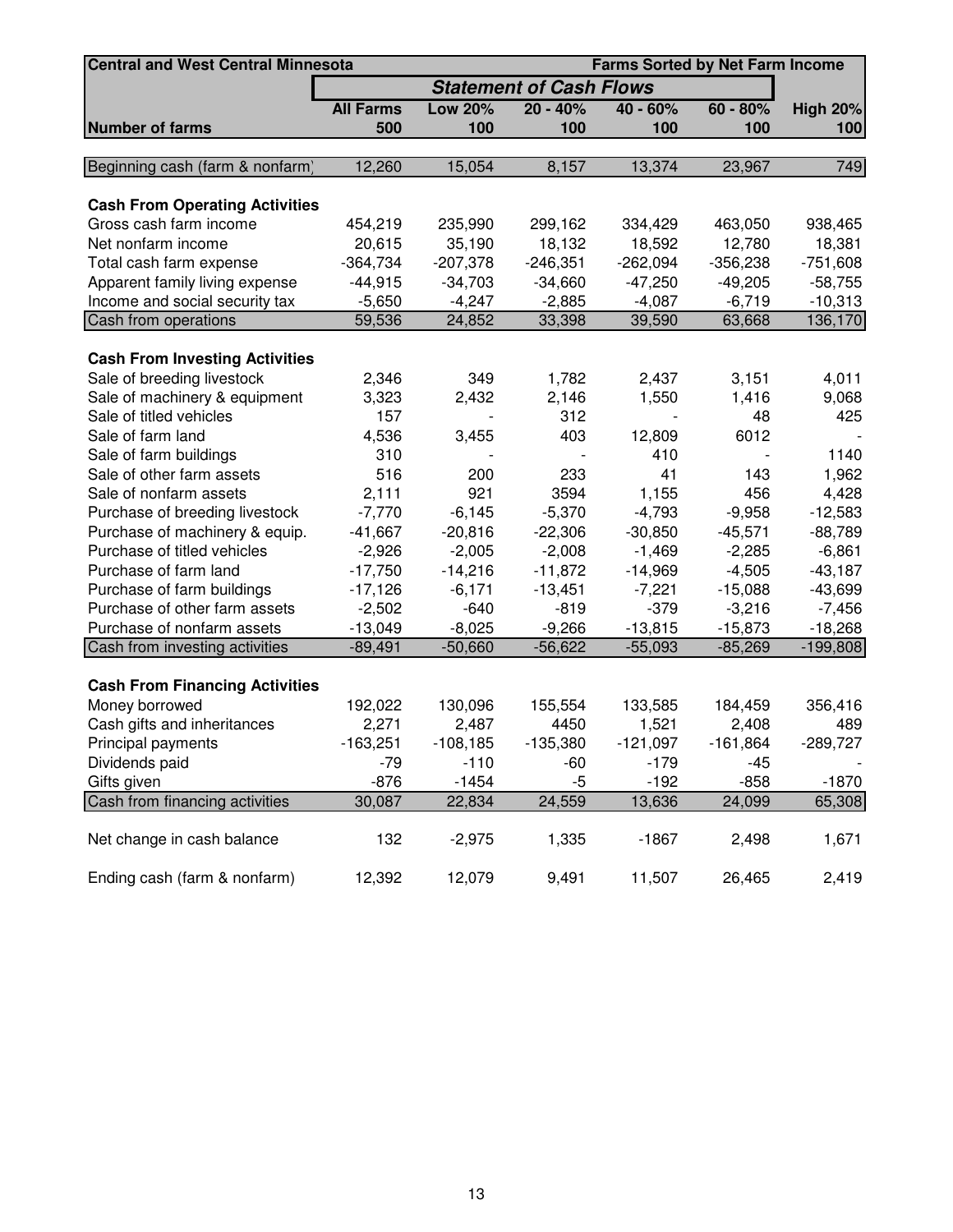| <b>Central and West Central Minnesota</b> | <b>Farms Sorted by Net Farm Income</b> |                |                                |            |            |                 |  |  |  |
|-------------------------------------------|----------------------------------------|----------------|--------------------------------|------------|------------|-----------------|--|--|--|
|                                           |                                        |                | <b>Statement of Cash Flows</b> |            |            |                 |  |  |  |
|                                           | <b>All Farms</b>                       | <b>Low 20%</b> | $20 - 40%$                     | $40 - 60%$ | $60 - 80%$ | <b>High 20%</b> |  |  |  |
| <b>Number of farms</b>                    | 500                                    | 100            | 100                            | 100        | 100        | 100             |  |  |  |
|                                           |                                        |                |                                |            |            |                 |  |  |  |
| Beginning cash (farm & nonfarm)           | 12,260                                 | 15,054         | 8,157                          | 13,374     | 23,967     | 749             |  |  |  |
| <b>Cash From Operating Activities</b>     |                                        |                |                                |            |            |                 |  |  |  |
| Gross cash farm income                    | 454,219                                | 235,990        | 299,162                        | 334,429    | 463,050    | 938,465         |  |  |  |
| Net nonfarm income                        | 20,615                                 | 35,190         | 18,132                         | 18,592     | 12,780     | 18,381          |  |  |  |
| Total cash farm expense                   | $-364,734$                             | $-207,378$     | $-246,351$                     | $-262,094$ | $-356,238$ | $-751,608$      |  |  |  |
| Apparent family living expense            | $-44,915$                              | $-34,703$      | $-34,660$                      | $-47,250$  | $-49,205$  | $-58,755$       |  |  |  |
| Income and social security tax            | $-5,650$                               | $-4,247$       | $-2,885$                       | $-4,087$   | $-6,719$   | $-10,313$       |  |  |  |
| Cash from operations                      | 59,536                                 | 24,852         | 33,398                         | 39,590     | 63,668     | 136,170         |  |  |  |
| <b>Cash From Investing Activities</b>     |                                        |                |                                |            |            |                 |  |  |  |
| Sale of breeding livestock                | 2,346                                  | 349            | 1,782                          | 2,437      | 3,151      | 4,011           |  |  |  |
| Sale of machinery & equipment             | 3,323                                  | 2,432          | 2,146                          | 1,550      | 1,416      | 9,068           |  |  |  |
| Sale of titled vehicles                   | 157                                    |                | 312                            |            | 48         | 425             |  |  |  |
| Sale of farm land                         | 4,536                                  | 3,455          | 403                            | 12,809     | 6012       |                 |  |  |  |
| Sale of farm buildings                    | 310                                    |                |                                | 410        |            | 1140            |  |  |  |
| Sale of other farm assets                 | 516                                    | 200            | 233                            | 41         | 143        | 1,962           |  |  |  |
| Sale of nonfarm assets                    | 2,111                                  | 921            | 3594                           | 1,155      | 456        | 4,428           |  |  |  |
| Purchase of breeding livestock            | $-7,770$                               | $-6,145$       | $-5,370$                       | $-4,793$   | $-9,958$   | $-12,583$       |  |  |  |
| Purchase of machinery & equip.            | $-41,667$                              | $-20,816$      | $-22,306$                      | $-30,850$  | $-45,571$  | $-88,789$       |  |  |  |
| Purchase of titled vehicles               | $-2,926$                               | $-2,005$       | $-2,008$                       | $-1,469$   | $-2,285$   | $-6,861$        |  |  |  |
| Purchase of farm land                     | $-17,750$                              | $-14,216$      | $-11,872$                      | $-14,969$  | $-4,505$   | $-43,187$       |  |  |  |
| Purchase of farm buildings                | $-17,126$                              | $-6,171$       | $-13,451$                      | $-7,221$   | $-15,088$  | $-43,699$       |  |  |  |
| Purchase of other farm assets             | $-2,502$                               | $-640$         | $-819$                         | $-379$     | $-3,216$   | $-7,456$        |  |  |  |
| Purchase of nonfarm assets                | $-13,049$                              | $-8,025$       | $-9,266$                       | $-13,815$  | $-15,873$  | $-18,268$       |  |  |  |
| Cash from investing activities            | $-89,491$                              | $-50,660$      | $-56,622$                      | $-55,093$  | $-85,269$  | $-199,808$      |  |  |  |
| <b>Cash From Financing Activities</b>     |                                        |                |                                |            |            |                 |  |  |  |
| Money borrowed                            | 192,022                                | 130,096        | 155,554                        | 133,585    | 184,459    | 356,416         |  |  |  |
| Cash gifts and inheritances               | 2,271                                  | 2,487          | 4450                           | 1,521      | 2,408      | 489             |  |  |  |
| Principal payments                        | $-163,251$                             | $-108,185$     | $-135,380$                     | $-121,097$ | $-161,864$ | $-289,727$      |  |  |  |
| Dividends paid                            | -79                                    | $-110$         | $-60$                          | $-179$     | $-45$      |                 |  |  |  |
| Gifts given                               | $-876$                                 | $-1454$        | $-5$                           | $-192$     | $-858$     | $-1870$         |  |  |  |
| Cash from financing activities            | 30,087                                 | 22,834         | 24,559                         | 13,636     | 24,099     | 65,308          |  |  |  |
|                                           |                                        |                |                                |            |            |                 |  |  |  |
| Net change in cash balance                | 132                                    | $-2,975$       | 1,335                          | $-1867$    | 2,498      | 1,671           |  |  |  |
| Ending cash (farm & nonfarm)              | 12,392                                 | 12,079         | 9,491                          | 11,507     | 26,465     | 2,419           |  |  |  |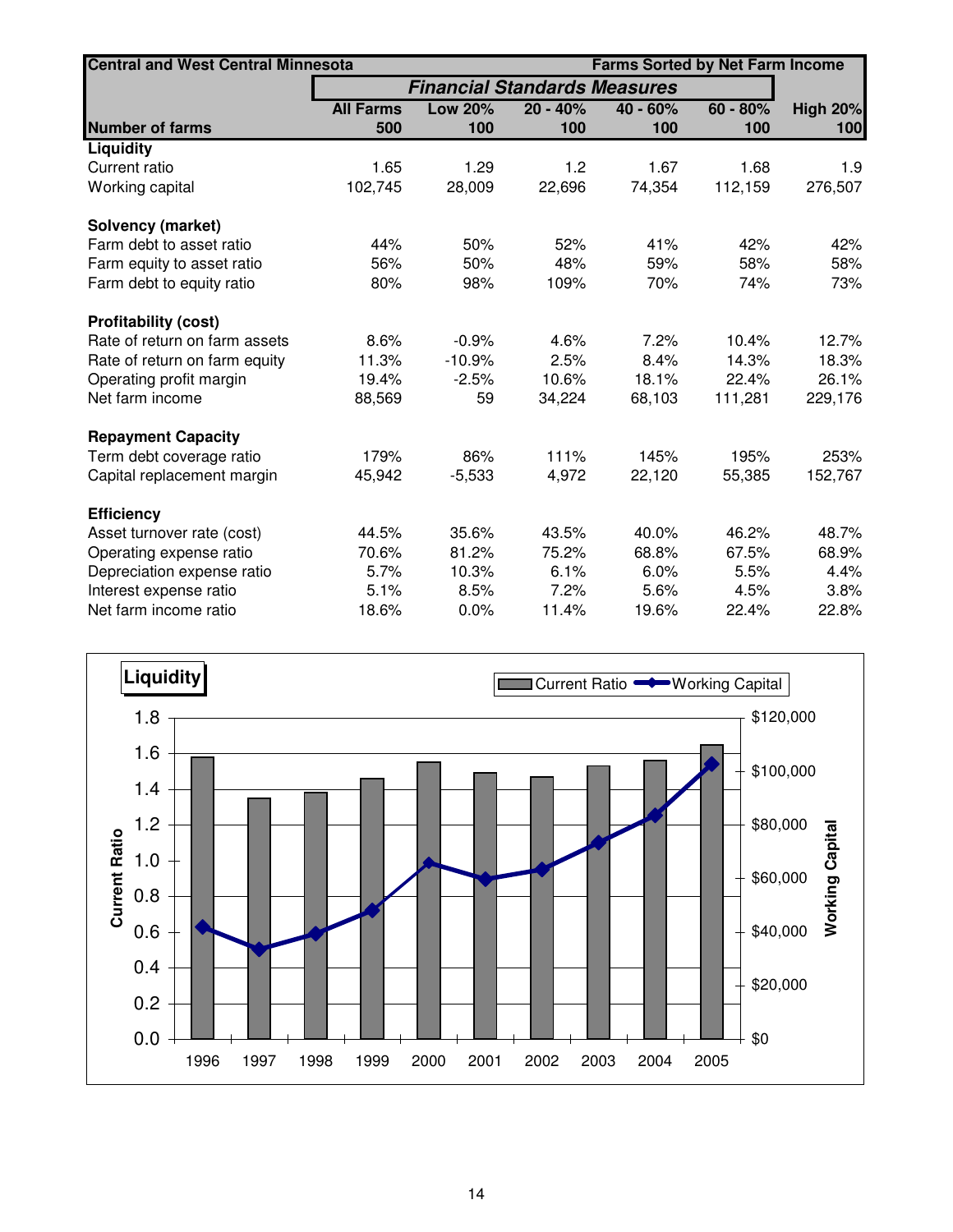| <b>Central and West Central Minnesota</b> |                  | <b>Farms Sorted by Net Farm Income</b> |            |          |            |                 |  |
|-------------------------------------------|------------------|----------------------------------------|------------|----------|------------|-----------------|--|
|                                           |                  | <b>Financial Standards Measures</b>    |            |          |            |                 |  |
|                                           | <b>All Farms</b> | <b>Low 20%</b>                         | $20 - 40%$ | 40 - 60% | $60 - 80%$ | <b>High 20%</b> |  |
| <b>Number of farms</b>                    | 500              | 100                                    | 100        | 100      | 100        | 100             |  |
| <b>Liquidity</b>                          |                  |                                        |            |          |            |                 |  |
| Current ratio                             | 1.65             | 1.29                                   | 1.2        | 1.67     | 1.68       | 1.9             |  |
| Working capital                           | 102,745          | 28,009                                 | 22,696     | 74,354   | 112,159    | 276,507         |  |
| <b>Solvency (market)</b>                  |                  |                                        |            |          |            |                 |  |
| Farm debt to asset ratio                  | 44%              | 50%                                    | 52%        | 41%      | 42%        | 42%             |  |
| Farm equity to asset ratio                | 56%              | 50%                                    | 48%        | 59%      | 58%        | 58%             |  |
| Farm debt to equity ratio                 | 80%              | 98%                                    | 109%       | 70%      | 74%        | 73%             |  |
| <b>Profitability (cost)</b>               |                  |                                        |            |          |            |                 |  |
| Rate of return on farm assets             | 8.6%             | $-0.9%$                                | 4.6%       | 7.2%     | 10.4%      | 12.7%           |  |
| Rate of return on farm equity             | 11.3%            | $-10.9%$                               | 2.5%       | 8.4%     | 14.3%      | 18.3%           |  |
| Operating profit margin                   | 19.4%            | $-2.5%$                                | 10.6%      | 18.1%    | 22.4%      | 26.1%           |  |
| Net farm income                           | 88,569           | 59                                     | 34,224     | 68,103   | 111,281    | 229,176         |  |
| <b>Repayment Capacity</b>                 |                  |                                        |            |          |            |                 |  |
| Term debt coverage ratio                  | 179%             | 86%                                    | 111%       | 145%     | 195%       | 253%            |  |
| Capital replacement margin                | 45,942           | $-5,533$                               | 4,972      | 22,120   | 55,385     | 152,767         |  |
| <b>Efficiency</b>                         |                  |                                        |            |          |            |                 |  |
| Asset turnover rate (cost)                | 44.5%            | 35.6%                                  | 43.5%      | 40.0%    | 46.2%      | 48.7%           |  |
| Operating expense ratio                   | 70.6%            | 81.2%                                  | 75.2%      | 68.8%    | 67.5%      | 68.9%           |  |
| Depreciation expense ratio                | 5.7%             | 10.3%                                  | 6.1%       | 6.0%     | 5.5%       | 4.4%            |  |
| Interest expense ratio                    | 5.1%             | 8.5%                                   | 7.2%       | 5.6%     | 4.5%       | 3.8%            |  |
| Net farm income ratio                     | 18.6%            | 0.0%                                   | 11.4%      | 19.6%    | 22.4%      | 22.8%           |  |

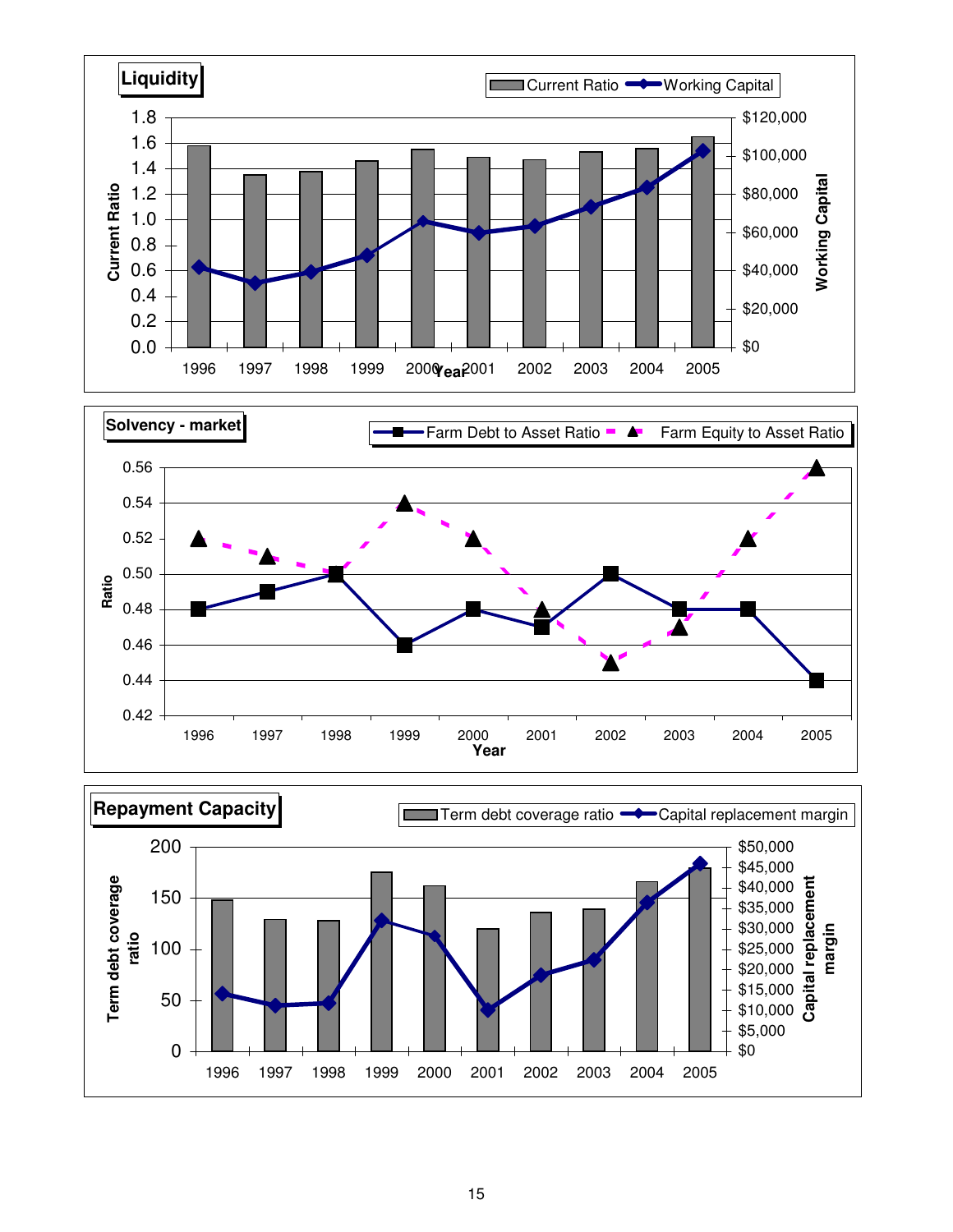



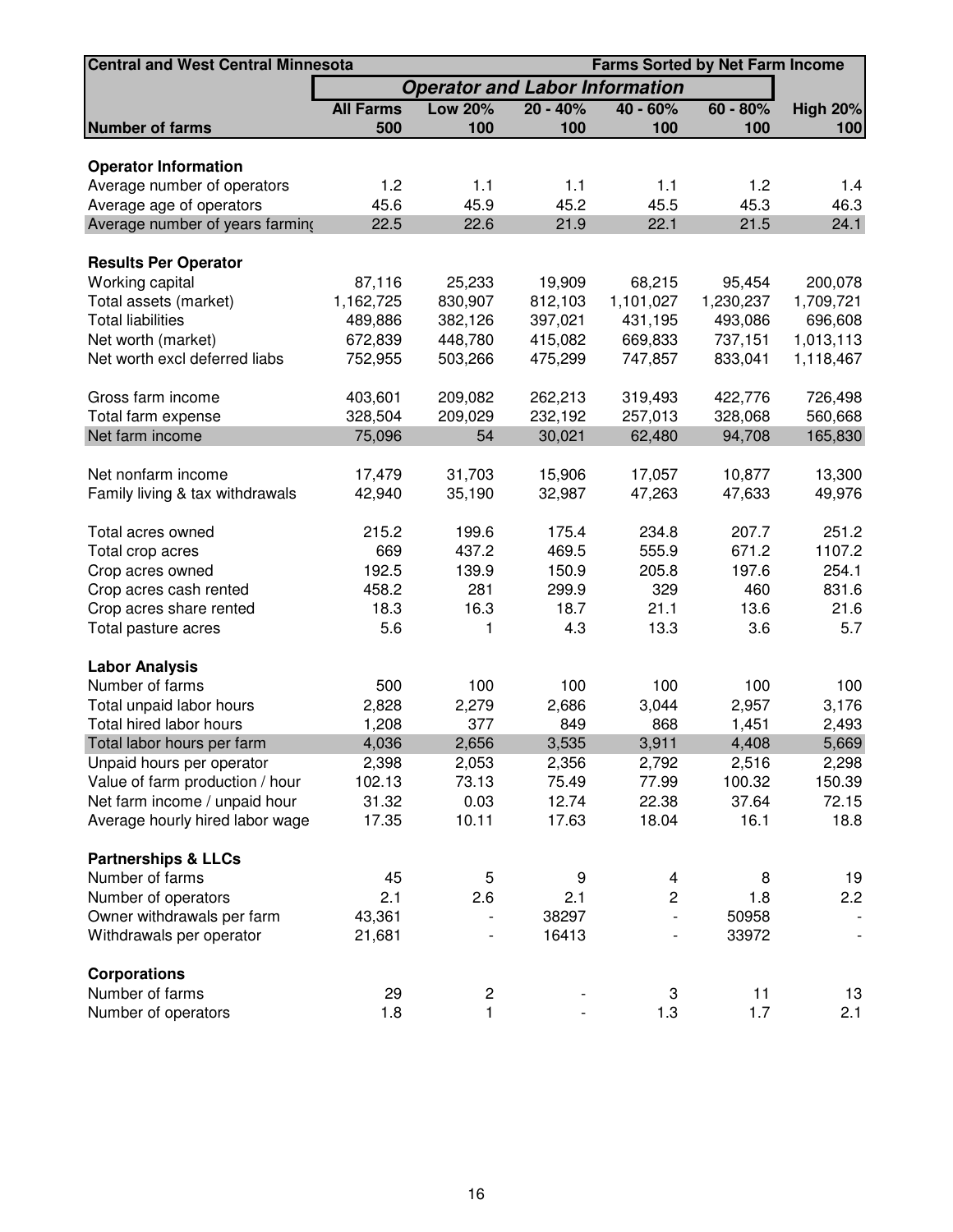| <b>Central and West Central Minnesota</b> | <b>Farms Sorted by Net Farm Income</b> |                                       |            |                |            |                              |  |  |  |
|-------------------------------------------|----------------------------------------|---------------------------------------|------------|----------------|------------|------------------------------|--|--|--|
|                                           |                                        | <b>Operator and Labor Information</b> |            |                |            |                              |  |  |  |
|                                           | <b>All Farms</b>                       | <b>Low 20%</b>                        | $20 - 40%$ | $40 - 60%$     | $60 - 80%$ | <b>High 20%</b>              |  |  |  |
| <b>Number of farms</b>                    | 500                                    | 100                                   | 100        | 100            | 100        | 100                          |  |  |  |
|                                           |                                        |                                       |            |                |            |                              |  |  |  |
| <b>Operator Information</b>               |                                        |                                       |            |                |            |                              |  |  |  |
| Average number of operators               | 1.2                                    | 1.1                                   | 1.1        | 1.1            | 1.2        | 1.4                          |  |  |  |
| Average age of operators                  | 45.6                                   | 45.9                                  | 45.2       | 45.5           | 45.3       | 46.3                         |  |  |  |
| Average number of years farming           | 22.5                                   | 22.6                                  | 21.9       | 22.1           | 21.5       | 24.1                         |  |  |  |
| <b>Results Per Operator</b>               |                                        |                                       |            |                |            |                              |  |  |  |
| Working capital                           | 87,116                                 | 25,233                                | 19,909     | 68,215         | 95,454     | 200,078                      |  |  |  |
| Total assets (market)                     | 1,162,725                              | 830,907                               | 812,103    | 1,101,027      | 1,230,237  | 1,709,721                    |  |  |  |
| <b>Total liabilities</b>                  | 489,886                                | 382,126                               | 397,021    | 431,195        | 493,086    | 696,608                      |  |  |  |
| Net worth (market)                        | 672,839                                | 448,780                               | 415,082    | 669,833        | 737,151    | 1,013,113                    |  |  |  |
| Net worth excl deferred liabs             | 752,955                                | 503,266                               | 475,299    | 747,857        | 833,041    | 1,118,467                    |  |  |  |
|                                           |                                        |                                       |            |                |            |                              |  |  |  |
| Gross farm income                         | 403,601                                | 209,082                               | 262,213    | 319,493        | 422,776    | 726,498                      |  |  |  |
| Total farm expense                        | 328,504                                | 209,029                               | 232,192    | 257,013        | 328,068    | 560,668                      |  |  |  |
| Net farm income                           | 75,096                                 | 54                                    | 30,021     | 62,480         | 94,708     | 165,830                      |  |  |  |
|                                           |                                        |                                       |            |                |            |                              |  |  |  |
| Net nonfarm income                        | 17,479                                 | 31,703                                | 15,906     | 17,057         | 10,877     | 13,300                       |  |  |  |
| Family living & tax withdrawals           | 42,940                                 | 35,190                                | 32,987     | 47,263         | 47,633     | 49,976                       |  |  |  |
| Total acres owned                         | 215.2                                  | 199.6                                 | 175.4      | 234.8          | 207.7      | 251.2                        |  |  |  |
| Total crop acres                          | 669                                    | 437.2                                 | 469.5      | 555.9          | 671.2      | 1107.2                       |  |  |  |
| Crop acres owned                          | 192.5                                  | 139.9                                 | 150.9      | 205.8          | 197.6      | 254.1                        |  |  |  |
| Crop acres cash rented                    | 458.2                                  | 281                                   | 299.9      | 329            | 460        | 831.6                        |  |  |  |
| Crop acres share rented                   | 18.3                                   | 16.3                                  | 18.7       | 21.1           | 13.6       | 21.6                         |  |  |  |
| Total pasture acres                       | 5.6                                    | 1                                     | 4.3        | 13.3           | 3.6        | 5.7                          |  |  |  |
|                                           |                                        |                                       |            |                |            |                              |  |  |  |
| <b>Labor Analysis</b>                     |                                        |                                       |            |                |            |                              |  |  |  |
| Number of farms                           | 500                                    | 100                                   | 100        | 100            | 100        | 100                          |  |  |  |
| Total unpaid labor hours                  | 2,828                                  | 2,279                                 | 2,686      | 3,044          | 2,957      | 3,176                        |  |  |  |
| Total hired labor hours                   | 1,208                                  | 377                                   | 849        | 868            | 1,451      | 2,493                        |  |  |  |
| Total labor hours per farm                | 4,036                                  | 2,656                                 | 3,535      | 3,911          | 4,408      | 5,669                        |  |  |  |
| Unpaid hours per operator                 | 2,398                                  | 2,053                                 | 2,356      | 2,792          | 2,516      | 2,298                        |  |  |  |
| Value of farm production / hour           | 102.13                                 | 73.13                                 | 75.49      | 77.99          | 100.32     | 150.39                       |  |  |  |
| Net farm income / unpaid hour             | 31.32                                  | 0.03                                  | 12.74      | 22.38          | 37.64      | 72.15                        |  |  |  |
| Average hourly hired labor wage           | 17.35                                  | 10.11                                 | 17.63      | 18.04          | 16.1       | 18.8                         |  |  |  |
|                                           |                                        |                                       |            |                |            |                              |  |  |  |
| <b>Partnerships &amp; LLCs</b>            |                                        |                                       |            |                |            |                              |  |  |  |
| Number of farms                           | 45                                     | 5                                     | 9          | 4              | 8          | 19                           |  |  |  |
| Number of operators                       | 2.1                                    | 2.6                                   | 2.1        | $\overline{c}$ | 1.8        | 2.2                          |  |  |  |
| Owner withdrawals per farm                | 43,361                                 |                                       | 38297      |                | 50958      |                              |  |  |  |
| Withdrawals per operator                  | 21,681                                 |                                       | 16413      |                | 33972      | $\qquad \qquad \blacksquare$ |  |  |  |
| <b>Corporations</b>                       |                                        |                                       |            |                |            |                              |  |  |  |
| Number of farms                           | 29                                     | 2                                     |            | 3              | 11         | 13                           |  |  |  |
| Number of operators                       | 1.8                                    | $\mathbf{1}$                          |            | 1.3            | 1.7        | 2.1                          |  |  |  |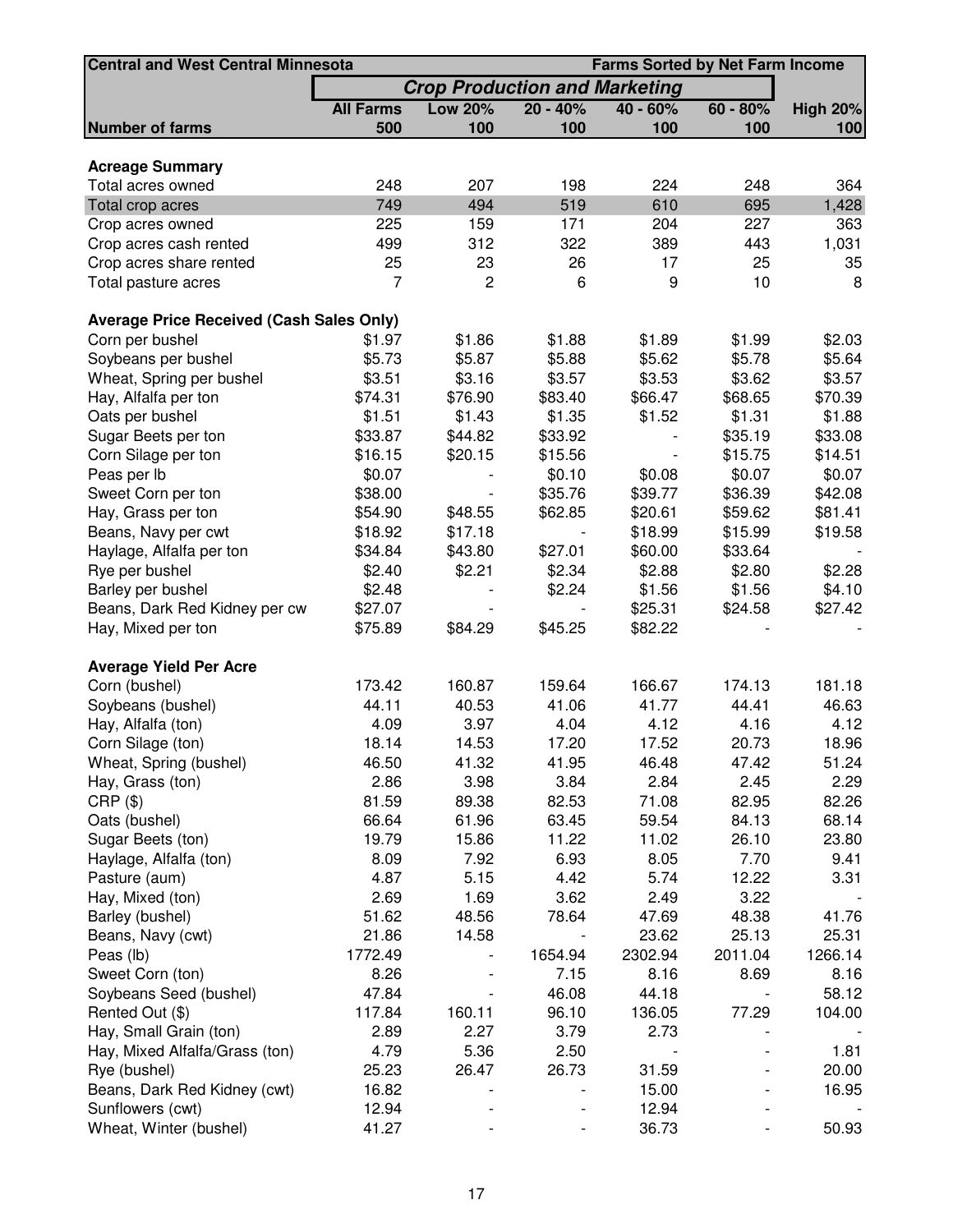| <b>Central and West Central Minnesota</b>       |                  | <b>Farms Sorted by Net Farm Income</b> |            |            |            |                 |
|-------------------------------------------------|------------------|----------------------------------------|------------|------------|------------|-----------------|
|                                                 |                  | <b>Crop Production and Marketing</b>   |            |            |            |                 |
|                                                 | <b>All Farms</b> | <b>Low 20%</b>                         | $20 - 40%$ | $40 - 60%$ | $60 - 80%$ | <b>High 20%</b> |
| <b>Number of farms</b>                          | 500              | 100                                    | 100        | 100        | 100        | 100             |
| <b>Acreage Summary</b>                          |                  |                                        |            |            |            |                 |
| Total acres owned                               | 248              | 207                                    | 198        | 224        | 248        | 364             |
|                                                 | 749              | 494                                    | 519        | 610        | 695        | 1,428           |
| Total crop acres<br>Crop acres owned            | 225              | 159                                    | 171        | 204        | 227        | 363             |
|                                                 | 499              | 312                                    | 322        | 389        | 443        | 1,031           |
| Crop acres cash rented                          | 25               | 23                                     | 26         | 17         | 25         |                 |
| Crop acres share rented<br>Total pasture acres  | 7                | $\overline{c}$                         | 6          | 9          | 10         | 35<br>8         |
|                                                 |                  |                                        |            |            |            |                 |
| <b>Average Price Received (Cash Sales Only)</b> |                  |                                        |            |            |            |                 |
| Corn per bushel                                 | \$1.97           | \$1.86                                 | \$1.88     | \$1.89     | \$1.99     | \$2.03          |
| Soybeans per bushel                             | \$5.73           | \$5.87                                 | \$5.88     | \$5.62     | \$5.78     | \$5.64          |
| Wheat, Spring per bushel                        | \$3.51           | \$3.16                                 | \$3.57     | \$3.53     | \$3.62     | \$3.57          |
| Hay, Alfalfa per ton                            | \$74.31          | \$76.90                                | \$83.40    | \$66.47    | \$68.65    | \$70.39         |
| Oats per bushel                                 | \$1.51           | \$1.43                                 | \$1.35     | \$1.52     | \$1.31     | \$1.88          |
| Sugar Beets per ton                             | \$33.87          | \$44.82                                | \$33.92    |            | \$35.19    | \$33.08         |
| Corn Silage per ton                             | \$16.15          | \$20.15                                | \$15.56    |            | \$15.75    | \$14.51         |
| Peas per lb                                     | \$0.07           |                                        | \$0.10     | \$0.08     | \$0.07     | \$0.07          |
| Sweet Corn per ton                              | \$38.00          |                                        | \$35.76    | \$39.77    | \$36.39    | \$42.08         |
| Hay, Grass per ton                              | \$54.90          | \$48.55                                | \$62.85    | \$20.61    | \$59.62    | \$81.41         |
| Beans, Navy per cwt                             | \$18.92          | \$17.18                                |            | \$18.99    | \$15.99    | \$19.58         |
| Haylage, Alfalfa per ton                        | \$34.84          | \$43.80                                | \$27.01    | \$60.00    | \$33.64    |                 |
| Rye per bushel                                  | \$2.40           | \$2.21                                 | \$2.34     | \$2.88     | \$2.80     | \$2.28          |
| Barley per bushel                               | \$2.48           |                                        | \$2.24     | \$1.56     | \$1.56     | \$4.10          |
| Beans, Dark Red Kidney per cw                   | \$27.07          |                                        |            | \$25.31    | \$24.58    | \$27.42         |
| Hay, Mixed per ton                              | \$75.89          | \$84.29                                | \$45.25    | \$82.22    |            |                 |
|                                                 |                  |                                        |            |            |            |                 |
| <b>Average Yield Per Acre</b>                   | 173.42           | 160.87                                 | 159.64     | 166.67     | 174.13     | 181.18          |
| Corn (bushel)                                   |                  |                                        |            |            |            |                 |
| Soybeans (bushel)                               | 44.11            | 40.53                                  | 41.06      | 41.77      | 44.41      | 46.63           |
| Hay, Alfalfa (ton)                              | 4.09             | 3.97                                   | 4.04       | 4.12       | 4.16       | 4.12            |
| Corn Silage (ton)                               | 18.14            | 14.53                                  | 17.20      | 17.52      | 20.73      | 18.96           |
| Wheat, Spring (bushel)                          | 46.50            | 41.32                                  | 41.95      | 46.48      | 47.42      | 51.24           |
| Hay, Grass (ton)                                | 2.86             | 3.98                                   | 3.84       | 2.84       | 2.45       | 2.29            |
| $CRP$ $(\$)$                                    | 81.59            | 89.38                                  | 82.53      | 71.08      | 82.95      | 82.26           |
| Oats (bushel)                                   | 66.64            | 61.96                                  | 63.45      | 59.54      | 84.13      | 68.14           |
| Sugar Beets (ton)                               | 19.79            | 15.86                                  | 11.22      | 11.02      | 26.10      | 23.80           |
| Haylage, Alfalfa (ton)                          | 8.09             | 7.92                                   | 6.93       | 8.05       | 7.70       | 9.41            |
| Pasture (aum)                                   | 4.87             | 5.15                                   | 4.42       | 5.74       | 12.22      | 3.31            |
| Hay, Mixed (ton)                                | 2.69             | 1.69                                   | 3.62       | 2.49       | 3.22       |                 |
| Barley (bushel)                                 | 51.62            | 48.56                                  | 78.64      | 47.69      | 48.38      | 41.76           |
| Beans, Navy (cwt)                               | 21.86            | 14.58                                  |            | 23.62      | 25.13      | 25.31           |
| Peas (lb)                                       | 1772.49          |                                        | 1654.94    | 2302.94    | 2011.04    | 1266.14         |
| Sweet Corn (ton)                                | 8.26             |                                        | 7.15       | 8.16       | 8.69       | 8.16            |
| Soybeans Seed (bushel)                          | 47.84            |                                        | 46.08      | 44.18      |            | 58.12           |
| Rented Out (\$)                                 | 117.84           | 160.11                                 | 96.10      | 136.05     | 77.29      | 104.00          |
| Hay, Small Grain (ton)                          | 2.89             | 2.27                                   | 3.79       | 2.73       |            |                 |
| Hay, Mixed Alfalfa/Grass (ton)                  | 4.79             | 5.36                                   | 2.50       |            |            | 1.81            |
| Rye (bushel)                                    | 25.23            | 26.47                                  | 26.73      | 31.59      |            | 20.00           |
| Beans, Dark Red Kidney (cwt)                    | 16.82            |                                        |            | 15.00      |            | 16.95           |
| Sunflowers (cwt)                                | 12.94            |                                        |            | 12.94      |            |                 |
| Wheat, Winter (bushel)                          | 41.27            |                                        |            | 36.73      |            | 50.93           |
|                                                 |                  |                                        |            |            |            |                 |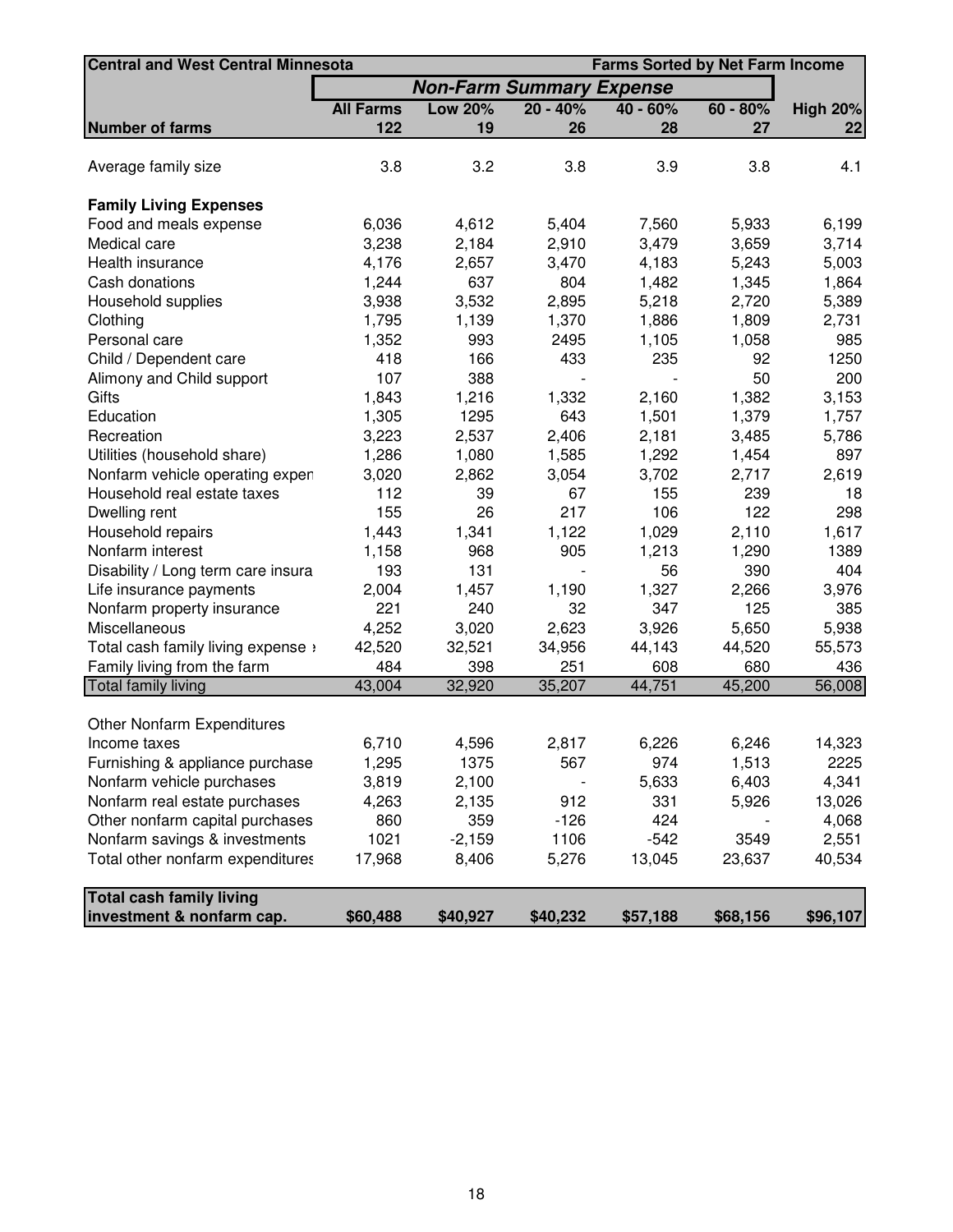| <b>Central and West Central Minnesota</b> |                  | <b>Farms Sorted by Net Farm Income</b> |            |            |            |                 |  |  |  |
|-------------------------------------------|------------------|----------------------------------------|------------|------------|------------|-----------------|--|--|--|
|                                           |                  | <b>Non-Farm Summary Expense</b>        |            |            |            |                 |  |  |  |
|                                           | <b>All Farms</b> | <b>Low 20%</b>                         | $20 - 40%$ | $40 - 60%$ | $60 - 80%$ | <b>High 20%</b> |  |  |  |
| <b>Number of farms</b>                    | 122              | 19                                     | 26         | 28         | 27         | 22              |  |  |  |
|                                           |                  |                                        |            |            |            |                 |  |  |  |
| Average family size                       | 3.8              | 3.2                                    | 3.8        | 3.9        | 3.8        | 4.1             |  |  |  |
|                                           |                  |                                        |            |            |            |                 |  |  |  |
| <b>Family Living Expenses</b>             |                  |                                        |            |            |            |                 |  |  |  |
| Food and meals expense                    | 6,036            | 4,612                                  | 5,404      | 7,560      | 5,933      | 6,199           |  |  |  |
| Medical care                              | 3,238            | 2,184                                  | 2,910      | 3,479      | 3,659      | 3,714           |  |  |  |
| Health insurance                          | 4,176            | 2,657                                  | 3,470      | 4,183      | 5,243      | 5,003           |  |  |  |
| Cash donations                            | 1,244            | 637                                    | 804        | 1,482      | 1,345      | 1,864           |  |  |  |
| Household supplies                        | 3,938            | 3,532                                  | 2,895      | 5,218      | 2,720      | 5,389           |  |  |  |
| Clothing                                  | 1,795            | 1,139                                  | 1,370      | 1,886      | 1,809      | 2,731           |  |  |  |
| Personal care                             | 1,352            | 993                                    | 2495       | 1,105      | 1,058      | 985             |  |  |  |
| Child / Dependent care                    | 418              | 166                                    | 433        | 235        | 92         | 1250            |  |  |  |
| Alimony and Child support                 | 107              | 388                                    |            |            | 50         | 200             |  |  |  |
| Gifts                                     | 1,843            | 1,216                                  | 1,332      | 2,160      | 1,382      | 3,153           |  |  |  |
| Education                                 | 1,305            | 1295                                   | 643        | 1,501      | 1,379      | 1,757           |  |  |  |
| Recreation                                | 3,223            | 2,537                                  | 2,406      | 2,181      | 3,485      | 5,786           |  |  |  |
| Utilities (household share)               | 1,286            | 1,080                                  | 1,585      | 1,292      | 1,454      | 897             |  |  |  |
| Nonfarm vehicle operating expen           | 3,020            | 2,862                                  | 3,054      | 3,702      | 2,717      | 2,619           |  |  |  |
| Household real estate taxes               | 112              | 39                                     | 67         | 155        | 239        | 18              |  |  |  |
| Dwelling rent                             | 155              | 26                                     | 217        | 106        | 122        | 298             |  |  |  |
| Household repairs                         | 1,443            | 1,341                                  | 1,122      | 1,029      | 2,110      | 1,617           |  |  |  |
| Nonfarm interest                          | 1,158            | 968                                    | 905        | 1,213      | 1,290      | 1389            |  |  |  |
| Disability / Long term care insura        | 193              | 131                                    |            | 56         | 390        | 404             |  |  |  |
| Life insurance payments                   | 2,004            | 1,457                                  | 1,190      | 1,327      | 2,266      | 3,976           |  |  |  |
| Nonfarm property insurance                | 221              | 240                                    | 32         | 347        | 125        | 385             |  |  |  |
| Miscellaneous                             | 4,252            | 3,020                                  | 2,623      | 3,926      | 5,650      | 5,938           |  |  |  |
| Total cash family living expense $\cdot$  | 42,520           | 32,521                                 | 34,956     | 44,143     | 44,520     | 55,573          |  |  |  |
| Family living from the farm               | 484              | 398                                    | 251        | 608        | 680        | 436             |  |  |  |
| <b>Total family living</b>                | 43,004           | 32,920                                 | 35,207     | 44,751     | 45,200     | 56,008          |  |  |  |
|                                           |                  |                                        |            |            |            |                 |  |  |  |
| <b>Other Nonfarm Expenditures</b>         |                  |                                        |            |            |            |                 |  |  |  |
| Income taxes                              | 6,710            | 4,596                                  | 2,817      | 6,226      | 6,246      | 14,323          |  |  |  |
| Furnishing & appliance purchase           | 1,295            | 1375                                   | 567        | 974        | 1,513      | 2225            |  |  |  |
| Nonfarm vehicle purchases                 | 3,819            | 2,100                                  |            | 5,633      | 6,403      | 4,341           |  |  |  |
| Nonfarm real estate purchases             | 4,263            | 2,135                                  | 912        | 331        | 5,926      | 13,026          |  |  |  |
| Other nonfarm capital purchases           | 860              | 359                                    | $-126$     | 424        |            | 4,068           |  |  |  |
| Nonfarm savings & investments             | 1021             | $-2,159$                               | 1106       | $-542$     | 3549       | 2,551           |  |  |  |
| Total other nonfarm expenditures          | 17,968           | 8,406                                  | 5,276      | 13,045     | 23,637     | 40,534          |  |  |  |
|                                           |                  |                                        |            |            |            |                 |  |  |  |
| <b>Total cash family living</b>           |                  |                                        |            |            |            |                 |  |  |  |
| investment & nonfarm cap.                 | \$60,488         | \$40,927                               | \$40,232   | \$57,188   | \$68,156   | \$96,107        |  |  |  |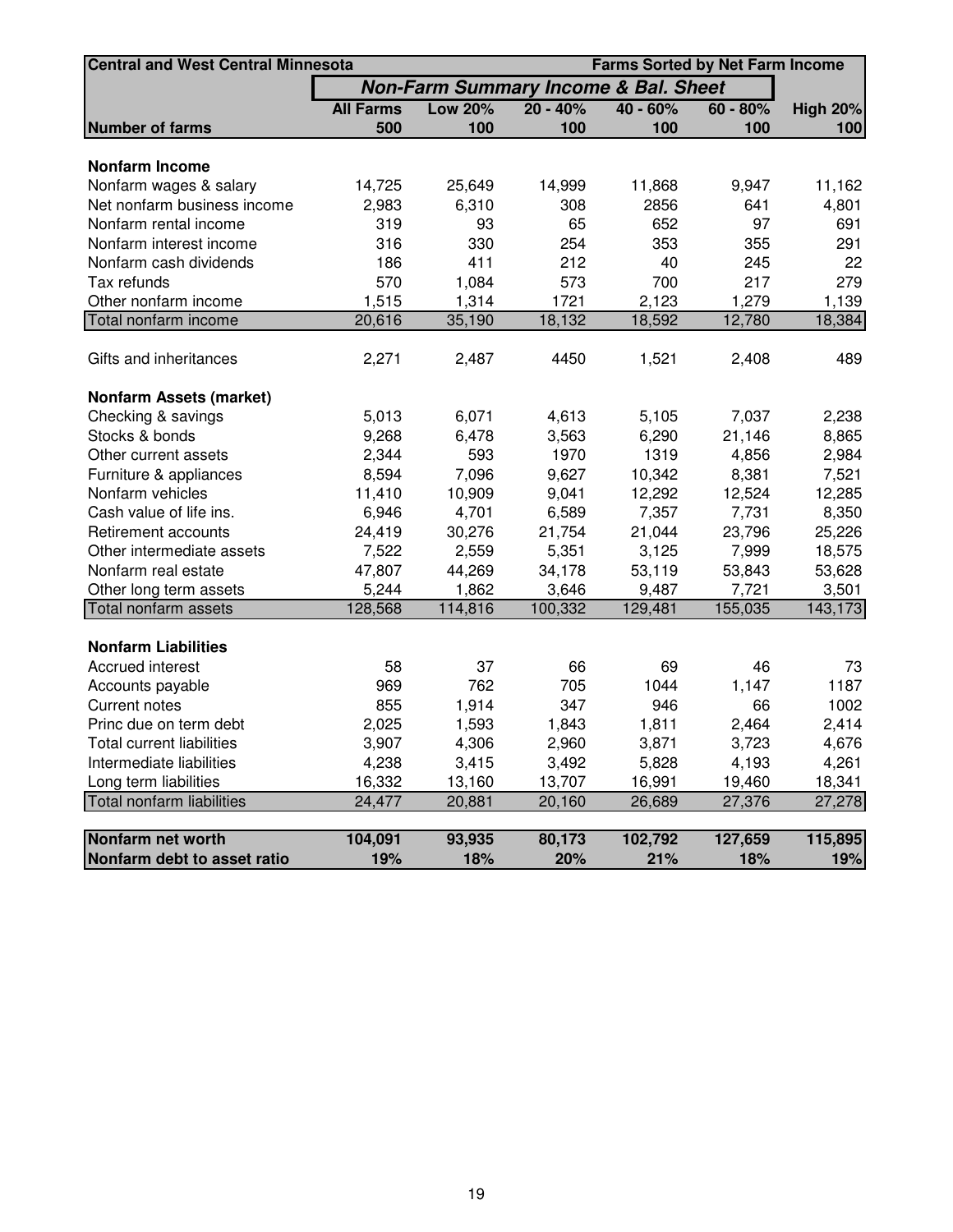|                                  | <b>Central and West Central Minnesota</b> |                                                 |               |                | <b>Farms Sorted by Net Farm Income</b> |                 |  |  |  |
|----------------------------------|-------------------------------------------|-------------------------------------------------|---------------|----------------|----------------------------------------|-----------------|--|--|--|
|                                  |                                           | <b>Non-Farm Summary Income &amp; Bal. Sheet</b> |               |                |                                        |                 |  |  |  |
|                                  | <b>All Farms</b>                          | <b>Low 20%</b>                                  | $20 - 40%$    | $40 - 60%$     | $60 - 80%$                             | <b>High 20%</b> |  |  |  |
| <b>Number of farms</b>           | 500                                       | 100                                             | 100           | 100            | 100                                    | 100             |  |  |  |
| <b>Nonfarm Income</b>            |                                           |                                                 |               |                |                                        |                 |  |  |  |
| Nonfarm wages & salary           | 14,725                                    | 25,649                                          | 14,999        | 11,868         | 9,947                                  | 11,162          |  |  |  |
| Net nonfarm business income      | 2,983                                     | 6,310                                           | 308           | 2856           | 641                                    | 4,801           |  |  |  |
| Nonfarm rental income            | 319                                       | 93                                              | 65            | 652            | 97                                     | 691             |  |  |  |
| Nonfarm interest income          | 316                                       | 330                                             | 254           | 353            | 355                                    | 291             |  |  |  |
| Nonfarm cash dividends           | 186                                       | 411                                             | 212           | 40             | 245                                    | 22              |  |  |  |
| Tax refunds                      | 570                                       | 1,084                                           | 573           | 700            | 217                                    | 279             |  |  |  |
| Other nonfarm income             | 1,515                                     | 1,314                                           | 1721          | 2,123          | 1,279                                  | 1,139           |  |  |  |
| Total nonfarm income             | 20,616                                    | 35,190                                          | 18,132        | 18,592         | 12,780                                 | 18,384          |  |  |  |
|                                  |                                           |                                                 |               |                |                                        |                 |  |  |  |
| Gifts and inheritances           | 2,271                                     | 2,487                                           | 4450          | 1,521          | 2,408                                  | 489             |  |  |  |
|                                  |                                           |                                                 |               |                |                                        |                 |  |  |  |
| <b>Nonfarm Assets (market)</b>   |                                           |                                                 |               |                |                                        |                 |  |  |  |
| Checking & savings               | 5,013                                     | 6,071                                           | 4,613         | 5,105          | 7,037                                  | 2,238           |  |  |  |
| Stocks & bonds                   | 9,268                                     | 6,478<br>593                                    | 3,563<br>1970 | 6,290          | 21,146                                 | 8,865           |  |  |  |
| Other current assets             | 2,344                                     |                                                 |               | 1319<br>10,342 | 4,856                                  | 2,984           |  |  |  |
| Furniture & appliances           | 8,594                                     | 7,096                                           | 9,627         |                | 8,381                                  | 7,521           |  |  |  |
| Nonfarm vehicles                 | 11,410                                    | 10,909                                          | 9,041         | 12,292         | 12,524                                 | 12,285          |  |  |  |
| Cash value of life ins.          | 6,946                                     | 4,701                                           | 6,589         | 7,357          | 7,731                                  | 8,350           |  |  |  |
| Retirement accounts              | 24,419                                    | 30,276                                          | 21,754        | 21,044         | 23,796                                 | 25,226          |  |  |  |
| Other intermediate assets        | 7,522                                     | 2,559                                           | 5,351         | 3,125          | 7,999                                  | 18,575          |  |  |  |
| Nonfarm real estate              | 47,807                                    | 44,269                                          | 34,178        | 53,119         | 53,843                                 | 53,628          |  |  |  |
| Other long term assets           | 5,244                                     | 1,862                                           | 3,646         | 9,487          | 7,721                                  | 3,501           |  |  |  |
| Total nonfarm assets             | 128,568                                   | 114,816                                         | 100,332       | 129,481        | 155,035                                | 143,173         |  |  |  |
| <b>Nonfarm Liabilities</b>       |                                           |                                                 |               |                |                                        |                 |  |  |  |
| Accrued interest                 | 58                                        | 37                                              | 66            | 69             | 46                                     | 73              |  |  |  |
| Accounts payable                 | 969                                       | 762                                             | 705           | 1044           | 1,147                                  | 1187            |  |  |  |
| <b>Current notes</b>             | 855                                       | 1,914                                           | 347           | 946            | 66                                     | 1002            |  |  |  |
| Princ due on term debt           | 2,025                                     | 1,593                                           | 1,843         | 1,811          | 2,464                                  | 2,414           |  |  |  |
| <b>Total current liabilities</b> | 3,907                                     | 4,306                                           | 2,960         | 3,871          | 3,723                                  | 4,676           |  |  |  |
| Intermediate liabilities         | 4,238                                     | 3,415                                           | 3,492         | 5,828          | 4,193                                  | 4,261           |  |  |  |
| Long term liabilities            | 16,332                                    | 13,160                                          | 13,707        | 16,991         | 19,460                                 | 18,341          |  |  |  |
| Total nonfarm liabilities        | 24,477                                    | 20,881                                          | 20,160        | 26,689         | 27,376                                 | 27,278          |  |  |  |
|                                  |                                           |                                                 |               |                |                                        |                 |  |  |  |
| Nonfarm net worth                | 104,091                                   | 93,935                                          | 80,173        | 102,792        | 127,659                                | 115,895         |  |  |  |
| Nonfarm debt to asset ratio      | 19%                                       | 18%                                             | 20%           | 21%            | 18%                                    | 19%             |  |  |  |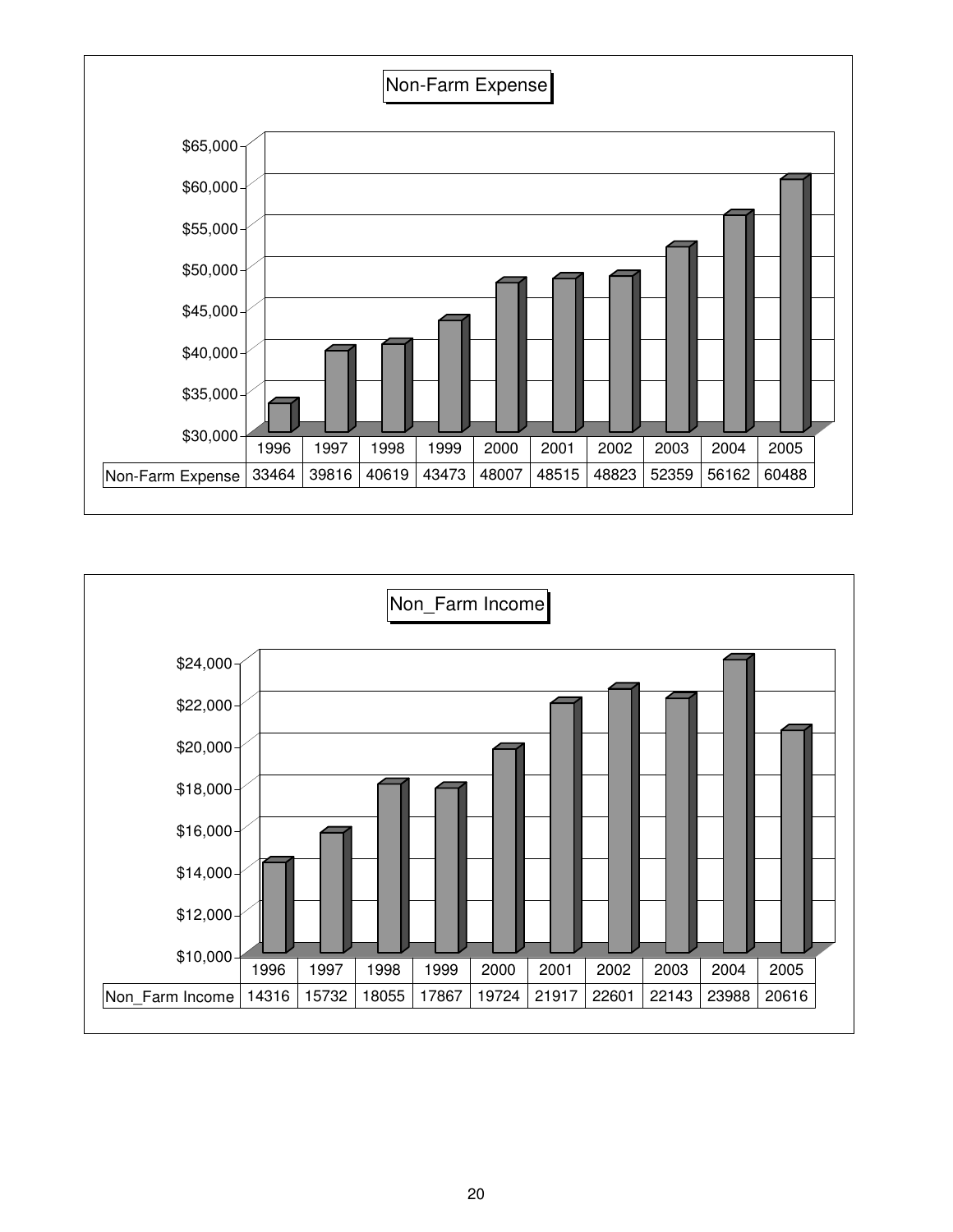

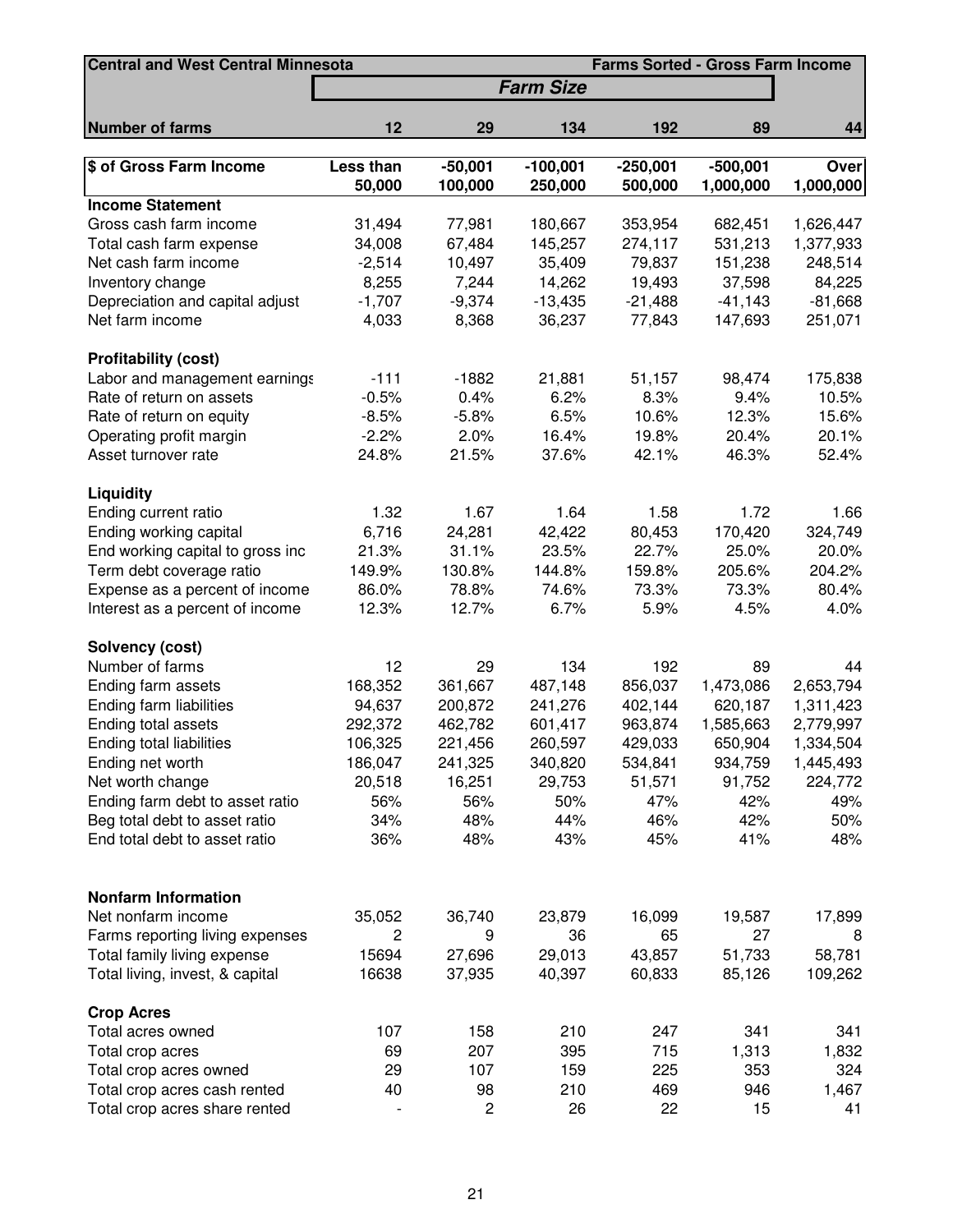| <b>Central and West Central Minnesota</b> | <b>Farms Sorted - Gross Farm Income</b> |                         |                       |                       |                         |                          |  |  |
|-------------------------------------------|-----------------------------------------|-------------------------|-----------------------|-----------------------|-------------------------|--------------------------|--|--|
|                                           |                                         |                         | <b>Farm Size</b>      |                       |                         |                          |  |  |
| <b>Number of farms</b>                    | 12                                      | 29                      | 134                   | 192                   | 89                      | 44                       |  |  |
|                                           |                                         |                         |                       |                       |                         |                          |  |  |
| \$ of Gross Farm Income                   | Less than<br>50,000                     | $-50,001$<br>100,000    | $-100,001$<br>250,000 | $-250,001$<br>500,000 | $-500,001$<br>1,000,000 | <b>Over</b><br>1,000,000 |  |  |
| <b>Income Statement</b>                   |                                         |                         |                       |                       |                         |                          |  |  |
| Gross cash farm income                    | 31,494                                  | 77,981                  | 180,667               | 353,954               | 682,451                 | 1,626,447                |  |  |
| Total cash farm expense                   | 34,008                                  | 67,484                  | 145,257               | 274,117               | 531,213                 | 1,377,933                |  |  |
| Net cash farm income                      | $-2,514$                                | 10,497                  | 35,409                | 79,837                | 151,238                 | 248,514                  |  |  |
| Inventory change                          | 8,255                                   | 7,244                   | 14,262                | 19,493                | 37,598                  | 84,225                   |  |  |
| Depreciation and capital adjust           | $-1,707$                                | $-9,374$                | $-13,435$             | $-21,488$             | $-41,143$               | $-81,668$                |  |  |
| Net farm income                           | 4,033                                   | 8,368                   | 36,237                | 77,843                | 147,693                 | 251,071                  |  |  |
| <b>Profitability (cost)</b>               |                                         |                         |                       |                       |                         |                          |  |  |
| Labor and management earnings             | $-111$                                  | $-1882$                 | 21,881                | 51,157                | 98,474                  | 175,838                  |  |  |
| Rate of return on assets                  | $-0.5%$                                 | 0.4%                    | 6.2%                  | 8.3%                  | 9.4%                    | 10.5%                    |  |  |
| Rate of return on equity                  | $-8.5%$                                 | $-5.8%$                 | 6.5%                  | 10.6%                 | 12.3%                   | 15.6%                    |  |  |
| Operating profit margin                   | $-2.2%$                                 | 2.0%                    | 16.4%                 | 19.8%                 | 20.4%                   | 20.1%                    |  |  |
| Asset turnover rate                       | 24.8%                                   | 21.5%                   | 37.6%                 | 42.1%                 | 46.3%                   | 52.4%                    |  |  |
| Liquidity                                 |                                         |                         |                       |                       |                         |                          |  |  |
| Ending current ratio                      | 1.32                                    | 1.67                    | 1.64                  | 1.58                  | 1.72                    | 1.66                     |  |  |
| Ending working capital                    | 6,716                                   | 24,281                  | 42,422                | 80,453                | 170,420                 | 324,749                  |  |  |
| End working capital to gross inc          | 21.3%                                   | 31.1%                   | 23.5%                 | 22.7%                 | 25.0%                   | 20.0%                    |  |  |
| Term debt coverage ratio                  | 149.9%                                  | 130.8%                  | 144.8%                | 159.8%                | 205.6%                  | 204.2%                   |  |  |
| Expense as a percent of income            | 86.0%                                   | 78.8%                   | 74.6%                 | 73.3%                 | 73.3%                   | 80.4%                    |  |  |
| Interest as a percent of income           | 12.3%                                   | 12.7%                   | 6.7%                  | 5.9%                  | 4.5%                    | 4.0%                     |  |  |
| Solvency (cost)                           |                                         |                         |                       |                       |                         |                          |  |  |
| Number of farms                           | 12                                      | 29                      | 134                   | 192                   | 89                      | 44                       |  |  |
| Ending farm assets                        | 168,352                                 | 361,667                 | 487,148               | 856,037               | 1,473,086               | 2,653,794                |  |  |
| Ending farm liabilities                   | 94,637                                  | 200,872                 | 241,276               | 402,144               | 620,187                 | 1,311,423                |  |  |
| Ending total assets                       | 292,372                                 | 462,782                 | 601,417               | 963,874               | 1,585,663               | 2,779,997                |  |  |
| Ending total liabilities                  | 106,325                                 | 221,456                 | 260,597               | 429,033               | 650,904                 | 1,334,504                |  |  |
| Ending net worth                          | 186,047                                 | 241,325                 | 340,820               | 534,841               | 934,759                 | 1,445,493                |  |  |
| Net worth change                          | 20,518                                  | 16,251                  | 29,753                | 51,571                | 91,752                  | 224,772                  |  |  |
| Ending farm debt to asset ratio           | 56%                                     | 56%                     | 50%                   | 47%                   | 42%                     | 49%                      |  |  |
| Beg total debt to asset ratio             | 34%                                     | 48%                     | 44%                   | 46%                   | 42%                     | 50%                      |  |  |
| End total debt to asset ratio             | 36%                                     | 48%                     | 43%                   | 45%                   | 41%                     | 48%                      |  |  |
|                                           |                                         |                         |                       |                       |                         |                          |  |  |
| <b>Nonfarm Information</b>                |                                         |                         |                       |                       |                         |                          |  |  |
| Net nonfarm income                        | 35,052                                  | 36,740                  | 23,879                | 16,099                | 19,587                  | 17,899                   |  |  |
| Farms reporting living expenses           | $\overline{c}$                          | 9                       | 36                    | 65                    | 27                      | 8                        |  |  |
| Total family living expense               | 15694                                   | 27,696                  | 29,013                | 43,857                | 51,733                  | 58,781                   |  |  |
| Total living, invest, & capital           | 16638                                   | 37,935                  | 40,397                | 60,833                | 85,126                  | 109,262                  |  |  |
| <b>Crop Acres</b>                         |                                         |                         |                       |                       |                         |                          |  |  |
| Total acres owned                         | 107                                     | 158                     | 210                   | 247                   | 341                     | 341                      |  |  |
| Total crop acres                          | 69                                      | 207                     | 395                   | 715                   | 1,313                   | 1,832                    |  |  |
| Total crop acres owned                    | 29                                      | 107                     | 159                   | 225                   | 353                     | 324                      |  |  |
| Total crop acres cash rented              | 40                                      | 98                      | 210                   | 469                   | 946                     | 1,467                    |  |  |
| Total crop acres share rented             |                                         | $\overline{\mathbf{c}}$ | 26                    | 22                    | 15                      | 41                       |  |  |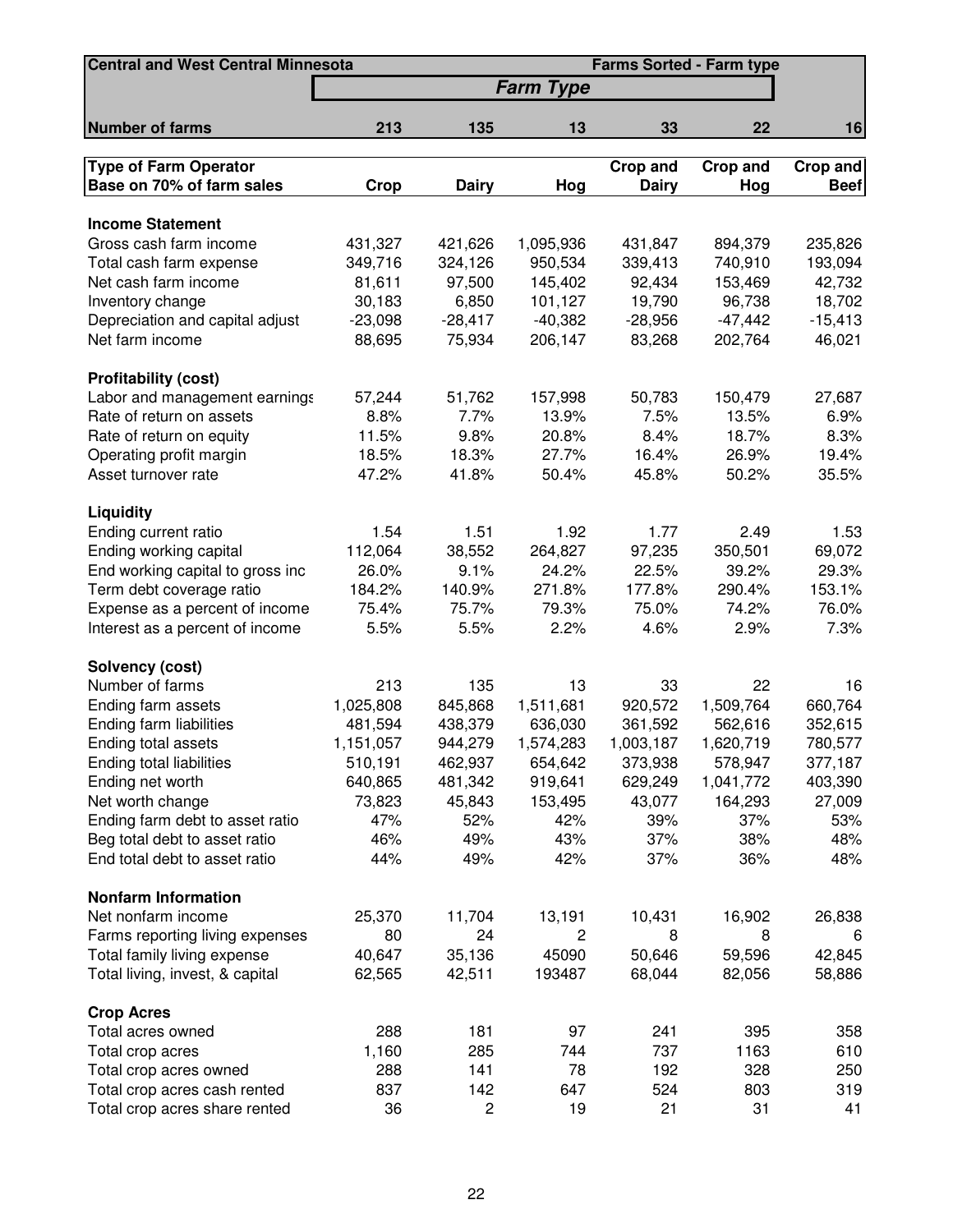| <b>Central and West Central Minnesota</b><br><b>Farms Sorted - Farm type</b> |           |              |                  |              |           |             |
|------------------------------------------------------------------------------|-----------|--------------|------------------|--------------|-----------|-------------|
|                                                                              |           |              | <b>Farm Type</b> |              |           |             |
| <b>Number of farms</b>                                                       | 213       | 135          | 13               | 33           | 22        | 16          |
| <b>Type of Farm Operator</b>                                                 |           |              |                  | Crop and     | Crop and  | Crop and    |
| Base on 70% of farm sales                                                    | Crop      | <b>Dairy</b> | Hog              | <b>Dairy</b> | Hog       | <b>Beef</b> |
|                                                                              |           |              |                  |              |           |             |
| <b>Income Statement</b>                                                      |           |              |                  |              |           |             |
| Gross cash farm income                                                       | 431,327   | 421,626      | 1,095,936        | 431,847      | 894,379   | 235,826     |
| Total cash farm expense                                                      | 349,716   | 324,126      | 950,534          | 339,413      | 740,910   | 193,094     |
| Net cash farm income                                                         | 81,611    | 97,500       | 145,402          | 92,434       | 153,469   | 42,732      |
| Inventory change                                                             | 30,183    | 6,850        | 101,127          | 19,790       | 96,738    | 18,702      |
| Depreciation and capital adjust                                              | $-23,098$ | $-28,417$    | $-40,382$        | $-28,956$    | $-47,442$ | $-15,413$   |
| Net farm income                                                              | 88,695    | 75,934       | 206,147          | 83,268       | 202,764   | 46,021      |
| <b>Profitability (cost)</b>                                                  |           |              |                  |              |           |             |
| Labor and management earnings                                                | 57,244    | 51,762       | 157,998          | 50,783       | 150,479   | 27,687      |
| Rate of return on assets                                                     | 8.8%      | 7.7%         | 13.9%            | 7.5%         | 13.5%     | 6.9%        |
| Rate of return on equity                                                     | 11.5%     | 9.8%         | 20.8%            | 8.4%         | 18.7%     | 8.3%        |
| Operating profit margin                                                      | 18.5%     | 18.3%        | 27.7%            | 16.4%        | 26.9%     | 19.4%       |
| Asset turnover rate                                                          | 47.2%     | 41.8%        | 50.4%            | 45.8%        | 50.2%     | 35.5%       |
| Liquidity                                                                    |           |              |                  |              |           |             |
| Ending current ratio                                                         | 1.54      | 1.51         | 1.92             | 1.77         | 2.49      | 1.53        |
| Ending working capital                                                       | 112,064   | 38,552       | 264,827          | 97,235       | 350,501   | 69,072      |
| End working capital to gross inc                                             | 26.0%     | 9.1%         | 24.2%            | 22.5%        | 39.2%     | 29.3%       |
| Term debt coverage ratio                                                     | 184.2%    | 140.9%       | 271.8%           | 177.8%       | 290.4%    | 153.1%      |
| Expense as a percent of income                                               | 75.4%     | 75.7%        | 79.3%            | 75.0%        | 74.2%     | 76.0%       |
| Interest as a percent of income                                              | 5.5%      | 5.5%         | 2.2%             | 4.6%         | 2.9%      | 7.3%        |
| Solvency (cost)                                                              |           |              |                  |              |           |             |
| Number of farms                                                              | 213       | 135          | 13               | 33           | 22        | 16          |
| Ending farm assets                                                           | 1,025,808 | 845,868      | 1,511,681        | 920,572      | 1,509,764 | 660,764     |
| Ending farm liabilities                                                      | 481,594   | 438,379      | 636,030          | 361,592      | 562,616   | 352,615     |
| Ending total assets                                                          | 1,151,057 | 944,279      | 1,574,283        | 1,003,187    | 1,620,719 | 780,577     |
| Ending total liabilities                                                     | 510,191   | 462,937      | 654,642          | 373,938      | 578,947   | 377,187     |
| Ending net worth                                                             | 640,865   | 481,342      | 919,641          | 629,249      | 1,041,772 | 403,390     |
| Net worth change                                                             | 73,823    | 45,843       | 153,495          | 43,077       | 164,293   | 27,009      |
| Ending farm debt to asset ratio                                              | 47%       | 52%          | 42%              | 39%          | 37%       | 53%         |
| Beg total debt to asset ratio                                                | 46%       | 49%          | 43%              | 37%          | 38%       | 48%         |
| End total debt to asset ratio                                                | 44%       | 49%          | 42%              | 37%          | 36%       | 48%         |
| <b>Nonfarm Information</b>                                                   |           |              |                  |              |           |             |
| Net nonfarm income                                                           | 25,370    | 11,704       | 13,191           | 10,431       | 16,902    | 26,838      |
| Farms reporting living expenses                                              | 80        | 24           | 2                | 8            | 8         | 6           |
| Total family living expense                                                  | 40,647    | 35,136       | 45090            | 50,646       | 59,596    | 42,845      |
| Total living, invest, & capital                                              | 62,565    | 42,511       | 193487           | 68,044       | 82,056    | 58,886      |
| <b>Crop Acres</b>                                                            |           |              |                  |              |           |             |
| Total acres owned                                                            | 288       | 181          | 97               | 241          | 395       | 358         |
| Total crop acres                                                             | 1,160     | 285          | 744              | 737          | 1163      | 610         |
| Total crop acres owned                                                       | 288       | 141          | 78               | 192          | 328       | 250         |
| Total crop acres cash rented                                                 | 837       | 142          | 647              | 524          | 803       | 319         |
| Total crop acres share rented                                                | 36        | 2            | 19               | 21           | 31        | 41          |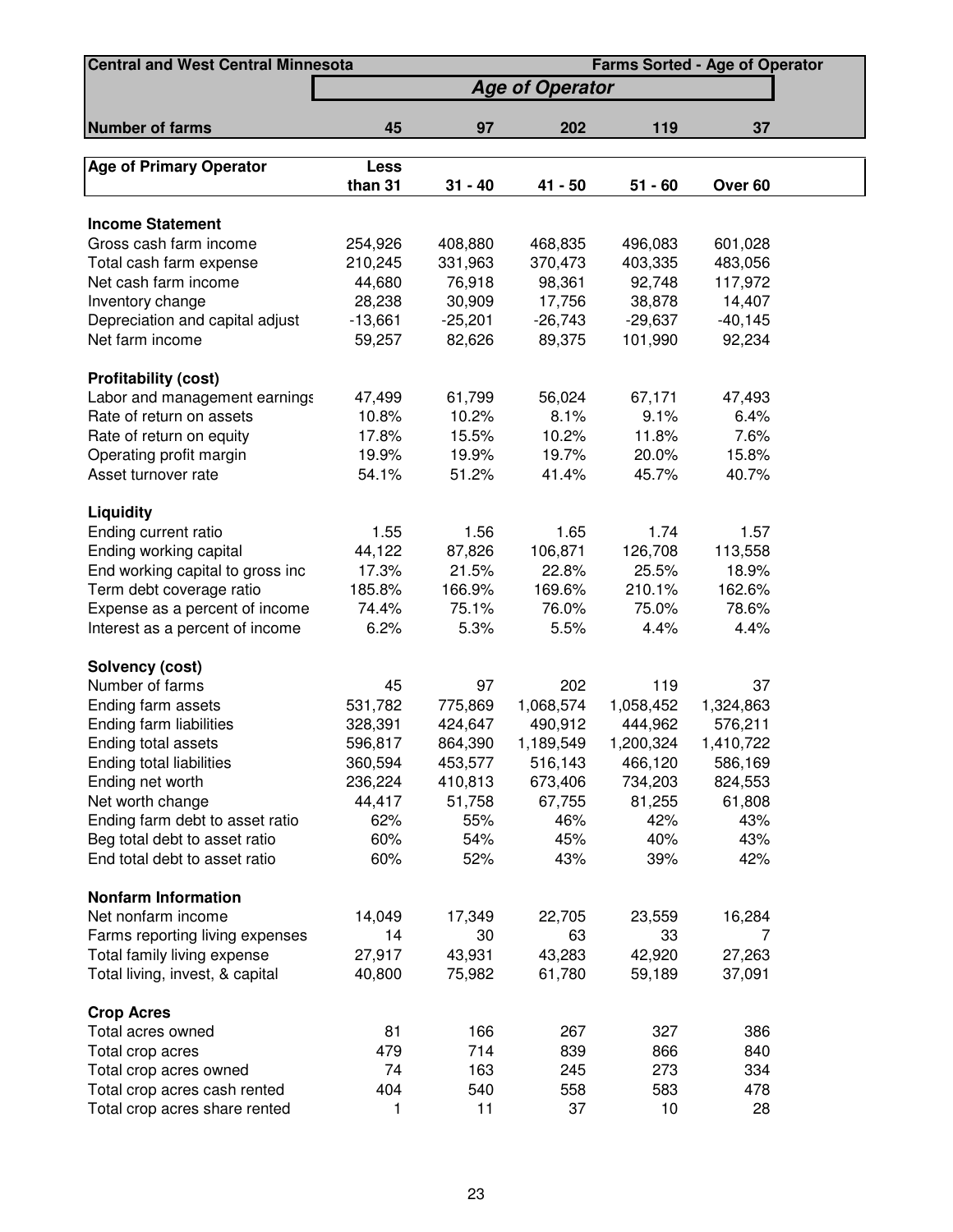| <b>Central and West Central Minnesota</b><br><b>Farms Sorted - Age of Operator</b> |                        |           |           |           |           |  |  |  |
|------------------------------------------------------------------------------------|------------------------|-----------|-----------|-----------|-----------|--|--|--|
|                                                                                    | <b>Age of Operator</b> |           |           |           |           |  |  |  |
| <b>Number of farms</b>                                                             | 45                     | 97        | 202       | 119       | 37        |  |  |  |
|                                                                                    |                        |           |           |           |           |  |  |  |
| <b>Age of Primary Operator</b>                                                     | Less                   |           |           |           |           |  |  |  |
|                                                                                    | than 31                | $31 - 40$ | 41 - 50   | $51 - 60$ | Over 60   |  |  |  |
| <b>Income Statement</b>                                                            |                        |           |           |           |           |  |  |  |
| Gross cash farm income                                                             | 254,926                | 408,880   | 468,835   | 496,083   | 601,028   |  |  |  |
| Total cash farm expense                                                            | 210,245                | 331,963   | 370,473   | 403,335   | 483,056   |  |  |  |
| Net cash farm income                                                               | 44,680                 | 76,918    | 98,361    | 92,748    | 117,972   |  |  |  |
| Inventory change                                                                   | 28,238                 | 30,909    | 17,756    | 38,878    | 14,407    |  |  |  |
| Depreciation and capital adjust                                                    | $-13,661$              | $-25,201$ | $-26,743$ | $-29,637$ | $-40,145$ |  |  |  |
| Net farm income                                                                    | 59,257                 | 82,626    | 89,375    | 101,990   | 92,234    |  |  |  |
|                                                                                    |                        |           |           |           |           |  |  |  |
| <b>Profitability (cost)</b>                                                        |                        |           |           |           |           |  |  |  |
| Labor and management earnings                                                      | 47,499                 | 61,799    | 56,024    | 67,171    | 47,493    |  |  |  |
| Rate of return on assets                                                           | 10.8%                  | 10.2%     | 8.1%      | 9.1%      | 6.4%      |  |  |  |
| Rate of return on equity                                                           | 17.8%                  | 15.5%     | 10.2%     | 11.8%     | 7.6%      |  |  |  |
| Operating profit margin                                                            | 19.9%                  | 19.9%     | 19.7%     | 20.0%     | 15.8%     |  |  |  |
| Asset turnover rate                                                                | 54.1%                  | 51.2%     | 41.4%     | 45.7%     | 40.7%     |  |  |  |
|                                                                                    |                        |           |           |           |           |  |  |  |
| Liquidity                                                                          |                        |           |           |           |           |  |  |  |
| Ending current ratio                                                               | 1.55                   | 1.56      | 1.65      | 1.74      | 1.57      |  |  |  |
| Ending working capital                                                             | 44,122                 | 87,826    | 106,871   | 126,708   | 113,558   |  |  |  |
| End working capital to gross inc                                                   | 17.3%                  | 21.5%     | 22.8%     | 25.5%     | 18.9%     |  |  |  |
| Term debt coverage ratio                                                           | 185.8%                 | 166.9%    | 169.6%    | 210.1%    | 162.6%    |  |  |  |
| Expense as a percent of income                                                     | 74.4%                  | 75.1%     | 76.0%     | 75.0%     | 78.6%     |  |  |  |
| Interest as a percent of income                                                    | 6.2%                   | 5.3%      | 5.5%      | 4.4%      | 4.4%      |  |  |  |
| Solvency (cost)                                                                    |                        |           |           |           |           |  |  |  |
| Number of farms                                                                    | 45                     | 97        | 202       | 119       | 37        |  |  |  |
| Ending farm assets                                                                 | 531,782                | 775,869   | 1,068,574 | 1,058,452 | 1,324,863 |  |  |  |
| Ending farm liabilities                                                            | 328,391                | 424,647   | 490,912   | 444,962   | 576,211   |  |  |  |
| Ending total assets                                                                | 596,817                | 864,390   | 1,189,549 | 1,200,324 | 1,410,722 |  |  |  |
| Ending total liabilities                                                           | 360,594                | 453,577   | 516,143   | 466,120   | 586,169   |  |  |  |
| Ending net worth                                                                   | 236,224                | 410,813   | 673,406   | 734,203   | 824,553   |  |  |  |
| Net worth change                                                                   | 44,417                 | 51,758    | 67,755    | 81,255    | 61,808    |  |  |  |
| Ending farm debt to asset ratio                                                    | 62%                    | 55%       | 46%       | 42%       | 43%       |  |  |  |
| Beg total debt to asset ratio                                                      | 60%                    | 54%       | 45%       | 40%       | 43%       |  |  |  |
| End total debt to asset ratio                                                      | 60%                    | 52%       | 43%       | 39%       | 42%       |  |  |  |
|                                                                                    |                        |           |           |           |           |  |  |  |
| <b>Nonfarm Information</b>                                                         |                        |           |           |           |           |  |  |  |
| Net nonfarm income                                                                 | 14,049                 | 17,349    | 22,705    | 23,559    | 16,284    |  |  |  |
| Farms reporting living expenses                                                    | 14                     | 30        | 63        | 33        | 7         |  |  |  |
| Total family living expense                                                        | 27,917                 | 43,931    | 43,283    | 42,920    | 27,263    |  |  |  |
| Total living, invest, & capital                                                    | 40,800                 | 75,982    | 61,780    | 59,189    | 37,091    |  |  |  |
| <b>Crop Acres</b>                                                                  |                        |           |           |           |           |  |  |  |
| Total acres owned                                                                  | 81                     | 166       | 267       | 327       | 386       |  |  |  |
| Total crop acres                                                                   | 479                    | 714       | 839       | 866       | 840       |  |  |  |
| Total crop acres owned                                                             | 74                     | 163       | 245       | 273       | 334       |  |  |  |
| Total crop acres cash rented                                                       | 404                    | 540       | 558       | 583       | 478       |  |  |  |
| Total crop acres share rented                                                      | 1                      | 11        | 37        | 10        | 28        |  |  |  |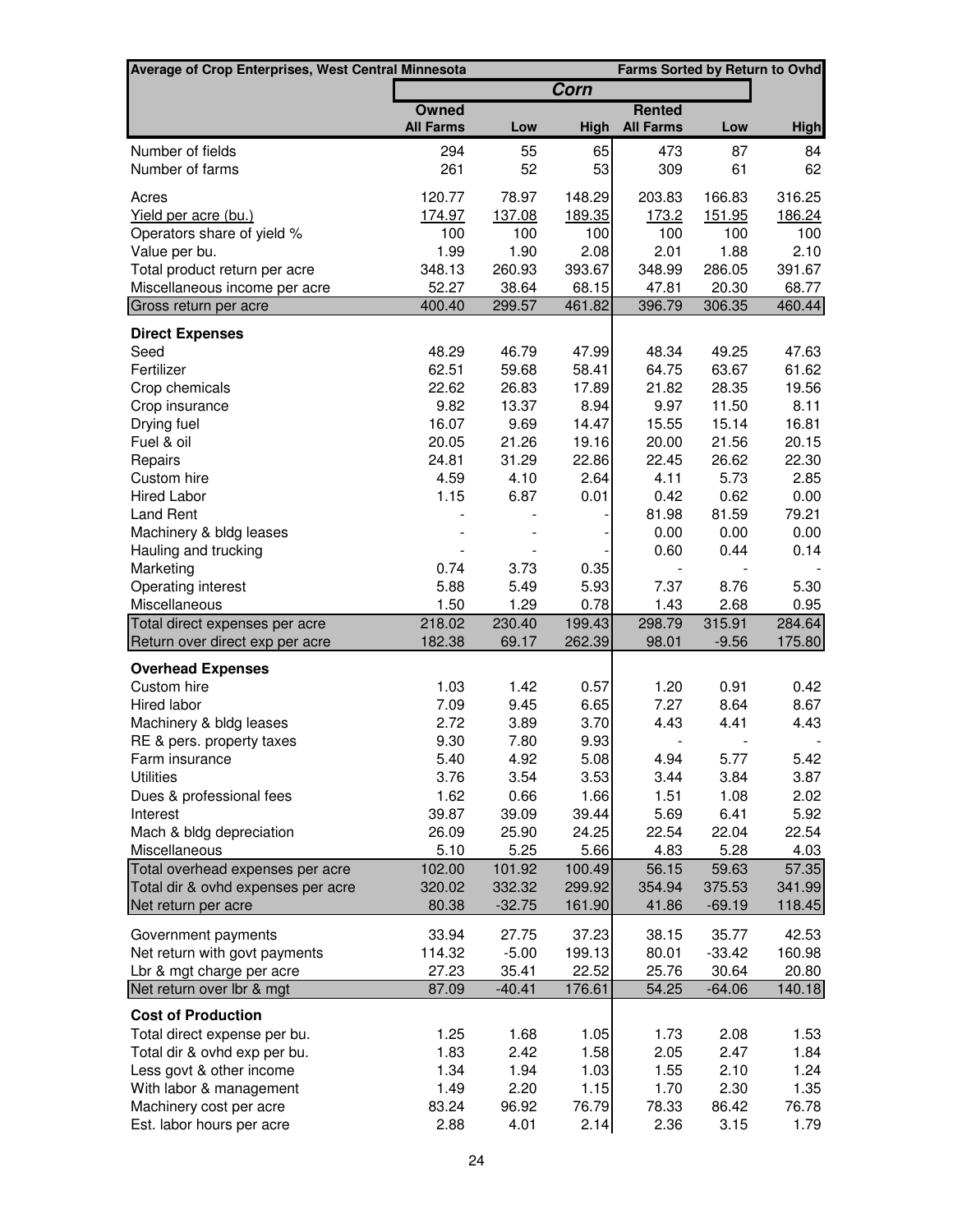| Average of Crop Enterprises, West Central Minnesota | Farms Sorted by Return to Ovhd |               |               |                          |               |               |
|-----------------------------------------------------|--------------------------------|---------------|---------------|--------------------------|---------------|---------------|
|                                                     |                                |               | Corn          |                          |               |               |
|                                                     | <b>Owned</b>                   |               |               | <b>Rented</b>            |               |               |
|                                                     | <b>All Farms</b>               | Low           | High          | <b>All Farms</b>         | Low           | <b>High</b>   |
| Number of fields                                    | 294                            | 55            | 65            | 473                      | 87            | 84            |
| Number of farms                                     | 261                            | 52            | 53            | 309                      | 61            | 62            |
| Acres                                               | 120.77                         | 78.97         | 148.29        | 203.83                   | 166.83        | 316.25        |
| Yield per acre (bu.)                                | 174.97                         | 137.08        | 189.35        | 173.2                    | 151.95        | 186.24        |
| Operators share of yield %                          | 100                            | 100           | 100           | 100                      | 100           | 100           |
| Value per bu.                                       | 1.99                           | 1.90          | 2.08          | 2.01                     | 1.88          | 2.10          |
| Total product return per acre                       | 348.13                         | 260.93        | 393.67        | 348.99                   | 286.05        | 391.67        |
| Miscellaneous income per acre                       | 52.27                          | 38.64         | 68.15         | 47.81                    | 20.30         | 68.77         |
| Gross return per acre                               | 400.40                         | 299.57        | 461.82        | 396.79                   | 306.35        | 460.44        |
| <b>Direct Expenses</b>                              |                                |               |               |                          |               |               |
| Seed                                                | 48.29                          | 46.79         | 47.99         | 48.34                    | 49.25         | 47.63         |
| Fertilizer                                          | 62.51                          | 59.68         | 58.41         | 64.75                    | 63.67         | 61.62         |
| Crop chemicals                                      | 22.62                          | 26.83         | 17.89         | 21.82                    | 28.35         | 19.56         |
| Crop insurance                                      | 9.82                           | 13.37         | 8.94          | 9.97                     | 11.50         | 8.11          |
| Drying fuel                                         | 16.07                          | 9.69          | 14.47         | 15.55                    | 15.14         | 16.81         |
| Fuel & oil                                          | 20.05                          | 21.26         | 19.16         | 20.00                    | 21.56         | 20.15         |
| Repairs                                             | 24.81                          | 31.29         | 22.86         | 22.45                    | 26.62         | 22.30         |
| Custom hire                                         | 4.59                           | 4.10          | 2.64          | 4.11                     | 5.73          | 2.85          |
| <b>Hired Labor</b>                                  | 1.15                           | 6.87          | 0.01          | 0.42                     | 0.62          | 0.00          |
| <b>Land Rent</b>                                    |                                |               |               | 81.98                    | 81.59         | 79.21         |
| Machinery & bldg leases                             |                                |               |               | 0.00                     | 0.00          | 0.00          |
| Hauling and trucking                                |                                |               |               | 0.60                     | 0.44          | 0.14          |
| Marketing                                           | 0.74                           | 3.73          | 0.35          |                          |               |               |
| Operating interest                                  | 5.88                           | 5.49          | 5.93          | 7.37                     | 8.76          | 5.30          |
| Miscellaneous                                       | 1.50                           | 1.29          | 0.78          | 1.43                     | 2.68          | 0.95          |
| Total direct expenses per acre                      | 218.02                         | 230.40        | 199.43        | 298.79                   | 315.91        | 284.64        |
| Return over direct exp per acre                     | 182.38                         | 69.17         | 262.39        | 98.01                    | $-9.56$       | 175.80        |
|                                                     |                                |               |               |                          |               |               |
| <b>Overhead Expenses</b>                            |                                |               | 0.57          |                          |               |               |
| Custom hire                                         | 1.03<br>7.09                   | 1.42          | 6.65          | 1.20<br>7.27             | 0.91<br>8.64  | 0.42<br>8.67  |
| Hired labor                                         | 2.72                           | 9.45<br>3.89  | 3.70          | 4.43                     | 4.41          | 4.43          |
| Machinery & bldg leases                             | 9.30                           |               |               | $\overline{\phantom{a}}$ |               |               |
| RE & pers. property taxes                           |                                | 7.80          | 9.93<br>5.08  | 4.94                     |               | 5.42          |
| Farm insurance                                      | 5.40                           | 4.92          |               |                          | 5.77          |               |
| <b>Utilities</b>                                    | 3.76                           | 3.54          | 3.53          | 3.44                     | 3.84          | 3.87          |
| Dues & professional fees                            | 1.62                           | 0.66          | 1.66          | 1.51                     | 1.08          | 2.02          |
| Interest                                            | 39.87                          | 39.09         | 39.44         | 5.69                     | 6.41          | 5.92          |
| Mach & bldg depreciation                            | 26.09                          | 25.90<br>5.25 | 24.25<br>5.66 | 22.54                    | 22.04         | 22.54         |
| Miscellaneous<br>Total overhead expenses per acre   | 5.10<br>102.00                 | 101.92        | 100.49        | 4.83<br>56.15            | 5.28<br>59.63 | 4.03<br>57.35 |
| Total dir & ovhd expenses per acre                  | 320.02                         | 332.32        | 299.92        | 354.94                   | 375.53        | 341.99        |
| Net return per acre                                 | 80.38                          | $-32.75$      | 161.90        | 41.86                    | $-69.19$      | 118.45        |
|                                                     |                                |               |               |                          |               |               |
| Government payments                                 | 33.94                          | 27.75         | 37.23         | 38.15                    | 35.77         | 42.53         |
| Net return with govt payments                       | 114.32                         | $-5.00$       | 199.13        | 80.01                    | $-33.42$      | 160.98        |
| Lbr & mgt charge per acre                           | 27.23                          | 35.41         | 22.52         | 25.76                    | 30.64         | 20.80         |
| Net return over lbr & mgt                           | 87.09                          | $-40.41$      | 176.61        | 54.25                    | $-64.06$      | 140.18        |
| <b>Cost of Production</b>                           |                                |               |               |                          |               |               |
| Total direct expense per bu.                        | 1.25                           | 1.68          | 1.05          | 1.73                     | 2.08          | 1.53          |
| Total dir & ovhd exp per bu.                        | 1.83                           | 2.42          | 1.58          | 2.05                     | 2.47          | 1.84          |
| Less govt & other income                            | 1.34                           | 1.94          | 1.03          | 1.55                     | 2.10          | 1.24          |
| With labor & management                             | 1.49                           | 2.20          | 1.15          | 1.70                     | 2.30          | 1.35          |
| Machinery cost per acre                             | 83.24                          | 96.92         | 76.79         | 78.33                    | 86.42         | 76.78         |
| Est. labor hours per acre                           | 2.88                           | 4.01          | 2.14          | 2.36                     | 3.15          | 1.79          |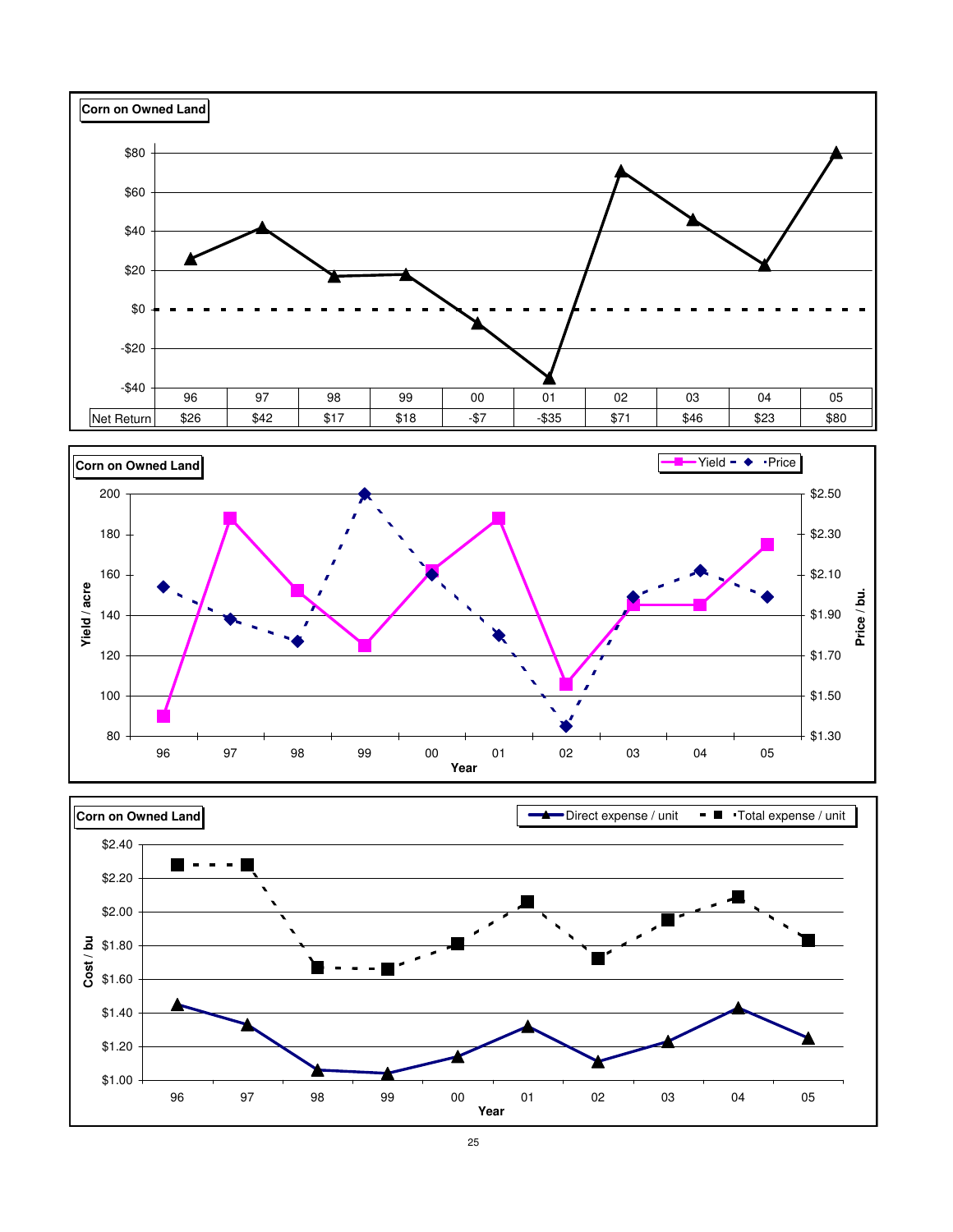



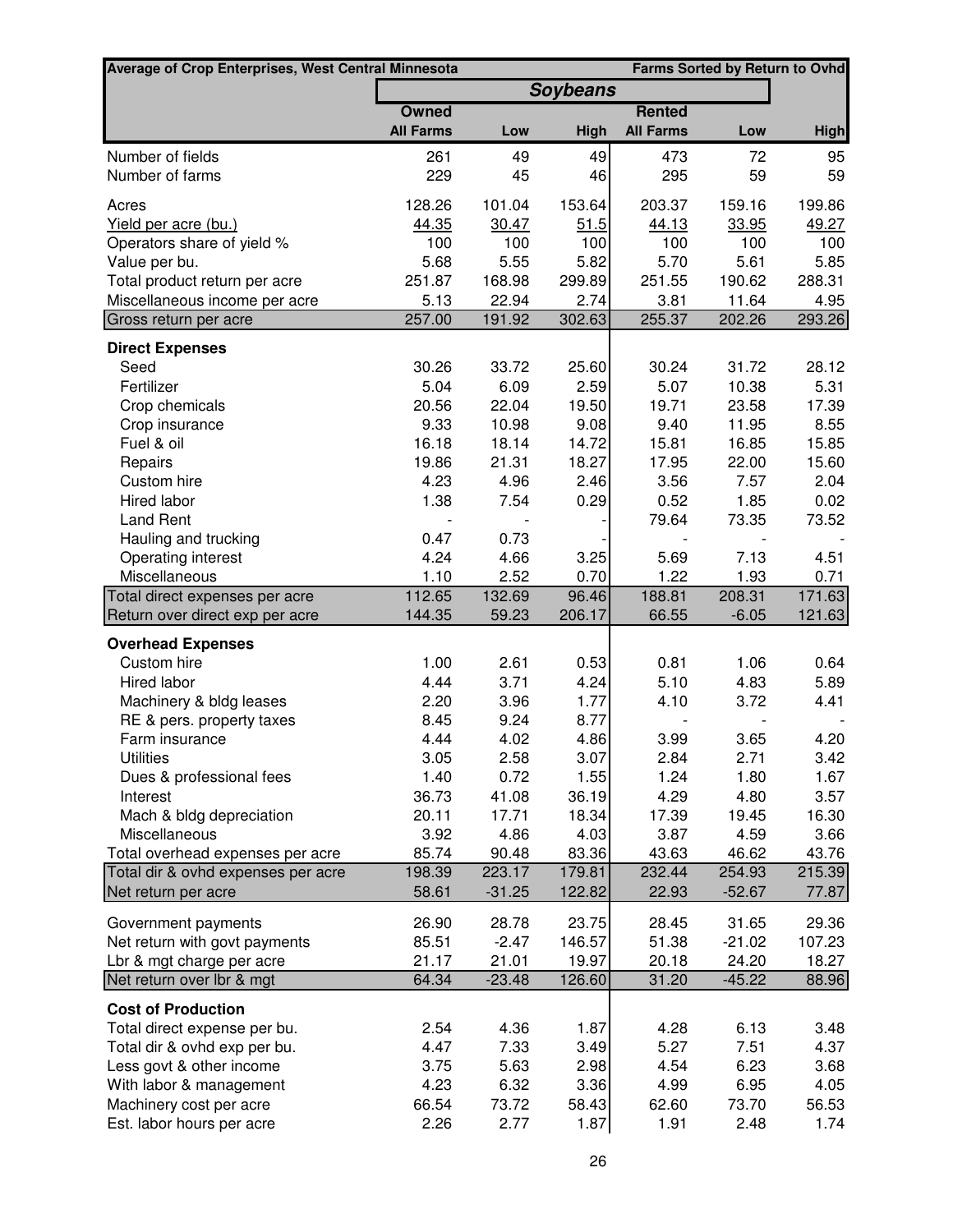| <b>Average of Crop Enterprises, West Central Minnesota</b>             |                  | <b>Farms Sorted by Return to Ovhd</b> |                 |                  |                 |               |
|------------------------------------------------------------------------|------------------|---------------------------------------|-----------------|------------------|-----------------|---------------|
|                                                                        |                  |                                       | <b>Soybeans</b> |                  |                 |               |
|                                                                        | Owned            |                                       |                 | <b>Rented</b>    |                 |               |
|                                                                        | <b>All Farms</b> | Low                                   | High            | <b>All Farms</b> | Low             | <b>High</b>   |
| Number of fields                                                       | 261              | 49                                    | 49              | 473              | 72              | 95            |
| Number of farms                                                        | 229              | 45                                    | 46              | 295              | 59              | 59            |
| Acres                                                                  | 128.26           | 101.04                                | 153.64          | 203.37           | 159.16          | 199.86        |
| Yield per acre (bu.)                                                   | 44.35            | 30.47                                 | 51.5            | 44.13            | 33.95           | 49.27         |
| Operators share of yield %                                             | 100              | 100                                   | 100             | 100              | 100             | 100           |
| Value per bu.                                                          | 5.68             | 5.55                                  | 5.82            | 5.70             | 5.61            | 5.85          |
| Total product return per acre                                          | 251.87           | 168.98                                | 299.89          | 251.55           | 190.62          | 288.31        |
| Miscellaneous income per acre                                          | 5.13             | 22.94                                 | 2.74            | 3.81             | 11.64           | 4.95          |
| Gross return per acre                                                  | 257.00           | 191.92                                | 302.63          | 255.37           | 202.26          | 293.26        |
| <b>Direct Expenses</b>                                                 |                  |                                       |                 |                  |                 |               |
| Seed                                                                   | 30.26            | 33.72                                 | 25.60           | 30.24            | 31.72           | 28.12         |
| Fertilizer                                                             | 5.04             | 6.09                                  | 2.59            | 5.07             | 10.38           | 5.31          |
| Crop chemicals                                                         | 20.56            | 22.04                                 | 19.50           | 19.71            | 23.58           | 17.39         |
| Crop insurance                                                         | 9.33             | 10.98                                 | 9.08            | 9.40             | 11.95           | 8.55          |
| Fuel & oil                                                             | 16.18            | 18.14                                 | 14.72           | 15.81            | 16.85           | 15.85         |
| Repairs                                                                | 19.86            | 21.31                                 | 18.27           | 17.95            | 22.00           | 15.60         |
| Custom hire                                                            | 4.23             | 4.96                                  | 2.46            | 3.56             | 7.57            | 2.04          |
| Hired labor                                                            | 1.38             | 7.54                                  | 0.29            | 0.52             | 1.85            | 0.02          |
| <b>Land Rent</b>                                                       |                  |                                       |                 | 79.64            | 73.35           | 73.52         |
| Hauling and trucking                                                   | 0.47             | 0.73                                  |                 |                  |                 |               |
| Operating interest                                                     | 4.24             | 4.66                                  | 3.25            | 5.69             | 7.13            | 4.51          |
| Miscellaneous                                                          | 1.10             | 2.52                                  | 0.70            | 1.22             | 1.93            | 0.71          |
| Total direct expenses per acre                                         | 112.65           | 132.69                                | 96.46           | 188.81           | 208.31          | 171.63        |
| Return over direct exp per acre                                        | 144.35           | 59.23                                 | 206.17          | 66.55            | $-6.05$         | 121.63        |
| <b>Overhead Expenses</b>                                               |                  |                                       |                 |                  |                 |               |
| Custom hire                                                            | 1.00             | 2.61                                  | 0.53            | 0.81             | 1.06            | 0.64          |
| Hired labor                                                            | 4.44             | 3.71                                  | 4.24            | 5.10             | 4.83            | 5.89          |
| Machinery & bldg leases                                                | 2.20             | 3.96                                  | 1.77            | 4.10             | 3.72            | 4.41          |
| RE & pers. property taxes                                              | 8.45             | 9.24                                  | 8.77            |                  |                 |               |
| Farm insurance                                                         | 4.44             | 4.02                                  | 4.86            | 3.99             | 3.65            | 4.20          |
| <b>Utilities</b>                                                       | 3.05             | 2.58                                  | 3.07            | 2.84             | 2.71            | 3.42          |
| Dues & professional fees                                               | 1.40             | 0.72                                  | 1.55            | 1.24             | 1.80            | 1.67          |
| Interest                                                               | 36.73            | 41.08                                 | 36.19           | 4.29             | 4.80            | 3.57          |
| Mach & bldg depreciation                                               | 20.11            | 17.71                                 | 18.34           | 17.39            | 19.45           | 16.30         |
| Miscellaneous                                                          | 3.92             | 4.86                                  | 4.03<br>83.36   | 3.87             | 4.59            | 3.66<br>43.76 |
| Total overhead expenses per acre<br>Total dir & ovhd expenses per acre | 85.74<br>198.39  | 90.48<br>223.17                       | 179.81          | 43.63<br>232.44  | 46.62<br>254.93 | 215.39        |
| Net return per acre                                                    | 58.61            | $-31.25$                              | 122.82          | 22.93            | $-52.67$        | 77.87         |
|                                                                        |                  |                                       |                 |                  |                 |               |
| Government payments                                                    | 26.90            | 28.78                                 | 23.75           | 28.45            | 31.65           | 29.36         |
| Net return with govt payments                                          | 85.51            | $-2.47$                               | 146.57          | 51.38            | $-21.02$        | 107.23        |
| Lbr & mgt charge per acre                                              | 21.17            | 21.01                                 | 19.97           | 20.18            | 24.20           | 18.27         |
| Net return over Ibr & mgt                                              | 64.34            | $-23.48$                              | 126.60          | 31.20            | $-45.22$        | 88.96         |
| <b>Cost of Production</b>                                              |                  |                                       |                 |                  |                 |               |
| Total direct expense per bu.                                           | 2.54             | 4.36                                  | 1.87            | 4.28             | 6.13            | 3.48          |
| Total dir & ovhd exp per bu.                                           | 4.47             | 7.33                                  | 3.49            | 5.27             | 7.51            | 4.37          |
| Less govt & other income                                               | 3.75             | 5.63                                  | 2.98            | 4.54             | 6.23            | 3.68          |
| With labor & management                                                | 4.23             | 6.32                                  | 3.36            | 4.99             | 6.95            | 4.05          |
| Machinery cost per acre                                                | 66.54            | 73.72                                 | 58.43           | 62.60            | 73.70           | 56.53         |
| Est. labor hours per acre                                              | 2.26             | 2.77                                  | 1.87            | 1.91             | 2.48            | 1.74          |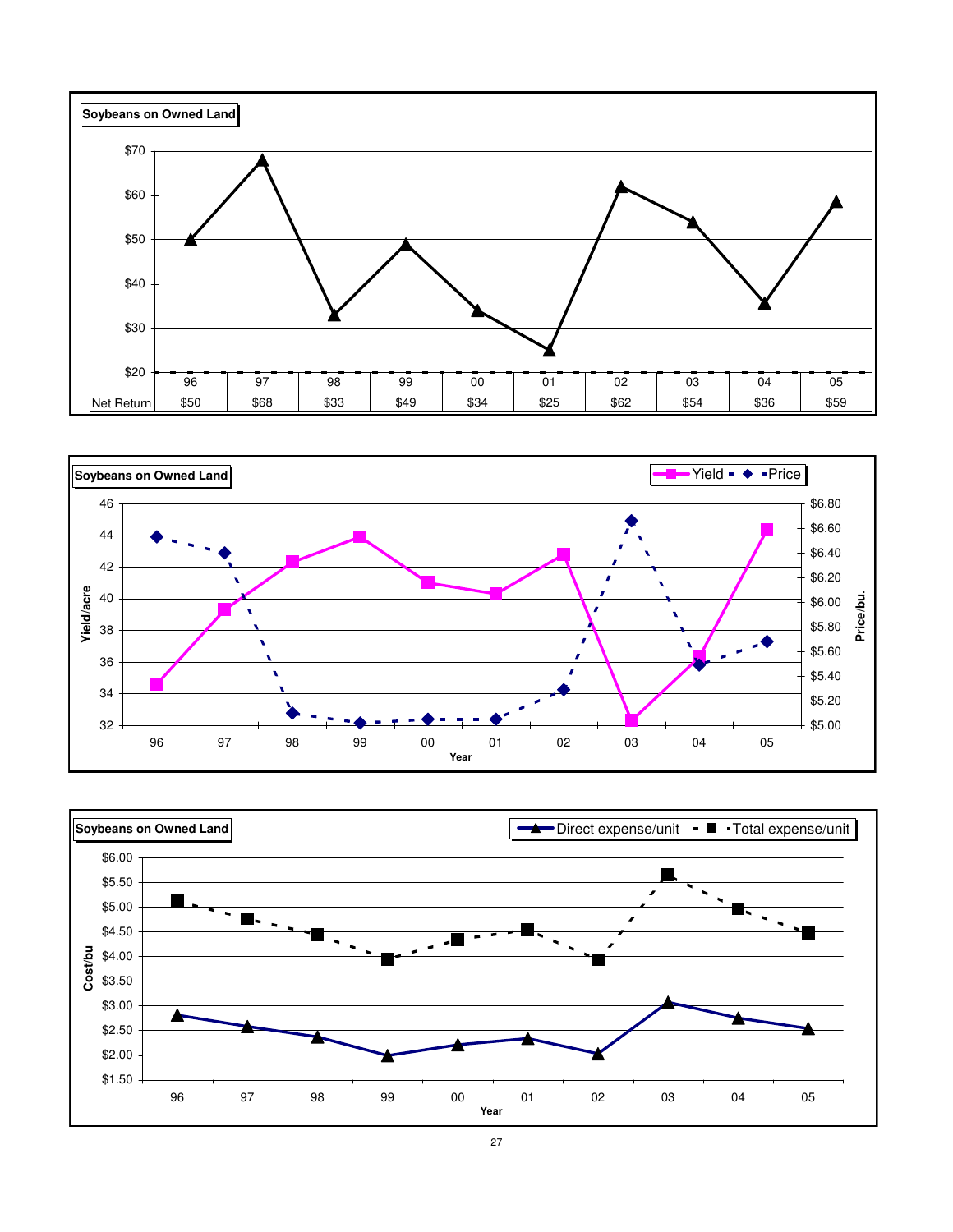



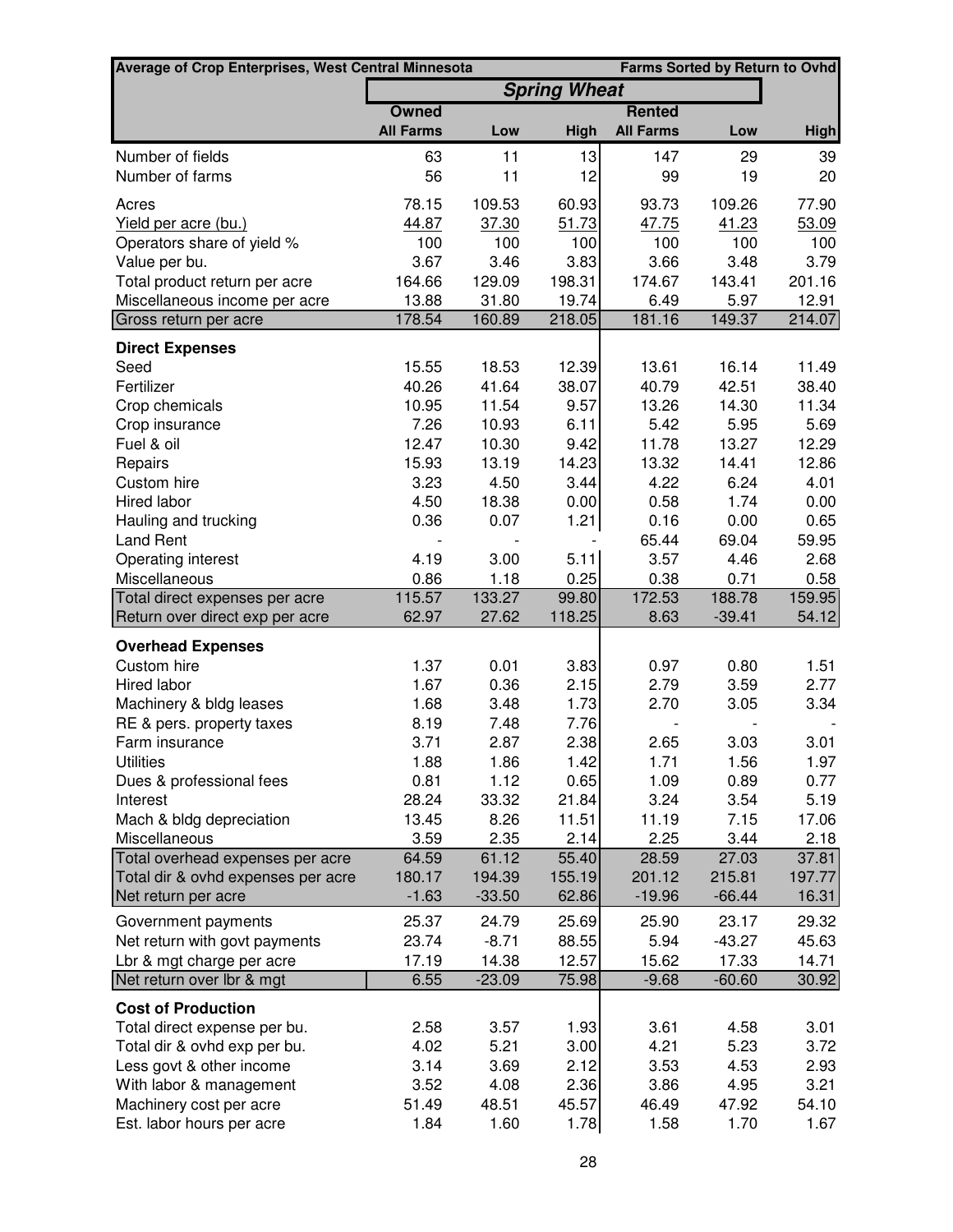| <b>Farms Sorted by Return to Ovhd</b><br><b>Average of Crop Enterprises, West Central Minnesota</b> |                  |              |                     |                  |              |                |
|-----------------------------------------------------------------------------------------------------|------------------|--------------|---------------------|------------------|--------------|----------------|
|                                                                                                     |                  |              | <b>Spring Wheat</b> |                  |              |                |
|                                                                                                     | <b>Owned</b>     |              |                     | <b>Rented</b>    |              |                |
|                                                                                                     | <b>All Farms</b> | Low          | High                | <b>All Farms</b> | Low          | <b>High</b>    |
| Number of fields                                                                                    | 63               | 11           | 13                  | 147              | 29           | 39             |
| Number of farms                                                                                     | 56               | 11           | 12                  | 99               | 19           | 20             |
| Acres                                                                                               | 78.15            | 109.53       | 60.93               | 93.73            | 109.26       | 77.90          |
| <u>Yield per acre (bu.)</u>                                                                         | 44.87            | 37.30        | 51.73               | 47.75            | 41.23        | 53.09          |
| Operators share of yield %                                                                          | 100              | 100          | 100                 | 100              | 100          | 100            |
| Value per bu.                                                                                       | 3.67             | 3.46         | 3.83                | 3.66             | 3.48         | 3.79           |
| Total product return per acre                                                                       | 164.66           | 129.09       | 198.31              | 174.67           | 143.41       | 201.16         |
| Miscellaneous income per acre                                                                       | 13.88            | 31.80        | 19.74               | 6.49             | 5.97         | 12.91          |
| Gross return per acre                                                                               | 178.54           | 160.89       | 218.05              | 181.16           | 149.37       | 214.07         |
| <b>Direct Expenses</b>                                                                              |                  |              |                     |                  |              |                |
| Seed                                                                                                | 15.55            | 18.53        | 12.39               | 13.61            | 16.14        | 11.49          |
| Fertilizer                                                                                          | 40.26            | 41.64        | 38.07               | 40.79            | 42.51        | 38.40          |
| Crop chemicals                                                                                      | 10.95            | 11.54        | 9.57                | 13.26            | 14.30        | 11.34          |
| Crop insurance                                                                                      | 7.26             | 10.93        | 6.11                | 5.42             | 5.95         | 5.69           |
| Fuel & oil                                                                                          | 12.47            | 10.30        | 9.42                | 11.78            | 13.27        | 12.29          |
| Repairs                                                                                             | 15.93            | 13.19        | 14.23               | 13.32            | 14.41        | 12.86          |
| Custom hire                                                                                         | 3.23             | 4.50         | 3.44                | 4.22             | 6.24         | 4.01           |
| Hired labor                                                                                         | 4.50             | 18.38        | 0.00                | 0.58             | 1.74         | 0.00           |
| Hauling and trucking                                                                                | 0.36             | 0.07         | 1.21                | 0.16             | 0.00         | 0.65           |
| Land Rent                                                                                           |                  |              |                     | 65.44            | 69.04        | 59.95          |
| Operating interest<br>Miscellaneous                                                                 | 4.19<br>0.86     | 3.00<br>1.18 | 5.11<br>0.25        | 3.57<br>0.38     | 4.46<br>0.71 | 2.68           |
| Total direct expenses per acre                                                                      | 115.57           | 133.27       | 99.80               | 172.53           | 188.78       | 0.58<br>159.95 |
| Return over direct exp per acre                                                                     | 62.97            | 27.62        | 118.25              | 8.63             | $-39.41$     | 54.12          |
|                                                                                                     |                  |              |                     |                  |              |                |
| <b>Overhead Expenses</b><br>Custom hire                                                             | 1.37             | 0.01         | 3.83                | 0.97             | 0.80         | 1.51           |
| Hired labor                                                                                         | 1.67             | 0.36         | 2.15                | 2.79             | 3.59         | 2.77           |
| Machinery & bldg leases                                                                             | 1.68             | 3.48         | 1.73                | 2.70             | 3.05         | 3.34           |
| RE & pers. property taxes                                                                           | 8.19             | 7.48         | 7.76                |                  |              |                |
| Farm insurance                                                                                      | 3.71             | 2.87         | 2.38                | 2.65             | 3.03         | 3.01           |
| <b>Utilities</b>                                                                                    | 1.88             | 1.86         | 1.42                | 1.71             | 1.56         | 1.97           |
| Dues & professional fees                                                                            | 0.81             | 1.12         | 0.65                | 1.09             | 0.89         | 0.77           |
| Interest                                                                                            | 28.24            | 33.32        | 21.84               | 3.24             | 3.54         | 5.19           |
| Mach & bldg depreciation                                                                            | 13.45            | 8.26         | 11.51               | 11.19            | 7.15         | 17.06          |
| Miscellaneous                                                                                       | 3.59             | 2.35         | 2.14                | 2.25             | 3.44         | 2.18           |
| Total overhead expenses per acre                                                                    | 64.59            | 61.12        | 55.40               | 28.59            | 27.03        | 37.81          |
| Total dir & ovhd expenses per acre                                                                  | 180.17           | 194.39       | 155.19              | 201.12           | 215.81       | 197.77         |
| Net return per acre                                                                                 | $-1.63$          | $-33.50$     | 62.86               | $-19.96$         | $-66.44$     | 16.31          |
| Government payments                                                                                 | 25.37            | 24.79        | 25.69               | 25.90            | 23.17        | 29.32          |
| Net return with govt payments                                                                       | 23.74            | $-8.71$      | 88.55               | 5.94             | $-43.27$     | 45.63          |
| Lbr & mgt charge per acre                                                                           | 17.19            | 14.38        | 12.57               | 15.62            | 17.33        | 14.71          |
| Net return over Ibr & mgt                                                                           | 6.55             | $-23.09$     | 75.98               | $-9.68$          | $-60.60$     | 30.92          |
| <b>Cost of Production</b>                                                                           |                  |              |                     |                  |              |                |
| Total direct expense per bu.                                                                        | 2.58             | 3.57         | 1.93                | 3.61             | 4.58         | 3.01           |
| Total dir & ovhd exp per bu.                                                                        | 4.02             | 5.21         | 3.00                | 4.21             | 5.23         | 3.72           |
| Less govt & other income                                                                            | 3.14             | 3.69         | 2.12                | 3.53             | 4.53         | 2.93           |
| With labor & management                                                                             | 3.52             | 4.08         | 2.36                | 3.86             | 4.95         | 3.21           |
| Machinery cost per acre                                                                             | 51.49            | 48.51        | 45.57               | 46.49            | 47.92        | 54.10          |
| Est. labor hours per acre                                                                           | 1.84             | 1.60         | 1.78                | 1.58             | 1.70         | 1.67           |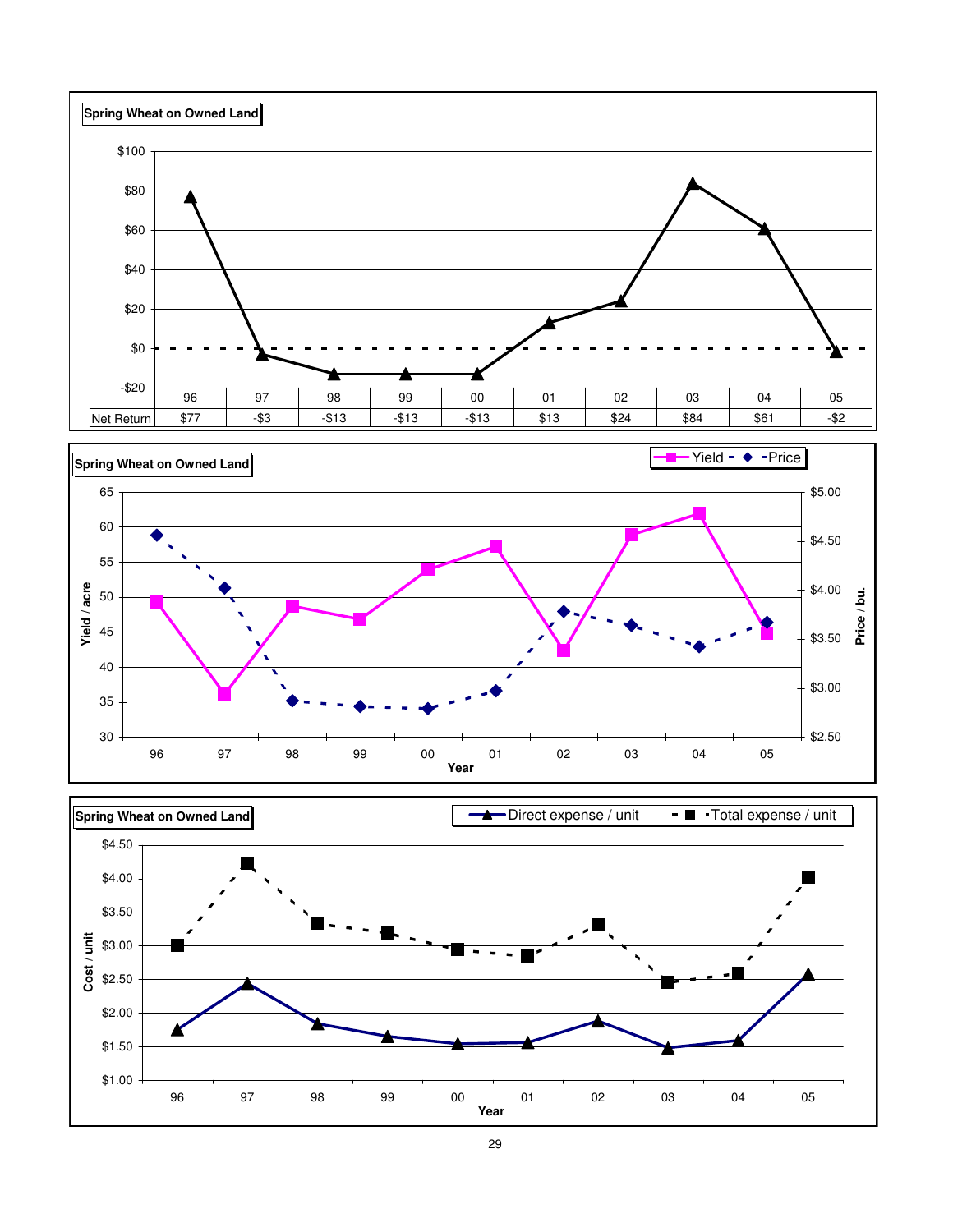



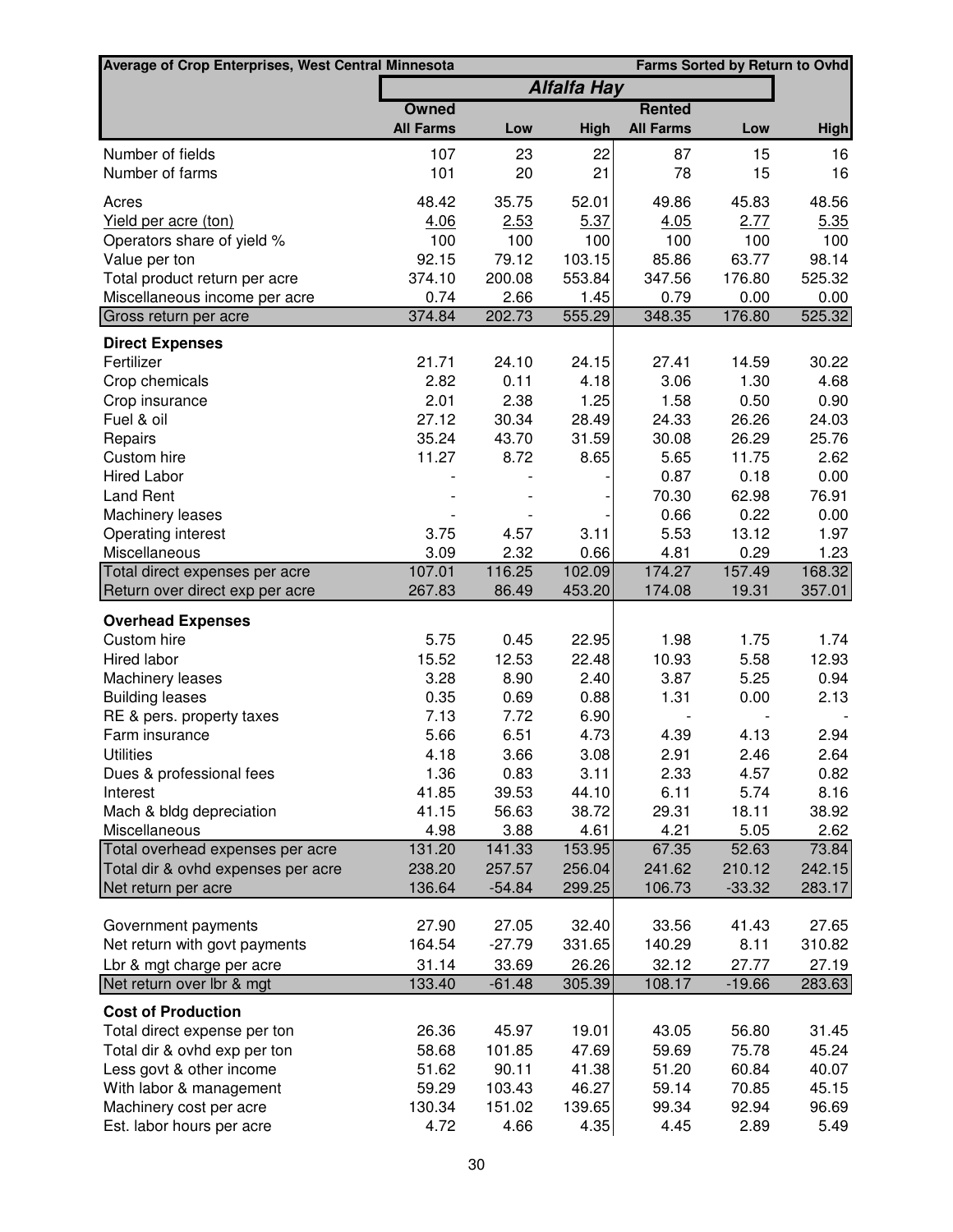| <b>Farms Sorted by Return to Ovhd</b><br>Average of Crop Enterprises, West Central Minnesota |                  |                  |                    |                  |                 |                 |
|----------------------------------------------------------------------------------------------|------------------|------------------|--------------------|------------------|-----------------|-----------------|
|                                                                                              |                  |                  | <b>Alfalfa Hay</b> |                  |                 |                 |
|                                                                                              | <b>Owned</b>     |                  |                    | <b>Rented</b>    |                 |                 |
|                                                                                              | <b>All Farms</b> | Low              | High               | <b>All Farms</b> | Low             | <b>High</b>     |
| Number of fields                                                                             | 107              | 23               | 22                 | 87               | 15              | 16              |
| Number of farms                                                                              | 101              | 20               | 21                 | 78               | 15              | 16              |
| Acres                                                                                        | 48.42            | 35.75            | 52.01              | 49.86            | 45.83           | 48.56           |
| Yield per acre (ton)                                                                         | 4.06             | 2.53             | 5.37               | 4.05             | 2.77            | 5.35            |
| Operators share of yield %                                                                   | 100              | 100              | 100                | 100              | 100             | 100             |
| Value per ton                                                                                | 92.15            | 79.12            | 103.15             | 85.86            | 63.77           | 98.14           |
| Total product return per acre                                                                | 374.10           | 200.08           | 553.84             | 347.56           | 176.80          | 525.32          |
| Miscellaneous income per acre                                                                | 0.74             | 2.66             | 1.45               | 0.79             | 0.00            | 0.00            |
| Gross return per acre                                                                        | 374.84           | 202.73           | 555.29             | 348.35           | 176.80          | 525.32          |
| <b>Direct Expenses</b>                                                                       |                  |                  |                    |                  |                 |                 |
| Fertilizer                                                                                   | 21.71            | 24.10            | 24.15              | 27.41            | 14.59           | 30.22           |
| Crop chemicals                                                                               | 2.82             | 0.11             | 4.18               | 3.06             | 1.30            | 4.68            |
| Crop insurance                                                                               | 2.01<br>27.12    | 2.38             | 1.25               | 1.58             | 0.50            | 0.90            |
| Fuel & oil                                                                                   |                  | 30.34            | 28.49              | 24.33            | 26.26           | 24.03           |
| Repairs<br>Custom hire                                                                       | 35.24<br>11.27   | 43.70<br>8.72    | 31.59<br>8.65      | 30.08<br>5.65    | 26.29<br>11.75  | 25.76<br>2.62   |
| <b>Hired Labor</b>                                                                           |                  |                  |                    | 0.87             | 0.18            | 0.00            |
| <b>Land Rent</b>                                                                             |                  |                  |                    | 70.30            | 62.98           | 76.91           |
| Machinery leases                                                                             |                  |                  |                    | 0.66             | 0.22            | 0.00            |
| Operating interest                                                                           | 3.75             | 4.57             | 3.11               | 5.53             | 13.12           | 1.97            |
| Miscellaneous                                                                                | 3.09             | 2.32             | 0.66               | 4.81             | 0.29            | 1.23            |
| Total direct expenses per acre                                                               | 107.01           | 116.25           | 102.09             | 174.27           | 157.49          | 168.32          |
| Return over direct exp per acre                                                              | 267.83           | 86.49            | 453.20             | 174.08           | 19.31           | 357.01          |
| <b>Overhead Expenses</b>                                                                     |                  |                  |                    |                  |                 |                 |
| Custom hire                                                                                  | 5.75             | 0.45             | 22.95              | 1.98             | 1.75            | 1.74            |
| Hired labor                                                                                  | 15.52            | 12.53            | 22.48              | 10.93            | 5.58            | 12.93           |
| Machinery leases                                                                             | 3.28             | 8.90             | 2.40               | 3.87             | 5.25            | 0.94            |
| <b>Building leases</b>                                                                       | 0.35             | 0.69             | 0.88               | 1.31             | 0.00            | 2.13            |
| RE & pers. property taxes                                                                    | 7.13             | 7.72             | 6.90               |                  |                 |                 |
| Farm insurance                                                                               | 5.66             | 6.51             | 4.73               | 4.39             | 4.13            | 2.94            |
| <b>Utilities</b>                                                                             | 4.18             | 3.66             | 3.08               | 2.91             | 2.46            | 2.64            |
| Dues & professional fees                                                                     | 1.36             | 0.83             | 3.11               | 2.33             | 4.57            | 0.82            |
| Interest                                                                                     | 41.85            | 39.53            | 44.10              | 6.11             | 5.74            | 8.16            |
| Mach & bldg depreciation                                                                     | 41.15            | 56.63            | 38.72              | 29.31            | 18.11           | 38.92           |
| Miscellaneous                                                                                | 4.98             | 3.88             | 4.61               | 4.21             | 5.05            | 2.62            |
| Total overhead expenses per acre<br>Total dir & ovhd expenses per acre                       | 131.20<br>238.20 | 141.33<br>257.57 | 153.95<br>256.04   | 67.35<br>241.62  | 52.63<br>210.12 | 73.84<br>242.15 |
| Net return per acre                                                                          | 136.64           | $-54.84$         | 299.25             | 106.73           | $-33.32$        | 283.17          |
|                                                                                              |                  |                  |                    |                  |                 |                 |
| Government payments                                                                          | 27.90            | 27.05            | 32.40              | 33.56            | 41.43           | 27.65           |
| Net return with govt payments                                                                | 164.54           | $-27.79$         | 331.65             | 140.29           | 8.11            | 310.82          |
| Lbr & mgt charge per acre                                                                    | 31.14            | 33.69            | 26.26              | 32.12            | 27.77           | 27.19           |
| Net return over lbr & mgt                                                                    | 133.40           | $-61.48$         | 305.39             | 108.17           | $-19.66$        | 283.63          |
| <b>Cost of Production</b>                                                                    |                  |                  |                    |                  |                 |                 |
| Total direct expense per ton                                                                 | 26.36            | 45.97            | 19.01              | 43.05            | 56.80           | 31.45           |
| Total dir & ovhd exp per ton                                                                 | 58.68            | 101.85           | 47.69              | 59.69            | 75.78           | 45.24           |
| Less govt & other income                                                                     | 51.62            | 90.11            | 41.38              | 51.20            | 60.84           | 40.07           |
| With labor & management                                                                      | 59.29            | 103.43           | 46.27              | 59.14            | 70.85           | 45.15           |
| Machinery cost per acre                                                                      | 130.34           | 151.02           | 139.65             | 99.34            | 92.94           | 96.69           |
| Est. labor hours per acre                                                                    | 4.72             | 4.66             | 4.35               | 4.45             | 2.89            | 5.49            |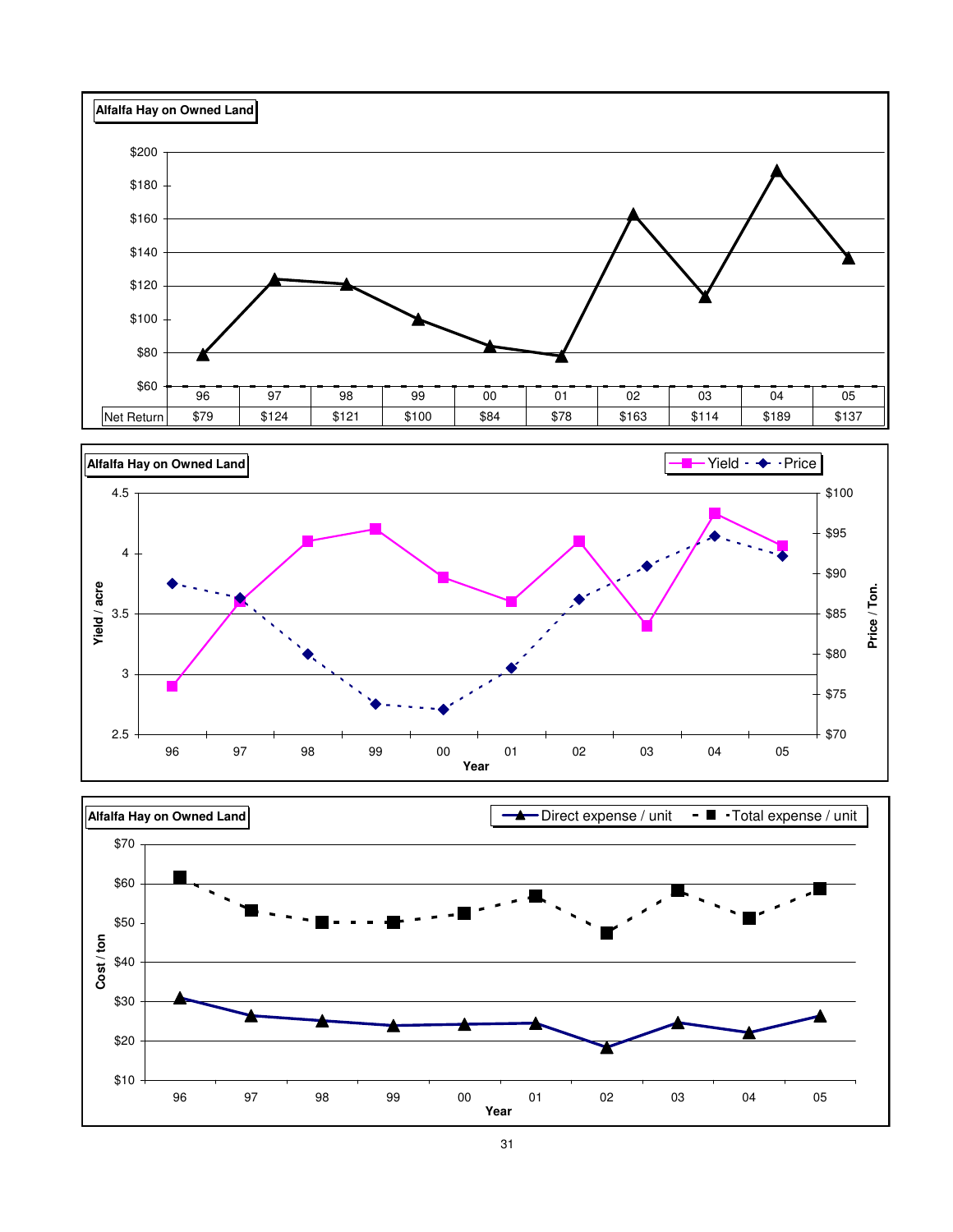





31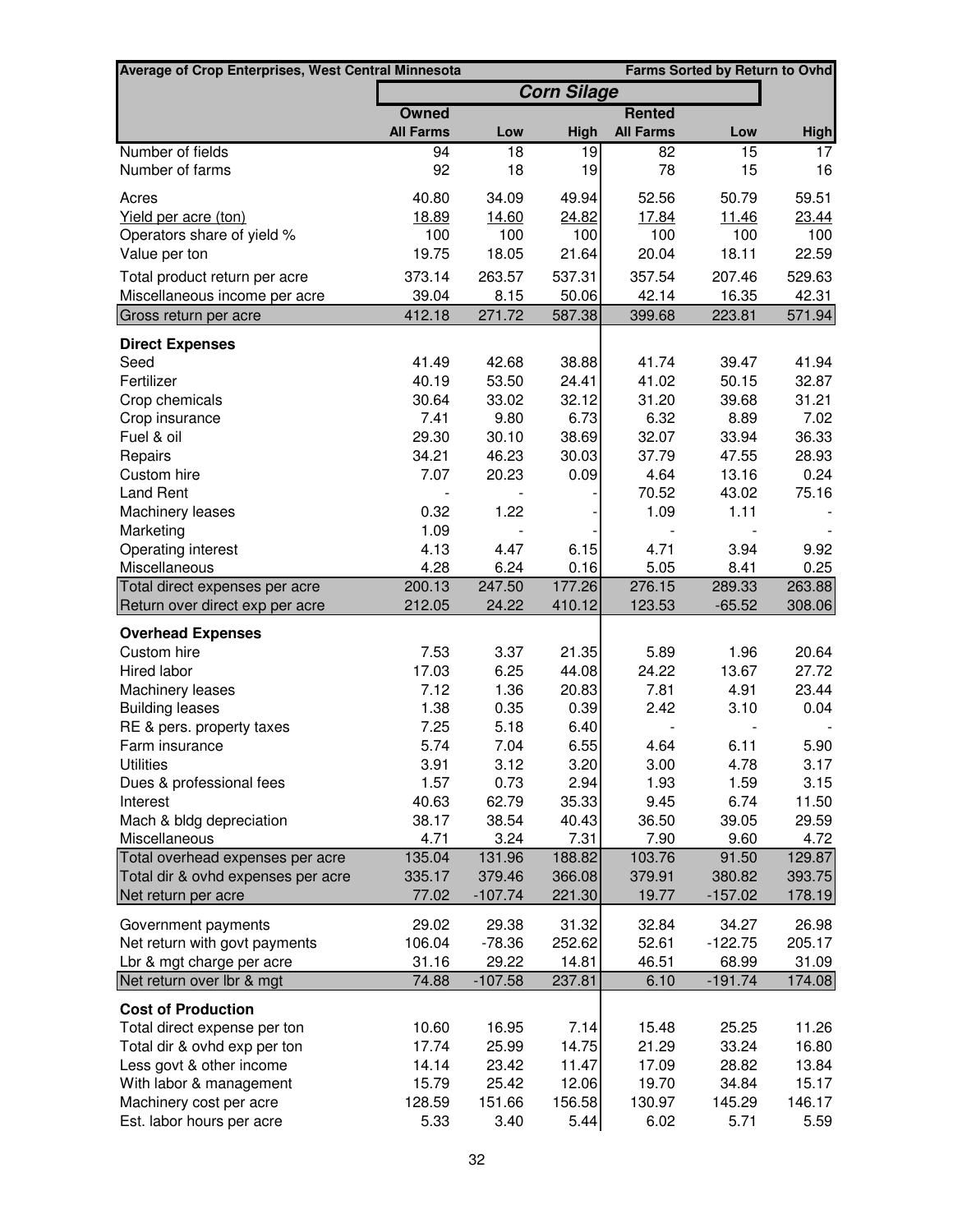| Average of Crop Enterprises, West Central Minnesota |                  | <b>Farms Sorted by Return to Ovhd</b> |                    |                  |                     |                  |
|-----------------------------------------------------|------------------|---------------------------------------|--------------------|------------------|---------------------|------------------|
|                                                     |                  |                                       | <b>Corn Silage</b> |                  |                     |                  |
|                                                     | <b>Owned</b>     |                                       |                    | <b>Rented</b>    |                     |                  |
|                                                     | <b>All Farms</b> | Low                                   | High               | <b>All Farms</b> | Low                 | <b>High</b>      |
| Number of fields                                    | 94               | 18                                    | 19                 | 82               | $\overline{15}$     | 17               |
| Number of farms                                     | 92               | 18                                    | 19                 | 78               | 15                  | 16               |
| Acres                                               | 40.80            | 34.09                                 | 49.94              | 52.56            | 50.79               | 59.51            |
| Yield per acre (ton)                                | 18.89            | 14.60                                 | 24.82              | 17.84            | 11.46               | 23.44            |
| Operators share of yield %                          | 100              | 100                                   | 100                | 100              | 100                 | 100              |
| Value per ton                                       | 19.75            | 18.05                                 | 21.64              | 20.04            | 18.11               | 22.59            |
| Total product return per acre                       | 373.14           | 263.57                                | 537.31             | 357.54           | 207.46              | 529.63           |
| Miscellaneous income per acre                       | 39.04            | 8.15                                  | 50.06              | 42.14            | 16.35               | 42.31            |
| Gross return per acre                               | 412.18           | 271.72                                | 587.38             | 399.68           | 223.81              | 571.94           |
| <b>Direct Expenses</b>                              |                  |                                       |                    |                  |                     |                  |
| Seed                                                | 41.49            | 42.68                                 | 38.88              | 41.74            | 39.47               | 41.94            |
| Fertilizer                                          | 40.19            | 53.50                                 | 24.41              | 41.02            | 50.15               | 32.87            |
| Crop chemicals                                      | 30.64            | 33.02                                 | 32.12              | 31.20            | 39.68               | 31.21            |
| Crop insurance                                      | 7.41             | 9.80                                  | 6.73               | 6.32             | 8.89                | 7.02             |
| Fuel & oil                                          | 29.30            | 30.10                                 | 38.69              | 32.07            | 33.94               | 36.33            |
| Repairs                                             | 34.21            | 46.23                                 | 30.03              | 37.79            | 47.55               | 28.93            |
| Custom hire                                         | 7.07             | 20.23                                 | 0.09               | 4.64             | 13.16               | 0.24             |
| <b>Land Rent</b>                                    |                  |                                       |                    | 70.52            | 43.02               | 75.16            |
| Machinery leases                                    | 0.32             | 1.22                                  |                    | 1.09             | 1.11                |                  |
| Marketing                                           | 1.09             |                                       |                    |                  |                     |                  |
| Operating interest                                  | 4.13             | 4.47                                  | 6.15               | 4.71             | 3.94                | 9.92             |
| Miscellaneous                                       | 4.28             | 6.24                                  | 0.16               | 5.05             | 8.41                | 0.25             |
| Total direct expenses per acre                      | 200.13           | 247.50                                | 177.26             | 276.15           | 289.33              | 263.88           |
| Return over direct exp per acre                     | 212.05           | 24.22                                 | 410.12             | 123.53           | $-65.52$            | 308.06           |
| <b>Overhead Expenses</b>                            |                  |                                       |                    |                  |                     |                  |
| Custom hire                                         | 7.53             | 3.37                                  | 21.35              | 5.89             | 1.96                | 20.64            |
| <b>Hired labor</b>                                  | 17.03            | 6.25                                  | 44.08              | 24.22            | 13.67               | 27.72            |
| Machinery leases                                    | 7.12             | 1.36                                  | 20.83              | 7.81             | 4.91                | 23.44            |
| <b>Building leases</b>                              | 1.38             | 0.35                                  | 0.39               | 2.42             | 3.10                | 0.04             |
| RE & pers. property taxes                           | 7.25             | 5.18                                  | 6.40               |                  |                     |                  |
| Farm insurance                                      | 5.74             | 7.04                                  | 6.55               | 4.64             | 6.11                | 5.90             |
| <b>Utilities</b>                                    | 3.91             | 3.12                                  | 3.20               | 3.00             | 4.78                | 3.17             |
| Dues & professional fees                            | 1.57             | 0.73                                  | 2.94               | 1.93             | 1.59                | 3.15             |
| Interest                                            | 40.63            | 62.79                                 | 35.33              | 9.45             | 6.74                | 11.50            |
| Mach & bldg depreciation                            | 38.17            | 38.54                                 | 40.43              | 36.50            | 39.05               | 29.59            |
| Miscellaneous                                       | 4.71             | 3.24                                  | 7.31               | 7.90             | 9.60                | 4.72             |
| Total overhead expenses per acre                    | 135.04           | 131.96                                | 188.82             | 103.76           | 91.50               | 129.87           |
| Total dir & ovhd expenses per acre                  | 335.17<br>77.02  | 379.46<br>$-107.74$                   | 366.08<br>221.30   | 379.91<br>19.77  | 380.82<br>$-157.02$ | 393.75<br>178.19 |
| Net return per acre                                 |                  |                                       |                    |                  |                     |                  |
| Government payments                                 | 29.02            | 29.38                                 | 31.32              | 32.84            | 34.27               | 26.98            |
| Net return with govt payments                       | 106.04           | $-78.36$                              | 252.62             | 52.61            | $-122.75$           | 205.17           |
| Lbr & mgt charge per acre                           | 31.16            | 29.22                                 | 14.81              | 46.51            | 68.99               | 31.09            |
| Net return over Ibr & mgt                           | 74.88            | $-107.58$                             | 237.81             | 6.10             | $-191.74$           | 174.08           |
| <b>Cost of Production</b>                           |                  |                                       |                    |                  |                     |                  |
| Total direct expense per ton                        | 10.60            | 16.95                                 | 7.14               | 15.48            | 25.25               | 11.26            |
| Total dir & ovhd exp per ton                        | 17.74            | 25.99                                 | 14.75              | 21.29            | 33.24               | 16.80            |
| Less govt & other income                            | 14.14            | 23.42                                 | 11.47              | 17.09            | 28.82               | 13.84            |
| With labor & management                             | 15.79            | 25.42                                 | 12.06              | 19.70            | 34.84               | 15.17            |
| Machinery cost per acre                             | 128.59           | 151.66                                | 156.58             | 130.97           | 145.29              | 146.17           |
| Est. labor hours per acre                           | 5.33             | 3.40                                  | 5.44               | 6.02             | 5.71                | 5.59             |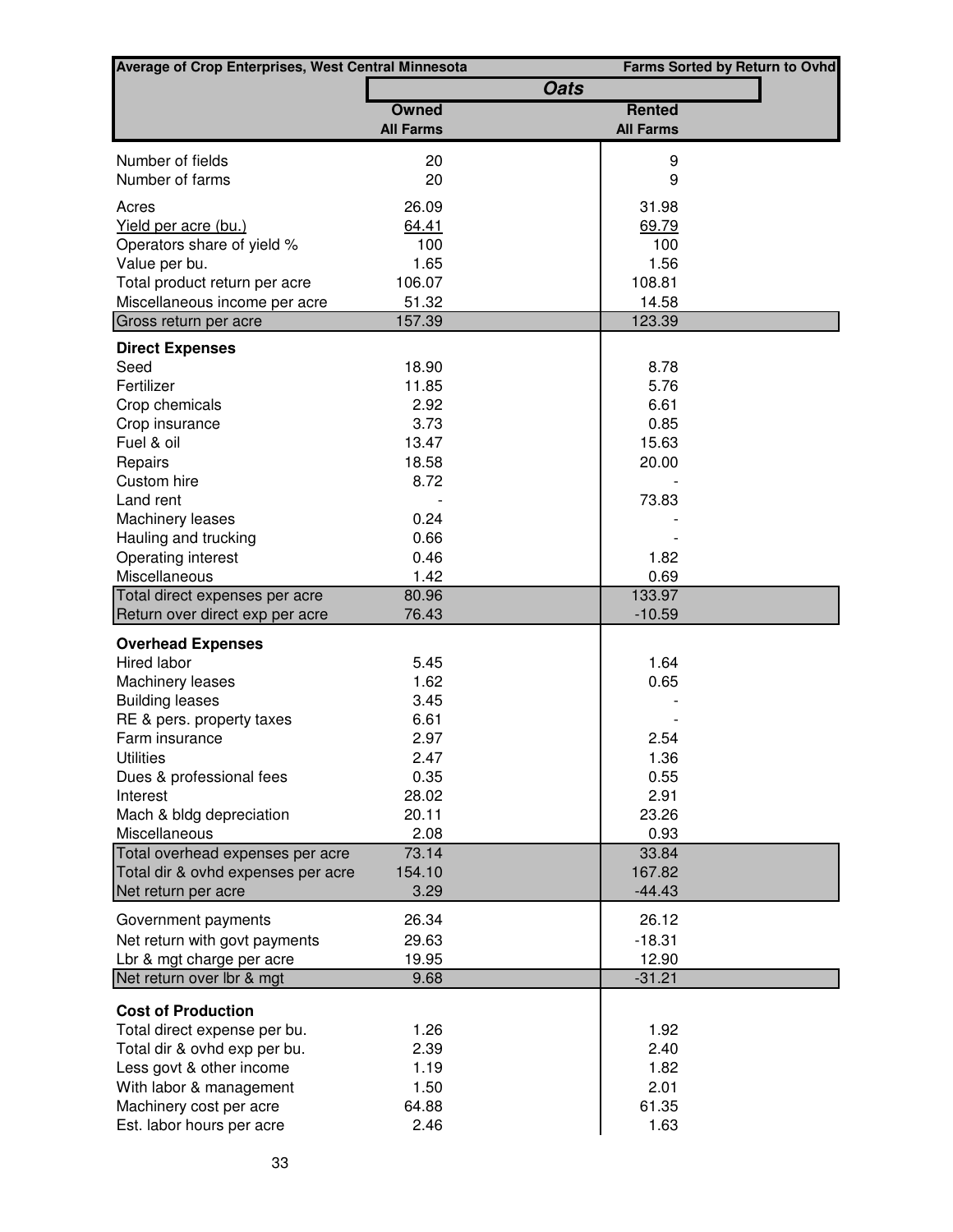| <b>Average of Crop Enterprises, West Central Minnesota</b> |                  |             |                  | <b>Farms Sorted by Return to Ovhd</b> |
|------------------------------------------------------------|------------------|-------------|------------------|---------------------------------------|
|                                                            |                  | <b>Oats</b> |                  |                                       |
|                                                            | <b>Owned</b>     |             | <b>Rented</b>    |                                       |
|                                                            | <b>All Farms</b> |             | <b>All Farms</b> |                                       |
| Number of fields                                           | 20               |             | 9                |                                       |
| Number of farms                                            | 20               |             | 9                |                                       |
| Acres                                                      | 26.09            |             | 31.98            |                                       |
| Yield per acre (bu.)                                       | 64.41            |             | 69.79            |                                       |
| Operators share of yield %                                 | 100              |             | 100              |                                       |
| Value per bu.                                              | 1.65             |             | 1.56             |                                       |
| Total product return per acre                              | 106.07           |             | 108.81           |                                       |
| Miscellaneous income per acre                              | 51.32            |             | 14.58            |                                       |
| Gross return per acre                                      | 157.39           |             | 123.39           |                                       |
| <b>Direct Expenses</b>                                     |                  |             |                  |                                       |
| Seed                                                       | 18.90            |             | 8.78             |                                       |
| Fertilizer                                                 | 11.85            |             | 5.76             |                                       |
| Crop chemicals                                             | 2.92             |             | 6.61             |                                       |
| Crop insurance                                             | 3.73             |             | 0.85             |                                       |
| Fuel & oil                                                 | 13.47            |             | 15.63            |                                       |
| Repairs                                                    | 18.58            |             | 20.00            |                                       |
| Custom hire                                                | 8.72             |             |                  |                                       |
| Land rent                                                  |                  |             | 73.83            |                                       |
| Machinery leases                                           | 0.24             |             |                  |                                       |
| Hauling and trucking                                       | 0.66             |             |                  |                                       |
| Operating interest<br>Miscellaneous                        | 0.46<br>1.42     |             | 1.82<br>0.69     |                                       |
| Total direct expenses per acre                             | 80.96            |             | 133.97           |                                       |
| Return over direct exp per acre                            | 76.43            |             | $-10.59$         |                                       |
|                                                            |                  |             |                  |                                       |
| <b>Overhead Expenses</b><br>Hired labor                    | 5.45             |             | 1.64             |                                       |
| Machinery leases                                           | 1.62             |             | 0.65             |                                       |
| <b>Building leases</b>                                     | 3.45             |             |                  |                                       |
| RE & pers. property taxes                                  | 6.61             |             |                  |                                       |
| Farm insurance                                             | 2.97             |             | 2.54             |                                       |
| <b>Utilities</b>                                           | 2.47             |             | 1.36             |                                       |
| Dues & professional fees                                   | 0.35             |             | 0.55             |                                       |
| Interest                                                   | 28.02            |             | 2.91             |                                       |
| Mach & bldg depreciation                                   | 20.11            |             | 23.26            |                                       |
| Miscellaneous                                              | 2.08             |             | 0.93             |                                       |
| Total overhead expenses per acre                           | 73.14            |             | 33.84            |                                       |
| Total dir & ovhd expenses per acre                         | 154.10           |             | 167.82           |                                       |
| Net return per acre                                        | 3.29             |             | $-44.43$         |                                       |
| Government payments                                        | 26.34            |             | 26.12            |                                       |
| Net return with govt payments                              | 29.63            |             | $-18.31$         |                                       |
| Lbr & mgt charge per acre                                  | 19.95            |             | 12.90            |                                       |
| Net return over lbr & mgt                                  | 9.68             |             | $-31.21$         |                                       |
| <b>Cost of Production</b>                                  |                  |             |                  |                                       |
| Total direct expense per bu.                               | 1.26             |             | 1.92             |                                       |
| Total dir & ovhd exp per bu.                               | 2.39             |             | 2.40             |                                       |
| Less govt & other income                                   | 1.19             |             | 1.82             |                                       |
| With labor & management                                    | 1.50             |             | 2.01             |                                       |
| Machinery cost per acre                                    | 64.88            |             | 61.35            |                                       |
| Est. labor hours per acre                                  | 2.46             |             | 1.63             |                                       |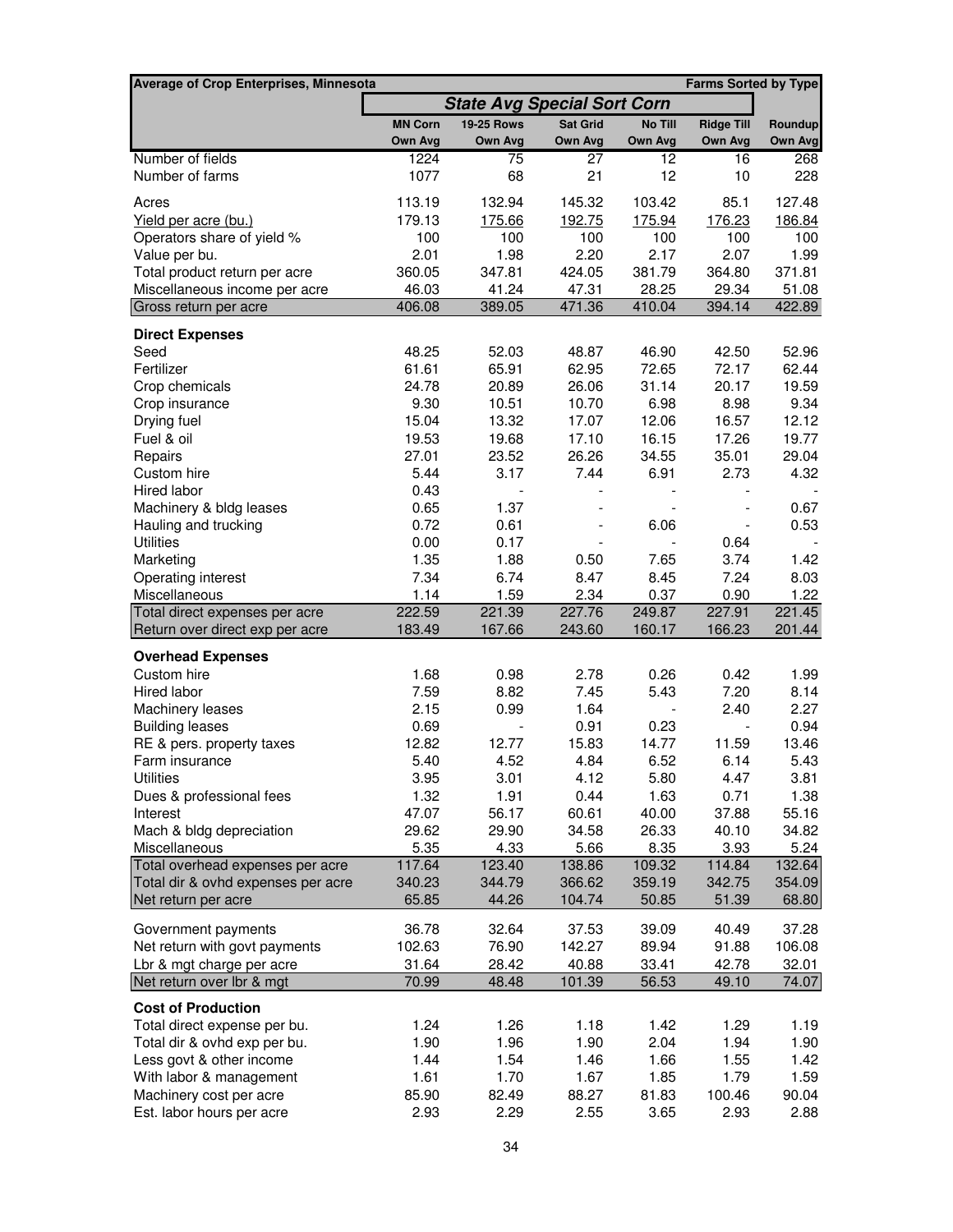| <b>Average of Crop Enterprises, Minnesota</b>                     |                                    |                          |                          |                  | <b>Farms Sorted by Type</b> |                  |
|-------------------------------------------------------------------|------------------------------------|--------------------------|--------------------------|------------------|-----------------------------|------------------|
|                                                                   | <b>State Avg Special Sort Corn</b> |                          |                          |                  |                             |                  |
|                                                                   | <b>MN Corn</b>                     | <b>19-25 Rows</b>        | <b>Sat Grid</b>          | No Till          | <b>Ridge Till</b>           | Roundup          |
|                                                                   | Own Avg                            | Own Avg                  | <b>Own Avg</b>           | Own Avg          | <b>Own Avg</b>              | Own Avg          |
| Number of fields                                                  | 1224                               | 75                       | 27                       | 12               | 16                          | 268              |
| Number of farms                                                   | 1077                               | 68                       | 21                       | 12               | 10                          | 228              |
| Acres                                                             | 113.19                             | 132.94                   | 145.32                   | 103.42           | 85.1                        | 127.48           |
| Yield per acre (bu.)                                              | 179.13                             | 175.66                   | <u>192.75</u>            | 175.94           | 176.23                      | 186.84           |
| Operators share of yield %                                        | 100                                | 100                      | 100                      | 100              | 100                         | 100              |
| Value per bu.                                                     | 2.01                               | 1.98                     | 2.20                     | 2.17             | 2.07                        | 1.99             |
| Total product return per acre                                     | 360.05                             | 347.81                   | 424.05                   | 381.79           | 364.80                      | 371.81           |
| Miscellaneous income per acre                                     | 46.03                              | 41.24                    | 47.31                    | 28.25            | 29.34                       | 51.08            |
| Gross return per acre                                             | 406.08                             | 389.05                   | 471.36                   | 410.04           | 394.14                      | 422.89           |
| <b>Direct Expenses</b>                                            |                                    |                          |                          |                  |                             |                  |
| Seed                                                              | 48.25                              | 52.03                    | 48.87                    | 46.90            | 42.50                       | 52.96            |
| Fertilizer                                                        | 61.61                              | 65.91                    | 62.95                    | 72.65            | 72.17                       | 62.44            |
| Crop chemicals                                                    | 24.78                              | 20.89                    | 26.06                    | 31.14            | 20.17                       | 19.59            |
| Crop insurance                                                    | 9.30                               | 10.51                    | 10.70                    | 6.98             | 8.98                        | 9.34             |
| Drying fuel                                                       | 15.04                              | 13.32                    | 17.07                    | 12.06            | 16.57                       | 12.12            |
| Fuel & oil                                                        | 19.53                              | 19.68                    | 17.10                    | 16.15            | 17.26                       | 19.77            |
| Repairs                                                           | 27.01                              | 23.52                    | 26.26                    | 34.55            | 35.01                       | 29.04            |
| Custom hire                                                       | 5.44                               | 3.17                     | 7.44                     | 6.91             | 2.73                        | 4.32             |
| Hired labor                                                       | 0.43                               |                          |                          |                  |                             |                  |
| Machinery & bldg leases                                           | 0.65                               | 1.37                     | $\overline{\phantom{0}}$ |                  |                             | 0.67             |
| Hauling and trucking                                              | 0.72                               | 0.61                     | $\overline{\phantom{a}}$ | 6.06             | $\overline{\phantom{a}}$    | 0.53             |
| <b>Utilities</b>                                                  | 0.00                               | 0.17                     |                          |                  | 0.64                        |                  |
| Marketing                                                         | 1.35                               | 1.88                     | 0.50                     | 7.65             | 3.74                        | 1.42             |
| Operating interest                                                | 7.34                               | 6.74                     | 8.47                     | 8.45             | 7.24                        | 8.03             |
| Miscellaneous                                                     | 1.14                               | 1.59                     | 2.34                     | 0.37             | 0.90                        | 1.22             |
| Total direct expenses per acre<br>Return over direct exp per acre | 222.59<br>183.49                   | 221.39<br>167.66         | 227.76<br>243.60         | 249.87<br>160.17 | 227.91<br>166.23            | 221.45<br>201.44 |
| <b>Overhead Expenses</b>                                          |                                    |                          |                          |                  |                             |                  |
| Custom hire                                                       | 1.68                               | 0.98                     | 2.78                     | 0.26             | 0.42                        | 1.99             |
| Hired labor                                                       | 7.59                               | 8.82                     | 7.45                     | 5.43             | 7.20                        | 8.14             |
| Machinery leases                                                  | 2.15                               | 0.99                     | 1.64                     |                  | 2.40                        | 2.27             |
| <b>Building leases</b>                                            | 0.69                               | $\overline{\phantom{a}}$ | 0.91                     | 0.23             | $\blacksquare$              | 0.94             |
| RE & pers. property taxes                                         | 12.82                              | 12.77                    | 15.83                    | 14.77            | 11.59                       | 13.46            |
| Farm insurance                                                    | 5.40                               | 4.52                     | 4.84                     | 6.52             | 6.14                        | 5.43             |
| <b>Utilities</b>                                                  | 3.95                               | 3.01                     | 4.12                     | 5.80             | 4.47                        | 3.81             |
| Dues & professional fees                                          | 1.32                               | 1.91                     | 0.44                     | 1.63             | 0.71                        | 1.38             |
| Interest                                                          | 47.07                              | 56.17                    | 60.61                    | 40.00            | 37.88                       | 55.16            |
| Mach & bldg depreciation                                          | 29.62                              | 29.90                    | 34.58                    | 26.33            | 40.10                       | 34.82            |
| Miscellaneous                                                     | 5.35                               | 4.33                     | 5.66                     | 8.35             | 3.93                        | 5.24             |
| Total overhead expenses per acre                                  | 117.64                             | 123.40                   | 138.86                   | 109.32           | 114.84                      | 132.64           |
| Total dir & ovhd expenses per acre                                | 340.23                             | 344.79                   | 366.62                   | 359.19           | 342.75                      | 354.09           |
| Net return per acre                                               | 65.85                              | 44.26                    | 104.74                   | 50.85            | 51.39                       | 68.80            |
| Government payments                                               | 36.78                              | 32.64                    | 37.53                    | 39.09            | 40.49                       | 37.28            |
| Net return with govt payments                                     | 102.63                             | 76.90                    | 142.27                   | 89.94            | 91.88                       | 106.08           |
| Lbr & mgt charge per acre                                         | 31.64                              | 28.42                    | 40.88                    | 33.41            | 42.78                       | 32.01            |
| Net return over Ibr & mgt                                         | 70.99                              | 48.48                    | 101.39                   | 56.53            | 49.10                       | 74.07            |
| <b>Cost of Production</b>                                         |                                    |                          |                          |                  |                             |                  |
| Total direct expense per bu.                                      | 1.24                               | 1.26                     | 1.18                     | 1.42             | 1.29                        | 1.19             |
| Total dir & ovhd exp per bu.                                      | 1.90                               | 1.96                     | 1.90                     | 2.04             | 1.94                        | 1.90             |
| Less govt & other income                                          | 1.44                               | 1.54                     | 1.46                     | 1.66             | 1.55                        | 1.42             |
| With labor & management                                           | 1.61                               | 1.70                     | 1.67                     | 1.85             | 1.79                        | 1.59             |
| Machinery cost per acre                                           | 85.90                              | 82.49                    | 88.27                    | 81.83            | 100.46                      | 90.04            |
| Est. labor hours per acre                                         | 2.93                               | 2.29                     | 2.55                     | 3.65             | 2.93                        | 2.88             |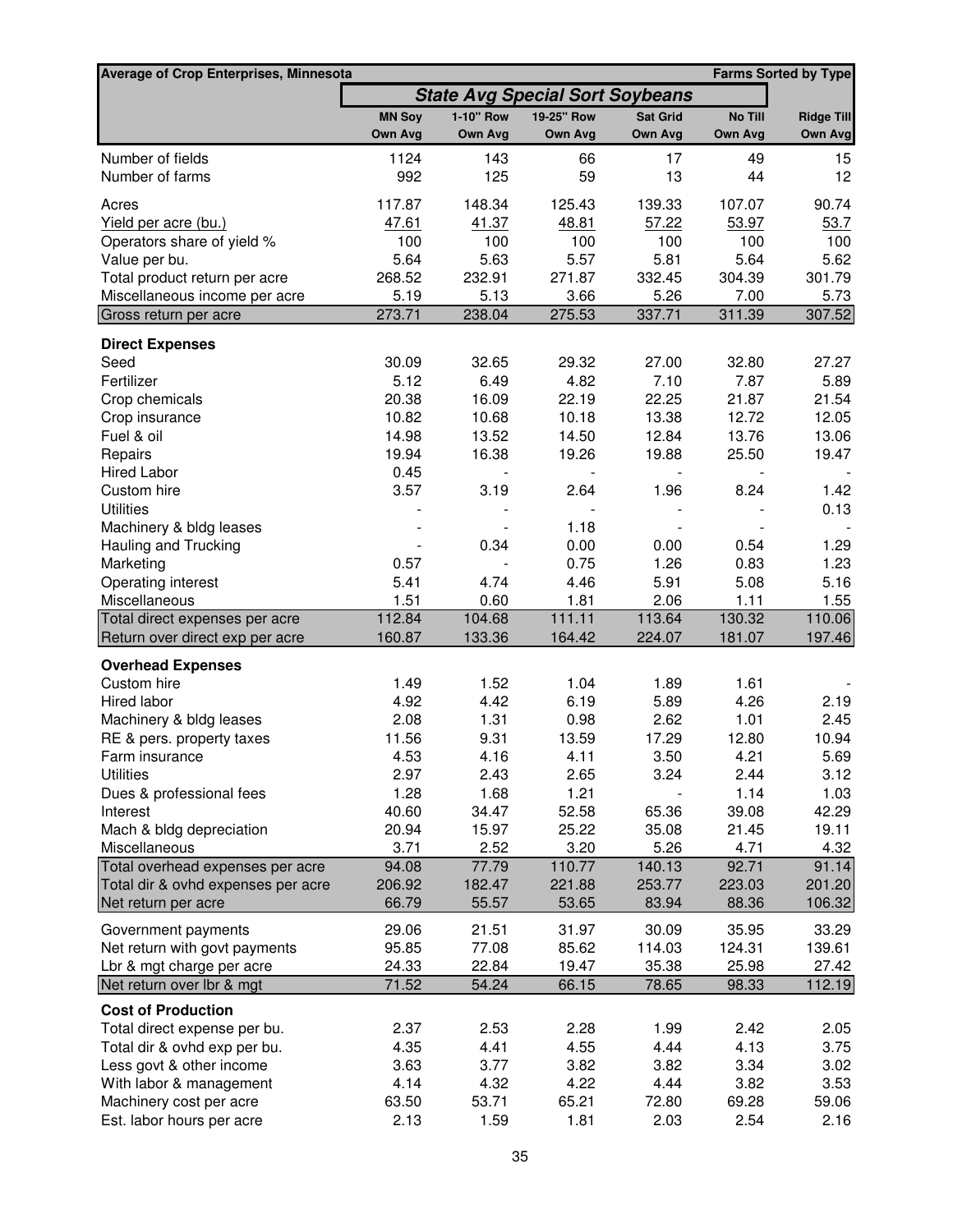| Average of Crop Enterprises, Minnesota                            |                  |                  |                                        |                  |                  | <b>Farms Sorted by Type</b> |
|-------------------------------------------------------------------|------------------|------------------|----------------------------------------|------------------|------------------|-----------------------------|
|                                                                   |                  |                  | <b>State Avg Special Sort Soybeans</b> |                  |                  |                             |
|                                                                   | <b>MN Soy</b>    | 1-10" Row        | 19-25" Row                             | <b>Sat Grid</b>  | No Till          | <b>Ridge Till</b>           |
|                                                                   | Own Avg          | Own Avg          | Own Avg                                | Own Avg          | Own Avg          | Own Avg                     |
| Number of fields                                                  | 1124             | 143              | 66                                     | 17               | 49               | 15                          |
| Number of farms                                                   | 992              | 125              | 59                                     | 13               | 44               | 12                          |
| Acres                                                             | 117.87           | 148.34           | 125.43                                 | 139.33           | 107.07           | 90.74                       |
| Yield per acre (bu.)                                              | 47.61            | 41.37            | 48.81                                  | 57.22            | 53.97            | 53.7                        |
| Operators share of yield %                                        | 100              | 100              | 100                                    | 100              | 100              | 100                         |
| Value per bu.                                                     | 5.64             | 5.63             | 5.57                                   | 5.81             | 5.64             | 5.62                        |
| Total product return per acre                                     | 268.52           | 232.91           | 271.87                                 | 332.45           | 304.39           | 301.79                      |
| Miscellaneous income per acre                                     | 5.19             | 5.13             | 3.66                                   | 5.26             | 7.00             | 5.73                        |
| Gross return per acre                                             | 273.71           | 238.04           | 275.53                                 | 337.71           | 311.39           | 307.52                      |
| <b>Direct Expenses</b>                                            |                  |                  |                                        |                  |                  |                             |
| Seed                                                              | 30.09            | 32.65            | 29.32                                  | 27.00            | 32.80            | 27.27                       |
| Fertilizer                                                        | 5.12             | 6.49             | 4.82                                   | 7.10             | 7.87             | 5.89                        |
| Crop chemicals                                                    | 20.38            | 16.09            | 22.19                                  | 22.25            | 21.87            | 21.54                       |
| Crop insurance                                                    | 10.82            | 10.68            | 10.18                                  | 13.38            | 12.72            | 12.05                       |
| Fuel & oil                                                        | 14.98            | 13.52            | 14.50                                  | 12.84            | 13.76            | 13.06                       |
| Repairs                                                           | 19.94            | 16.38            | 19.26                                  | 19.88            | 25.50            | 19.47                       |
| <b>Hired Labor</b>                                                | 0.45             |                  |                                        |                  |                  |                             |
| Custom hire                                                       | 3.57             | 3.19             | 2.64                                   | 1.96             | 8.24             | 1.42                        |
| <b>Utilities</b>                                                  |                  |                  |                                        |                  |                  | 0.13                        |
| Machinery & bldg leases                                           |                  |                  | 1.18                                   |                  |                  |                             |
| Hauling and Trucking                                              |                  | 0.34             | 0.00                                   | 0.00             | 0.54             | 1.29                        |
| Marketing                                                         | 0.57             |                  | 0.75                                   | 1.26             | 0.83             | 1.23                        |
| Operating interest                                                | 5.41             | 4.74             | 4.46                                   | 5.91             | 5.08             | 5.16                        |
| Miscellaneous                                                     | 1.51             | 0.60             | 1.81                                   | 2.06             | 1.11             | 1.55                        |
| Total direct expenses per acre<br>Return over direct exp per acre | 112.84<br>160.87 | 104.68<br>133.36 | 111.11<br>164.42                       | 113.64<br>224.07 | 130.32<br>181.07 | 110.06<br>197.46            |
|                                                                   |                  |                  |                                        |                  |                  |                             |
| <b>Overhead Expenses</b><br>Custom hire                           | 1.49             | 1.52             | 1.04                                   | 1.89             | 1.61             |                             |
| Hired labor                                                       | 4.92             | 4.42             | 6.19                                   | 5.89             | 4.26             | 2.19                        |
| Machinery & bldg leases                                           | 2.08             | 1.31             | 0.98                                   | 2.62             | 1.01             | 2.45                        |
| RE & pers. property taxes                                         | 11.56            | 9.31             | 13.59                                  | 17.29            | 12.80            | 10.94                       |
| Farm insurance                                                    | 4.53             | 4.16             | 4.11                                   | 3.50             | 4.21             | 5.69                        |
| <b>Utilities</b>                                                  | 2.97             | 2.43             | 2.65                                   | 3.24             | 2.44             | 3.12                        |
| Dues & professional fees                                          | 1.28             | 1.68             | 1.21                                   |                  | 1.14             | 1.03                        |
| Interest                                                          | 40.60            | 34.47            | 52.58                                  | 65.36            | 39.08            | 42.29                       |
| Mach & bldg depreciation                                          | 20.94            | 15.97            | 25.22                                  | 35.08            | 21.45            | 19.11                       |
| Miscellaneous                                                     | 3.71             | 2.52             | 3.20                                   | 5.26             | 4.71             | 4.32                        |
| Total overhead expenses per acre                                  | 94.08            | 77.79            | 110.77                                 | 140.13           | 92.71            | 91.14                       |
| Total dir & ovhd expenses per acre                                | 206.92           | 182.47           | 221.88                                 | 253.77           | 223.03           | 201.20                      |
| Net return per acre                                               | 66.79            | 55.57            | 53.65                                  | 83.94            | 88.36            | 106.32                      |
| Government payments                                               | 29.06            | 21.51            | 31.97                                  | 30.09            | 35.95            | 33.29                       |
| Net return with govt payments                                     | 95.85            | 77.08            | 85.62                                  | 114.03           | 124.31           | 139.61                      |
| Lbr & mgt charge per acre                                         | 24.33            | 22.84            | 19.47                                  | 35.38            | 25.98            | 27.42                       |
| Net return over lbr & mgt                                         | 71.52            | 54.24            | 66.15                                  | 78.65            | 98.33            | 112.19                      |
| <b>Cost of Production</b>                                         |                  |                  |                                        |                  |                  |                             |
| Total direct expense per bu.                                      | 2.37             | 2.53             | 2.28                                   | 1.99             | 2.42             | 2.05                        |
| Total dir & ovhd exp per bu.                                      | 4.35             | 4.41             | 4.55                                   | 4.44             | 4.13             | 3.75                        |
| Less govt & other income                                          | 3.63             | 3.77             | 3.82                                   | 3.82             | 3.34             | 3.02                        |
| With labor & management                                           | 4.14             | 4.32             | 4.22                                   | 4.44             | 3.82             | 3.53                        |
| Machinery cost per acre                                           | 63.50            | 53.71            | 65.21                                  | 72.80            | 69.28            | 59.06                       |
| Est. labor hours per acre                                         | 2.13             | 1.59             | 1.81                                   | 2.03             | 2.54             | 2.16                        |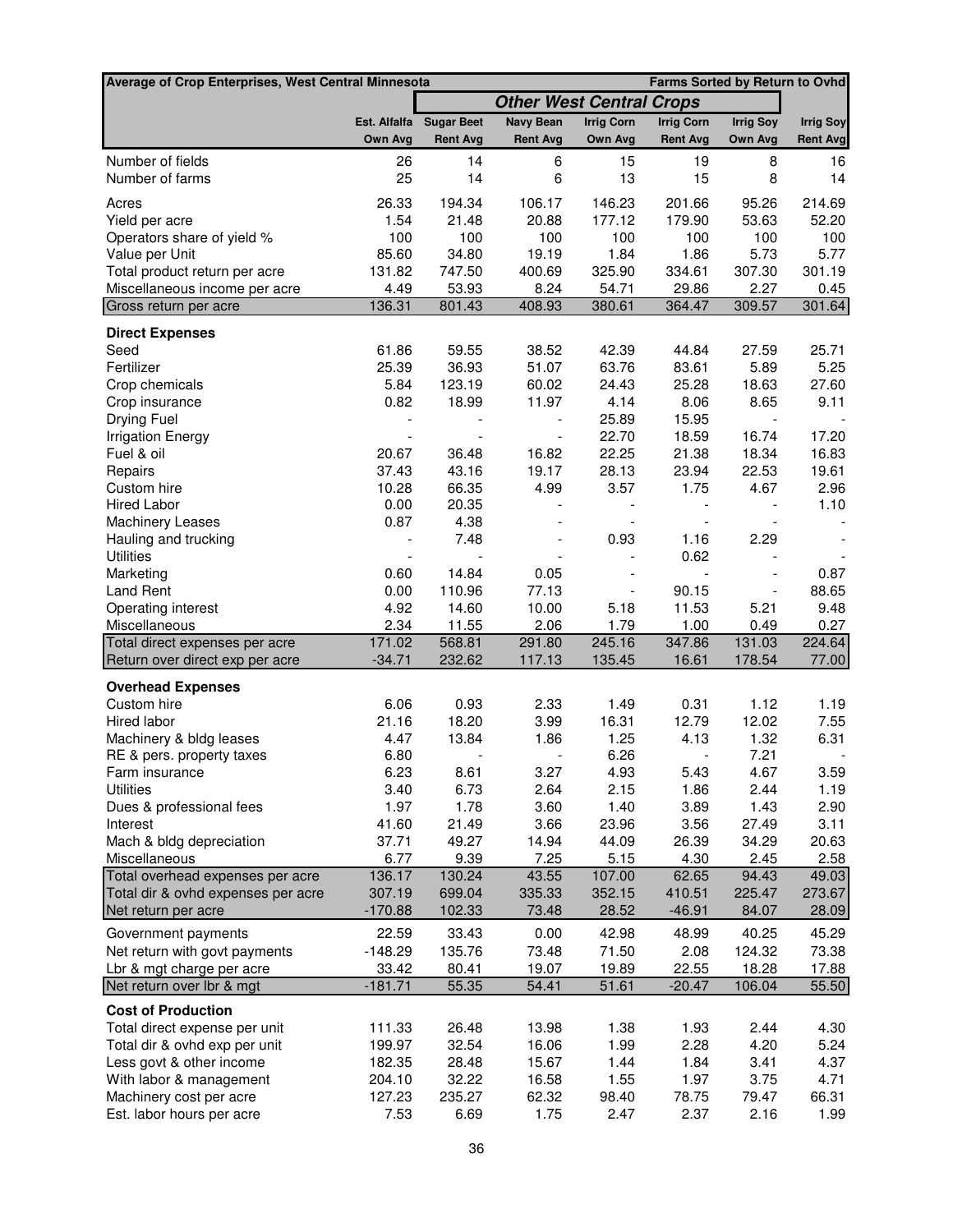| <b>Average of Crop Enterprises, West Central Minnesota</b> | <b>Farms Sorted by Return to Ovhd</b> |                          |                                 |                              |                          |                          |                  |
|------------------------------------------------------------|---------------------------------------|--------------------------|---------------------------------|------------------------------|--------------------------|--------------------------|------------------|
|                                                            |                                       |                          | <b>Other West Central Crops</b> |                              |                          |                          |                  |
|                                                            |                                       | Est. Alfalfa Sugar Beet  | <b>Navy Bean</b>                | <b>Irrig Corn</b>            | <b>Irrig Corn</b>        | <b>Irrig Soy</b>         | <b>Irrig Soy</b> |
|                                                            | Own Avg                               | <b>Rent Avg</b>          | <b>Rent Avg</b>                 | Own Avg                      | <b>Rent Avg</b>          | Own Avg                  | <b>Rent Avg</b>  |
| Number of fields                                           | 26                                    | 14                       | 6                               | 15                           | 19                       | 8                        | 16               |
| Number of farms                                            | 25                                    | 14                       | 6                               | 13                           | 15                       | 8                        | 14               |
| Acres                                                      | 26.33                                 | 194.34                   | 106.17                          | 146.23                       | 201.66                   | 95.26                    | 214.69           |
| Yield per acre                                             | 1.54                                  | 21.48                    | 20.88                           | 177.12                       | 179.90                   | 53.63                    | 52.20            |
| Operators share of yield %                                 | 100                                   | 100                      | 100                             | 100                          | 100                      | 100                      | 100              |
| Value per Unit                                             | 85.60                                 | 34.80                    | 19.19                           | 1.84                         | 1.86                     | 5.73                     | 5.77             |
| Total product return per acre                              | 131.82                                | 747.50                   | 400.69                          | 325.90                       | 334.61                   | 307.30                   | 301.19           |
| Miscellaneous income per acre                              | 4.49                                  | 53.93                    | 8.24                            | 54.71                        | 29.86                    | 2.27                     | 0.45             |
| Gross return per acre                                      | 136.31                                | 801.43                   | 408.93                          | 380.61                       | 364.47                   | 309.57                   | 301.64           |
| <b>Direct Expenses</b>                                     |                                       |                          |                                 |                              |                          |                          |                  |
| Seed                                                       | 61.86                                 | 59.55                    | 38.52                           | 42.39                        | 44.84                    | 27.59                    | 25.71            |
| Fertilizer                                                 | 25.39                                 | 36.93                    | 51.07                           | 63.76                        | 83.61                    | 5.89                     | 5.25             |
| Crop chemicals                                             | 5.84                                  | 123.19                   | 60.02                           | 24.43                        | 25.28                    | 18.63                    | 27.60            |
| Crop insurance                                             | 0.82                                  | 18.99                    | 11.97                           | 4.14                         | 8.06                     | 8.65                     | 9.11             |
| Drying Fuel                                                |                                       |                          |                                 | 25.89                        | 15.95                    | $\overline{\phantom{a}}$ |                  |
| <b>Irrigation Energy</b>                                   |                                       |                          |                                 | 22.70                        | 18.59                    | 16.74                    | 17.20            |
| Fuel & oil                                                 | 20.67                                 | 36.48                    | 16.82                           | 22.25                        | 21.38                    | 18.34                    | 16.83            |
| Repairs                                                    | 37.43                                 | 43.16                    | 19.17                           | 28.13                        | 23.94                    | 22.53                    | 19.61            |
| Custom hire                                                | 10.28                                 | 66.35                    | 4.99                            | 3.57                         | 1.75                     | 4.67                     | 2.96             |
| <b>Hired Labor</b>                                         | 0.00                                  | 20.35                    | $\overline{\phantom{0}}$        | $\qquad \qquad \blacksquare$ | $\overline{\phantom{a}}$ | $\overline{\phantom{a}}$ | 1.10             |
| <b>Machinery Leases</b>                                    | 0.87                                  | 4.38                     |                                 | $\overline{\phantom{a}}$     | $\overline{\phantom{a}}$ |                          |                  |
| Hauling and trucking                                       |                                       | 7.48                     |                                 | 0.93                         | 1.16                     | 2.29                     |                  |
| <b>Utilities</b>                                           | $\overline{\phantom{a}}$              | $\overline{\phantom{a}}$ |                                 | $\overline{\phantom{a}}$     | 0.62                     |                          |                  |
| Marketing                                                  | 0.60                                  | 14.84                    | 0.05                            |                              | $\overline{\phantom{a}}$ | $\overline{a}$           | 0.87             |
| <b>Land Rent</b>                                           | 0.00                                  | 110.96                   | 77.13                           | $\frac{1}{2}$                | 90.15                    | $\blacksquare$           | 88.65            |
| Operating interest                                         | 4.92                                  | 14.60                    | 10.00                           | 5.18                         | 11.53                    | 5.21                     | 9.48             |
| Miscellaneous                                              | 2.34                                  | 11.55                    | 2.06                            | 1.79                         | 1.00                     | 0.49                     | 0.27             |
| Total direct expenses per acre                             | 171.02                                | 568.81                   | 291.80                          | 245.16                       | 347.86                   | 131.03                   | 224.64           |
| Return over direct exp per acre                            | $-34.71$                              | 232.62                   | 117.13                          | 135.45                       | 16.61                    | 178.54                   | 77.00            |
| <b>Overhead Expenses</b>                                   |                                       |                          |                                 |                              |                          |                          |                  |
| Custom hire                                                | 6.06                                  | 0.93                     | 2.33                            | 1.49                         | 0.31                     | 1.12                     | 1.19             |
| Hired labor                                                | 21.16                                 | 18.20                    | 3.99                            | 16.31                        | 12.79                    | 12.02                    | 7.55             |
| Machinery & bldg leases                                    | 4.47                                  | 13.84                    | 1.86                            | 1.25                         | 4.13                     | 1.32                     | 6.31             |
| RE & pers. property taxes                                  | 6.80                                  | $\overline{\phantom{a}}$ | $\overline{\phantom{a}}$        | 6.26                         | $\overline{\phantom{a}}$ | 7.21                     |                  |
| Farm insurance                                             | 6.23                                  | 8.61                     | 3.27                            | 4.93                         | 5.43                     | 4.67                     | 3.59             |
| <b>Utilities</b>                                           | 3.40                                  | 6.73                     | 2.64                            | 2.15                         | 1.86                     | 2.44                     | 1.19             |
| Dues & professional fees                                   | 1.97                                  | 1.78                     | 3.60                            | 1.40                         | 3.89                     | 1.43                     | 2.90             |
| Interest                                                   | 41.60                                 | 21.49                    | 3.66                            | 23.96                        | 3.56                     | 27.49                    | 3.11             |
| Mach & bldg depreciation                                   | 37.71                                 | 49.27                    | 14.94                           | 44.09                        | 26.39                    | 34.29                    | 20.63            |
| Miscellaneous                                              | 6.77                                  | 9.39                     | 7.25                            | 5.15                         | 4.30                     | 2.45                     | 2.58             |
| Total overhead expenses per acre                           | 136.17                                | 130.24                   | 43.55                           | 107.00                       | 62.65                    | 94.43                    | 49.03            |
| Total dir & ovhd expenses per acre                         | 307.19                                | 699.04                   | 335.33                          | 352.15                       | 410.51                   | 225.47                   | 273.67           |
| Net return per acre                                        | $-170.88$                             | 102.33                   | 73.48                           | 28.52                        | $-46.91$                 | 84.07                    | 28.09            |
| Government payments                                        | 22.59                                 | 33.43                    | 0.00                            | 42.98                        | 48.99                    | 40.25                    | 45.29            |
| Net return with govt payments                              | $-148.29$                             | 135.76                   | 73.48                           | 71.50                        | 2.08                     | 124.32                   | 73.38            |
| Lbr & mgt charge per acre                                  | 33.42                                 | 80.41                    | 19.07                           | 19.89                        | 22.55                    | 18.28                    | 17.88            |
| Net return over Ibr & mgt                                  | $-181.71$                             | 55.35                    | 54.41                           | 51.61                        | $-20.47$                 | 106.04                   | 55.50            |
| <b>Cost of Production</b>                                  |                                       |                          |                                 |                              |                          |                          |                  |
| Total direct expense per unit                              | 111.33                                | 26.48                    | 13.98                           | 1.38                         | 1.93                     | 2.44                     | 4.30             |
| Total dir & ovhd exp per unit                              | 199.97                                | 32.54                    | 16.06                           | 1.99                         | 2.28                     | 4.20                     | 5.24             |
| Less govt & other income                                   | 182.35                                | 28.48                    | 15.67                           | 1.44                         | 1.84                     | 3.41                     | 4.37             |
| With labor & management                                    | 204.10                                | 32.22                    | 16.58                           | 1.55                         | 1.97                     | 3.75                     | 4.71             |
| Machinery cost per acre                                    | 127.23                                | 235.27                   | 62.32                           | 98.40                        | 78.75                    | 79.47                    | 66.31            |
| Est. labor hours per acre                                  | 7.53                                  | 6.69                     | 1.75                            | 2.47                         | 2.37                     | 2.16                     | 1.99             |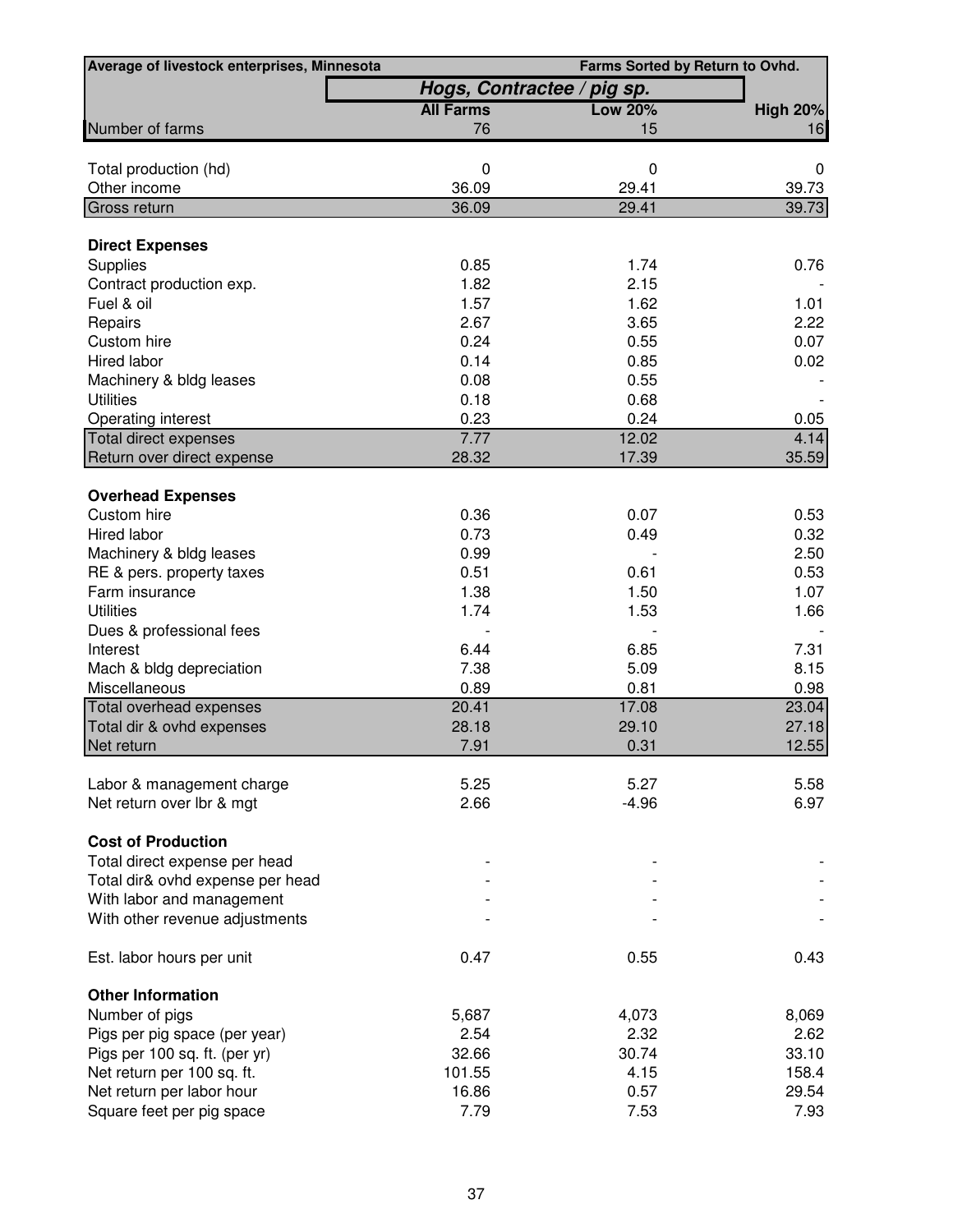| Average of livestock enterprises, Minnesota | Farms Sorted by Return to Ovhd. |                |                 |  |  |  |
|---------------------------------------------|---------------------------------|----------------|-----------------|--|--|--|
|                                             | Hogs, Contractee / pig sp.      |                |                 |  |  |  |
|                                             | <b>All Farms</b>                | <b>Low 20%</b> | <b>High 20%</b> |  |  |  |
| Number of farms                             | 76                              | 15             | 16              |  |  |  |
| Total production (hd)                       | 0                               | 0              | 0               |  |  |  |
| Other income                                | 36.09                           | 29.41          | 39.73           |  |  |  |
| <b>Gross return</b>                         | 36.09                           | 29.41          | 39.73           |  |  |  |
| <b>Direct Expenses</b>                      |                                 |                |                 |  |  |  |
| Supplies                                    | 0.85                            | 1.74           | 0.76            |  |  |  |
| Contract production exp.                    | 1.82                            | 2.15           |                 |  |  |  |
| Fuel & oil                                  | 1.57                            | 1.62           | 1.01            |  |  |  |
| Repairs                                     | 2.67                            | 3.65           | 2.22            |  |  |  |
| Custom hire                                 | 0.24                            | 0.55           | 0.07            |  |  |  |
| Hired labor                                 | 0.14                            | 0.85           | 0.02            |  |  |  |
| Machinery & bldg leases                     | 0.08                            | 0.55           |                 |  |  |  |
| <b>Utilities</b>                            | 0.18                            | 0.68           |                 |  |  |  |
| Operating interest                          | 0.23                            | 0.24           | 0.05            |  |  |  |
| Total direct expenses                       | 7.77                            | 12.02          | 4.14            |  |  |  |
| Return over direct expense                  | 28.32                           | 17.39          | 35.59           |  |  |  |
| <b>Overhead Expenses</b>                    |                                 |                |                 |  |  |  |
| Custom hire                                 | 0.36                            | 0.07           | 0.53            |  |  |  |
| Hired labor                                 | 0.73                            | 0.49           | 0.32            |  |  |  |
| Machinery & bldg leases                     | 0.99                            |                | 2.50            |  |  |  |
| RE & pers. property taxes                   | 0.51                            | 0.61           | 0.53            |  |  |  |
| Farm insurance                              | 1.38                            | 1.50           | 1.07            |  |  |  |
| <b>Utilities</b>                            | 1.74                            | 1.53           | 1.66            |  |  |  |
| Dues & professional fees                    |                                 |                |                 |  |  |  |
| Interest                                    | 6.44                            | 6.85           | 7.31            |  |  |  |
| Mach & bldg depreciation                    | 7.38                            | 5.09           | 8.15            |  |  |  |
| Miscellaneous                               | 0.89                            | 0.81           | 0.98            |  |  |  |
| Total overhead expenses                     | 20.41                           | 17.08          | 23.04           |  |  |  |
| Total dir & ovhd expenses                   | 28.18                           | 29.10          | 27.18           |  |  |  |
| Net return                                  | 7.91                            | 0.31           | 12.55           |  |  |  |
|                                             |                                 |                |                 |  |  |  |
| Labor & management charge                   | 5.25                            | 5.27           | 5.58            |  |  |  |
| Net return over lbr & mgt                   | 2.66                            | $-4.96$        | 6.97            |  |  |  |
| <b>Cost of Production</b>                   |                                 |                |                 |  |  |  |
| Total direct expense per head               |                                 |                |                 |  |  |  |
| Total dir& ovhd expense per head            |                                 |                |                 |  |  |  |
| With labor and management                   |                                 |                |                 |  |  |  |
| With other revenue adjustments              |                                 |                |                 |  |  |  |
| Est. labor hours per unit                   | 0.47                            | 0.55           | 0.43            |  |  |  |
| <b>Other Information</b>                    |                                 |                |                 |  |  |  |
| Number of pigs                              | 5,687                           | 4,073          | 8,069           |  |  |  |
| Pigs per pig space (per year)               | 2.54                            | 2.32           | 2.62            |  |  |  |
| Pigs per 100 sq. ft. (per yr)               | 32.66                           | 30.74          | 33.10           |  |  |  |
| Net return per 100 sq. ft.                  | 101.55                          | 4.15           | 158.4           |  |  |  |
| Net return per labor hour                   | 16.86                           | 0.57           | 29.54           |  |  |  |
| Square feet per pig space                   | 7.79                            | 7.53           | 7.93            |  |  |  |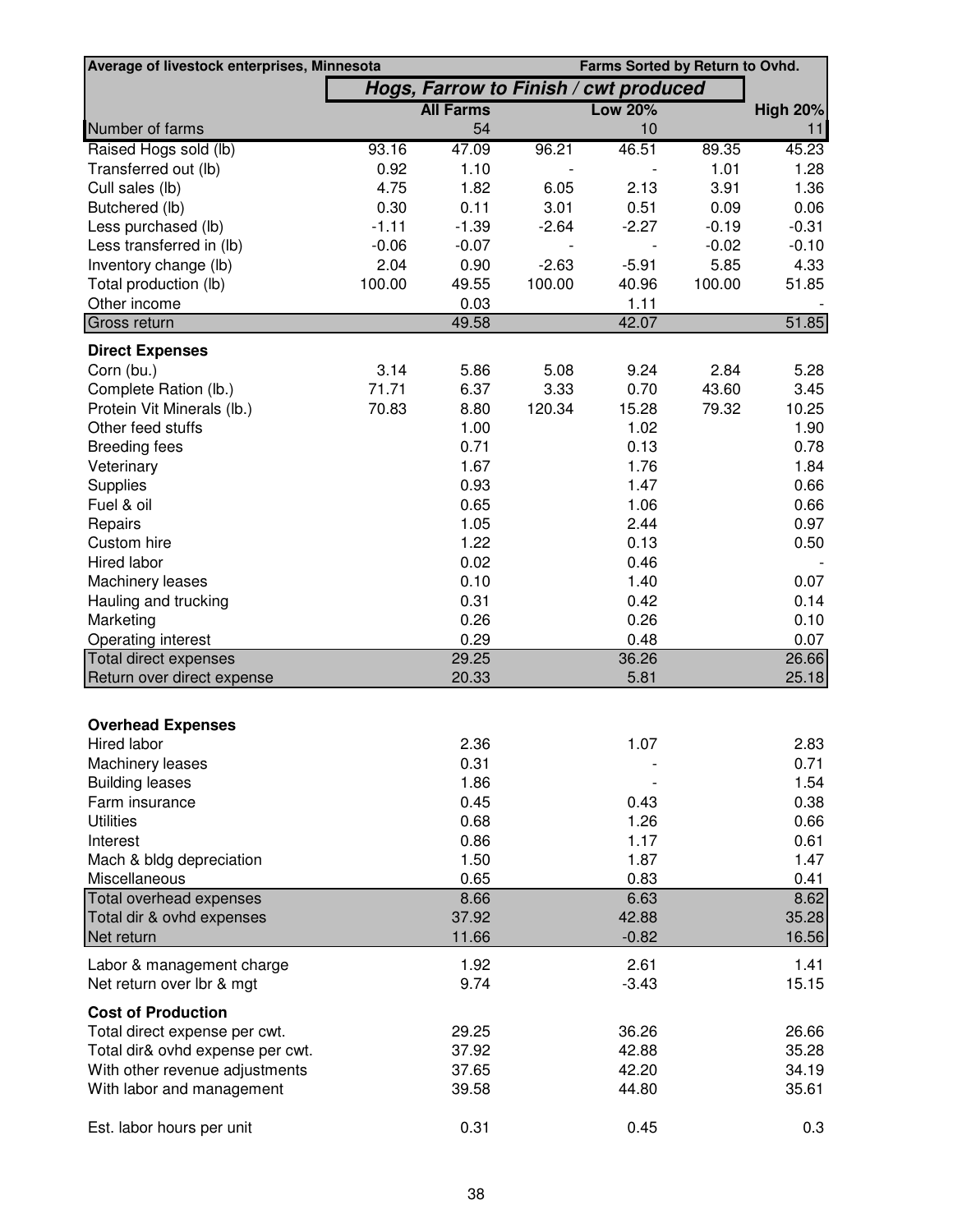| Average of livestock enterprises, Minnesota |         |                                       |                          | Farms Sorted by Return to Ovhd. |         |                 |
|---------------------------------------------|---------|---------------------------------------|--------------------------|---------------------------------|---------|-----------------|
|                                             |         | Hogs, Farrow to Finish / cwt produced |                          |                                 |         |                 |
|                                             |         | <b>All Farms</b>                      |                          | <b>Low 20%</b>                  |         | <b>High 20%</b> |
| Number of farms                             |         | 54                                    |                          | 10                              |         | 11              |
| Raised Hogs sold (lb)                       | 93.16   | 47.09                                 | 96.21                    | 46.51                           | 89.35   | 45.23           |
| Transferred out (lb)                        | 0.92    | 1.10                                  |                          |                                 | 1.01    | 1.28            |
| Cull sales (lb)                             | 4.75    | 1.82                                  | 6.05                     | 2.13                            | 3.91    | 1.36            |
| Butchered (lb)                              | 0.30    | 0.11                                  | 3.01                     | 0.51                            | 0.09    | 0.06            |
| Less purchased (lb)                         | $-1.11$ | $-1.39$                               | $-2.64$                  | $-2.27$                         | $-0.19$ | $-0.31$         |
| Less transferred in (lb)                    | $-0.06$ | $-0.07$                               | $\overline{\phantom{a}}$ | $\overline{\phantom{a}}$        | $-0.02$ | $-0.10$         |
| Inventory change (lb)                       | 2.04    | 0.90                                  | $-2.63$                  | $-5.91$                         | 5.85    | 4.33            |
| Total production (lb)                       | 100.00  | 49.55                                 | 100.00                   | 40.96                           | 100.00  | 51.85           |
| Other income                                |         | 0.03                                  |                          | 1.11                            |         |                 |
| Gross return                                |         | 49.58                                 |                          | 42.07                           |         | 51.85           |
| <b>Direct Expenses</b>                      |         |                                       |                          |                                 |         |                 |
| Corn (bu.)                                  | 3.14    | 5.86                                  | 5.08                     | 9.24                            | 2.84    | 5.28            |
| Complete Ration (lb.)                       | 71.71   | 6.37                                  | 3.33                     | 0.70                            | 43.60   | 3.45            |
| Protein Vit Minerals (lb.)                  | 70.83   | 8.80                                  | 120.34                   | 15.28                           | 79.32   | 10.25           |
| Other feed stuffs                           |         | 1.00                                  |                          | 1.02                            |         | 1.90            |
| <b>Breeding fees</b>                        |         | 0.71                                  |                          | 0.13                            |         | 0.78            |
| Veterinary                                  |         | 1.67                                  |                          | 1.76                            |         | 1.84            |
| Supplies                                    |         | 0.93                                  |                          | 1.47                            |         | 0.66            |
| Fuel & oil                                  |         | 0.65                                  |                          | 1.06                            |         | 0.66            |
| Repairs                                     |         | 1.05                                  |                          | 2.44                            |         | 0.97            |
| Custom hire                                 |         | 1.22                                  |                          | 0.13                            |         | 0.50            |
| Hired labor                                 |         | 0.02                                  |                          | 0.46                            |         |                 |
| Machinery leases                            |         | 0.10                                  |                          | 1.40                            |         | 0.07            |
| Hauling and trucking                        |         | 0.31                                  |                          | 0.42                            |         | 0.14            |
| Marketing                                   |         | 0.26                                  |                          | 0.26                            |         | 0.10            |
| Operating interest                          |         | 0.29                                  |                          | 0.48                            |         | 0.07            |
| <b>Total direct expenses</b>                |         | 29.25                                 |                          | 36.26                           |         | 26.66           |
| Return over direct expense                  |         | 20.33                                 |                          | 5.81                            |         | 25.18           |
|                                             |         |                                       |                          |                                 |         |                 |
| <b>Overhead Expenses</b>                    |         |                                       |                          |                                 |         |                 |
| Hired labor                                 |         | 2.36                                  |                          | 1.07                            |         | 2.83            |
| Machinery leases                            |         | 0.31                                  |                          |                                 |         | 0.71            |
| <b>Building leases</b>                      |         | 1.86                                  |                          |                                 |         | 1.54            |
| Farm insurance                              |         | 0.45                                  |                          | 0.43                            |         | 0.38            |
| <b>Utilities</b>                            |         | 0.68                                  |                          | 1.26                            |         | 0.66            |
| Interest                                    |         | 0.86                                  |                          | 1.17                            |         | 0.61            |
| Mach & bldg depreciation                    |         | 1.50                                  |                          | 1.87                            |         | 1.47            |
| Miscellaneous                               |         | 0.65                                  |                          | 0.83                            |         | 0.41            |
| Total overhead expenses                     |         | 8.66                                  |                          | 6.63                            |         | 8.62            |
| Total dir & ovhd expenses                   |         | 37.92                                 |                          | 42.88                           |         | 35.28           |
| Net return                                  |         | 11.66                                 |                          | $-0.82$                         |         | 16.56           |
| Labor & management charge                   |         | 1.92                                  |                          | 2.61                            |         | 1.41            |
| Net return over lbr & mgt                   |         | 9.74                                  |                          | $-3.43$                         |         | 15.15           |
| <b>Cost of Production</b>                   |         |                                       |                          |                                 |         |                 |
| Total direct expense per cwt.               |         | 29.25                                 |                          | 36.26                           |         | 26.66           |
| Total dir& ovhd expense per cwt.            |         | 37.92                                 |                          | 42.88                           |         | 35.28           |
| With other revenue adjustments              |         | 37.65                                 |                          | 42.20                           |         | 34.19           |
| With labor and management                   |         | 39.58                                 |                          | 44.80                           |         | 35.61           |
|                                             |         |                                       |                          |                                 |         |                 |
| Est. labor hours per unit                   |         | 0.31                                  |                          | 0.45                            |         | 0.3             |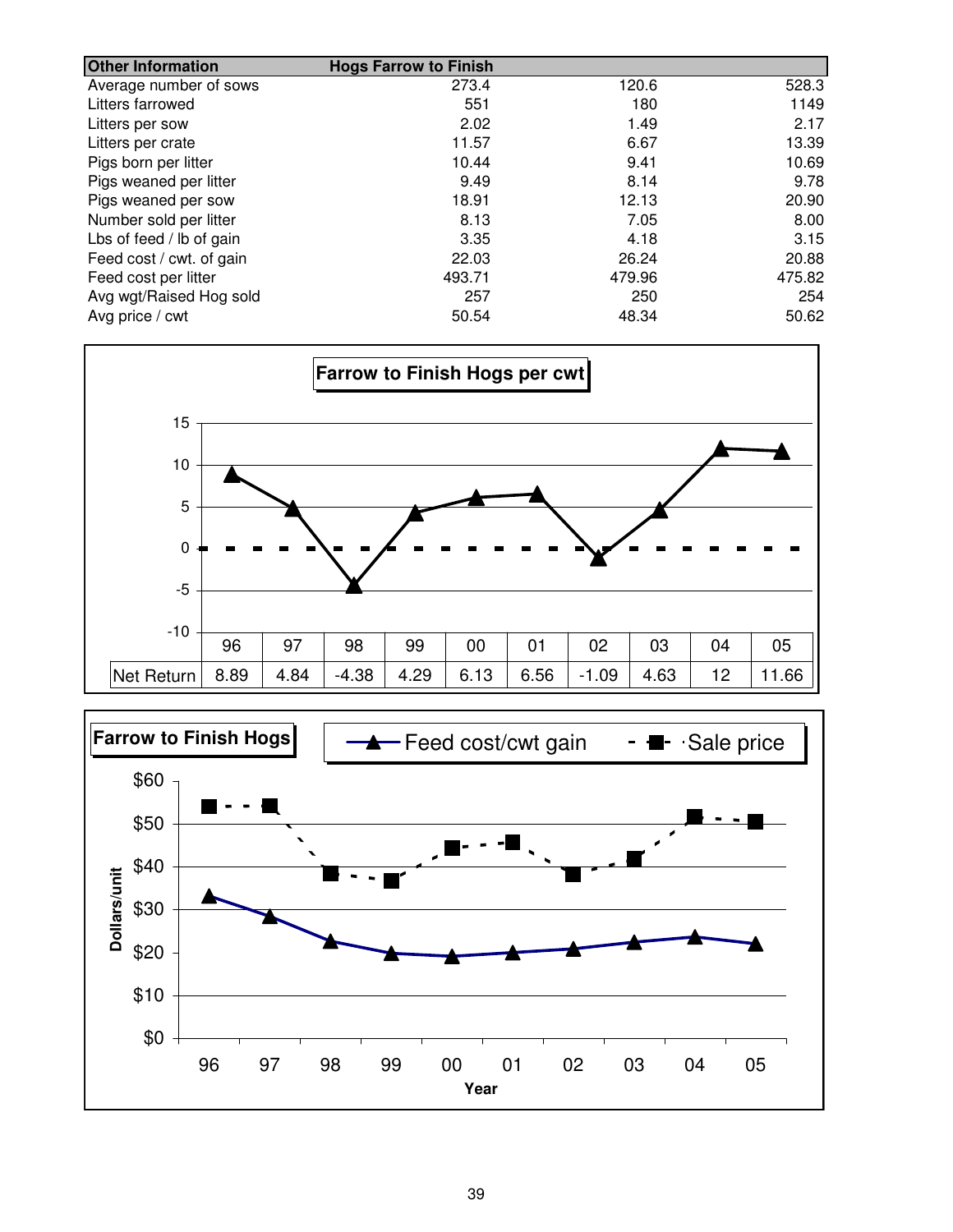| <b>Other Information</b> | <b>Hogs Farrow to Finish</b> |        |        |
|--------------------------|------------------------------|--------|--------|
| Average number of sows   | 273.4                        | 120.6  | 528.3  |
| Litters farrowed         | 551                          | 180    | 1149   |
| Litters per sow          | 2.02                         | 1.49   | 2.17   |
| Litters per crate        | 11.57                        | 6.67   | 13.39  |
| Pigs born per litter     | 10.44                        | 9.41   | 10.69  |
| Pigs weaned per litter   | 9.49                         | 8.14   | 9.78   |
| Pigs weaned per sow      | 18.91                        | 12.13  | 20.90  |
| Number sold per litter   | 8.13                         | 7.05   | 8.00   |
| Lbs of feed / lb of gain | 3.35                         | 4.18   | 3.15   |
| Feed cost / cwt. of gain | 22.03                        | 26.24  | 20.88  |
| Feed cost per litter     | 493.71                       | 479.96 | 475.82 |
| Avg wgt/Raised Hog sold  | 257                          | 250    | 254    |
| Avg price / cwt          | 50.54                        | 48.34  | 50.62  |



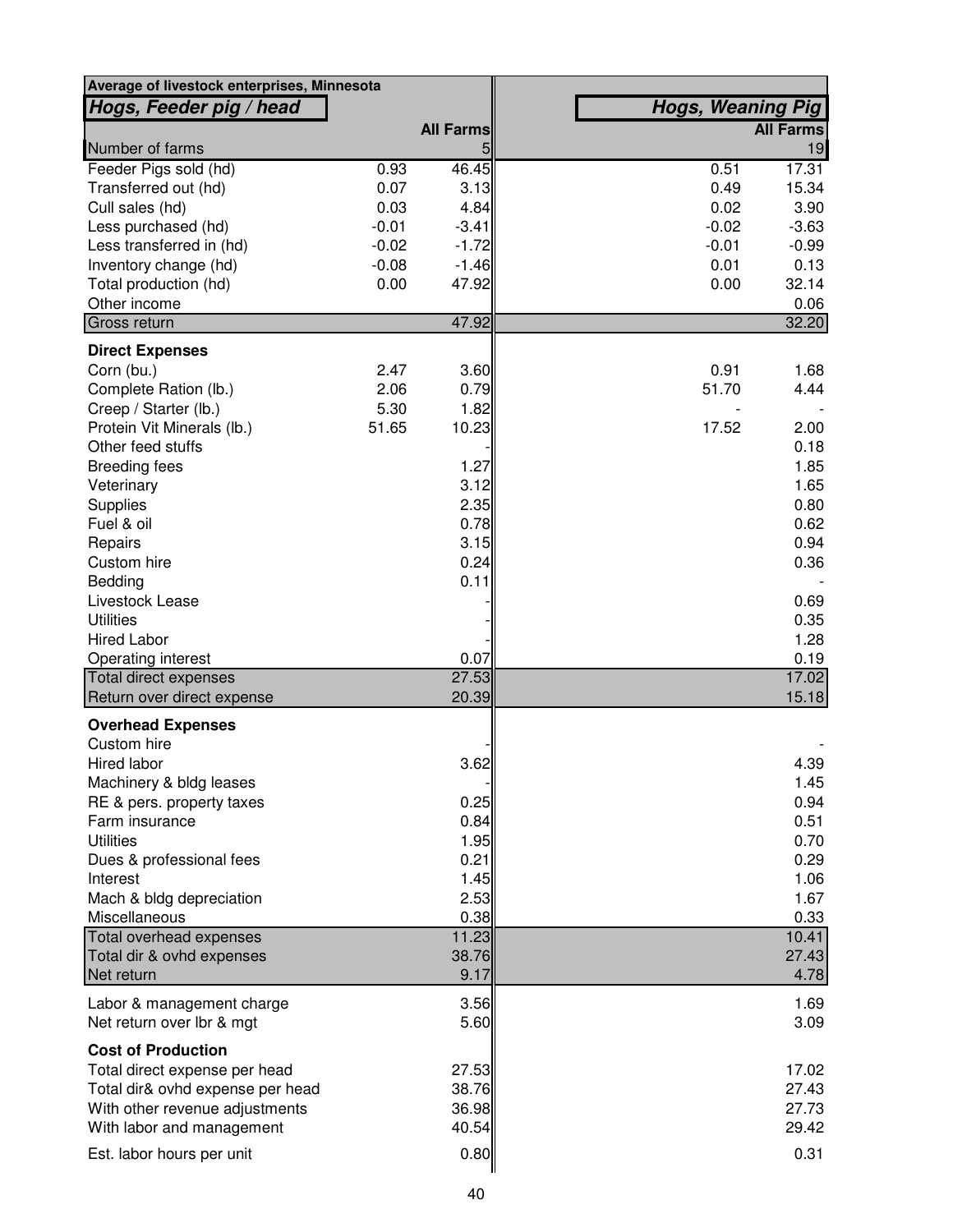| Average of livestock enterprises, Minnesota |         |                  |                          |                  |
|---------------------------------------------|---------|------------------|--------------------------|------------------|
| Hogs, Feeder pig / head                     |         |                  | <b>Hogs, Weaning Pig</b> |                  |
|                                             |         | <b>All Farms</b> |                          | <b>All Farms</b> |
| Number of farms                             |         | 5                |                          | 19               |
| Feeder Pigs sold (hd)                       | 0.93    | 46.45            | 0.51                     | 17.31            |
| Transferred out (hd)                        | 0.07    | 3.13             | 0.49                     | 15.34            |
| Cull sales (hd)                             | 0.03    | 4.84             | 0.02                     | 3.90             |
| Less purchased (hd)                         | $-0.01$ | $-3.41$          | $-0.02$                  | $-3.63$          |
| Less transferred in (hd)                    | $-0.02$ | $-1.72$          | $-0.01$                  | $-0.99$          |
| Inventory change (hd)                       | $-0.08$ | $-1.46$          | 0.01                     | 0.13             |
| Total production (hd)                       | 0.00    | 47.92            | 0.00                     | 32.14            |
| Other income                                |         |                  |                          | 0.06             |
| Gross return                                |         | 47.92            |                          | 32.20            |
| <b>Direct Expenses</b>                      |         |                  |                          |                  |
| Corn (bu.)                                  | 2.47    | 3.60             | 0.91                     | 1.68             |
| Complete Ration (lb.)                       | 2.06    | 0.79             | 51.70                    | 4.44             |
| Creep / Starter (lb.)                       | 5.30    | 1.82             |                          |                  |
| Protein Vit Minerals (lb.)                  | 51.65   | 10.23            | 17.52                    | 2.00             |
| Other feed stuffs                           |         |                  |                          | 0.18             |
| <b>Breeding fees</b>                        |         | 1.27             |                          | 1.85             |
| Veterinary                                  |         | 3.12             |                          | 1.65             |
| Supplies                                    |         | 2.35             |                          | 0.80             |
| Fuel & oil                                  |         | 0.78             |                          | 0.62             |
| Repairs                                     |         | 3.15             |                          | 0.94             |
| Custom hire                                 |         | 0.24             |                          | 0.36             |
| Bedding                                     |         | 0.11             |                          |                  |
| Livestock Lease                             |         |                  |                          | 0.69             |
| <b>Utilities</b>                            |         |                  |                          | 0.35             |
| <b>Hired Labor</b>                          |         |                  |                          | 1.28             |
| Operating interest                          |         | 0.07             |                          | 0.19             |
| Total direct expenses                       |         | 27.53            |                          | 17.02            |
| Return over direct expense                  |         | 20.39            |                          | 15.18            |
| <b>Overhead Expenses</b>                    |         |                  |                          |                  |
| Custom hire                                 |         |                  |                          |                  |
| Hired labor                                 |         | 3.62             |                          | 4.39             |
| Machinery & bldg leases                     |         |                  |                          | 1.45             |
| RE & pers. property taxes                   |         | 0.25             |                          | 0.94             |
| Farm insurance                              |         | 0.84             |                          | 0.51             |
| <b>Utilities</b>                            |         | 1.95             |                          | 0.70             |
| Dues & professional fees                    |         | 0.21             |                          | 0.29             |
| Interest                                    |         | 1.45             |                          | 1.06             |
| Mach & bldg depreciation                    |         | 2.53             |                          | 1.67             |
| Miscellaneous                               |         | 0.38             |                          | 0.33             |
| Total overhead expenses                     |         | 11.23            |                          | 10.41            |
| Total dir & ovhd expenses                   |         | 38.76            |                          | 27.43            |
| Net return                                  |         | 9.17             |                          | 4.78             |
| Labor & management charge                   |         | 3.56             |                          | 1.69             |
| Net return over lbr & mgt                   |         | 5.60             |                          | 3.09             |
|                                             |         |                  |                          |                  |
| <b>Cost of Production</b>                   |         |                  |                          |                  |
| Total direct expense per head               |         | 27.53            |                          | 17.02            |
| Total dir& ovhd expense per head            |         | 38.76            |                          | 27.43            |
| With other revenue adjustments              |         | 36.98            |                          | 27.73            |
| With labor and management                   |         | 40.54            |                          | 29.42            |
| Est. labor hours per unit                   |         | 0.80             |                          | 0.31             |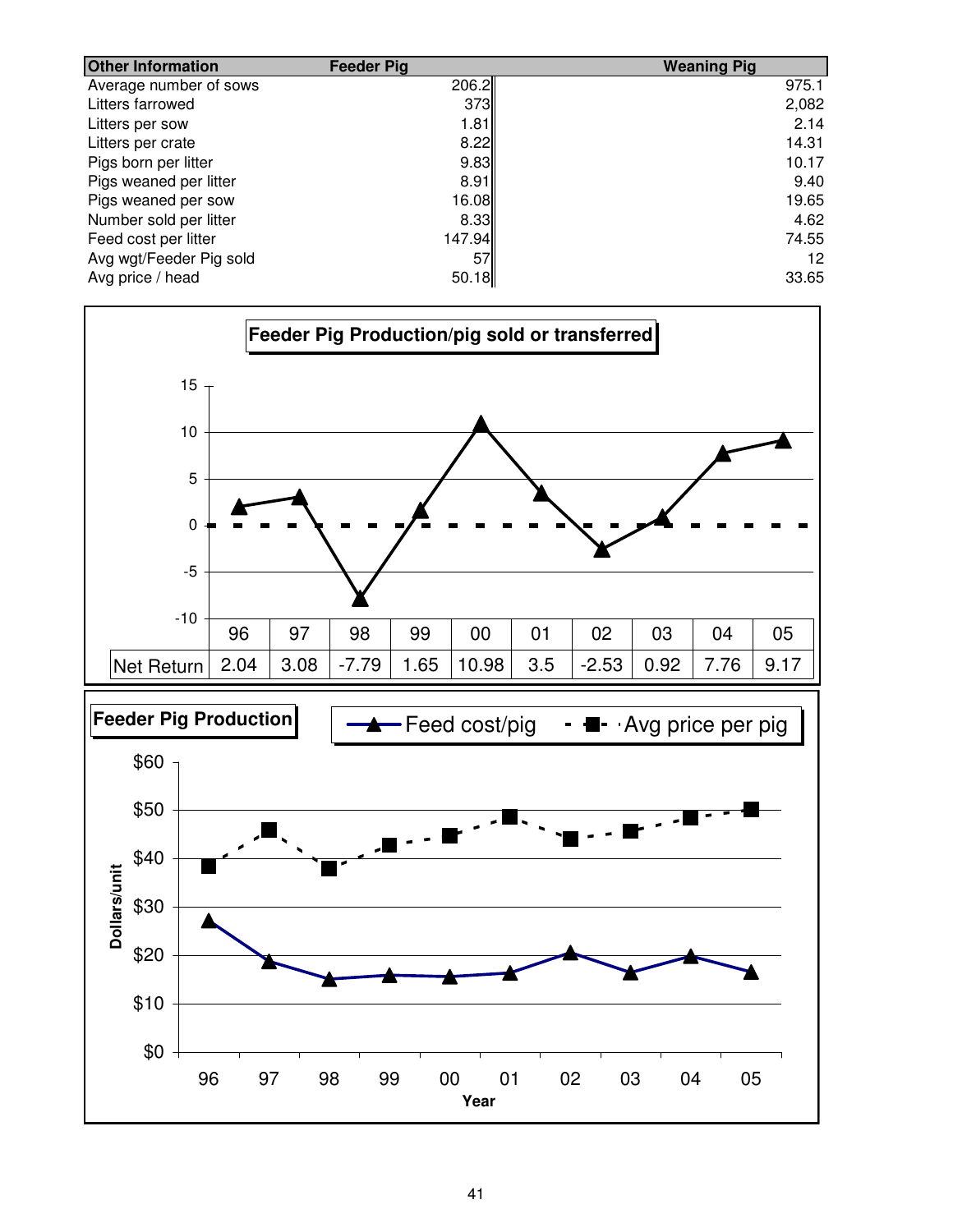| <b>Other Information</b> | <b>Feeder Pig</b> | <b>Weaning Pig</b> |
|--------------------------|-------------------|--------------------|
| Average number of sows   | 206.2             | 975.1              |
| Litters farrowed         | 373               | 2,082              |
| Litters per sow          | 1.81              | 2.14               |
| Litters per crate        | 8.22              | 14.31              |
| Pigs born per litter     | 9.83              | 10.17              |
| Pigs weaned per litter   | 8.91              | 9.40               |
| Pigs weaned per sow      | 16.08             | 19.65              |
| Number sold per litter   | 8.33              | 4.62               |
| Feed cost per litter     | 147.94            | 74.55              |
| Avg wgt/Feeder Pig sold  | 57                | 12                 |
| Avg price / head         | 50.18             | 33.65              |

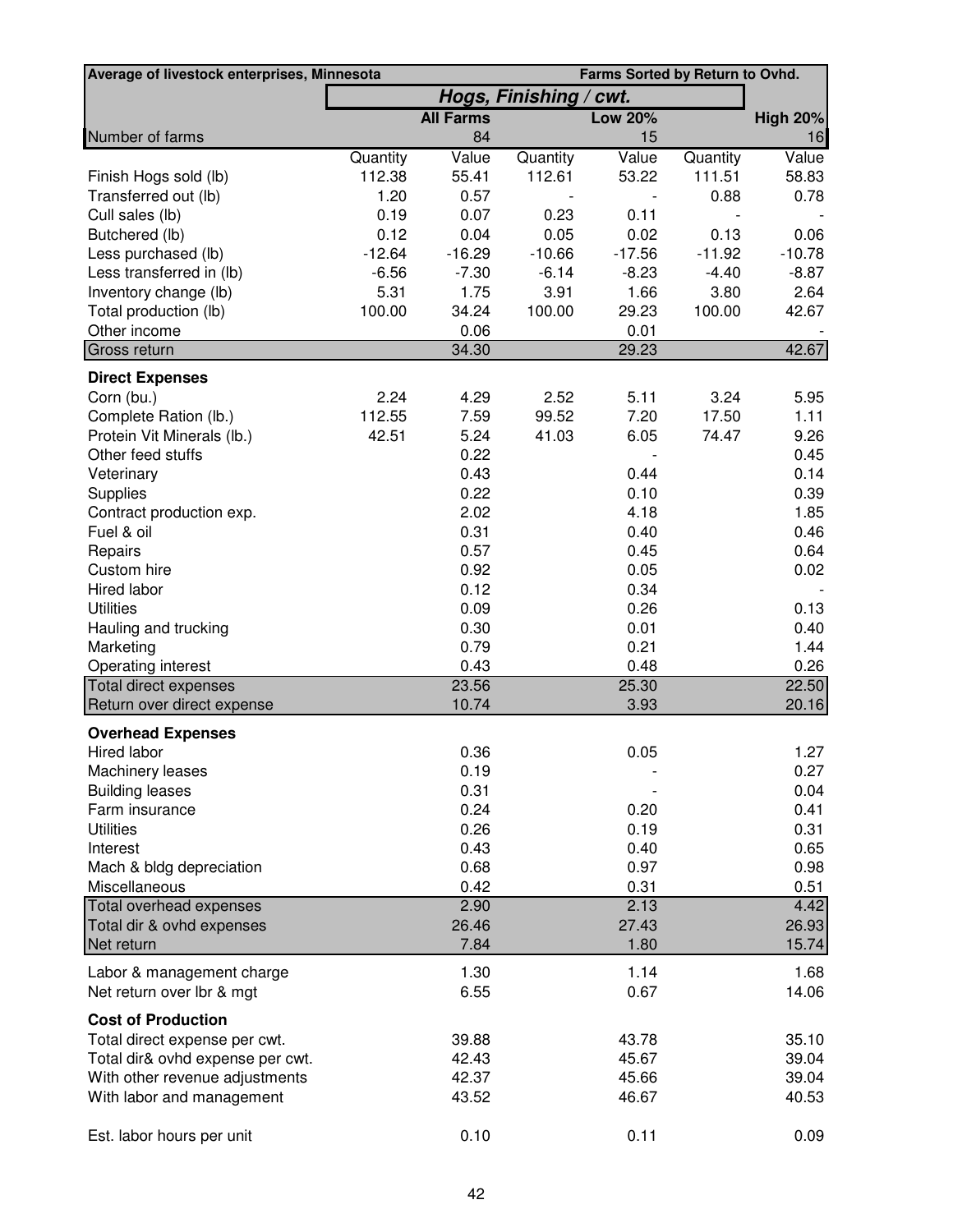| Average of livestock enterprises, Minnesota | Farms Sorted by Return to Ovhd. |                  |                        |                |          |                 |
|---------------------------------------------|---------------------------------|------------------|------------------------|----------------|----------|-----------------|
|                                             |                                 |                  | Hogs, Finishing / cwt. |                |          |                 |
|                                             |                                 | <b>All Farms</b> |                        | <b>Low 20%</b> |          | <b>High 20%</b> |
| Number of farms                             |                                 | 84               |                        | 15             |          | 16              |
|                                             | Quantity                        | Value            | Quantity               | Value          | Quantity | Value           |
| Finish Hogs sold (lb)                       | 112.38                          | 55.41            | 112.61                 | 53.22          | 111.51   | 58.83           |
| Transferred out (lb)                        | 1.20                            | 0.57             |                        |                | 0.88     | 0.78            |
| Cull sales (lb)                             | 0.19                            | 0.07             | 0.23                   | 0.11           |          |                 |
| Butchered (lb)                              | 0.12                            | 0.04             | 0.05                   | 0.02           | 0.13     | 0.06            |
| Less purchased (lb)                         | $-12.64$                        | $-16.29$         | $-10.66$               | $-17.56$       | $-11.92$ | $-10.78$        |
| Less transferred in (lb)                    | $-6.56$                         | $-7.30$          | $-6.14$                | $-8.23$        | $-4.40$  | $-8.87$         |
| Inventory change (lb)                       | 5.31                            | 1.75             | 3.91                   | 1.66           | 3.80     | 2.64            |
| Total production (lb)                       | 100.00                          | 34.24            | 100.00                 | 29.23          | 100.00   | 42.67           |
| Other income                                |                                 | 0.06             |                        | 0.01           |          |                 |
| Gross return                                |                                 | 34.30            |                        | 29.23          |          | 42.67           |
| <b>Direct Expenses</b>                      |                                 |                  |                        |                |          |                 |
| Corn (bu.)                                  | 2.24                            | 4.29             | 2.52                   | 5.11           | 3.24     | 5.95            |
| Complete Ration (lb.)                       | 112.55                          | 7.59             | 99.52                  | 7.20           | 17.50    | 1.11            |
| Protein Vit Minerals (lb.)                  | 42.51                           | 5.24             | 41.03                  | 6.05           | 74.47    | 9.26            |
| Other feed stuffs                           |                                 | 0.22             |                        |                |          | 0.45            |
| Veterinary                                  |                                 | 0.43             |                        | 0.44           |          | 0.14            |
| Supplies                                    |                                 | 0.22             |                        | 0.10           |          | 0.39            |
| Contract production exp.                    |                                 | 2.02             |                        | 4.18           |          | 1.85            |
| Fuel & oil                                  |                                 | 0.31             |                        | 0.40           |          | 0.46            |
| Repairs                                     |                                 | 0.57             |                        | 0.45           |          | 0.64            |
| Custom hire                                 |                                 | 0.92             |                        | 0.05           |          | 0.02            |
| Hired labor                                 |                                 | 0.12             |                        | 0.34           |          |                 |
| <b>Utilities</b>                            |                                 | 0.09             |                        | 0.26           |          | 0.13            |
| Hauling and trucking                        |                                 | 0.30             |                        | 0.01           |          | 0.40            |
| Marketing                                   |                                 | 0.79             |                        | 0.21           |          | 1.44            |
| Operating interest                          |                                 | 0.43             |                        | 0.48           |          | 0.26            |
| Total direct expenses                       |                                 | 23.56            |                        | 25.30          |          | 22.50           |
| Return over direct expense                  |                                 | 10.74            |                        | 3.93           |          | 20.16           |
| <b>Overhead Expenses</b>                    |                                 |                  |                        |                |          |                 |
| Hired labor                                 |                                 | 0.36             |                        | 0.05           |          | 1.27            |
| Machinery leases                            |                                 | 0.19             |                        |                |          | 0.27            |
| <b>Building leases</b>                      |                                 | 0.31             |                        |                |          | 0.04            |
| Farm insurance                              |                                 | 0.24             |                        | 0.20           |          | 0.41            |
| <b>Utilities</b>                            |                                 | 0.26             |                        | 0.19           |          | 0.31            |
| Interest                                    |                                 | 0.43             |                        | 0.40           |          | 0.65            |
| Mach & bldg depreciation                    |                                 | 0.68             |                        | 0.97           |          | 0.98            |
| Miscellaneous                               |                                 | 0.42             |                        | 0.31           |          | 0.51            |
| Total overhead expenses                     |                                 | 2.90             |                        | 2.13           |          | 4.42            |
| Total dir & ovhd expenses                   |                                 | 26.46            |                        | 27.43          |          | 26.93           |
| Net return                                  |                                 | 7.84             |                        | 1.80           |          | 15.74           |
| Labor & management charge                   |                                 | 1.30             |                        | 1.14           |          | 1.68            |
| Net return over lbr & mgt                   |                                 | 6.55             |                        | 0.67           |          | 14.06           |
| <b>Cost of Production</b>                   |                                 |                  |                        |                |          |                 |
| Total direct expense per cwt.               |                                 | 39.88            |                        | 43.78          |          | 35.10           |
| Total dir& ovhd expense per cwt.            |                                 | 42.43            |                        | 45.67          |          | 39.04           |
| With other revenue adjustments              |                                 | 42.37            |                        | 45.66          |          | 39.04           |
| With labor and management                   |                                 | 43.52            |                        | 46.67          |          | 40.53           |
|                                             |                                 |                  |                        |                |          |                 |
| Est. labor hours per unit                   |                                 | 0.10             |                        | 0.11           |          | 0.09            |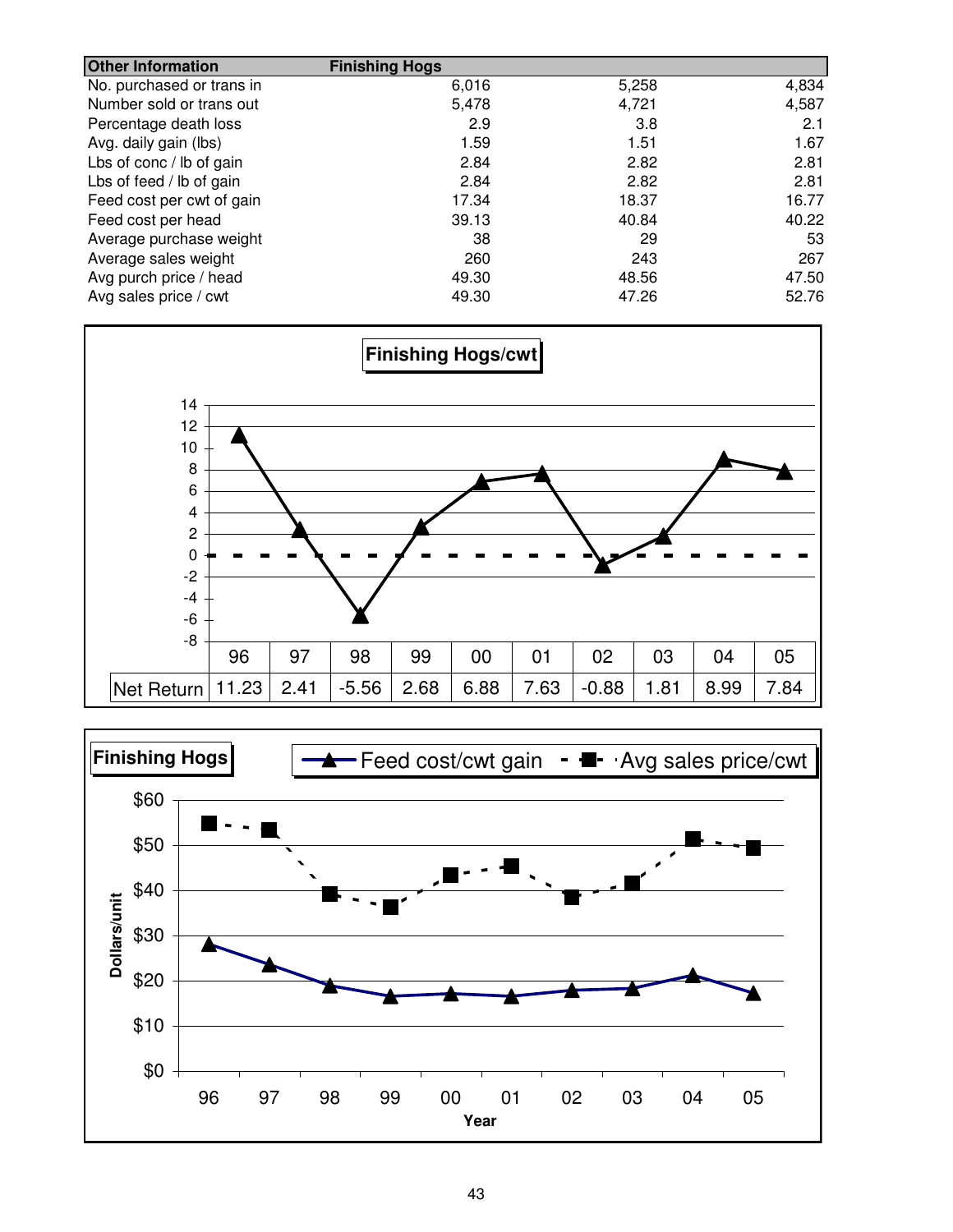| <b>Other Information</b>  | <b>Finishing Hogs</b> |       |       |
|---------------------------|-----------------------|-------|-------|
| No. purchased or trans in | 6,016                 | 5,258 | 4,834 |
| Number sold or trans out  | 5,478                 | 4,721 | 4,587 |
| Percentage death loss     | 2.9                   | 3.8   | 2.1   |
| Avg. daily gain (lbs)     | 1.59                  | 1.51  | 1.67  |
| Lbs of conc / lb of gain  | 2.84                  | 2.82  | 2.81  |
| Lbs of feed / lb of gain  | 2.84                  | 2.82  | 2.81  |
| Feed cost per cwt of gain | 17.34                 | 18.37 | 16.77 |
| Feed cost per head        | 39.13                 | 40.84 | 40.22 |
| Average purchase weight   | 38                    | 29    | 53    |
| Average sales weight      | 260                   | 243   | 267   |
| Avg purch price / head    | 49.30                 | 48.56 | 47.50 |
| Avg sales price / cwt     | 49.30                 | 47.26 | 52.76 |



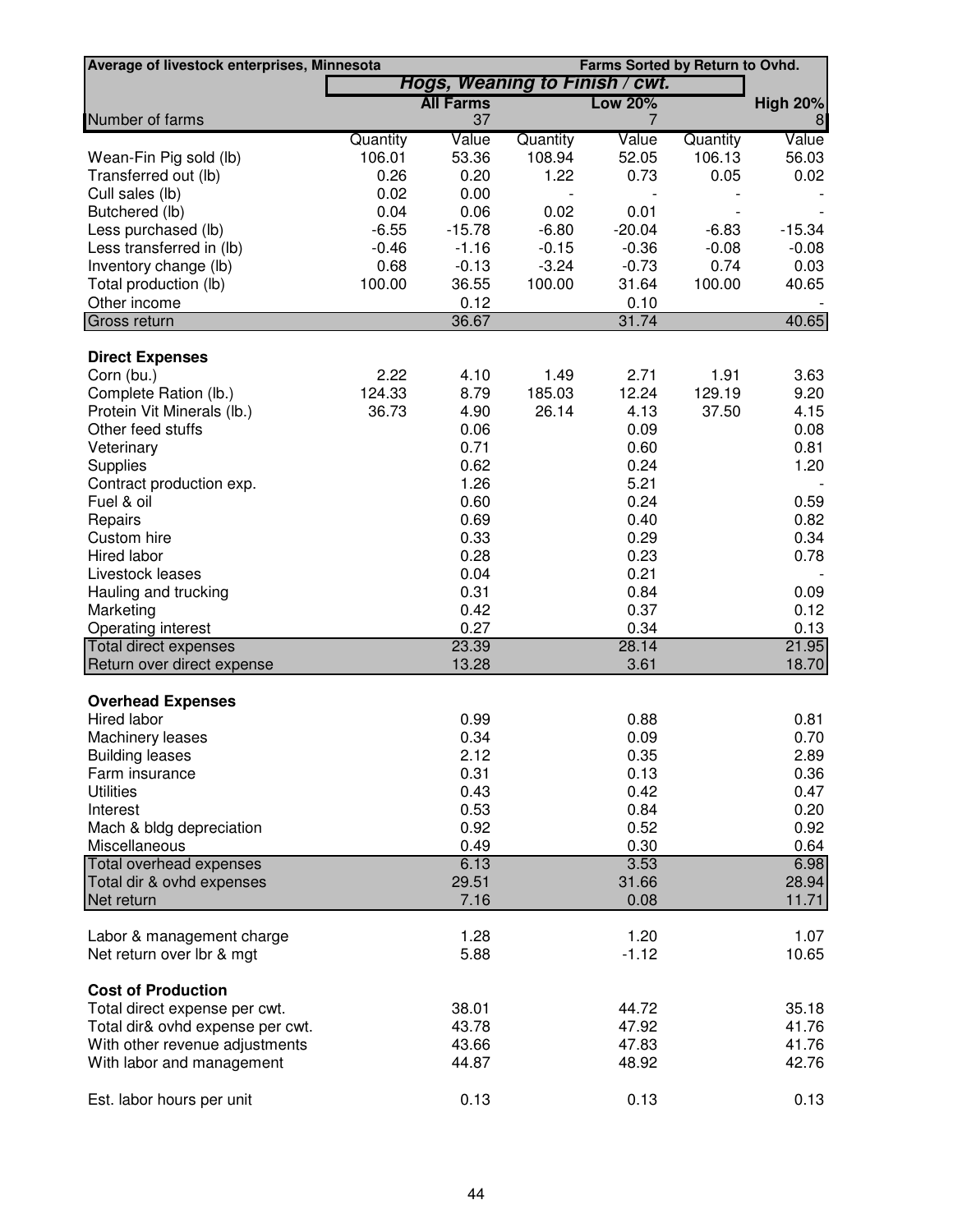| Average of livestock enterprises, Minnesota                |                |                                |                | Farms Sorted by Return to Ovhd. |                |                 |
|------------------------------------------------------------|----------------|--------------------------------|----------------|---------------------------------|----------------|-----------------|
|                                                            |                | Hogs, Weaning to Finish / cwt. |                |                                 |                |                 |
|                                                            |                | <b>All Farms</b>               |                | <b>Low 20%</b>                  |                | <b>High 20%</b> |
| Number of farms                                            |                | 37                             |                | 7                               |                | 8               |
|                                                            | Quantity       | Value                          | Quantity       | Value                           | Quantity       | Value           |
| Wean-Fin Pig sold (lb)                                     | 106.01<br>0.26 | 53.36<br>0.20                  | 108.94<br>1.22 | 52.05<br>0.73                   | 106.13<br>0.05 | 56.03<br>0.02   |
| Transferred out (lb)<br>Cull sales (lb)                    | 0.02           | 0.00                           |                |                                 |                |                 |
| Butchered (lb)                                             | 0.04           | 0.06                           | 0.02           | 0.01                            |                |                 |
| Less purchased (lb)                                        | $-6.55$        | $-15.78$                       | $-6.80$        | $-20.04$                        | $-6.83$        | $-15.34$        |
| Less transferred in (lb)                                   | $-0.46$        | $-1.16$                        | $-0.15$        | $-0.36$                         | $-0.08$        | $-0.08$         |
| Inventory change (lb)                                      | 0.68           | $-0.13$                        | $-3.24$        | $-0.73$                         | 0.74           | 0.03            |
| Total production (lb)                                      | 100.00         | 36.55                          | 100.00         | 31.64                           | 100.00         | 40.65           |
| Other income                                               |                | 0.12                           |                | 0.10                            |                |                 |
| Gross return                                               |                | 36.67                          |                | 31.74                           |                | 40.65           |
|                                                            |                |                                |                |                                 |                |                 |
| <b>Direct Expenses</b>                                     |                |                                |                |                                 |                |                 |
| Corn (bu.)                                                 | 2.22           | 4.10                           | 1.49           | 2.71                            | 1.91           | 3.63            |
| Complete Ration (lb.)                                      | 124.33         | 8.79                           | 185.03         | 12.24                           | 129.19         | 9.20            |
| Protein Vit Minerals (lb.)                                 | 36.73          | 4.90                           | 26.14          | 4.13                            | 37.50          | 4.15            |
| Other feed stuffs                                          |                | 0.06                           |                | 0.09                            |                | 0.08            |
| Veterinary                                                 |                | 0.71                           |                | 0.60                            |                | 0.81            |
| Supplies                                                   |                | 0.62                           |                | 0.24                            |                | 1.20            |
| Contract production exp.                                   |                | 1.26                           |                | 5.21                            |                |                 |
| Fuel & oil                                                 |                | 0.60                           |                | 0.24                            |                | 0.59            |
| Repairs                                                    |                | 0.69                           |                | 0.40                            |                | 0.82            |
| Custom hire                                                |                | 0.33                           |                | 0.29                            |                | 0.34            |
| Hired labor                                                |                | 0.28                           |                | 0.23                            |                | 0.78            |
| Livestock leases                                           |                | 0.04                           |                | 0.21                            |                |                 |
| Hauling and trucking                                       |                | 0.31                           |                | 0.84                            |                | 0.09            |
| Marketing                                                  |                | 0.42                           |                | 0.37                            |                | 0.12            |
| Operating interest                                         |                | 0.27                           |                | 0.34                            |                | 0.13            |
| <b>Total direct expenses</b><br>Return over direct expense |                | 23.39<br>13.28                 |                | 28.14<br>3.61                   |                | 21.95<br>18.70  |
|                                                            |                |                                |                |                                 |                |                 |
| <b>Overhead Expenses</b><br><b>Hired labor</b>             |                | 0.99                           |                | 0.88                            |                | 0.81            |
| Machinery leases                                           |                | 0.34                           |                | 0.09                            |                | 0.70            |
| <b>Building leases</b>                                     |                | 2.12                           |                | 0.35                            |                | 2.89            |
| Farm insurance                                             |                | 0.31                           |                | 0.13                            |                | 0.36            |
| <b>Utilities</b>                                           |                | 0.43                           |                | 0.42                            |                | 0.47            |
| Interest                                                   |                | 0.53                           |                | 0.84                            |                | 0.20            |
| Mach & bldg depreciation                                   |                | 0.92                           |                | 0.52                            |                | 0.92            |
| Miscellaneous                                              |                | 0.49                           |                | 0.30                            |                | 0.64            |
| Total overhead expenses                                    |                | 6.13                           |                | 3.53                            |                | 6.98            |
| Total dir & ovhd expenses                                  |                | 29.51                          |                | 31.66                           |                | 28.94           |
| Net return                                                 |                | 7.16                           |                | 0.08                            |                | 11.71           |
|                                                            |                |                                |                |                                 |                |                 |
| Labor & management charge                                  |                | 1.28                           |                | 1.20                            |                | 1.07            |
| Net return over lbr & mgt                                  |                | 5.88                           |                | $-1.12$                         |                | 10.65           |
| <b>Cost of Production</b>                                  |                |                                |                |                                 |                |                 |
| Total direct expense per cwt.                              |                | 38.01                          |                | 44.72                           |                | 35.18           |
| Total dir& ovhd expense per cwt.                           |                | 43.78                          |                | 47.92                           |                | 41.76           |
| With other revenue adjustments                             |                | 43.66                          |                | 47.83                           |                | 41.76           |
| With labor and management                                  |                | 44.87                          |                | 48.92                           |                | 42.76           |
|                                                            |                |                                |                |                                 |                |                 |
| Est. labor hours per unit                                  |                | 0.13                           |                | 0.13                            |                | 0.13            |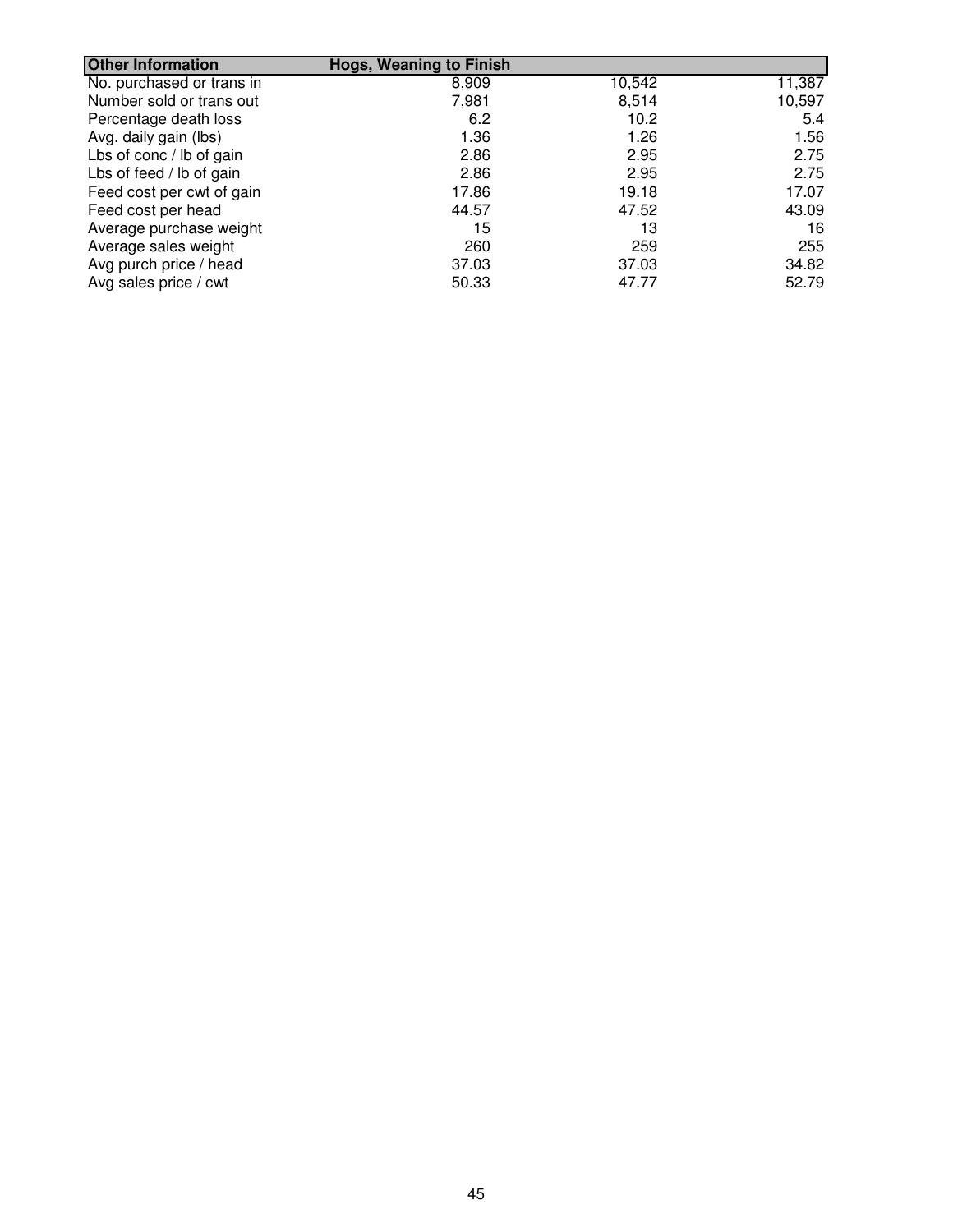| <b>Other Information</b>  | <b>Hogs, Weaning to Finish</b> |        |        |
|---------------------------|--------------------------------|--------|--------|
| No. purchased or trans in | 8,909                          | 10,542 | 11,387 |
| Number sold or trans out  | 7,981                          | 8,514  | 10,597 |
| Percentage death loss     | 6.2                            | 10.2   | 5.4    |
| Avg. daily gain (lbs)     | 1.36                           | 1.26   | 1.56   |
| Lbs of conc / lb of gain  | 2.86                           | 2.95   | 2.75   |
| Lbs of feed / lb of gain  | 2.86                           | 2.95   | 2.75   |
| Feed cost per cwt of gain | 17.86                          | 19.18  | 17.07  |
| Feed cost per head        | 44.57                          | 47.52  | 43.09  |
| Average purchase weight   | 15                             | 13     | 16     |
| Average sales weight      | 260                            | 259    | 255    |
| Avg purch price / head    | 37.03                          | 37.03  | 34.82  |
| Avg sales price / cwt     | 50.33                          | 47.77  | 52.79  |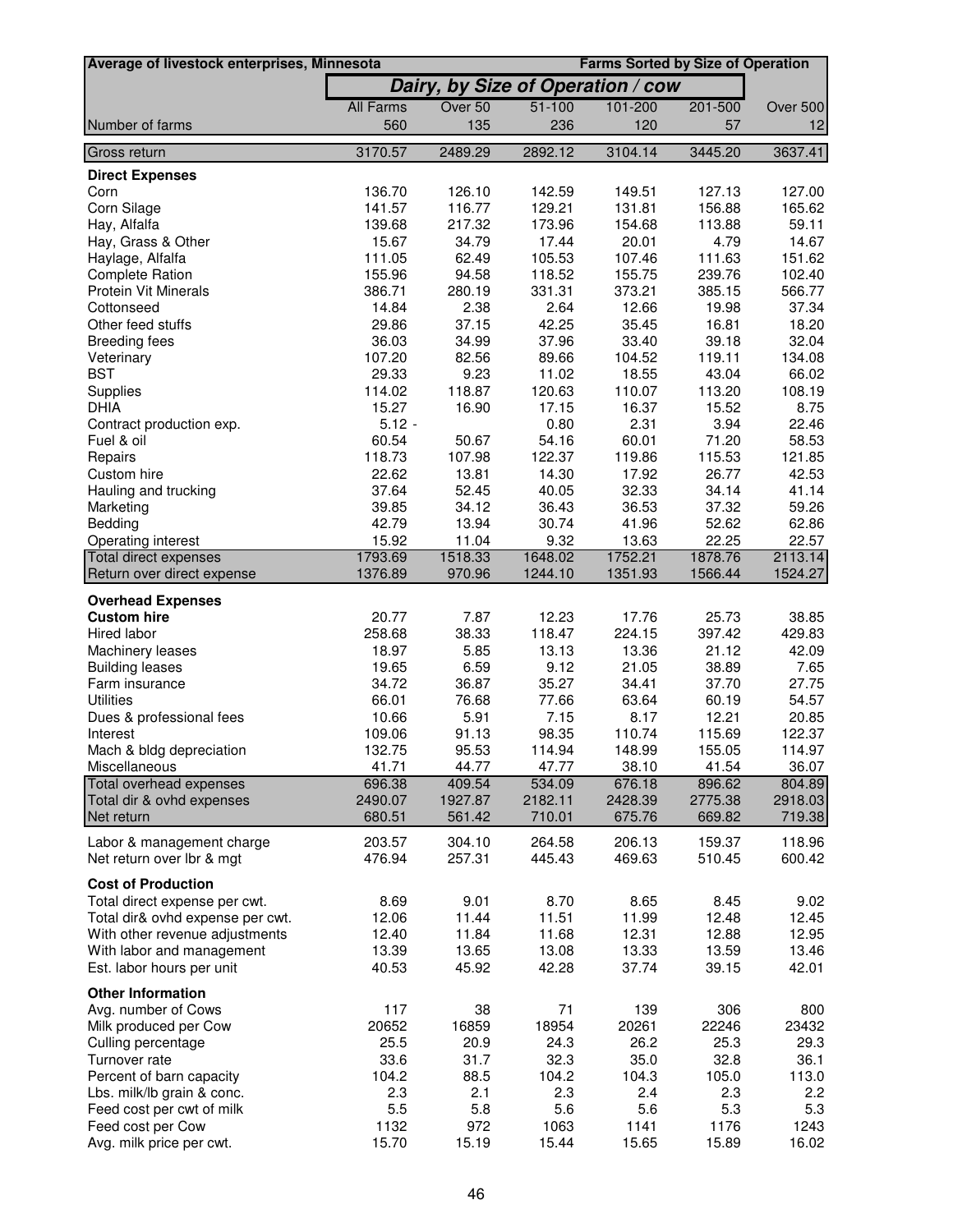| Average of livestock enterprises, Minnesota |                    |                   |                                   |                    | <b>Farms Sorted by Size of Operation</b> |                    |
|---------------------------------------------|--------------------|-------------------|-----------------------------------|--------------------|------------------------------------------|--------------------|
|                                             |                    |                   | Dairy, by Size of Operation / cow |                    |                                          |                    |
|                                             | <b>All Farms</b>   | Over 50           | $51 - 100$                        | 101-200            | 201-500                                  | Over 500           |
| Number of farms                             | 560                | 135               | 236                               | 120                | 57                                       | 12                 |
| Gross return                                | 3170.57            | 2489.29           | 2892.12                           | 3104.14            | 3445.20                                  | 3637.41            |
|                                             |                    |                   |                                   |                    |                                          |                    |
| <b>Direct Expenses</b><br>Corn              | 136.70             | 126.10            | 142.59                            | 149.51             | 127.13                                   | 127.00             |
| Corn Silage                                 | 141.57             | 116.77            | 129.21                            | 131.81             | 156.88                                   | 165.62             |
| Hay, Alfalfa                                | 139.68             | 217.32            | 173.96                            | 154.68             | 113.88                                   | 59.11              |
| Hay, Grass & Other                          | 15.67              | 34.79             | 17.44                             | 20.01              | 4.79                                     | 14.67              |
| Haylage, Alfalfa                            | 111.05             | 62.49             | 105.53                            | 107.46             | 111.63                                   | 151.62             |
| <b>Complete Ration</b>                      | 155.96             | 94.58             | 118.52                            | 155.75             | 239.76                                   | 102.40             |
| <b>Protein Vit Minerals</b>                 | 386.71             | 280.19            | 331.31                            | 373.21             | 385.15                                   | 566.77             |
| Cottonseed                                  | 14.84              | 2.38              | 2.64                              | 12.66              | 19.98                                    | 37.34              |
| Other feed stuffs                           | 29.86              | 37.15             | 42.25                             | 35.45              | 16.81                                    | 18.20              |
| <b>Breeding fees</b>                        | 36.03              | 34.99             | 37.96                             | 33.40              | 39.18                                    | 32.04              |
| Veterinary                                  | 107.20             | 82.56             | 89.66                             | 104.52             | 119.11                                   | 134.08             |
| <b>BST</b>                                  | 29.33              | 9.23              | 11.02                             | 18.55              | 43.04                                    | 66.02              |
| Supplies                                    | 114.02             | 118.87            | 120.63                            | 110.07             | 113.20                                   | 108.19             |
| <b>DHIA</b>                                 | 15.27              | 16.90             | 17.15                             | 16.37              | 15.52                                    | 8.75               |
| Contract production exp.                    | $5.12 -$           |                   | 0.80                              | 2.31               | 3.94                                     | 22.46              |
| Fuel & oil                                  | 60.54              | 50.67             | 54.16                             | 60.01              | 71.20                                    | 58.53              |
| Repairs                                     | 118.73             | 107.98            | 122.37                            | 119.86             | 115.53                                   | 121.85             |
| Custom hire                                 | 22.62              | 13.81             | 14.30                             | 17.92              | 26.77                                    | 42.53              |
| Hauling and trucking                        | 37.64              | 52.45             | 40.05                             | 32.33              | 34.14                                    | 41.14              |
| Marketing                                   | 39.85              | 34.12             | 36.43                             | 36.53              | 37.32                                    | 59.26              |
| Bedding                                     | 42.79              | 13.94             | 30.74                             | 41.96              | 52.62                                    | 62.86              |
| Operating interest                          | 15.92              | 11.04             | 9.32                              | 13.63              | 22.25                                    | 22.57              |
| Total direct expenses                       | 1793.69<br>1376.89 | 1518.33<br>970.96 | 1648.02                           | 1752.21<br>1351.93 | 1878.76                                  | 2113.14<br>1524.27 |
| Return over direct expense                  |                    |                   | 1244.10                           |                    | 1566.44                                  |                    |
| <b>Overhead Expenses</b>                    |                    |                   |                                   |                    |                                          |                    |
| <b>Custom hire</b>                          | 20.77              | 7.87              | 12.23                             | 17.76              | 25.73                                    | 38.85              |
| Hired labor                                 | 258.68             | 38.33             | 118.47                            | 224.15             | 397.42                                   | 429.83             |
| Machinery leases                            | 18.97              | 5.85              | 13.13                             | 13.36              | 21.12                                    | 42.09              |
| <b>Building leases</b>                      | 19.65              | 6.59              | 9.12                              | 21.05              | 38.89                                    | 7.65               |
| Farm insurance                              | 34.72              | 36.87             | 35.27                             | 34.41              | 37.70                                    | 27.75              |
| <b>Utilities</b>                            | 66.01              | 76.68             | 77.66                             | 63.64              | 60.19                                    | 54.57              |
| Dues & professional fees                    | 10.66              | 5.91              | 7.15                              | 8.17               | 12.21                                    | 20.85              |
| Interest                                    | 109.06             | 91.13             | 98.35                             | 110.74             | 115.69                                   | 122.37             |
| Mach & bldg depreciation                    | 132.75             | 95.53             | 114.94                            | 148.99             | 155.05                                   | 114.97             |
| Miscellaneous                               | 41.71              | 44.77             | 47.77                             | 38.10              | 41.54                                    | 36.07              |
| Total overhead expenses                     | 696.38             | 409.54            | 534.09<br>2182.11                 | 676.18             | 896.62                                   | 804.89             |
| Total dir & ovhd expenses<br>Net return     | 2490.07<br>680.51  | 1927.87<br>561.42 | 710.01                            | 2428.39<br>675.76  | 2775.38<br>669.82                        | 2918.03<br>719.38  |
|                                             |                    |                   |                                   |                    |                                          |                    |
| Labor & management charge                   | 203.57             | 304.10            | 264.58                            | 206.13             | 159.37                                   | 118.96             |
| Net return over lbr & mgt                   | 476.94             | 257.31            | 445.43                            | 469.63             | 510.45                                   | 600.42             |
| <b>Cost of Production</b>                   |                    |                   |                                   |                    |                                          |                    |
| Total direct expense per cwt.               | 8.69               | 9.01              | 8.70                              | 8.65               | 8.45                                     | 9.02               |
| Total dir& ovhd expense per cwt.            | 12.06              | 11.44             | 11.51                             | 11.99              | 12.48                                    | 12.45              |
| With other revenue adjustments              | 12.40              | 11.84             | 11.68                             | 12.31              | 12.88                                    | 12.95              |
| With labor and management                   | 13.39              | 13.65             | 13.08                             | 13.33              | 13.59                                    | 13.46              |
| Est. labor hours per unit                   | 40.53              | 45.92             | 42.28                             | 37.74              | 39.15                                    | 42.01              |
|                                             |                    |                   |                                   |                    |                                          |                    |
| <b>Other Information</b>                    |                    |                   |                                   |                    |                                          |                    |
| Avg. number of Cows                         | 117<br>20652       | 38<br>16859       | 71<br>18954                       | 139<br>20261       | 306                                      | 800                |
| Milk produced per Cow                       | 25.5               | 20.9              | 24.3                              | 26.2               | 22246<br>25.3                            | 23432<br>29.3      |
| Culling percentage<br>Turnover rate         | 33.6               | 31.7              | 32.3                              | 35.0               | 32.8                                     | 36.1               |
| Percent of barn capacity                    | 104.2              | 88.5              | 104.2                             | 104.3              | 105.0                                    | 113.0              |
| Lbs. milk/lb grain & conc.                  | 2.3                | 2.1               | 2.3                               | 2.4                | 2.3                                      | 2.2                |
| Feed cost per cwt of milk                   | 5.5                | 5.8               | 5.6                               | 5.6                | 5.3                                      | 5.3                |
| Feed cost per Cow                           | 1132               | 972               | 1063                              | 1141               | 1176                                     | 1243               |
| Avg. milk price per cwt.                    | 15.70              | 15.19             | 15.44                             | 15.65              | 15.89                                    | 16.02              |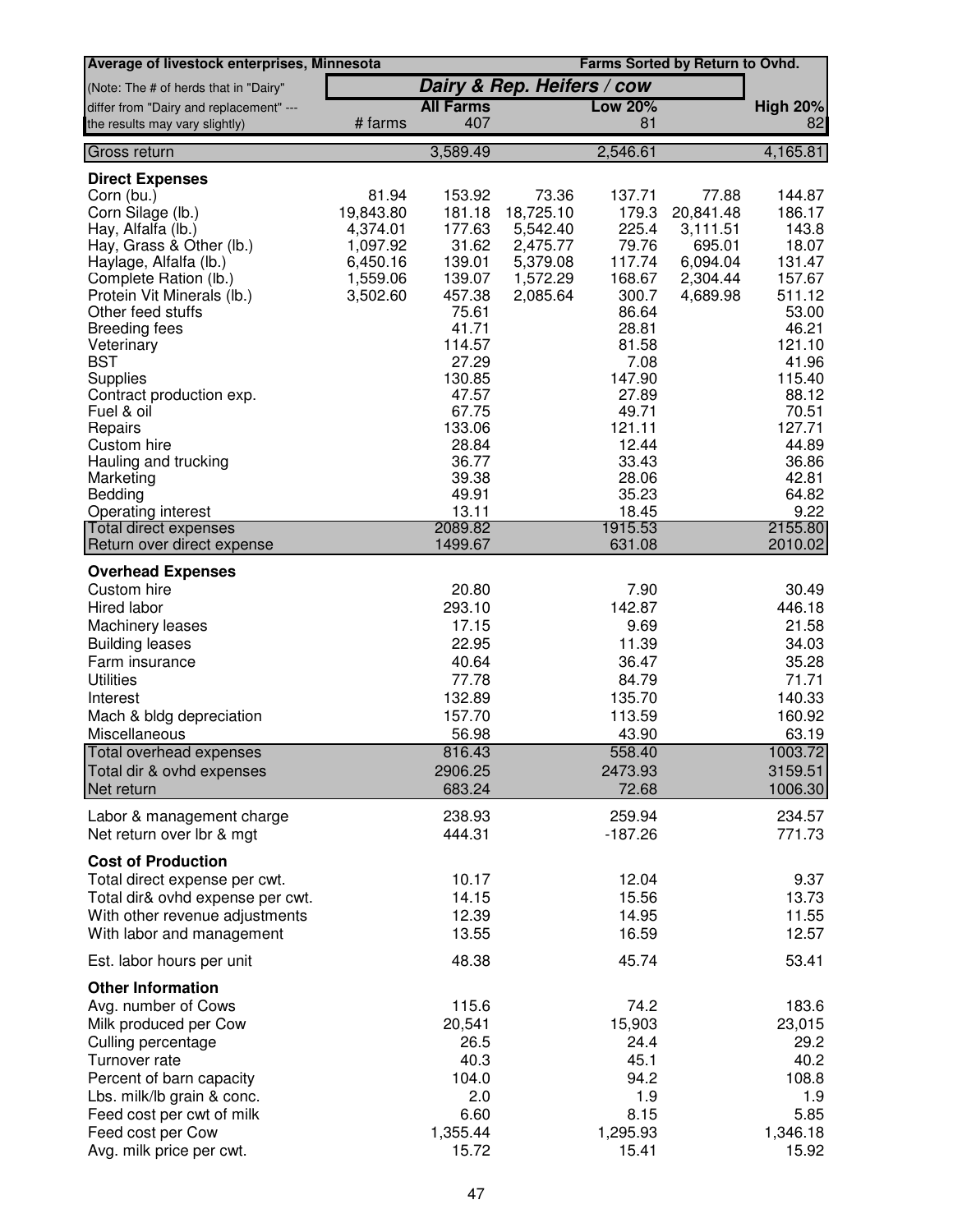| Average of livestock enterprises, Minnesota |           |                  |                            |                | Farms Sorted by Return to Ovhd. |                 |
|---------------------------------------------|-----------|------------------|----------------------------|----------------|---------------------------------|-----------------|
| (Note: The # of herds that in "Dairy"       |           |                  | Dairy & Rep. Heifers / cow |                |                                 |                 |
| differ from "Dairy and replacement" ---     |           | <b>All Farms</b> |                            | <b>Low 20%</b> |                                 | <b>High 20%</b> |
| the results may vary slightly)              | # farms   | 407              |                            | 81             |                                 | 82              |
| Gross return                                |           | 3,589.49         |                            | 2,546.61       |                                 | 4,165.81        |
| <b>Direct Expenses</b>                      |           |                  |                            |                |                                 |                 |
| Corn (bu.)                                  | 81.94     | 153.92           | 73.36                      | 137.71         | 77.88                           | 144.87          |
| Corn Silage (lb.)                           | 19,843.80 | 181.18           | 18,725.10                  | 179.3          | 20,841.48                       | 186.17          |
| Hay, Alfalfa (lb.)                          | 4,374.01  | 177.63           | 5,542.40                   | 225.4          | 3,111.51                        | 143.8           |
| Hay, Grass & Other (lb.)                    | 1,097.92  | 31.62            | 2,475.77                   | 79.76          | 695.01                          | 18.07           |
| Haylage, Alfalfa (lb.)                      | 6,450.16  | 139.01           | 5,379.08                   | 117.74         | 6,094.04                        | 131.47          |
| Complete Ration (lb.)                       | 1,559.06  | 139.07           | 1,572.29                   | 168.67         | 2,304.44                        | 157.67          |
| Protein Vit Minerals (lb.)                  | 3,502.60  | 457.38           | 2,085.64                   | 300.7          | 4,689.98                        | 511.12          |
| Other feed stuffs                           |           | 75.61            |                            | 86.64          |                                 | 53.00           |
| <b>Breeding fees</b>                        |           | 41.71            |                            | 28.81          |                                 | 46.21           |
| Veterinary                                  |           | 114.57           |                            | 81.58          |                                 | 121.10          |
| <b>BST</b>                                  |           | 27.29<br>130.85  |                            | 7.08<br>147.90 |                                 | 41.96<br>115.40 |
| Supplies                                    |           | 47.57            |                            | 27.89          |                                 | 88.12           |
| Contract production exp.<br>Fuel & oil      |           | 67.75            |                            | 49.71          |                                 | 70.51           |
| Repairs                                     |           | 133.06           |                            | 121.11         |                                 | 127.71          |
| Custom hire                                 |           | 28.84            |                            | 12.44          |                                 | 44.89           |
| Hauling and trucking                        |           | 36.77            |                            | 33.43          |                                 | 36.86           |
| Marketing                                   |           | 39.38            |                            | 28.06          |                                 | 42.81           |
| Bedding                                     |           | 49.91            |                            | 35.23          |                                 | 64.82           |
| <b>Operating interest</b>                   |           | 13.11            |                            | 18.45          |                                 | 9.22            |
| <b>Total direct expenses</b>                |           | 2089.82          |                            | 1915.53        |                                 | 2155.80         |
| Return over direct expense                  |           | 1499.67          |                            | 631.08         |                                 | 2010.02         |
| <b>Overhead Expenses</b>                    |           |                  |                            |                |                                 |                 |
| Custom hire                                 |           | 20.80            |                            | 7.90           |                                 | 30.49           |
| Hired labor                                 |           | 293.10           |                            | 142.87         |                                 | 446.18          |
| Machinery leases                            |           | 17.15            |                            | 9.69           |                                 | 21.58           |
| <b>Building leases</b>                      |           | 22.95            |                            | 11.39          |                                 | 34.03           |
| Farm insurance                              |           | 40.64            |                            | 36.47          |                                 | 35.28           |
| <b>Utilities</b>                            |           | 77.78            |                            | 84.79          |                                 | 71.71           |
| Interest                                    |           | 132.89           |                            | 135.70         |                                 | 140.33          |
| Mach & bldg depreciation                    |           | 157.70           |                            | 113.59         |                                 | 160.92          |
| Miscellaneous                               |           | 56.98            |                            | 43.90          |                                 | 63.19           |
| Total overhead expenses                     |           | 816.43           |                            | 558.40         |                                 | 1003.72         |
| Total dir & ovhd expenses                   |           | 2906.25          |                            | 2473.93        |                                 | 3159.51         |
| Net return                                  |           | 683.24           |                            | 72.68          |                                 | 1006.30         |
| Labor & management charge                   |           | 238.93           |                            | 259.94         |                                 | 234.57          |
| Net return over lbr & mgt                   |           | 444.31           |                            | $-187.26$      |                                 | 771.73          |
|                                             |           |                  |                            |                |                                 |                 |
| <b>Cost of Production</b>                   |           |                  |                            |                |                                 |                 |
| Total direct expense per cwt.               |           | 10.17            |                            | 12.04          |                                 | 9.37            |
| Total dir& ovhd expense per cwt.            |           | 14.15            |                            | 15.56          |                                 | 13.73           |
| With other revenue adjustments              |           | 12.39            |                            | 14.95          |                                 | 11.55           |
| With labor and management                   |           | 13.55            |                            | 16.59          |                                 | 12.57           |
| Est. labor hours per unit                   |           | 48.38            |                            | 45.74          |                                 | 53.41           |
| <b>Other Information</b>                    |           |                  |                            |                |                                 |                 |
| Avg. number of Cows                         |           | 115.6            |                            | 74.2           |                                 | 183.6           |
| Milk produced per Cow                       |           | 20,541           |                            | 15,903         |                                 | 23,015          |
| Culling percentage                          |           | 26.5             |                            | 24.4           |                                 | 29.2            |
| Turnover rate                               |           | 40.3             |                            | 45.1           |                                 | 40.2            |
| Percent of barn capacity                    |           | 104.0            |                            | 94.2           |                                 | 108.8           |
| Lbs. milk/lb grain & conc.                  |           | 2.0              |                            | 1.9            |                                 | 1.9             |
| Feed cost per cwt of milk                   |           | 6.60             |                            | 8.15           |                                 | 5.85            |
| Feed cost per Cow                           |           | 1,355.44         |                            | 1,295.93       |                                 | 1,346.18        |
| Avg. milk price per cwt.                    |           | 15.72            |                            | 15.41          |                                 | 15.92           |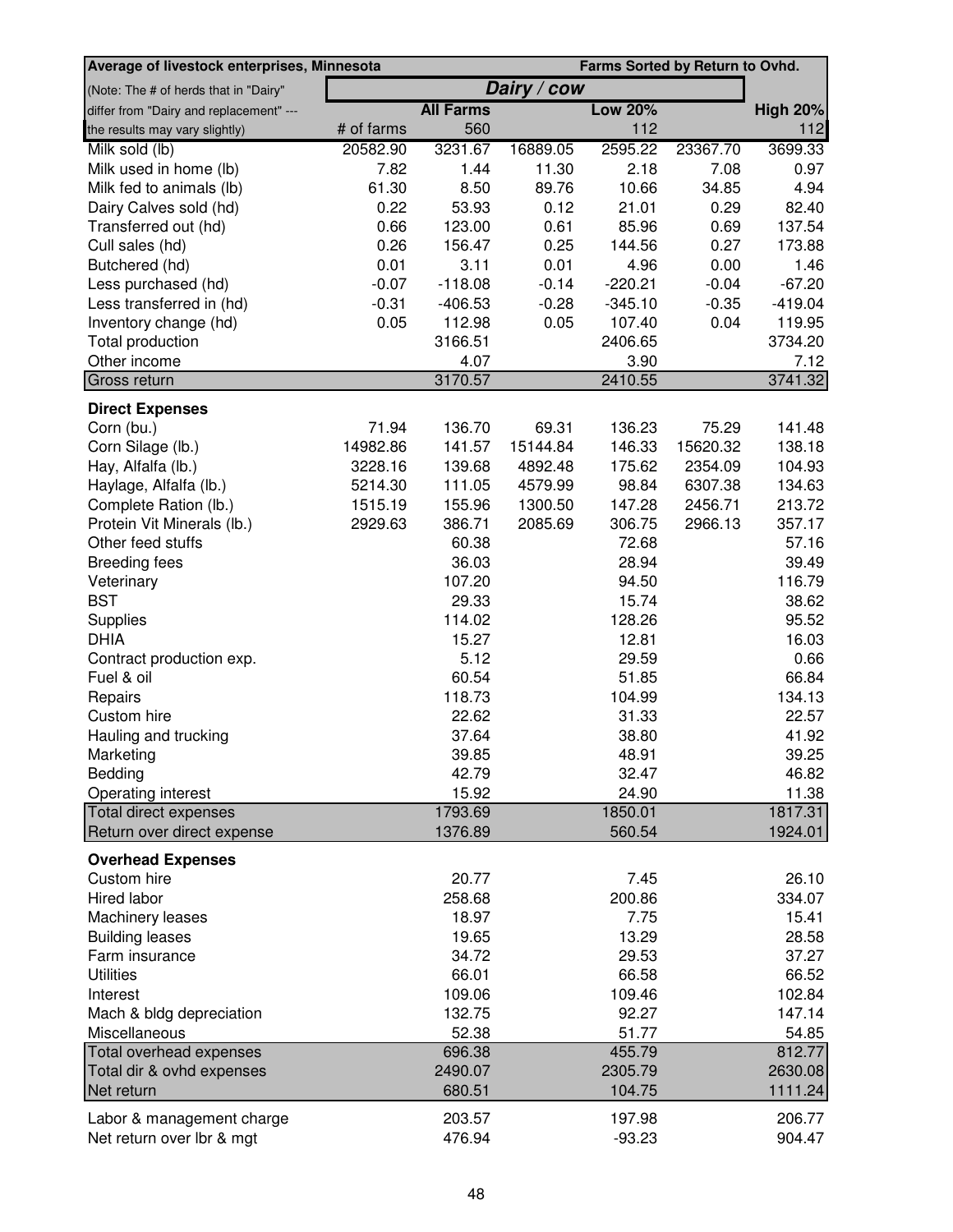| Dairy / cow<br>(Note: The # of herds that in "Dairy"<br><b>All Farms</b><br><b>Low 20%</b><br>differ from "Dairy and replacement" ---<br><b>High 20%</b><br>112<br># of farms<br>560<br>112<br>the results may vary slightly)<br>20582.90<br>Milk sold (lb)<br>3231.67<br>16889.05<br>2595.22<br>23367.70<br>3699.33<br>1.44<br>2.18<br>Milk used in home (lb)<br>7.82<br>11.30<br>7.08<br>0.97<br>4.94<br>Milk fed to animals (lb)<br>61.30<br>8.50<br>89.76<br>10.66<br>34.85<br>82.40<br>Dairy Calves sold (hd)<br>0.22<br>53.93<br>0.12<br>21.01<br>0.29<br>0.66<br>123.00<br>0.61<br>137.54<br>Transferred out (hd)<br>85.96<br>0.69<br>0.26<br>0.25<br>Cull sales (hd)<br>156.47<br>144.56<br>0.27<br>173.88<br>0.01<br>3.11<br>0.01<br>Butchered (hd)<br>4.96<br>0.00<br>1.46<br>$-0.04$<br>Less purchased (hd)<br>$-0.07$<br>$-118.08$<br>$-0.14$<br>$-220.21$<br>$-67.20$<br>$-0.31$<br>$-406.53$<br>$-0.28$<br>$-345.10$<br>$-419.04$<br>Less transferred in (hd)<br>$-0.35$<br>0.05<br>0.04<br>119.95<br>Inventory change (hd)<br>0.05<br>112.98<br>107.40<br>Total production<br>3166.51<br>2406.65<br>3734.20<br>Other income<br>4.07<br>3.90<br>7.12<br>Gross return<br>2410.55<br>3741.32<br>3170.57<br><b>Direct Expenses</b><br>71.94<br>136.70<br>141.48<br>Corn (bu.)<br>69.31<br>136.23<br>75.29<br>141.57<br>15144.84<br>15620.32<br>138.18<br>Corn Silage (lb.)<br>14982.86<br>146.33<br>3228.16<br>175.62<br>Hay, Alfalfa (lb.)<br>139.68<br>4892.48<br>2354.09<br>104.93<br>111.05<br>134.63<br>Haylage, Alfalfa (lb.)<br>5214.30<br>4579.99<br>98.84<br>6307.38<br>155.96<br>1300.50<br>147.28<br>2456.71<br>213.72<br>Complete Ration (lb.)<br>1515.19<br>386.71<br>2085.69<br>357.17<br>Protein Vit Minerals (lb.)<br>2929.63<br>306.75<br>2966.13<br>57.16<br>Other feed stuffs<br>60.38<br>72.68<br>36.03<br>39.49<br><b>Breeding fees</b><br>28.94<br>107.20<br>116.79<br>Veterinary<br>94.50<br><b>BST</b><br>38.62<br>29.33<br>15.74<br>95.52<br>Supplies<br>114.02<br>128.26<br><b>DHIA</b><br>16.03<br>15.27<br>12.81<br>5.12<br>29.59<br>0.66<br>Contract production exp.<br>Fuel & oil<br>60.54<br>66.84<br>51.85<br>118.73<br>134.13<br>Repairs<br>104.99<br>22.62<br>22.57<br>Custom hire<br>31.33<br>41.92<br>Hauling and trucking<br>37.64<br>38.80<br>39.85<br>39.25<br>48.91<br>Marketing<br>Bedding<br>42.79<br>32.47<br>46.82<br>15.92<br>11.38<br>Operating interest<br>24.90<br>Total direct expenses<br>1793.69<br>1850.01<br>1817.31<br>Return over direct expense<br>1376.89<br>560.54<br>1924.01<br><b>Overhead Expenses</b><br>Custom hire<br>20.77<br>7.45<br>26.10<br>Hired labor<br>258.68<br>200.86<br>334.07<br>Machinery leases<br>18.97<br>7.75<br>15.41<br><b>Building leases</b><br>19.65<br>13.29<br>28.58<br>Farm insurance<br>34.72<br>29.53<br>37.27<br><b>Utilities</b><br>66.01<br>66.58<br>66.52<br>109.06<br>109.46<br>102.84<br>Interest<br>Mach & bldg depreciation<br>132.75<br>92.27<br>147.14<br>Miscellaneous<br>52.38<br>51.77<br>54.85<br>Total overhead expenses<br>696.38<br>455.79<br>812.77<br>Total dir & ovhd expenses<br>2490.07<br>2305.79<br>2630.08<br>1111.24<br>Net return<br>680.51<br>104.75<br>Labor & management charge<br>203.57<br>197.98<br>206.77<br>Net return over lbr & mgt<br>476.94<br>$-93.23$<br>904.47 | Average of livestock enterprises, Minnesota<br>Farms Sorted by Return to Ovhd. |  |  |  |  |  |  |
|----------------------------------------------------------------------------------------------------------------------------------------------------------------------------------------------------------------------------------------------------------------------------------------------------------------------------------------------------------------------------------------------------------------------------------------------------------------------------------------------------------------------------------------------------------------------------------------------------------------------------------------------------------------------------------------------------------------------------------------------------------------------------------------------------------------------------------------------------------------------------------------------------------------------------------------------------------------------------------------------------------------------------------------------------------------------------------------------------------------------------------------------------------------------------------------------------------------------------------------------------------------------------------------------------------------------------------------------------------------------------------------------------------------------------------------------------------------------------------------------------------------------------------------------------------------------------------------------------------------------------------------------------------------------------------------------------------------------------------------------------------------------------------------------------------------------------------------------------------------------------------------------------------------------------------------------------------------------------------------------------------------------------------------------------------------------------------------------------------------------------------------------------------------------------------------------------------------------------------------------------------------------------------------------------------------------------------------------------------------------------------------------------------------------------------------------------------------------------------------------------------------------------------------------------------------------------------------------------------------------------------------------------------------------------------------------------------------------------------------------------------------------------------------------------------------------------------------------------------------------------------------------------------------------------------------------------------------------------------------------------------------------------------------------------------------------------------------------------------------------------------------------------------------------------------------------------------------------------------------------------------------------------------------------------------------|--------------------------------------------------------------------------------|--|--|--|--|--|--|
|                                                                                                                                                                                                                                                                                                                                                                                                                                                                                                                                                                                                                                                                                                                                                                                                                                                                                                                                                                                                                                                                                                                                                                                                                                                                                                                                                                                                                                                                                                                                                                                                                                                                                                                                                                                                                                                                                                                                                                                                                                                                                                                                                                                                                                                                                                                                                                                                                                                                                                                                                                                                                                                                                                                                                                                                                                                                                                                                                                                                                                                                                                                                                                                                                                                                                                                |                                                                                |  |  |  |  |  |  |
|                                                                                                                                                                                                                                                                                                                                                                                                                                                                                                                                                                                                                                                                                                                                                                                                                                                                                                                                                                                                                                                                                                                                                                                                                                                                                                                                                                                                                                                                                                                                                                                                                                                                                                                                                                                                                                                                                                                                                                                                                                                                                                                                                                                                                                                                                                                                                                                                                                                                                                                                                                                                                                                                                                                                                                                                                                                                                                                                                                                                                                                                                                                                                                                                                                                                                                                |                                                                                |  |  |  |  |  |  |
|                                                                                                                                                                                                                                                                                                                                                                                                                                                                                                                                                                                                                                                                                                                                                                                                                                                                                                                                                                                                                                                                                                                                                                                                                                                                                                                                                                                                                                                                                                                                                                                                                                                                                                                                                                                                                                                                                                                                                                                                                                                                                                                                                                                                                                                                                                                                                                                                                                                                                                                                                                                                                                                                                                                                                                                                                                                                                                                                                                                                                                                                                                                                                                                                                                                                                                                |                                                                                |  |  |  |  |  |  |
|                                                                                                                                                                                                                                                                                                                                                                                                                                                                                                                                                                                                                                                                                                                                                                                                                                                                                                                                                                                                                                                                                                                                                                                                                                                                                                                                                                                                                                                                                                                                                                                                                                                                                                                                                                                                                                                                                                                                                                                                                                                                                                                                                                                                                                                                                                                                                                                                                                                                                                                                                                                                                                                                                                                                                                                                                                                                                                                                                                                                                                                                                                                                                                                                                                                                                                                |                                                                                |  |  |  |  |  |  |
|                                                                                                                                                                                                                                                                                                                                                                                                                                                                                                                                                                                                                                                                                                                                                                                                                                                                                                                                                                                                                                                                                                                                                                                                                                                                                                                                                                                                                                                                                                                                                                                                                                                                                                                                                                                                                                                                                                                                                                                                                                                                                                                                                                                                                                                                                                                                                                                                                                                                                                                                                                                                                                                                                                                                                                                                                                                                                                                                                                                                                                                                                                                                                                                                                                                                                                                |                                                                                |  |  |  |  |  |  |
|                                                                                                                                                                                                                                                                                                                                                                                                                                                                                                                                                                                                                                                                                                                                                                                                                                                                                                                                                                                                                                                                                                                                                                                                                                                                                                                                                                                                                                                                                                                                                                                                                                                                                                                                                                                                                                                                                                                                                                                                                                                                                                                                                                                                                                                                                                                                                                                                                                                                                                                                                                                                                                                                                                                                                                                                                                                                                                                                                                                                                                                                                                                                                                                                                                                                                                                |                                                                                |  |  |  |  |  |  |
|                                                                                                                                                                                                                                                                                                                                                                                                                                                                                                                                                                                                                                                                                                                                                                                                                                                                                                                                                                                                                                                                                                                                                                                                                                                                                                                                                                                                                                                                                                                                                                                                                                                                                                                                                                                                                                                                                                                                                                                                                                                                                                                                                                                                                                                                                                                                                                                                                                                                                                                                                                                                                                                                                                                                                                                                                                                                                                                                                                                                                                                                                                                                                                                                                                                                                                                |                                                                                |  |  |  |  |  |  |
|                                                                                                                                                                                                                                                                                                                                                                                                                                                                                                                                                                                                                                                                                                                                                                                                                                                                                                                                                                                                                                                                                                                                                                                                                                                                                                                                                                                                                                                                                                                                                                                                                                                                                                                                                                                                                                                                                                                                                                                                                                                                                                                                                                                                                                                                                                                                                                                                                                                                                                                                                                                                                                                                                                                                                                                                                                                                                                                                                                                                                                                                                                                                                                                                                                                                                                                |                                                                                |  |  |  |  |  |  |
|                                                                                                                                                                                                                                                                                                                                                                                                                                                                                                                                                                                                                                                                                                                                                                                                                                                                                                                                                                                                                                                                                                                                                                                                                                                                                                                                                                                                                                                                                                                                                                                                                                                                                                                                                                                                                                                                                                                                                                                                                                                                                                                                                                                                                                                                                                                                                                                                                                                                                                                                                                                                                                                                                                                                                                                                                                                                                                                                                                                                                                                                                                                                                                                                                                                                                                                |                                                                                |  |  |  |  |  |  |
|                                                                                                                                                                                                                                                                                                                                                                                                                                                                                                                                                                                                                                                                                                                                                                                                                                                                                                                                                                                                                                                                                                                                                                                                                                                                                                                                                                                                                                                                                                                                                                                                                                                                                                                                                                                                                                                                                                                                                                                                                                                                                                                                                                                                                                                                                                                                                                                                                                                                                                                                                                                                                                                                                                                                                                                                                                                                                                                                                                                                                                                                                                                                                                                                                                                                                                                |                                                                                |  |  |  |  |  |  |
|                                                                                                                                                                                                                                                                                                                                                                                                                                                                                                                                                                                                                                                                                                                                                                                                                                                                                                                                                                                                                                                                                                                                                                                                                                                                                                                                                                                                                                                                                                                                                                                                                                                                                                                                                                                                                                                                                                                                                                                                                                                                                                                                                                                                                                                                                                                                                                                                                                                                                                                                                                                                                                                                                                                                                                                                                                                                                                                                                                                                                                                                                                                                                                                                                                                                                                                |                                                                                |  |  |  |  |  |  |
|                                                                                                                                                                                                                                                                                                                                                                                                                                                                                                                                                                                                                                                                                                                                                                                                                                                                                                                                                                                                                                                                                                                                                                                                                                                                                                                                                                                                                                                                                                                                                                                                                                                                                                                                                                                                                                                                                                                                                                                                                                                                                                                                                                                                                                                                                                                                                                                                                                                                                                                                                                                                                                                                                                                                                                                                                                                                                                                                                                                                                                                                                                                                                                                                                                                                                                                |                                                                                |  |  |  |  |  |  |
|                                                                                                                                                                                                                                                                                                                                                                                                                                                                                                                                                                                                                                                                                                                                                                                                                                                                                                                                                                                                                                                                                                                                                                                                                                                                                                                                                                                                                                                                                                                                                                                                                                                                                                                                                                                                                                                                                                                                                                                                                                                                                                                                                                                                                                                                                                                                                                                                                                                                                                                                                                                                                                                                                                                                                                                                                                                                                                                                                                                                                                                                                                                                                                                                                                                                                                                |                                                                                |  |  |  |  |  |  |
|                                                                                                                                                                                                                                                                                                                                                                                                                                                                                                                                                                                                                                                                                                                                                                                                                                                                                                                                                                                                                                                                                                                                                                                                                                                                                                                                                                                                                                                                                                                                                                                                                                                                                                                                                                                                                                                                                                                                                                                                                                                                                                                                                                                                                                                                                                                                                                                                                                                                                                                                                                                                                                                                                                                                                                                                                                                                                                                                                                                                                                                                                                                                                                                                                                                                                                                |                                                                                |  |  |  |  |  |  |
|                                                                                                                                                                                                                                                                                                                                                                                                                                                                                                                                                                                                                                                                                                                                                                                                                                                                                                                                                                                                                                                                                                                                                                                                                                                                                                                                                                                                                                                                                                                                                                                                                                                                                                                                                                                                                                                                                                                                                                                                                                                                                                                                                                                                                                                                                                                                                                                                                                                                                                                                                                                                                                                                                                                                                                                                                                                                                                                                                                                                                                                                                                                                                                                                                                                                                                                |                                                                                |  |  |  |  |  |  |
|                                                                                                                                                                                                                                                                                                                                                                                                                                                                                                                                                                                                                                                                                                                                                                                                                                                                                                                                                                                                                                                                                                                                                                                                                                                                                                                                                                                                                                                                                                                                                                                                                                                                                                                                                                                                                                                                                                                                                                                                                                                                                                                                                                                                                                                                                                                                                                                                                                                                                                                                                                                                                                                                                                                                                                                                                                                                                                                                                                                                                                                                                                                                                                                                                                                                                                                |                                                                                |  |  |  |  |  |  |
|                                                                                                                                                                                                                                                                                                                                                                                                                                                                                                                                                                                                                                                                                                                                                                                                                                                                                                                                                                                                                                                                                                                                                                                                                                                                                                                                                                                                                                                                                                                                                                                                                                                                                                                                                                                                                                                                                                                                                                                                                                                                                                                                                                                                                                                                                                                                                                                                                                                                                                                                                                                                                                                                                                                                                                                                                                                                                                                                                                                                                                                                                                                                                                                                                                                                                                                |                                                                                |  |  |  |  |  |  |
|                                                                                                                                                                                                                                                                                                                                                                                                                                                                                                                                                                                                                                                                                                                                                                                                                                                                                                                                                                                                                                                                                                                                                                                                                                                                                                                                                                                                                                                                                                                                                                                                                                                                                                                                                                                                                                                                                                                                                                                                                                                                                                                                                                                                                                                                                                                                                                                                                                                                                                                                                                                                                                                                                                                                                                                                                                                                                                                                                                                                                                                                                                                                                                                                                                                                                                                |                                                                                |  |  |  |  |  |  |
|                                                                                                                                                                                                                                                                                                                                                                                                                                                                                                                                                                                                                                                                                                                                                                                                                                                                                                                                                                                                                                                                                                                                                                                                                                                                                                                                                                                                                                                                                                                                                                                                                                                                                                                                                                                                                                                                                                                                                                                                                                                                                                                                                                                                                                                                                                                                                                                                                                                                                                                                                                                                                                                                                                                                                                                                                                                                                                                                                                                                                                                                                                                                                                                                                                                                                                                |                                                                                |  |  |  |  |  |  |
|                                                                                                                                                                                                                                                                                                                                                                                                                                                                                                                                                                                                                                                                                                                                                                                                                                                                                                                                                                                                                                                                                                                                                                                                                                                                                                                                                                                                                                                                                                                                                                                                                                                                                                                                                                                                                                                                                                                                                                                                                                                                                                                                                                                                                                                                                                                                                                                                                                                                                                                                                                                                                                                                                                                                                                                                                                                                                                                                                                                                                                                                                                                                                                                                                                                                                                                |                                                                                |  |  |  |  |  |  |
|                                                                                                                                                                                                                                                                                                                                                                                                                                                                                                                                                                                                                                                                                                                                                                                                                                                                                                                                                                                                                                                                                                                                                                                                                                                                                                                                                                                                                                                                                                                                                                                                                                                                                                                                                                                                                                                                                                                                                                                                                                                                                                                                                                                                                                                                                                                                                                                                                                                                                                                                                                                                                                                                                                                                                                                                                                                                                                                                                                                                                                                                                                                                                                                                                                                                                                                |                                                                                |  |  |  |  |  |  |
|                                                                                                                                                                                                                                                                                                                                                                                                                                                                                                                                                                                                                                                                                                                                                                                                                                                                                                                                                                                                                                                                                                                                                                                                                                                                                                                                                                                                                                                                                                                                                                                                                                                                                                                                                                                                                                                                                                                                                                                                                                                                                                                                                                                                                                                                                                                                                                                                                                                                                                                                                                                                                                                                                                                                                                                                                                                                                                                                                                                                                                                                                                                                                                                                                                                                                                                |                                                                                |  |  |  |  |  |  |
|                                                                                                                                                                                                                                                                                                                                                                                                                                                                                                                                                                                                                                                                                                                                                                                                                                                                                                                                                                                                                                                                                                                                                                                                                                                                                                                                                                                                                                                                                                                                                                                                                                                                                                                                                                                                                                                                                                                                                                                                                                                                                                                                                                                                                                                                                                                                                                                                                                                                                                                                                                                                                                                                                                                                                                                                                                                                                                                                                                                                                                                                                                                                                                                                                                                                                                                |                                                                                |  |  |  |  |  |  |
|                                                                                                                                                                                                                                                                                                                                                                                                                                                                                                                                                                                                                                                                                                                                                                                                                                                                                                                                                                                                                                                                                                                                                                                                                                                                                                                                                                                                                                                                                                                                                                                                                                                                                                                                                                                                                                                                                                                                                                                                                                                                                                                                                                                                                                                                                                                                                                                                                                                                                                                                                                                                                                                                                                                                                                                                                                                                                                                                                                                                                                                                                                                                                                                                                                                                                                                |                                                                                |  |  |  |  |  |  |
|                                                                                                                                                                                                                                                                                                                                                                                                                                                                                                                                                                                                                                                                                                                                                                                                                                                                                                                                                                                                                                                                                                                                                                                                                                                                                                                                                                                                                                                                                                                                                                                                                                                                                                                                                                                                                                                                                                                                                                                                                                                                                                                                                                                                                                                                                                                                                                                                                                                                                                                                                                                                                                                                                                                                                                                                                                                                                                                                                                                                                                                                                                                                                                                                                                                                                                                |                                                                                |  |  |  |  |  |  |
|                                                                                                                                                                                                                                                                                                                                                                                                                                                                                                                                                                                                                                                                                                                                                                                                                                                                                                                                                                                                                                                                                                                                                                                                                                                                                                                                                                                                                                                                                                                                                                                                                                                                                                                                                                                                                                                                                                                                                                                                                                                                                                                                                                                                                                                                                                                                                                                                                                                                                                                                                                                                                                                                                                                                                                                                                                                                                                                                                                                                                                                                                                                                                                                                                                                                                                                |                                                                                |  |  |  |  |  |  |
|                                                                                                                                                                                                                                                                                                                                                                                                                                                                                                                                                                                                                                                                                                                                                                                                                                                                                                                                                                                                                                                                                                                                                                                                                                                                                                                                                                                                                                                                                                                                                                                                                                                                                                                                                                                                                                                                                                                                                                                                                                                                                                                                                                                                                                                                                                                                                                                                                                                                                                                                                                                                                                                                                                                                                                                                                                                                                                                                                                                                                                                                                                                                                                                                                                                                                                                |                                                                                |  |  |  |  |  |  |
|                                                                                                                                                                                                                                                                                                                                                                                                                                                                                                                                                                                                                                                                                                                                                                                                                                                                                                                                                                                                                                                                                                                                                                                                                                                                                                                                                                                                                                                                                                                                                                                                                                                                                                                                                                                                                                                                                                                                                                                                                                                                                                                                                                                                                                                                                                                                                                                                                                                                                                                                                                                                                                                                                                                                                                                                                                                                                                                                                                                                                                                                                                                                                                                                                                                                                                                |                                                                                |  |  |  |  |  |  |
|                                                                                                                                                                                                                                                                                                                                                                                                                                                                                                                                                                                                                                                                                                                                                                                                                                                                                                                                                                                                                                                                                                                                                                                                                                                                                                                                                                                                                                                                                                                                                                                                                                                                                                                                                                                                                                                                                                                                                                                                                                                                                                                                                                                                                                                                                                                                                                                                                                                                                                                                                                                                                                                                                                                                                                                                                                                                                                                                                                                                                                                                                                                                                                                                                                                                                                                |                                                                                |  |  |  |  |  |  |
|                                                                                                                                                                                                                                                                                                                                                                                                                                                                                                                                                                                                                                                                                                                                                                                                                                                                                                                                                                                                                                                                                                                                                                                                                                                                                                                                                                                                                                                                                                                                                                                                                                                                                                                                                                                                                                                                                                                                                                                                                                                                                                                                                                                                                                                                                                                                                                                                                                                                                                                                                                                                                                                                                                                                                                                                                                                                                                                                                                                                                                                                                                                                                                                                                                                                                                                |                                                                                |  |  |  |  |  |  |
|                                                                                                                                                                                                                                                                                                                                                                                                                                                                                                                                                                                                                                                                                                                                                                                                                                                                                                                                                                                                                                                                                                                                                                                                                                                                                                                                                                                                                                                                                                                                                                                                                                                                                                                                                                                                                                                                                                                                                                                                                                                                                                                                                                                                                                                                                                                                                                                                                                                                                                                                                                                                                                                                                                                                                                                                                                                                                                                                                                                                                                                                                                                                                                                                                                                                                                                |                                                                                |  |  |  |  |  |  |
|                                                                                                                                                                                                                                                                                                                                                                                                                                                                                                                                                                                                                                                                                                                                                                                                                                                                                                                                                                                                                                                                                                                                                                                                                                                                                                                                                                                                                                                                                                                                                                                                                                                                                                                                                                                                                                                                                                                                                                                                                                                                                                                                                                                                                                                                                                                                                                                                                                                                                                                                                                                                                                                                                                                                                                                                                                                                                                                                                                                                                                                                                                                                                                                                                                                                                                                |                                                                                |  |  |  |  |  |  |
|                                                                                                                                                                                                                                                                                                                                                                                                                                                                                                                                                                                                                                                                                                                                                                                                                                                                                                                                                                                                                                                                                                                                                                                                                                                                                                                                                                                                                                                                                                                                                                                                                                                                                                                                                                                                                                                                                                                                                                                                                                                                                                                                                                                                                                                                                                                                                                                                                                                                                                                                                                                                                                                                                                                                                                                                                                                                                                                                                                                                                                                                                                                                                                                                                                                                                                                |                                                                                |  |  |  |  |  |  |
|                                                                                                                                                                                                                                                                                                                                                                                                                                                                                                                                                                                                                                                                                                                                                                                                                                                                                                                                                                                                                                                                                                                                                                                                                                                                                                                                                                                                                                                                                                                                                                                                                                                                                                                                                                                                                                                                                                                                                                                                                                                                                                                                                                                                                                                                                                                                                                                                                                                                                                                                                                                                                                                                                                                                                                                                                                                                                                                                                                                                                                                                                                                                                                                                                                                                                                                |                                                                                |  |  |  |  |  |  |
|                                                                                                                                                                                                                                                                                                                                                                                                                                                                                                                                                                                                                                                                                                                                                                                                                                                                                                                                                                                                                                                                                                                                                                                                                                                                                                                                                                                                                                                                                                                                                                                                                                                                                                                                                                                                                                                                                                                                                                                                                                                                                                                                                                                                                                                                                                                                                                                                                                                                                                                                                                                                                                                                                                                                                                                                                                                                                                                                                                                                                                                                                                                                                                                                                                                                                                                |                                                                                |  |  |  |  |  |  |
|                                                                                                                                                                                                                                                                                                                                                                                                                                                                                                                                                                                                                                                                                                                                                                                                                                                                                                                                                                                                                                                                                                                                                                                                                                                                                                                                                                                                                                                                                                                                                                                                                                                                                                                                                                                                                                                                                                                                                                                                                                                                                                                                                                                                                                                                                                                                                                                                                                                                                                                                                                                                                                                                                                                                                                                                                                                                                                                                                                                                                                                                                                                                                                                                                                                                                                                |                                                                                |  |  |  |  |  |  |
|                                                                                                                                                                                                                                                                                                                                                                                                                                                                                                                                                                                                                                                                                                                                                                                                                                                                                                                                                                                                                                                                                                                                                                                                                                                                                                                                                                                                                                                                                                                                                                                                                                                                                                                                                                                                                                                                                                                                                                                                                                                                                                                                                                                                                                                                                                                                                                                                                                                                                                                                                                                                                                                                                                                                                                                                                                                                                                                                                                                                                                                                                                                                                                                                                                                                                                                |                                                                                |  |  |  |  |  |  |
|                                                                                                                                                                                                                                                                                                                                                                                                                                                                                                                                                                                                                                                                                                                                                                                                                                                                                                                                                                                                                                                                                                                                                                                                                                                                                                                                                                                                                                                                                                                                                                                                                                                                                                                                                                                                                                                                                                                                                                                                                                                                                                                                                                                                                                                                                                                                                                                                                                                                                                                                                                                                                                                                                                                                                                                                                                                                                                                                                                                                                                                                                                                                                                                                                                                                                                                |                                                                                |  |  |  |  |  |  |
|                                                                                                                                                                                                                                                                                                                                                                                                                                                                                                                                                                                                                                                                                                                                                                                                                                                                                                                                                                                                                                                                                                                                                                                                                                                                                                                                                                                                                                                                                                                                                                                                                                                                                                                                                                                                                                                                                                                                                                                                                                                                                                                                                                                                                                                                                                                                                                                                                                                                                                                                                                                                                                                                                                                                                                                                                                                                                                                                                                                                                                                                                                                                                                                                                                                                                                                |                                                                                |  |  |  |  |  |  |
|                                                                                                                                                                                                                                                                                                                                                                                                                                                                                                                                                                                                                                                                                                                                                                                                                                                                                                                                                                                                                                                                                                                                                                                                                                                                                                                                                                                                                                                                                                                                                                                                                                                                                                                                                                                                                                                                                                                                                                                                                                                                                                                                                                                                                                                                                                                                                                                                                                                                                                                                                                                                                                                                                                                                                                                                                                                                                                                                                                                                                                                                                                                                                                                                                                                                                                                |                                                                                |  |  |  |  |  |  |
|                                                                                                                                                                                                                                                                                                                                                                                                                                                                                                                                                                                                                                                                                                                                                                                                                                                                                                                                                                                                                                                                                                                                                                                                                                                                                                                                                                                                                                                                                                                                                                                                                                                                                                                                                                                                                                                                                                                                                                                                                                                                                                                                                                                                                                                                                                                                                                                                                                                                                                                                                                                                                                                                                                                                                                                                                                                                                                                                                                                                                                                                                                                                                                                                                                                                                                                |                                                                                |  |  |  |  |  |  |
|                                                                                                                                                                                                                                                                                                                                                                                                                                                                                                                                                                                                                                                                                                                                                                                                                                                                                                                                                                                                                                                                                                                                                                                                                                                                                                                                                                                                                                                                                                                                                                                                                                                                                                                                                                                                                                                                                                                                                                                                                                                                                                                                                                                                                                                                                                                                                                                                                                                                                                                                                                                                                                                                                                                                                                                                                                                                                                                                                                                                                                                                                                                                                                                                                                                                                                                |                                                                                |  |  |  |  |  |  |
|                                                                                                                                                                                                                                                                                                                                                                                                                                                                                                                                                                                                                                                                                                                                                                                                                                                                                                                                                                                                                                                                                                                                                                                                                                                                                                                                                                                                                                                                                                                                                                                                                                                                                                                                                                                                                                                                                                                                                                                                                                                                                                                                                                                                                                                                                                                                                                                                                                                                                                                                                                                                                                                                                                                                                                                                                                                                                                                                                                                                                                                                                                                                                                                                                                                                                                                |                                                                                |  |  |  |  |  |  |
|                                                                                                                                                                                                                                                                                                                                                                                                                                                                                                                                                                                                                                                                                                                                                                                                                                                                                                                                                                                                                                                                                                                                                                                                                                                                                                                                                                                                                                                                                                                                                                                                                                                                                                                                                                                                                                                                                                                                                                                                                                                                                                                                                                                                                                                                                                                                                                                                                                                                                                                                                                                                                                                                                                                                                                                                                                                                                                                                                                                                                                                                                                                                                                                                                                                                                                                |                                                                                |  |  |  |  |  |  |
|                                                                                                                                                                                                                                                                                                                                                                                                                                                                                                                                                                                                                                                                                                                                                                                                                                                                                                                                                                                                                                                                                                                                                                                                                                                                                                                                                                                                                                                                                                                                                                                                                                                                                                                                                                                                                                                                                                                                                                                                                                                                                                                                                                                                                                                                                                                                                                                                                                                                                                                                                                                                                                                                                                                                                                                                                                                                                                                                                                                                                                                                                                                                                                                                                                                                                                                |                                                                                |  |  |  |  |  |  |
|                                                                                                                                                                                                                                                                                                                                                                                                                                                                                                                                                                                                                                                                                                                                                                                                                                                                                                                                                                                                                                                                                                                                                                                                                                                                                                                                                                                                                                                                                                                                                                                                                                                                                                                                                                                                                                                                                                                                                                                                                                                                                                                                                                                                                                                                                                                                                                                                                                                                                                                                                                                                                                                                                                                                                                                                                                                                                                                                                                                                                                                                                                                                                                                                                                                                                                                |                                                                                |  |  |  |  |  |  |
|                                                                                                                                                                                                                                                                                                                                                                                                                                                                                                                                                                                                                                                                                                                                                                                                                                                                                                                                                                                                                                                                                                                                                                                                                                                                                                                                                                                                                                                                                                                                                                                                                                                                                                                                                                                                                                                                                                                                                                                                                                                                                                                                                                                                                                                                                                                                                                                                                                                                                                                                                                                                                                                                                                                                                                                                                                                                                                                                                                                                                                                                                                                                                                                                                                                                                                                |                                                                                |  |  |  |  |  |  |
|                                                                                                                                                                                                                                                                                                                                                                                                                                                                                                                                                                                                                                                                                                                                                                                                                                                                                                                                                                                                                                                                                                                                                                                                                                                                                                                                                                                                                                                                                                                                                                                                                                                                                                                                                                                                                                                                                                                                                                                                                                                                                                                                                                                                                                                                                                                                                                                                                                                                                                                                                                                                                                                                                                                                                                                                                                                                                                                                                                                                                                                                                                                                                                                                                                                                                                                |                                                                                |  |  |  |  |  |  |
|                                                                                                                                                                                                                                                                                                                                                                                                                                                                                                                                                                                                                                                                                                                                                                                                                                                                                                                                                                                                                                                                                                                                                                                                                                                                                                                                                                                                                                                                                                                                                                                                                                                                                                                                                                                                                                                                                                                                                                                                                                                                                                                                                                                                                                                                                                                                                                                                                                                                                                                                                                                                                                                                                                                                                                                                                                                                                                                                                                                                                                                                                                                                                                                                                                                                                                                |                                                                                |  |  |  |  |  |  |
|                                                                                                                                                                                                                                                                                                                                                                                                                                                                                                                                                                                                                                                                                                                                                                                                                                                                                                                                                                                                                                                                                                                                                                                                                                                                                                                                                                                                                                                                                                                                                                                                                                                                                                                                                                                                                                                                                                                                                                                                                                                                                                                                                                                                                                                                                                                                                                                                                                                                                                                                                                                                                                                                                                                                                                                                                                                                                                                                                                                                                                                                                                                                                                                                                                                                                                                |                                                                                |  |  |  |  |  |  |
|                                                                                                                                                                                                                                                                                                                                                                                                                                                                                                                                                                                                                                                                                                                                                                                                                                                                                                                                                                                                                                                                                                                                                                                                                                                                                                                                                                                                                                                                                                                                                                                                                                                                                                                                                                                                                                                                                                                                                                                                                                                                                                                                                                                                                                                                                                                                                                                                                                                                                                                                                                                                                                                                                                                                                                                                                                                                                                                                                                                                                                                                                                                                                                                                                                                                                                                |                                                                                |  |  |  |  |  |  |
|                                                                                                                                                                                                                                                                                                                                                                                                                                                                                                                                                                                                                                                                                                                                                                                                                                                                                                                                                                                                                                                                                                                                                                                                                                                                                                                                                                                                                                                                                                                                                                                                                                                                                                                                                                                                                                                                                                                                                                                                                                                                                                                                                                                                                                                                                                                                                                                                                                                                                                                                                                                                                                                                                                                                                                                                                                                                                                                                                                                                                                                                                                                                                                                                                                                                                                                |                                                                                |  |  |  |  |  |  |
|                                                                                                                                                                                                                                                                                                                                                                                                                                                                                                                                                                                                                                                                                                                                                                                                                                                                                                                                                                                                                                                                                                                                                                                                                                                                                                                                                                                                                                                                                                                                                                                                                                                                                                                                                                                                                                                                                                                                                                                                                                                                                                                                                                                                                                                                                                                                                                                                                                                                                                                                                                                                                                                                                                                                                                                                                                                                                                                                                                                                                                                                                                                                                                                                                                                                                                                |                                                                                |  |  |  |  |  |  |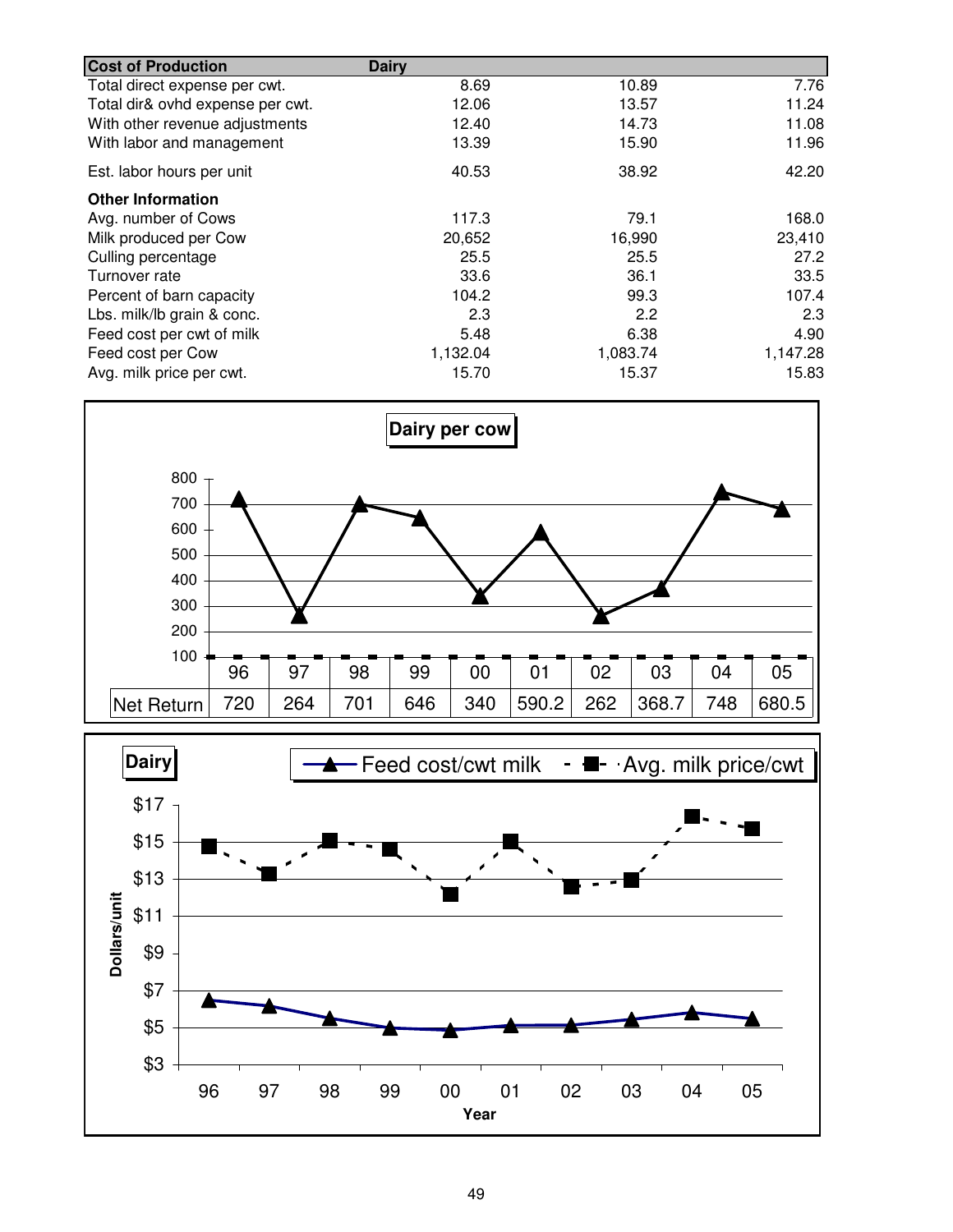| <b>Cost of Production</b>        | <b>Dairy</b> |          |          |
|----------------------------------|--------------|----------|----------|
| Total direct expense per cwt.    | 8.69         | 10.89    | 7.76     |
| Total dir& ovhd expense per cwt. | 12.06        | 13.57    | 11.24    |
| With other revenue adjustments   | 12.40        | 14.73    | 11.08    |
| With labor and management        | 13.39        | 15.90    | 11.96    |
| Est. labor hours per unit        | 40.53        | 38.92    | 42.20    |
| <b>Other Information</b>         |              |          |          |
| Avg. number of Cows              | 117.3        | 79.1     | 168.0    |
| Milk produced per Cow            | 20,652       | 16,990   | 23,410   |
| Culling percentage               | 25.5         | 25.5     | 27.2     |
| Turnover rate                    | 33.6         | 36.1     | 33.5     |
| Percent of barn capacity         | 104.2        | 99.3     | 107.4    |
| Lbs. milk/lb grain & conc.       | 2.3          | 2.2      | 2.3      |
| Feed cost per cwt of milk        | 5.48         | 6.38     | 4.90     |
| Feed cost per Cow                | 1,132.04     | 1,083.74 | 1,147.28 |
| Avg. milk price per cwt.         | 15.70        | 15.37    | 15.83    |



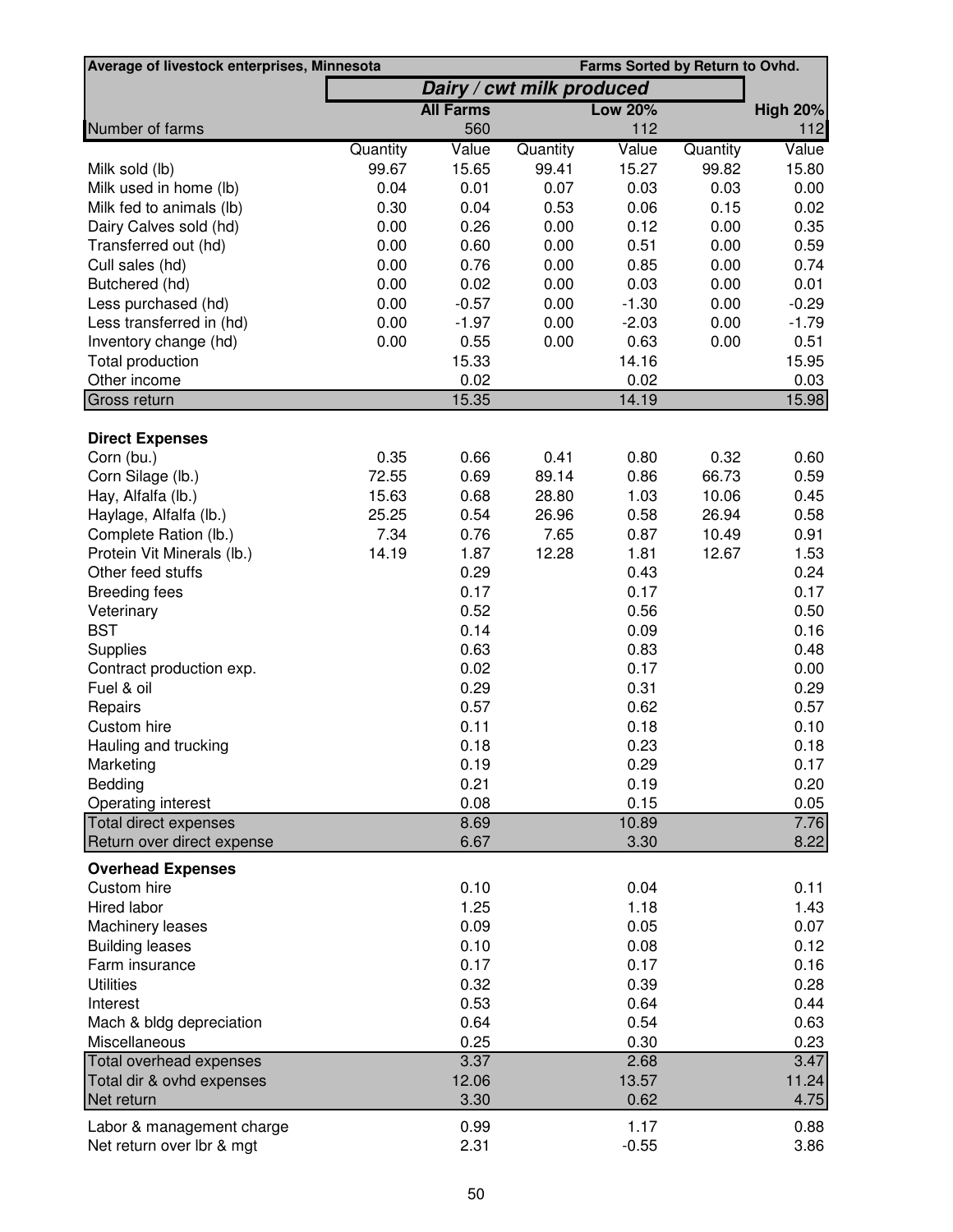| Average of livestock enterprises, Minnesota         | Farms Sorted by Return to Ovhd. |                  |                           |                |          |                 |
|-----------------------------------------------------|---------------------------------|------------------|---------------------------|----------------|----------|-----------------|
|                                                     |                                 |                  | Dairy / cwt milk produced |                |          |                 |
|                                                     |                                 | <b>All Farms</b> |                           | <b>Low 20%</b> |          | <b>High 20%</b> |
| Number of farms                                     |                                 | 560              |                           | 112            |          | $112$           |
|                                                     | Quantity                        | Value            | Quantity                  | Value          | Quantity | Value           |
| Milk sold (lb)                                      | 99.67                           | 15.65            | 99.41                     | 15.27          | 99.82    | 15.80           |
| Milk used in home (lb)                              | 0.04                            | 0.01             | 0.07                      | 0.03           | 0.03     | 0.00            |
| Milk fed to animals (lb)                            | 0.30                            | 0.04             | 0.53                      | 0.06           | 0.15     | 0.02            |
| Dairy Calves sold (hd)                              | 0.00                            | 0.26             | 0.00                      | 0.12           | 0.00     | 0.35            |
| Transferred out (hd)                                | 0.00                            | 0.60             | 0.00                      | 0.51           | 0.00     | 0.59            |
| Cull sales (hd)                                     | 0.00                            | 0.76             | 0.00                      | 0.85           | 0.00     | 0.74            |
| Butchered (hd)                                      | 0.00                            | 0.02             | 0.00                      | 0.03           | 0.00     | 0.01            |
| Less purchased (hd)                                 | 0.00                            | $-0.57$          | 0.00                      | $-1.30$        | 0.00     | $-0.29$         |
| Less transferred in (hd)                            | 0.00                            | $-1.97$          | 0.00                      | $-2.03$        | 0.00     | $-1.79$         |
| Inventory change (hd)                               | 0.00                            | 0.55             | 0.00                      | 0.63           | 0.00     | 0.51            |
| Total production                                    |                                 | 15.33            |                           | 14.16          |          | 15.95           |
| Other income<br>Gross return                        |                                 | 0.02<br>15.35    |                           | 0.02<br>14.19  |          | 0.03<br>15.98   |
|                                                     |                                 |                  |                           |                |          |                 |
| <b>Direct Expenses</b>                              |                                 |                  |                           |                |          |                 |
| Corn (bu.)                                          | 0.35                            | 0.66             | 0.41                      | 0.80           | 0.32     | 0.60            |
| Corn Silage (lb.)                                   | 72.55                           | 0.69             | 89.14                     | 0.86           | 66.73    | 0.59            |
| Hay, Alfalfa (lb.)                                  | 15.63                           | 0.68             | 28.80                     | 1.03           | 10.06    | 0.45            |
| Haylage, Alfalfa (lb.)                              | 25.25                           | 0.54             | 26.96                     | 0.58           | 26.94    | 0.58            |
| Complete Ration (lb.)                               | 7.34                            | 0.76             | 7.65                      | 0.87           | 10.49    | 0.91            |
| Protein Vit Minerals (lb.)                          | 14.19                           | 1.87             | 12.28                     | 1.81           | 12.67    | 1.53            |
| Other feed stuffs                                   |                                 | 0.29             |                           | 0.43           |          | 0.24            |
| <b>Breeding fees</b>                                |                                 | 0.17             |                           | 0.17           |          | 0.17            |
| Veterinary                                          |                                 | 0.52             |                           | 0.56           |          | 0.50            |
| <b>BST</b>                                          |                                 | 0.14             |                           | 0.09           |          | 0.16            |
| Supplies                                            |                                 | 0.63             |                           | 0.83           |          | 0.48            |
| Contract production exp.                            |                                 | 0.02             |                           | 0.17           |          | 0.00            |
| Fuel & oil                                          |                                 | 0.29             |                           | 0.31           |          | 0.29            |
| Repairs                                             |                                 | 0.57             |                           | 0.62           |          | 0.57            |
| Custom hire                                         |                                 | 0.11             |                           | 0.18           |          | 0.10            |
| Hauling and trucking                                |                                 | 0.18             |                           | 0.23           |          | 0.18            |
| Marketing                                           |                                 | 0.19             |                           | 0.29           |          | 0.17            |
| Bedding                                             |                                 | 0.21             |                           | 0.19           |          | 0.20            |
| Operating interest                                  |                                 | 0.08             |                           | 0.15           |          | 0.05<br>7.76    |
| Total direct expenses<br>Return over direct expense |                                 | 8.69<br>6.67     |                           | 10.89<br>3.30  |          | 8.22            |
|                                                     |                                 |                  |                           |                |          |                 |
| <b>Overhead Expenses</b><br>Custom hire             |                                 | 0.10             |                           | 0.04           |          | 0.11            |
| Hired labor                                         |                                 | 1.25             |                           | 1.18           |          | 1.43            |
| Machinery leases                                    |                                 | 0.09             |                           | 0.05           |          | 0.07            |
| <b>Building leases</b>                              |                                 | 0.10             |                           | 0.08           |          | 0.12            |
| Farm insurance                                      |                                 | 0.17             |                           | 0.17           |          | 0.16            |
| <b>Utilities</b>                                    |                                 | 0.32             |                           | 0.39           |          | 0.28            |
| Interest                                            |                                 | 0.53             |                           | 0.64           |          | 0.44            |
| Mach & bldg depreciation                            |                                 | 0.64             |                           | 0.54           |          | 0.63            |
| Miscellaneous                                       |                                 | 0.25             |                           | 0.30           |          | 0.23            |
| Total overhead expenses                             |                                 | 3.37             |                           | 2.68           |          | 3.47            |
| Total dir & ovhd expenses                           |                                 | 12.06            |                           | 13.57          |          | 11.24           |
| Net return                                          |                                 | 3.30             |                           | 0.62           |          | 4.75            |
| Labor & management charge                           |                                 | 0.99             |                           | 1.17           |          | 0.88            |
| Net return over lbr & mgt                           |                                 | 2.31             |                           | $-0.55$        |          | 3.86            |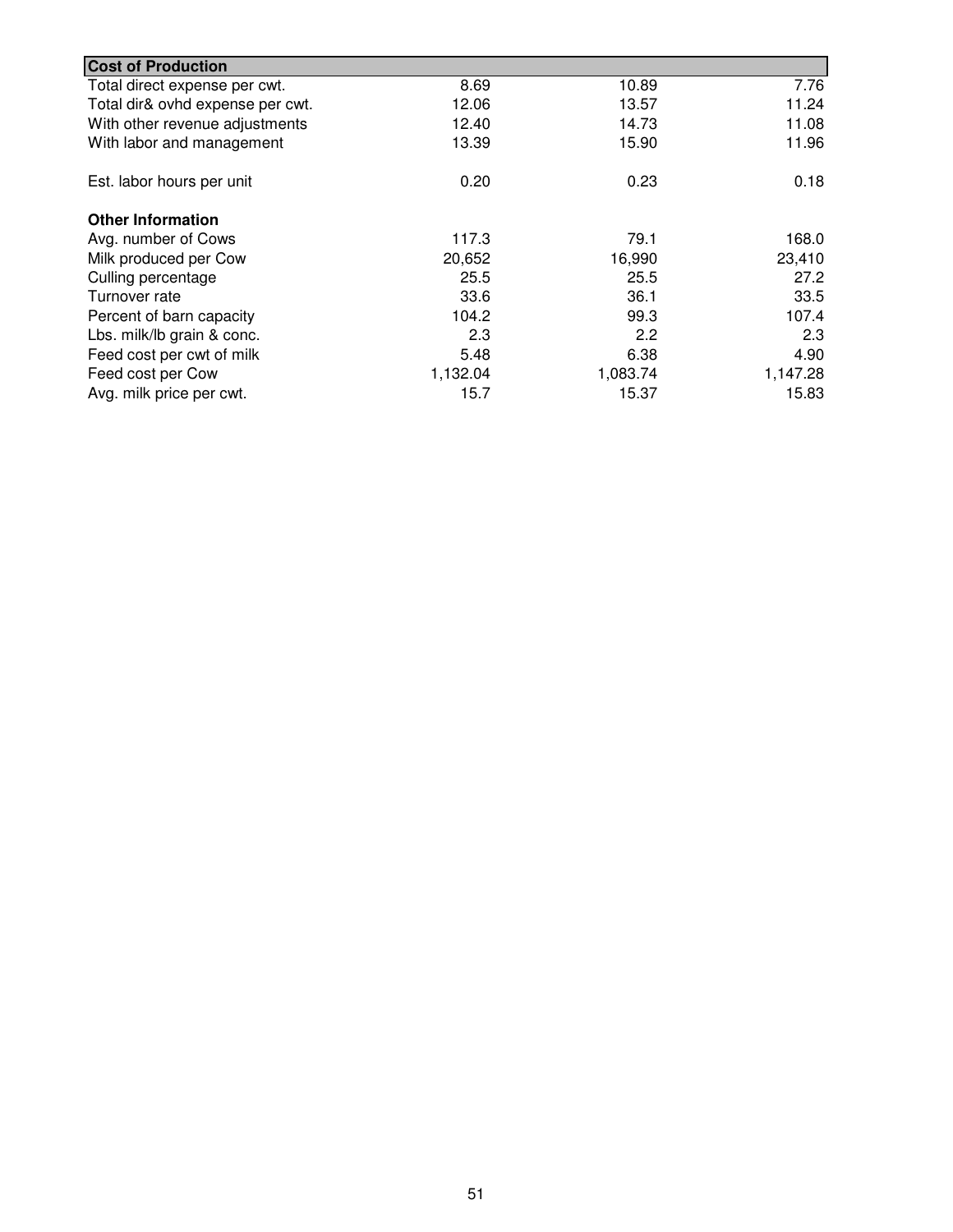| <b>Cost of Production</b>        |          |          |          |
|----------------------------------|----------|----------|----------|
| Total direct expense per cwt.    | 8.69     | 10.89    | 7.76     |
| Total dir& ovhd expense per cwt. | 12.06    | 13.57    | 11.24    |
| With other revenue adjustments   | 12.40    | 14.73    | 11.08    |
| With labor and management        | 13.39    | 15.90    | 11.96    |
| Est. labor hours per unit        | 0.20     | 0.23     | 0.18     |
| <b>Other Information</b>         |          |          |          |
| Avg. number of Cows              | 117.3    | 79.1     | 168.0    |
| Milk produced per Cow            | 20,652   | 16,990   | 23,410   |
| Culling percentage               | 25.5     | 25.5     | 27.2     |
| Turnover rate                    | 33.6     | 36.1     | 33.5     |
| Percent of barn capacity         | 104.2    | 99.3     | 107.4    |
| Lbs. milk/lb grain & conc.       | 2.3      | 2.2      | 2.3      |
| Feed cost per cwt of milk        | 5.48     | 6.38     | 4.90     |
| Feed cost per Cow                | 1,132.04 | 1,083.74 | 1,147.28 |
| Avg. milk price per cwt.         | 15.7     | 15.37    | 15.83    |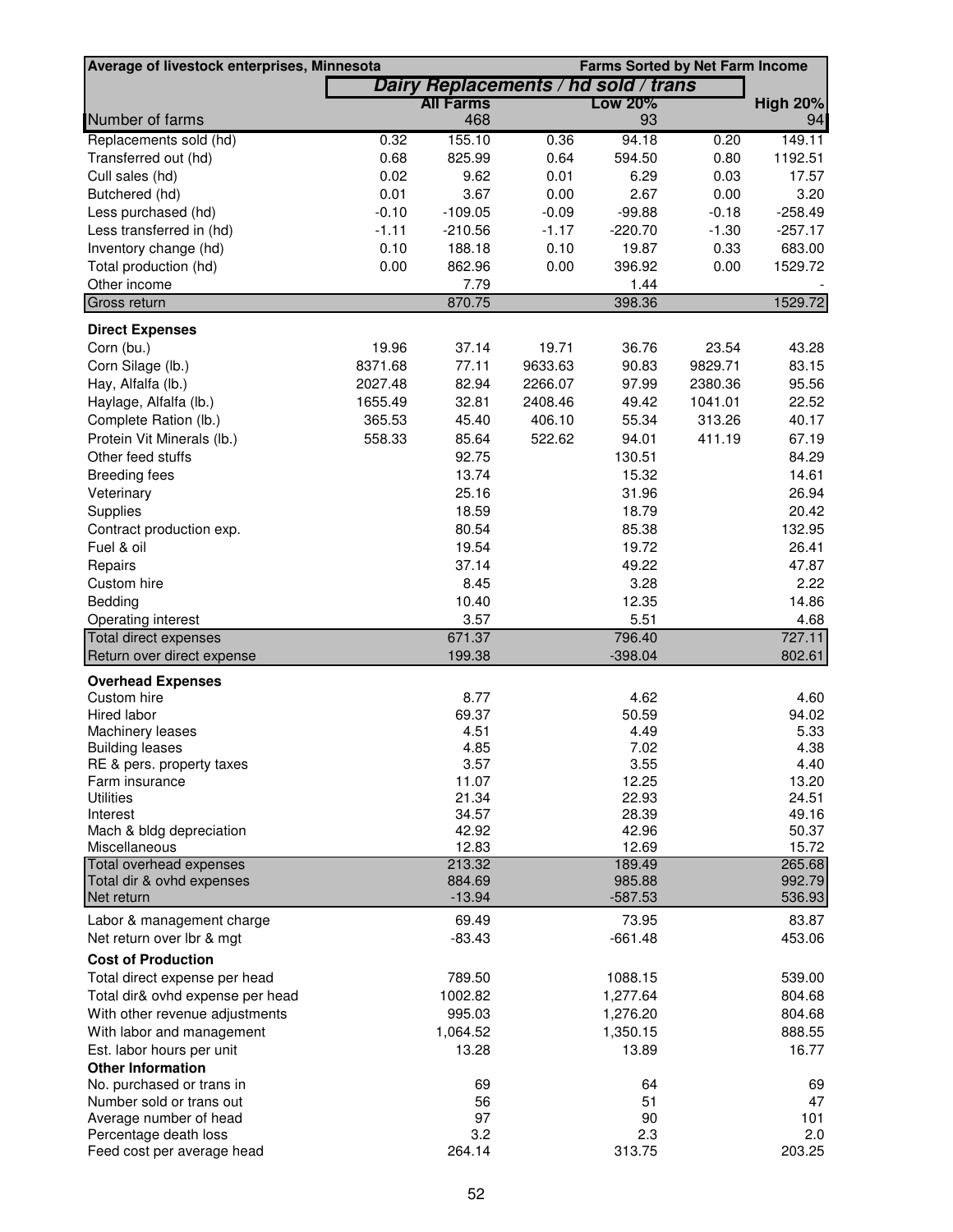| Average of livestock enterprises, Minnesota            |         |                  |                                      |                | <b>Farms Sorted by Net Farm Income</b> |                 |
|--------------------------------------------------------|---------|------------------|--------------------------------------|----------------|----------------------------------------|-----------------|
|                                                        |         |                  | Dairy Replacements / hd sold / trans |                |                                        |                 |
|                                                        |         | <b>All Farms</b> |                                      | <b>Low 20%</b> |                                        | <b>High 20%</b> |
| Number of farms                                        |         | 468              |                                      | 93             |                                        | 94              |
| Replacements sold (hd)                                 | 0.32    | 155.10           | 0.36                                 | 94.18          | 0.20                                   | 149.11          |
| Transferred out (hd)                                   | 0.68    | 825.99           | 0.64                                 | 594.50         | 0.80                                   | 1192.51         |
| Cull sales (hd)                                        | 0.02    | 9.62             | 0.01                                 | 6.29           | 0.03                                   | 17.57           |
| Butchered (hd)                                         | 0.01    | 3.67             | 0.00                                 | 2.67           | 0.00                                   | 3.20            |
| Less purchased (hd)                                    | $-0.10$ | $-109.05$        | $-0.09$                              | $-99.88$       | $-0.18$                                | $-258.49$       |
| Less transferred in (hd)                               | $-1.11$ | $-210.56$        | $-1.17$                              | $-220.70$      | $-1.30$                                | $-257.17$       |
| Inventory change (hd)                                  | 0.10    | 188.18           | 0.10                                 | 19.87          | 0.33                                   | 683.00          |
| Total production (hd)                                  | 0.00    | 862.96           | 0.00                                 | 396.92         | 0.00                                   | 1529.72         |
| Other income                                           |         | 7.79             |                                      | 1.44           |                                        |                 |
| Gross return                                           |         | 870.75           |                                      | 398.36         |                                        | 1529.72         |
|                                                        |         |                  |                                      |                |                                        |                 |
| <b>Direct Expenses</b>                                 |         |                  |                                      |                |                                        |                 |
| Corn (bu.)                                             | 19.96   | 37.14            | 19.71                                | 36.76          | 23.54                                  | 43.28           |
| Corn Silage (lb.)                                      | 8371.68 | 77.11            | 9633.63                              | 90.83          | 9829.71                                | 83.15           |
| Hay, Alfalfa (lb.)                                     | 2027.48 | 82.94            | 2266.07                              | 97.99          | 2380.36                                | 95.56           |
| Haylage, Alfalfa (lb.)                                 | 1655.49 | 32.81            | 2408.46                              | 49.42          | 1041.01                                | 22.52           |
| Complete Ration (lb.)                                  | 365.53  | 45.40            | 406.10                               | 55.34          | 313.26                                 | 40.17           |
| Protein Vit Minerals (lb.)                             | 558.33  | 85.64            | 522.62                               | 94.01          | 411.19                                 | 67.19           |
| Other feed stuffs                                      |         | 92.75            |                                      | 130.51         |                                        | 84.29           |
| <b>Breeding fees</b>                                   |         | 13.74            |                                      | 15.32          |                                        | 14.61           |
| Veterinary                                             |         | 25.16            |                                      | 31.96          |                                        | 26.94           |
| Supplies                                               |         | 18.59            |                                      | 18.79          |                                        | 20.42           |
| Contract production exp.                               |         | 80.54            |                                      | 85.38          |                                        | 132.95          |
| Fuel & oil                                             |         | 19.54            |                                      | 19.72          |                                        | 26.41           |
| Repairs                                                |         | 37.14            |                                      | 49.22          |                                        | 47.87           |
| Custom hire                                            |         | 8.45             |                                      | 3.28           |                                        | 2.22            |
| Bedding                                                |         | 10.40            |                                      | 12.35          |                                        | 14.86           |
| Operating interest                                     |         | 3.57             |                                      | 5.51           |                                        | 4.68            |
| Total direct expenses                                  |         | 671.37           |                                      | 796.40         |                                        | 727.11          |
| Return over direct expense                             |         | 199.38           |                                      | $-398.04$      |                                        | 802.61          |
| <b>Overhead Expenses</b>                               |         |                  |                                      |                |                                        |                 |
| Custom hire                                            |         | 8.77             |                                      | 4.62           |                                        | 4.60            |
| Hired labor                                            |         | 69.37            |                                      | 50.59          |                                        | 94.02           |
| Machinery leases                                       |         | 4.51             |                                      | 4.49           |                                        | 5.33            |
| <b>Building leases</b>                                 |         | 4.85             |                                      | 7.02           |                                        | 4.38            |
| RE & pers. property taxes                              |         | 3.57             |                                      | 3.55           |                                        | 4.40            |
| Farm insurance                                         |         | 11.07            |                                      | 12.25          |                                        | 13.20           |
| <b>Utilities</b>                                       |         | 21.34            |                                      | 22.93          |                                        | 24.51           |
| Interest                                               |         | 34.57            |                                      | 28.39          |                                        | 49.16           |
| Mach & bldg depreciation                               |         | 42.92<br>12.83   |                                      | 42.96<br>12.69 |                                        | 50.37<br>15.72  |
| Miscellaneous<br><b>Total overhead expenses</b>        |         | 213.32           |                                      | 189.49         |                                        | 265.68          |
| Total dir & ovhd expenses                              |         | 884.69           |                                      | 985.88         |                                        | 992.79          |
| Net return                                             |         | $-13.94$         |                                      | $-587.53$      |                                        | 536.93          |
|                                                        |         | 69.49            |                                      | 73.95          |                                        | 83.87           |
| Labor & management charge<br>Net return over lbr & mgt |         | $-83.43$         |                                      | $-661.48$      |                                        | 453.06          |
|                                                        |         |                  |                                      |                |                                        |                 |
| <b>Cost of Production</b>                              |         |                  |                                      |                |                                        |                 |
| Total direct expense per head                          |         | 789.50           |                                      | 1088.15        |                                        | 539.00          |
| Total dir& ovhd expense per head                       |         | 1002.82          |                                      | 1,277.64       |                                        | 804.68          |
| With other revenue adjustments                         |         | 995.03           |                                      | 1,276.20       |                                        | 804.68          |
| With labor and management                              |         | 1,064.52         |                                      | 1,350.15       |                                        | 888.55          |
| Est. labor hours per unit                              |         | 13.28            |                                      | 13.89          |                                        | 16.77           |
| <b>Other Information</b>                               |         |                  |                                      |                |                                        |                 |
| No. purchased or trans in                              |         | 69               |                                      | 64             |                                        | 69              |
| Number sold or trans out                               |         | 56               |                                      | 51             |                                        | 47              |
| Average number of head                                 |         | 97               |                                      | 90             |                                        | 101             |
| Percentage death loss                                  |         | 3.2              |                                      | 2.3            |                                        | 2.0             |
| Feed cost per average head                             |         | 264.14           |                                      | 313.75         |                                        | 203.25          |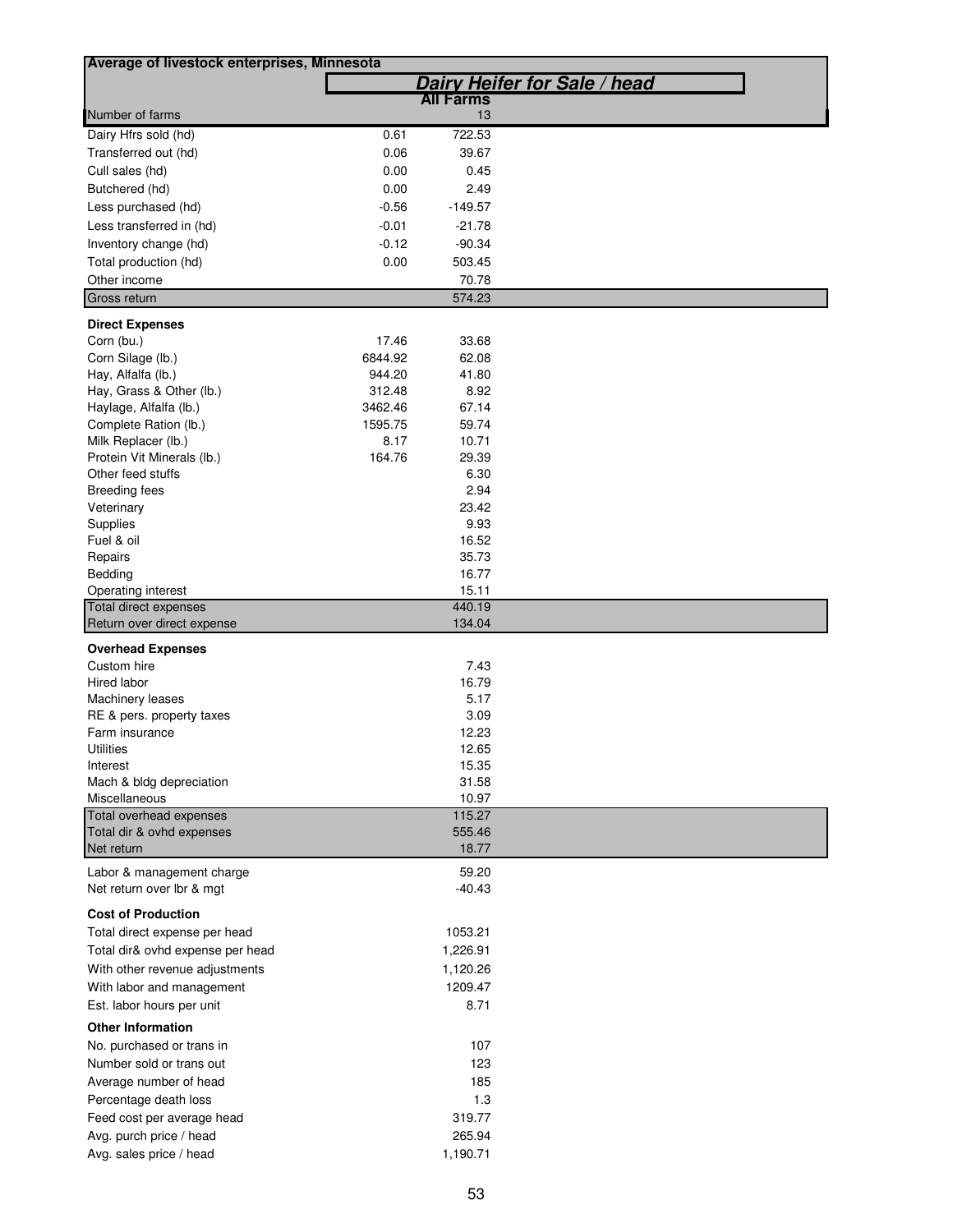| Average of livestock enterprises, Minnesota |         |                  |                              |
|---------------------------------------------|---------|------------------|------------------------------|
|                                             |         |                  | Dairy Heifer for Sale / head |
|                                             |         | <b>All Farms</b> |                              |
| Number of farms                             |         | 13               |                              |
| Dairy Hfrs sold (hd)                        | 0.61    | 722.53           |                              |
| Transferred out (hd)                        | 0.06    | 39.67            |                              |
| Cull sales (hd)                             | 0.00    | 0.45             |                              |
| Butchered (hd)                              | 0.00    | 2.49             |                              |
| Less purchased (hd)                         | $-0.56$ | $-149.57$        |                              |
| Less transferred in (hd)                    | $-0.01$ | $-21.78$         |                              |
| Inventory change (hd)                       | $-0.12$ | $-90.34$         |                              |
| Total production (hd)                       | 0.00    | 503.45           |                              |
| Other income                                |         | 70.78            |                              |
| Gross return                                |         | 574.23           |                              |
|                                             |         |                  |                              |
| <b>Direct Expenses</b>                      |         |                  |                              |
| Corn (bu.)                                  | 17.46   | 33.68            |                              |
| Corn Silage (lb.)                           | 6844.92 | 62.08            |                              |
| Hay, Alfalfa (lb.)                          | 944.20  | 41.80            |                              |
| Hay, Grass & Other (lb.)                    | 312.48  | 8.92             |                              |
| Haylage, Alfalfa (lb.)                      | 3462.46 | 67.14            |                              |
| Complete Ration (lb.)                       | 1595.75 | 59.74            |                              |
| Milk Replacer (lb.)                         | 8.17    | 10.71            |                              |
| Protein Vit Minerals (lb.)                  | 164.76  | 29.39            |                              |
| Other feed stuffs                           |         | 6.30             |                              |
| <b>Breeding fees</b>                        |         | 2.94<br>23.42    |                              |
| Veterinary                                  |         | 9.93             |                              |
| Supplies<br>Fuel & oil                      |         | 16.52            |                              |
| Repairs                                     |         | 35.73            |                              |
| Bedding                                     |         | 16.77            |                              |
| Operating interest                          |         | 15.11            |                              |
| Total direct expenses                       |         | 440.19           |                              |
| Return over direct expense                  |         | 134.04           |                              |
|                                             |         |                  |                              |
| <b>Overhead Expenses</b><br>Custom hire     |         | 7.43             |                              |
| Hired labor                                 |         | 16.79            |                              |
| Machinery leases                            |         | 5.17             |                              |
| RE & pers. property taxes                   |         | 3.09             |                              |
| Farm insurance                              |         | 12.23            |                              |
| Utilities                                   |         | 12.65            |                              |
| Interest                                    |         | 15.35            |                              |
| Mach & bldg depreciation                    |         | 31.58            |                              |
| Miscellaneous                               |         | 10.97            |                              |
| Total overhead expenses                     |         | 115.27           |                              |
| Total dir & ovhd expenses                   |         | 555.46           |                              |
| Net return                                  |         | 18.77            |                              |
| Labor & management charge                   |         | 59.20            |                              |
| Net return over Ibr & mgt                   |         | $-40.43$         |                              |
|                                             |         |                  |                              |
| <b>Cost of Production</b>                   |         |                  |                              |
| Total direct expense per head               |         | 1053.21          |                              |
| Total dir& ovhd expense per head            |         | 1,226.91         |                              |
| With other revenue adjustments              |         | 1,120.26         |                              |
| With labor and management                   |         | 1209.47          |                              |
| Est. labor hours per unit                   |         | 8.71             |                              |
| <b>Other Information</b>                    |         |                  |                              |
| No. purchased or trans in                   |         | 107              |                              |
| Number sold or trans out                    |         | 123              |                              |
| Average number of head                      |         | 185              |                              |
| Percentage death loss                       |         | 1.3              |                              |
| Feed cost per average head                  |         | 319.77           |                              |
|                                             |         | 265.94           |                              |
| Avg. purch price / head                     |         |                  |                              |
| Avg. sales price / head                     |         | 1,190.71         |                              |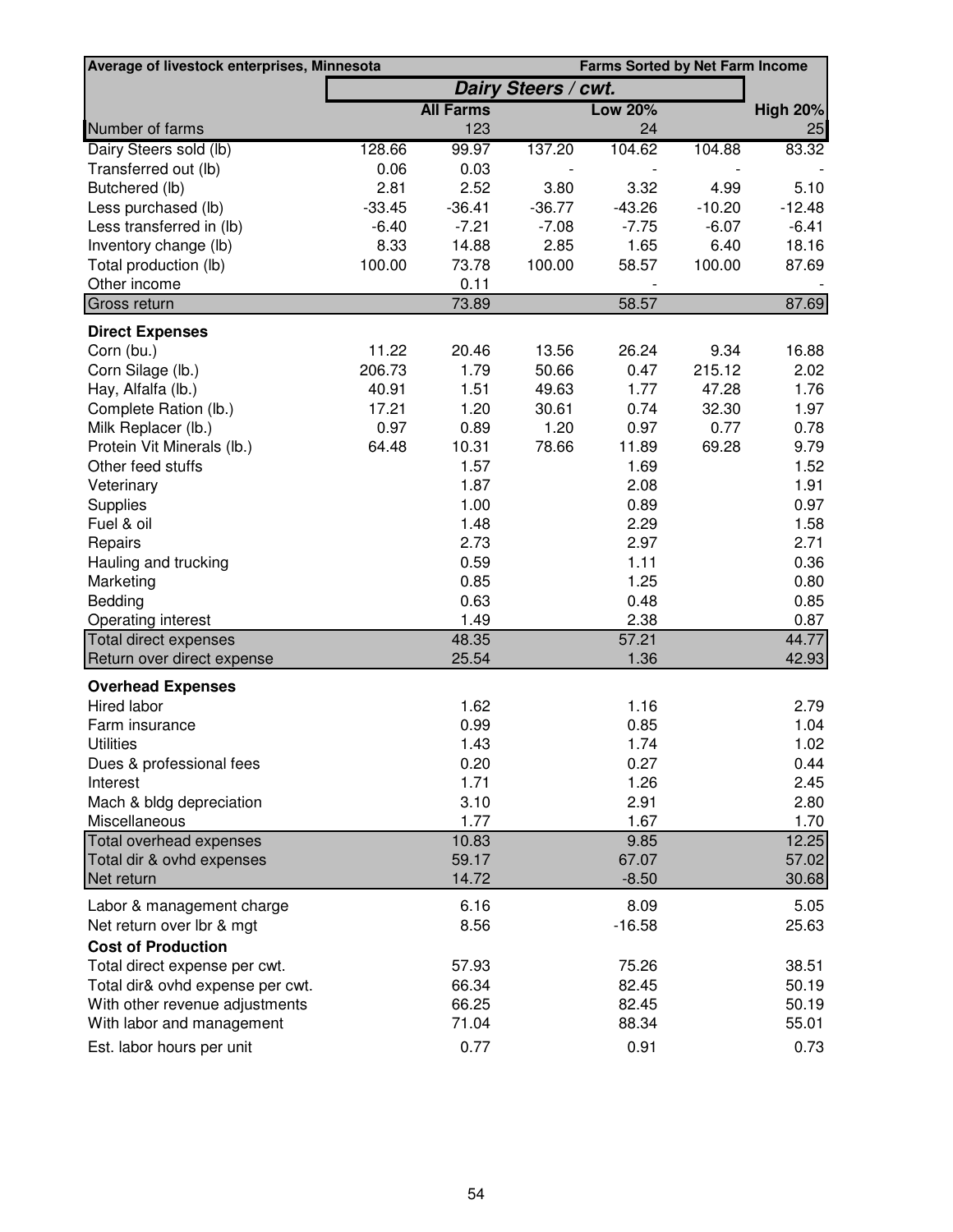| Average of livestock enterprises, Minnesota |          |                  |                     | <b>Farms Sorted by Net Farm Income</b> |          |                 |
|---------------------------------------------|----------|------------------|---------------------|----------------------------------------|----------|-----------------|
|                                             |          |                  | Dairy Steers / cwt. |                                        |          |                 |
|                                             |          | <b>All Farms</b> |                     | <b>Low 20%</b>                         |          | <b>High 20%</b> |
| Number of farms                             |          | 123              |                     | 24                                     |          | 25              |
| Dairy Steers sold (lb)                      | 128.66   | 99.97            | 137.20              | 104.62                                 | 104.88   | 83.32           |
| Transferred out (lb)                        | 0.06     | 0.03             |                     |                                        |          |                 |
| Butchered (lb)                              | 2.81     | 2.52             | 3.80                | 3.32                                   | 4.99     | 5.10            |
| Less purchased (lb)                         | $-33.45$ | $-36.41$         | $-36.77$            | $-43.26$                               | $-10.20$ | $-12.48$        |
| Less transferred in (lb)                    | $-6.40$  | $-7.21$          | $-7.08$             | $-7.75$                                | $-6.07$  | $-6.41$         |
| Inventory change (lb)                       | 8.33     | 14.88            | 2.85                | 1.65                                   | 6.40     | 18.16           |
| Total production (lb)                       | 100.00   | 73.78            | 100.00              | 58.57                                  | 100.00   | 87.69           |
| Other income                                |          | 0.11             |                     |                                        |          |                 |
| Gross return                                |          | 73.89            |                     | 58.57                                  |          | 87.69           |
| <b>Direct Expenses</b>                      |          |                  |                     |                                        |          |                 |
| Corn (bu.)                                  | 11.22    | 20.46            | 13.56               | 26.24                                  | 9.34     | 16.88           |
| Corn Silage (lb.)                           | 206.73   | 1.79             | 50.66               | 0.47                                   | 215.12   | 2.02            |
| Hay, Alfalfa (lb.)                          | 40.91    | 1.51             | 49.63               | 1.77                                   | 47.28    | 1.76            |
| Complete Ration (lb.)                       | 17.21    | 1.20             | 30.61               | 0.74                                   | 32.30    | 1.97            |
| Milk Replacer (lb.)                         | 0.97     | 0.89             | 1.20                | 0.97                                   | 0.77     | 0.78            |
| Protein Vit Minerals (lb.)                  | 64.48    | 10.31            | 78.66               | 11.89                                  | 69.28    | 9.79            |
| Other feed stuffs                           |          | 1.57             |                     | 1.69                                   |          | 1.52            |
| Veterinary                                  |          | 1.87             |                     | 2.08                                   |          | 1.91            |
| Supplies                                    |          | 1.00             |                     | 0.89                                   |          | 0.97            |
| Fuel & oil                                  |          | 1.48             |                     | 2.29                                   |          | 1.58            |
| Repairs                                     |          | 2.73             |                     | 2.97                                   |          | 2.71            |
| Hauling and trucking                        |          | 0.59             |                     | 1.11                                   |          | 0.36            |
| Marketing                                   |          | 0.85             |                     | 1.25                                   |          | 0.80            |
| Bedding                                     |          | 0.63             |                     | 0.48                                   |          | 0.85            |
| Operating interest                          |          | 1.49             |                     | 2.38                                   |          | 0.87            |
| <b>Total direct expenses</b>                |          | 48.35            |                     | 57.21                                  |          | 44.77           |
| Return over direct expense                  |          | 25.54            |                     | 1.36                                   |          | 42.93           |
| <b>Overhead Expenses</b>                    |          |                  |                     |                                        |          |                 |
| Hired labor                                 |          | 1.62             |                     | 1.16                                   |          | 2.79            |
| Farm insurance                              |          | 0.99             |                     | 0.85                                   |          | 1.04            |
| <b>Utilities</b>                            |          | 1.43             |                     | 1.74                                   |          | 1.02            |
| Dues & professional fees                    |          | 0.20             |                     | 0.27                                   |          | 0.44            |
| Interest                                    |          | 1.71             |                     | 1.26                                   |          | 2.45            |
| Mach & bldg depreciation                    |          | 3.10             |                     | 2.91                                   |          | 2.80            |
| Miscellaneous                               |          | 1.77             |                     | 1.67                                   |          | 1.70            |
| Total overhead expenses                     |          | 10.83            |                     | 9.85                                   |          | 12.25           |
| Total dir & ovhd expenses                   |          | 59.17            |                     | 67.07                                  |          | 57.02           |
| Net return                                  |          | 14.72            |                     | $-8.50$                                |          | 30.68           |
| Labor & management charge                   |          | 6.16             |                     | 8.09                                   |          | 5.05            |
| Net return over lbr & mgt                   |          | 8.56             |                     | $-16.58$                               |          | 25.63           |
| <b>Cost of Production</b>                   |          |                  |                     |                                        |          |                 |
| Total direct expense per cwt.               |          | 57.93            |                     | 75.26                                  |          | 38.51           |
| Total dir& ovhd expense per cwt.            |          | 66.34            |                     | 82.45                                  |          | 50.19           |
| With other revenue adjustments              |          | 66.25            |                     | 82.45                                  |          | 50.19           |
| With labor and management                   |          | 71.04            |                     | 88.34                                  |          | 55.01           |
| Est. labor hours per unit                   |          | 0.77             |                     | 0.91                                   |          | 0.73            |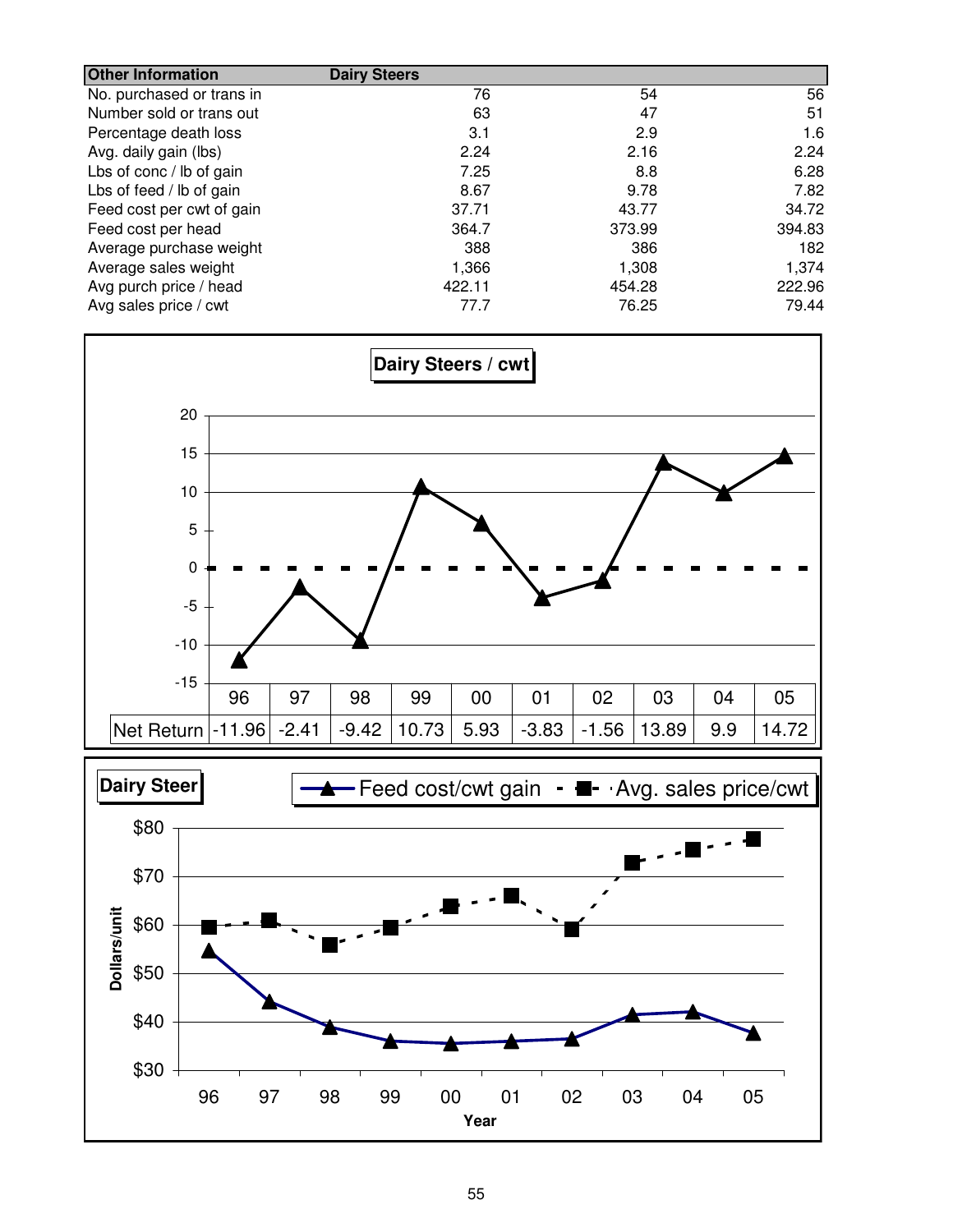| <b>Other Information</b>  | <b>Dairy Steers</b> |        |        |
|---------------------------|---------------------|--------|--------|
| No. purchased or trans in | 76                  | 54     | 56     |
| Number sold or trans out  | 63                  | 47     | 51     |
| Percentage death loss     | 3.1                 | 2.9    | 1.6    |
| Avg. daily gain (lbs)     | 2.24                | 2.16   | 2.24   |
| Lbs of conc / lb of gain  | 7.25                | 8.8    | 6.28   |
| Lbs of feed / lb of gain  | 8.67                | 9.78   | 7.82   |
| Feed cost per cwt of gain | 37.71               | 43.77  | 34.72  |
| Feed cost per head        | 364.7               | 373.99 | 394.83 |
| Average purchase weight   | 388                 | 386    | 182    |
| Average sales weight      | 1,366               | 1,308  | 1,374  |
| Avg purch price / head    | 422.11              | 454.28 | 222.96 |
| Avg sales price / cwt     | 77.7                | 76.25  | 79.44  |



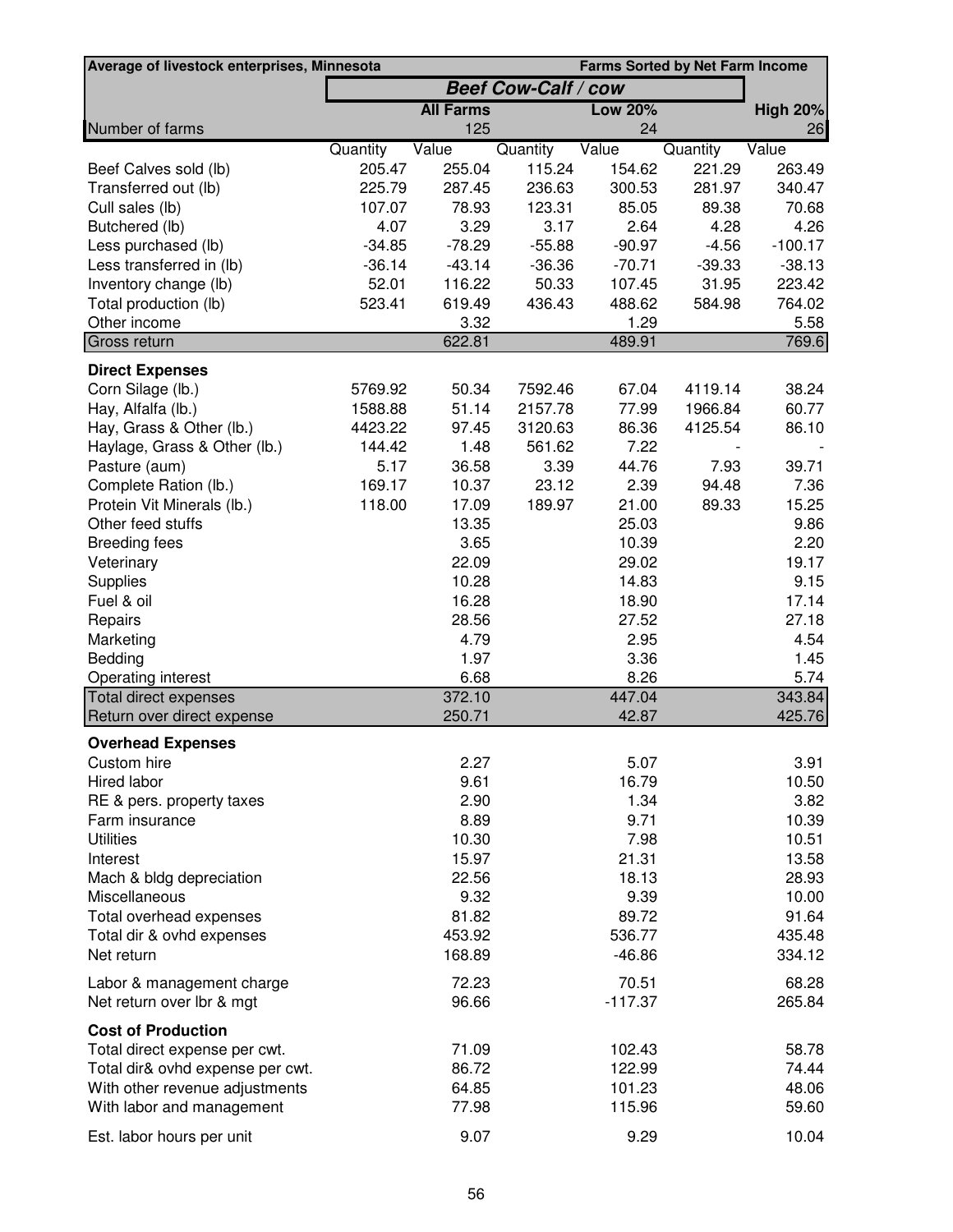| <b>Farms Sorted by Net Farm Income</b><br>Average of livestock enterprises, Minnesota |                            |                      |                      |                      |                     |                       |
|---------------------------------------------------------------------------------------|----------------------------|----------------------|----------------------|----------------------|---------------------|-----------------------|
|                                                                                       | <b>Beef Cow-Calf / cow</b> |                      |                      |                      |                     |                       |
|                                                                                       |                            | <b>All Farms</b>     |                      | <b>Low 20%</b>       |                     | <b>High 20%</b>       |
| Number of farms                                                                       |                            | 125                  |                      | 24                   |                     | 26                    |
|                                                                                       | Quantity                   | Value                | Quantity             | Value                | Quantity            | Value                 |
| Beef Calves sold (lb)                                                                 | 205.47                     | 255.04               | 115.24               | 154.62               | 221.29              | 263.49                |
| Transferred out (lb)                                                                  | 225.79                     | 287.45               | 236.63               | 300.53               | 281.97              | 340.47                |
| Cull sales (lb)                                                                       | 107.07                     | 78.93                | 123.31               | 85.05                | 89.38               | 70.68                 |
| Butchered (lb)                                                                        | 4.07                       | 3.29                 | 3.17                 | 2.64                 | 4.28                | 4.26                  |
| Less purchased (lb)<br>Less transferred in (lb)                                       | $-34.85$<br>$-36.14$       | $-78.29$<br>$-43.14$ | $-55.88$<br>$-36.36$ | $-90.97$<br>$-70.71$ | $-4.56$<br>$-39.33$ | $-100.17$<br>$-38.13$ |
| Inventory change (lb)                                                                 | 52.01                      | 116.22               | 50.33                | 107.45               | 31.95               | 223.42                |
| Total production (lb)                                                                 | 523.41                     | 619.49               | 436.43               | 488.62               | 584.98              | 764.02                |
| Other income                                                                          |                            | 3.32                 |                      | 1.29                 |                     | 5.58                  |
| Gross return                                                                          |                            | 622.81               |                      | 489.91               |                     | 769.6                 |
| <b>Direct Expenses</b>                                                                |                            |                      |                      |                      |                     |                       |
| Corn Silage (lb.)                                                                     | 5769.92                    | 50.34                | 7592.46              | 67.04                | 4119.14             | 38.24                 |
| Hay, Alfalfa (lb.)                                                                    | 1588.88                    | 51.14                | 2157.78              | 77.99                | 1966.84             | 60.77                 |
| Hay, Grass & Other (lb.)                                                              | 4423.22                    | 97.45                | 3120.63              | 86.36                | 4125.54             | 86.10                 |
| Haylage, Grass & Other (lb.)                                                          | 144.42                     | 1.48                 | 561.62               | 7.22                 |                     |                       |
| Pasture (aum)                                                                         | 5.17                       | 36.58                | 3.39                 | 44.76                | 7.93                | 39.71                 |
| Complete Ration (lb.)                                                                 | 169.17                     | 10.37                | 23.12                | 2.39                 | 94.48               | 7.36                  |
| Protein Vit Minerals (lb.)                                                            | 118.00                     | 17.09                | 189.97               | 21.00                | 89.33               | 15.25                 |
| Other feed stuffs                                                                     |                            | 13.35                |                      | 25.03                |                     | 9.86                  |
| <b>Breeding fees</b>                                                                  |                            | 3.65                 |                      | 10.39                |                     | 2.20                  |
| Veterinary                                                                            |                            | 22.09                |                      | 29.02                |                     | 19.17                 |
| Supplies                                                                              |                            | 10.28                |                      | 14.83                |                     | 9.15                  |
| Fuel & oil                                                                            |                            | 16.28                |                      | 18.90                |                     | 17.14                 |
| Repairs                                                                               |                            | 28.56                |                      | 27.52                |                     | 27.18                 |
| Marketing                                                                             |                            | 4.79                 |                      | 2.95                 |                     | 4.54                  |
| Bedding                                                                               |                            | 1.97                 |                      | 3.36                 |                     | 1.45                  |
| Operating interest                                                                    |                            | 6.68                 |                      | 8.26                 |                     | 5.74                  |
| Total direct expenses                                                                 |                            | 372.10               |                      | 447.04               |                     | 343.84                |
| Return over direct expense                                                            |                            | 250.71               |                      | 42.87                |                     | 425.76                |
| <b>Overhead Expenses</b>                                                              |                            |                      |                      |                      |                     |                       |
| Custom hire                                                                           |                            | 2.27                 |                      | 5.07                 |                     | 3.91                  |
| Hired labor                                                                           |                            | 9.61                 |                      | 16.79                |                     | 10.50                 |
| RE & pers. property taxes                                                             |                            | 2.90                 |                      | 1.34                 |                     | 3.82                  |
| Farm insurance                                                                        |                            | 8.89                 |                      | 9.71                 |                     | 10.39                 |
| <b>Utilities</b>                                                                      |                            | 10.30                |                      | 7.98                 |                     | 10.51                 |
| Interest                                                                              |                            | 15.97                |                      | 21.31                |                     | 13.58                 |
| Mach & bldg depreciation                                                              |                            | 22.56                |                      | 18.13                |                     | 28.93                 |
| Miscellaneous                                                                         |                            | 9.32                 |                      | 9.39                 |                     | 10.00                 |
| Total overhead expenses                                                               |                            | 81.82                |                      | 89.72                |                     | 91.64                 |
| Total dir & ovhd expenses                                                             |                            | 453.92               |                      | 536.77               |                     | 435.48                |
| Net return                                                                            |                            | 168.89               |                      | $-46.86$             |                     | 334.12                |
| Labor & management charge                                                             |                            | 72.23                |                      | 70.51                |                     | 68.28                 |
| Net return over lbr & mgt                                                             |                            | 96.66                |                      | $-117.37$            |                     | 265.84                |
| <b>Cost of Production</b>                                                             |                            |                      |                      |                      |                     |                       |
| Total direct expense per cwt.                                                         |                            | 71.09                |                      | 102.43               |                     | 58.78                 |
| Total dir& ovhd expense per cwt.                                                      |                            | 86.72                |                      | 122.99               |                     | 74.44                 |
| With other revenue adjustments                                                        |                            | 64.85                |                      | 101.23               |                     | 48.06                 |
| With labor and management                                                             |                            | 77.98                |                      | 115.96               |                     | 59.60                 |
| Est. labor hours per unit                                                             |                            | 9.07                 |                      | 9.29                 |                     | 10.04                 |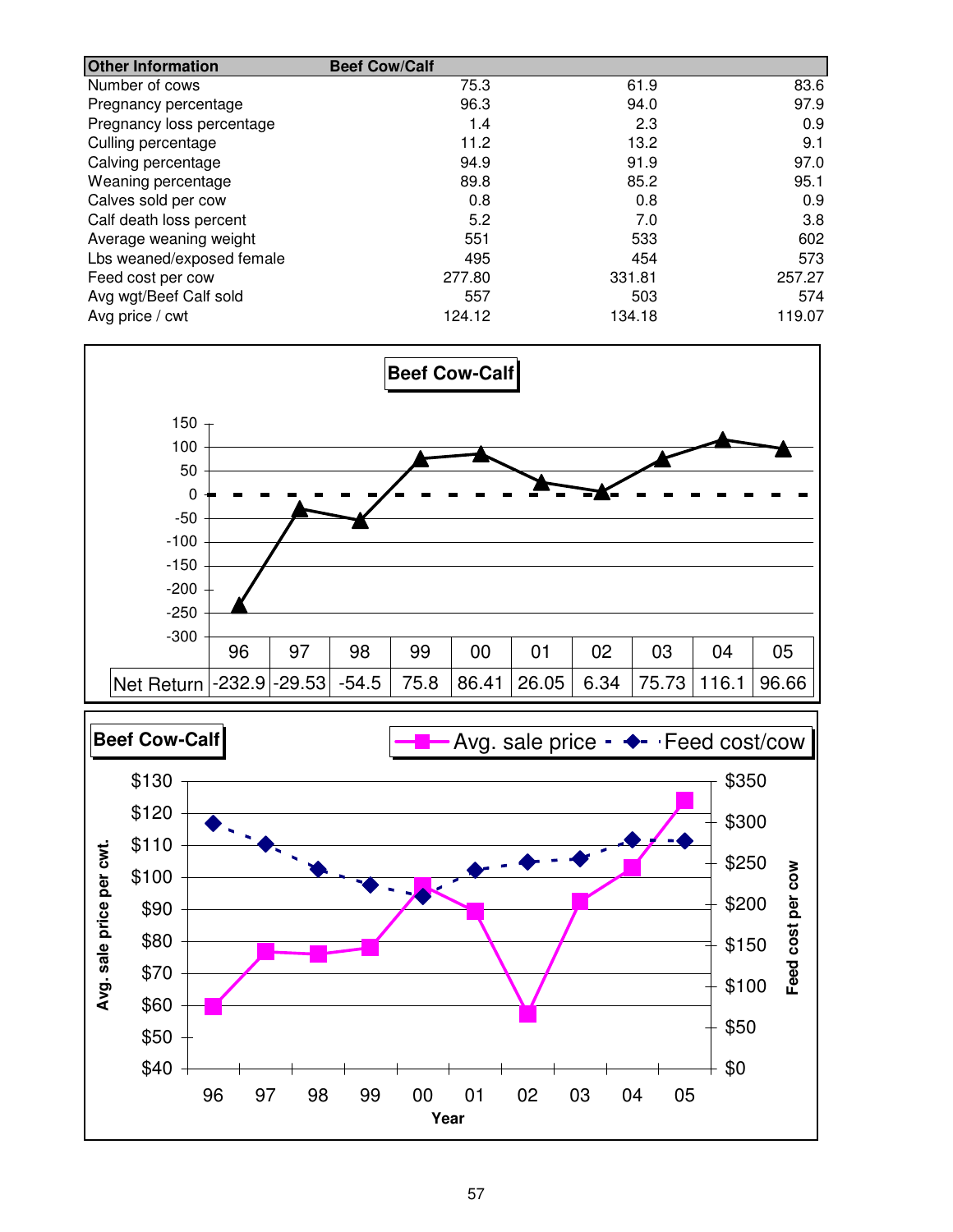| <b>Other Information</b>  | <b>Beef Cow/Calf</b> |        |        |
|---------------------------|----------------------|--------|--------|
| Number of cows            | 75.3                 | 61.9   | 83.6   |
| Pregnancy percentage      | 96.3                 | 94.0   | 97.9   |
| Pregnancy loss percentage | 1.4                  | 2.3    | 0.9    |
| Culling percentage        | 11.2                 | 13.2   | 9.1    |
| Calving percentage        | 94.9                 | 91.9   | 97.0   |
| Weaning percentage        | 89.8                 | 85.2   | 95.1   |
| Calves sold per cow       | 0.8                  | 0.8    | 0.9    |
| Calf death loss percent   | 5.2                  | 7.0    | 3.8    |
| Average weaning weight    | 551                  | 533    | 602    |
| Lbs weaned/exposed female | 495                  | 454    | 573    |
| Feed cost per cow         | 277.80               | 331.81 | 257.27 |
| Avg wgt/Beef Calf sold    | 557                  | 503    | 574    |
| Avg price / cwt           | 124.12               | 134.18 | 119.07 |



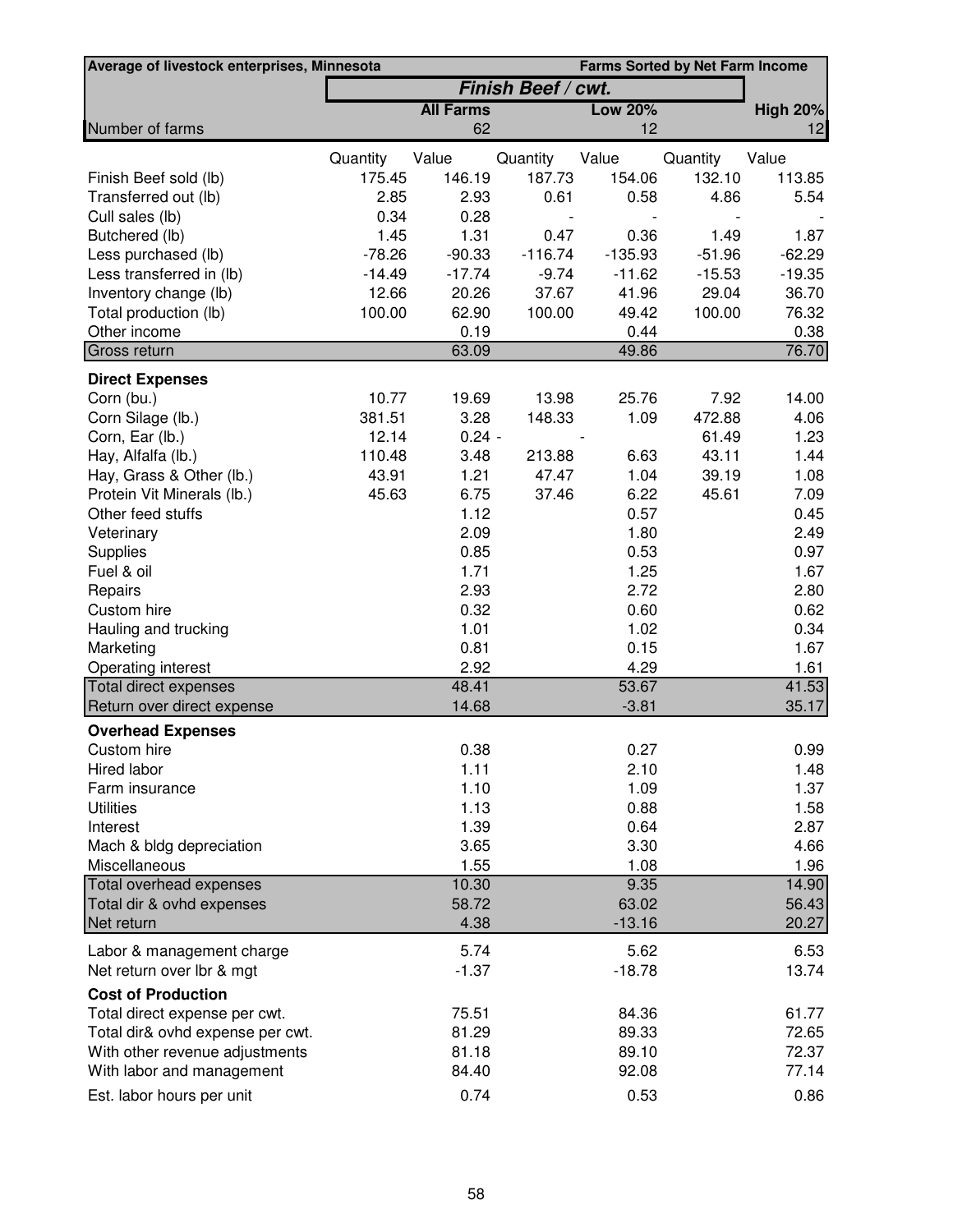| Average of livestock enterprises, Minnesota |                    |                  |           |                | <b>Farms Sorted by Net Farm Income</b> |                 |
|---------------------------------------------|--------------------|------------------|-----------|----------------|----------------------------------------|-----------------|
|                                             | Finish Beef / cwt. |                  |           |                |                                        |                 |
|                                             |                    | <b>All Farms</b> |           | <b>Low 20%</b> |                                        | <b>High 20%</b> |
| Number of farms                             |                    | 62               |           | 12             |                                        | 12              |
|                                             | Quantity           | Value            | Quantity  | Value          | Quantity                               | Value           |
| Finish Beef sold (lb)                       | 175.45             | 146.19           | 187.73    | 154.06         | 132.10                                 | 113.85          |
| Transferred out (lb)                        | 2.85               | 2.93             | 0.61      | 0.58           | 4.86                                   | 5.54            |
| Cull sales (lb)                             | 0.34               | 0.28             |           |                |                                        |                 |
| Butchered (lb)                              | 1.45               | 1.31             | 0.47      | 0.36           | 1.49                                   | 1.87            |
| Less purchased (lb)                         | $-78.26$           | $-90.33$         | $-116.74$ | $-135.93$      | $-51.96$                               | $-62.29$        |
| Less transferred in (lb)                    | $-14.49$           | $-17.74$         | $-9.74$   | $-11.62$       | $-15.53$                               | $-19.35$        |
| Inventory change (lb)                       | 12.66              | 20.26            | 37.67     | 41.96          | 29.04                                  | 36.70           |
| Total production (lb)                       | 100.00             | 62.90            | 100.00    | 49.42          | 100.00                                 | 76.32           |
| Other income                                |                    | 0.19             |           | 0.44           |                                        | 0.38            |
| Gross return                                |                    | 63.09            |           | 49.86          |                                        | 76.70           |
| <b>Direct Expenses</b>                      |                    |                  |           |                |                                        |                 |
| Corn (bu.)                                  | 10.77              | 19.69            | 13.98     | 25.76          | 7.92                                   | 14.00           |
| Corn Silage (lb.)                           | 381.51             | 3.28             | 148.33    | 1.09           | 472.88                                 | 4.06            |
| Corn, Ear (lb.)                             | 12.14              | $0.24 -$         |           |                | 61.49                                  | 1.23            |
| Hay, Alfalfa (lb.)                          | 110.48             | 3.48             | 213.88    | 6.63           | 43.11                                  | 1.44            |
| Hay, Grass & Other (lb.)                    | 43.91              | 1.21             | 47.47     | 1.04           | 39.19                                  | 1.08            |
| Protein Vit Minerals (lb.)                  | 45.63              | 6.75             | 37.46     | 6.22           | 45.61                                  | 7.09            |
| Other feed stuffs                           |                    | 1.12             |           | 0.57           |                                        | 0.45            |
| Veterinary                                  |                    | 2.09             |           | 1.80           |                                        | 2.49            |
| Supplies                                    |                    | 0.85             |           | 0.53           |                                        | 0.97            |
| Fuel & oil                                  |                    | 1.71             |           | 1.25           |                                        | 1.67            |
| Repairs                                     |                    | 2.93             |           | 2.72           |                                        | 2.80            |
| Custom hire                                 |                    | 0.32             |           | 0.60           |                                        | 0.62            |
| Hauling and trucking                        |                    | 1.01             |           | 1.02           |                                        | 0.34            |
| Marketing                                   |                    | 0.81             |           | 0.15           |                                        | 1.67            |
| Operating interest                          |                    | 2.92             |           | 4.29           |                                        | 1.61            |
| <b>Total direct expenses</b>                |                    | 48.41            |           | 53.67          |                                        | 41.53           |
| Return over direct expense                  |                    | 14.68            |           | $-3.81$        |                                        | 35.17           |
| <b>Overhead Expenses</b>                    |                    |                  |           |                |                                        |                 |
| Custom hire                                 |                    | 0.38             |           | 0.27           |                                        | 0.99            |
| Hired labor                                 |                    | 1.11             |           | 2.10           |                                        | 1.48            |
| Farm insurance                              |                    | 1.10             |           | 1.09           |                                        | 1.37            |
| <b>Utilities</b>                            |                    | 1.13             |           | 0.88           |                                        | 1.58            |
| Interest                                    |                    | 1.39             |           | 0.64           |                                        | 2.87            |
| Mach & bldg depreciation                    |                    | 3.65             |           | 3.30           |                                        | 4.66            |
| Miscellaneous                               |                    | 1.55             |           | 1.08           |                                        | 1.96            |
| Total overhead expenses                     |                    | 10.30            |           | 9.35           |                                        | 14.90           |
| Total dir & ovhd expenses                   |                    | 58.72            |           | 63.02          |                                        | 56.43           |
| Net return                                  |                    | 4.38             |           | $-13.16$       |                                        | 20.27           |
| Labor & management charge                   |                    | 5.74             |           | 5.62           |                                        | 6.53            |
| Net return over lbr & mgt                   |                    | $-1.37$          |           | $-18.78$       |                                        | 13.74           |
| <b>Cost of Production</b>                   |                    |                  |           |                |                                        |                 |
| Total direct expense per cwt.               |                    | 75.51            |           | 84.36          |                                        | 61.77           |
| Total dir& ovhd expense per cwt.            |                    | 81.29            |           | 89.33          |                                        | 72.65           |
| With other revenue adjustments              |                    | 81.18            |           | 89.10          |                                        | 72.37           |
| With labor and management                   |                    | 84.40            |           | 92.08          |                                        | 77.14           |
| Est. labor hours per unit                   |                    | 0.74             |           | 0.53           |                                        | 0.86            |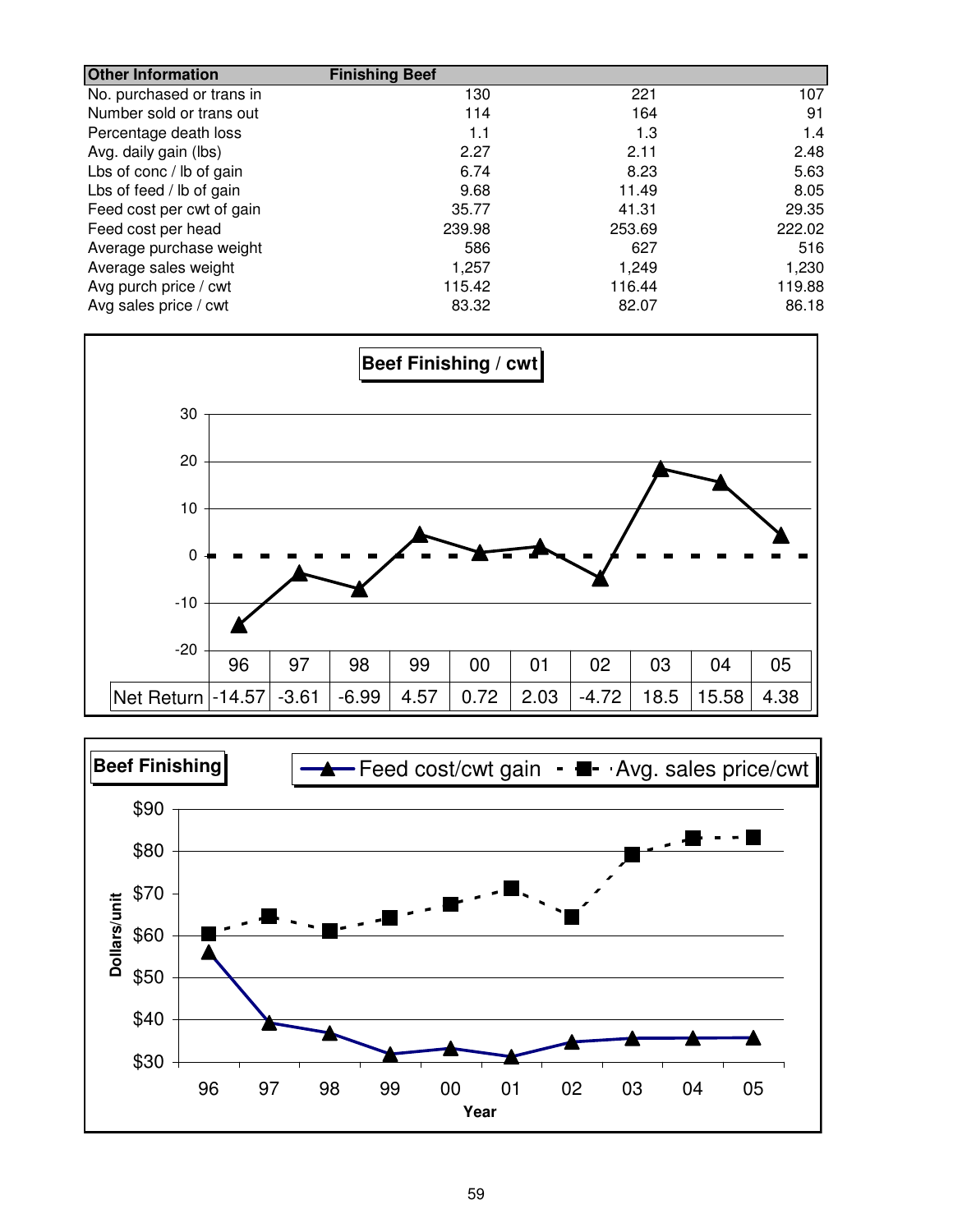| <b>Other Information</b>  | <b>Finishing Beef</b> |        |        |
|---------------------------|-----------------------|--------|--------|
| No. purchased or trans in | 130                   | 221    | 107    |
| Number sold or trans out  | 114                   | 164    | 91     |
| Percentage death loss     | 1.1                   | 1.3    | 1.4    |
| Avg. daily gain (lbs)     | 2.27                  | 2.11   | 2.48   |
| Lbs of conc / lb of gain  | 6.74                  | 8.23   | 5.63   |
| Lbs of feed / lb of gain  | 9.68                  | 11.49  | 8.05   |
| Feed cost per cwt of gain | 35.77                 | 41.31  | 29.35  |
| Feed cost per head        | 239.98                | 253.69 | 222.02 |
| Average purchase weight   | 586                   | 627    | 516    |
| Average sales weight      | 1,257                 | 1,249  | 1,230  |
| Avg purch price / cwt     | 115.42                | 116.44 | 119.88 |
| Avg sales price / cwt     | 83.32                 | 82.07  | 86.18  |